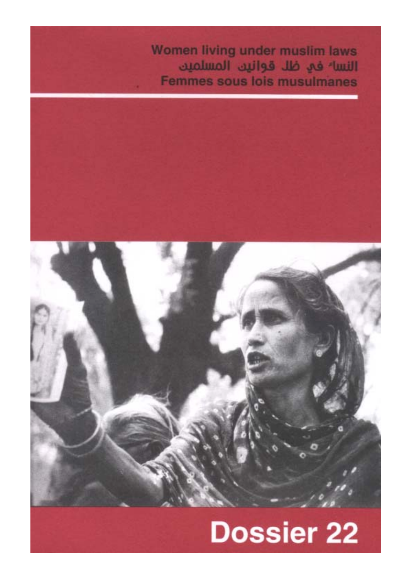Women living under muslim laws النسا<sup>ء</sup> في ظل قوانيد المسلميد **Femmes sous lois musulmanes** 





# **Dossier 22**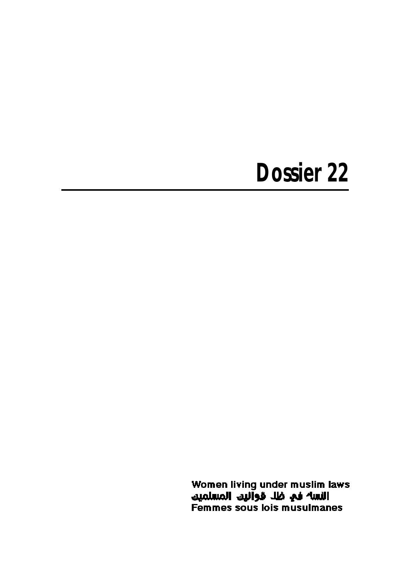## *Dossier 22*

Women living under muslim laws<br>ا**لنس<sup>ي</sup> في ظل قواني**ن المسلمين Femmes sous lois musulmanes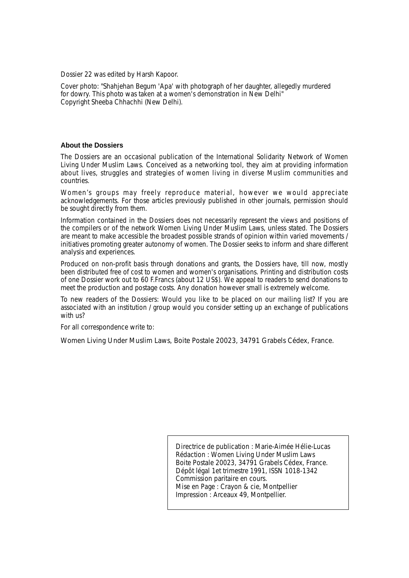Dossier 22 was edited by Harsh Kapoor.

Cover photo: "Shahjehan Begum 'Apa' with photograph of her daughter, allegedly murdered for dowry. This photo was taken at a women's demonstration in New Delhi" Copyright Sheeba Chhachhi (New Delhi).

#### **About the Dossiers**

The Dossiers are an occasional publication of the International Solidarity Network of Women Living Under Muslim Laws. Conceived as a networking tool, they aim at providing information about lives, struggles and strategies of women living in diverse Muslim communities and countries.

Women's groups may freely reproduce material, however we would appreciate acknowledgements. For those articles previously published in other journals, permission should be sought directly from them.

Information contained in the Dossiers does not necessarily represent the views and positions of the compilers or of the network Women Living Under Muslim Laws, unless stated. The Dossiers are meant to make accessible the broadest possible strands of opinion within varied movements / initiatives promoting greater autonomy of women. The Dossier seeks to inform and share different analysis and experiences.

Produced on non-profit basis through donations and grants, the Dossiers have, till now, mostly been distributed free of cost to women and women's organisations. Printing and distribution costs of one Dossier work out to 60 F.Francs (about 12 US\$). We appeal to readers to send donations to meet the production and postage costs. Any donation however small is extremely welcome.

To new readers of the Dossiers: Would you like to be placed on our mailing list? If you are associated with an institution / group would you consider setting up an exchange of publications with us?

For all correspondence write to:

Women Living Under Muslim Laws, Boite Postale 20023, 34791 Grabels Cédex, France.

Directrice de publication : Marie-Aimée Hélie-Lucas Rédaction : Women Living Under Muslim Laws Boite Postale 20023, 34791 Grabels Cédex, France. Dépôt légal 1et trimestre 1991, ISSN 1018-1342 Commission paritaire en cours. Mise en Page : Crayon & cie, Montpellier Impression : Arceaux 49, Montpellier.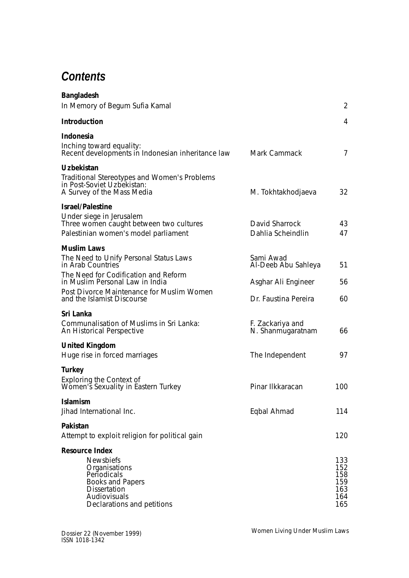### **Contents**

| <b>Bangladesh</b>                                                                                                                                                                                                                       |                                                                                 |                                               |
|-----------------------------------------------------------------------------------------------------------------------------------------------------------------------------------------------------------------------------------------|---------------------------------------------------------------------------------|-----------------------------------------------|
| In Memory of Begum Sufia Kamal                                                                                                                                                                                                          |                                                                                 | $\overline{2}$                                |
| <b>Introduction</b>                                                                                                                                                                                                                     |                                                                                 | $\overline{4}$                                |
| Indonesia<br>Inching toward equality:<br>Recent developments in Indonesian inheritance law                                                                                                                                              | Mark Cammack                                                                    | 7                                             |
| <b>Uzbekistan</b><br>Traditional Stereotypes and Women's Problems<br>in Post-Soviet Uzbekistan:<br>A Survey of the Mass Media                                                                                                           | M. Tokhtakhodjaeva                                                              | 32                                            |
| Israel/Palestine<br>Under siege in Jerusalem<br>Three women caught between two cultures<br>Palestinian women's model parliament                                                                                                         | David Sharrock<br>Dahlia Scheindlin                                             | 43<br>47                                      |
| <b>Muslim Laws</b><br>The Need to Unify Personal Status Laws<br>in Arab Countries<br>The Need for Codification and Reform<br>in Muslim Personal Law in India<br>Post Divorce Maintenance for Muslim Women<br>and the Islamist Discourse | Sami Awad<br>Al-Deeb Abu Sahleya<br>Asghar Ali Engineer<br>Dr. Faustina Pereira | 51<br>56<br>60                                |
| Sri Lanka<br>Communalisation of Muslims in Sri Lanka:<br>An Historical Perspective                                                                                                                                                      | F. Zackariya and<br>N. Shanmugaratnam                                           | 66                                            |
| <b>United Kingdom</b><br>Huge rise in forced marriages                                                                                                                                                                                  | The Independent                                                                 | 97                                            |
| Turkey<br><b>Exploring the Context of</b><br>Women's Sexuality in Eastern Turkey                                                                                                                                                        | Pinar Ilkkaracan                                                                | 100                                           |
| <b>Islamism</b><br>Jihad International Inc.                                                                                                                                                                                             | Eqbal Ahmad                                                                     | 114                                           |
| Pakistan<br>Attempt to exploit religion for political gain                                                                                                                                                                              |                                                                                 | 120                                           |
| <b>Resource Index</b>                                                                                                                                                                                                                   |                                                                                 |                                               |
| <b>Newsbiefs</b><br>Organisations<br>Periodicals<br><b>Books and Papers</b><br><b>Dissertation</b><br>Audiovisuals<br>Declarations and petitions                                                                                        |                                                                                 | 133<br>152<br>158<br>159<br>163<br>164<br>165 |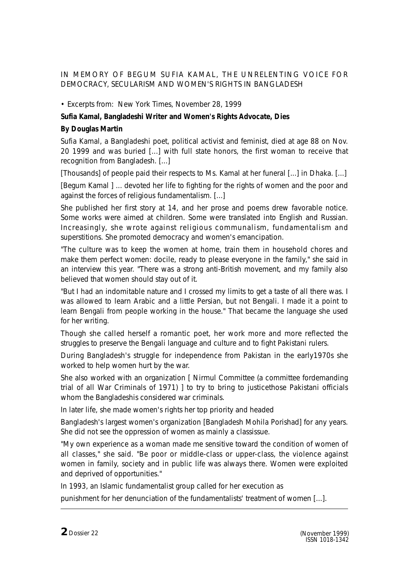#### IN MEMORY OF BEGUM SUFIA KAMAL, THE UNRELENTING VOICE FOR DEMOCRACY, SECULARISM AND WOMEN'S RIGHTS IN BANGLADESH

• *Excerpts from: New York Times, November 28, 1999*

*Sufia Kamal, Bangladeshi Writer and Women's Rights Advocate, Dies*

#### *By Douglas Martin*

Sufia Kamal, a Bangladeshi poet, political activist and feminist, died at age 88 on Nov. 20 1999 and was buried [...] with full state honors, the first woman to receive that recognition from Bangladesh. [...]

[Thousands] of people paid their respects to Ms. Kamal at her funeral [...] in Dhaka. [...]

[Begum Kamal ] ... devoted her life to fighting for the rights of women and the poor and against the forces of religious fundamentalism. [...]

She published her first story at 14, and her prose and poems drew favorable notice. Some works were aimed at children. Some were translated into English and Russian. Increasingly, she wrote against religious communalism, fundamentalism and superstitions. She promoted democracy and women's emancipation.

"The culture was to keep the women at home, train them in household chores and make them perfect women: docile, ready to please everyone in the family," she said in an interview this year. "There was a strong anti-British movement, and my family also believed that women should stay out of it.

"But I had an indomitable nature and I crossed my limits to get a taste of all there was. I was allowed to learn Arabic and a little Persian, but not Bengali. I made it a point to learn Bengali from people working in the house." That became the language she used for her writing.

Though she called herself a romantic poet, her work more and more reflected the struggles to preserve the Bengali language and culture and to fight Pakistani rulers.

During Bangladesh's struggle for independence from Pakistan in the early1970s she worked to help women hurt by the war.

She also worked with an organization [ Nirmul Committee (a committee fordemanding trial of all War Criminals of 1971) ] to try to bring to justicethose Pakistani officials whom the Bangladeshis considered war criminals.

In later life, she made women's rights her top priority and headed

Bangladesh's largest women's organization [Bangladesh Mohila Porishad] for any years. She did not see the oppression of women as mainly a classissue.

"My own experience as a woman made me sensitive toward the condition of women of all classes," she said. "Be poor or middle-class or upper-class, the violence against women in family, society and in public life was always there. Women were exploited and deprived of opportunities."

In 1993, an Islamic fundamentalist group called for her execution as

punishment for her denunciation of the fundamentalists' treatment of women [...].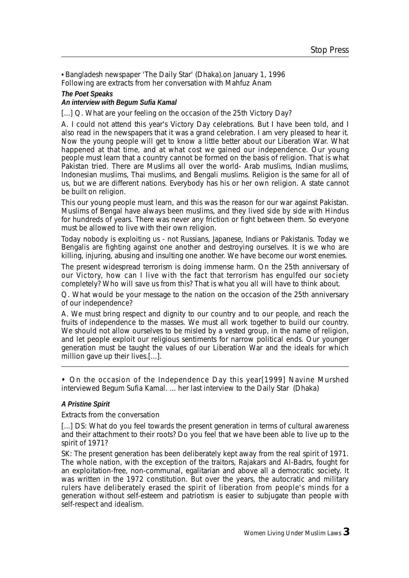**•** *Bangladesh newspaper 'The Daily Star' (Dhaka).on January 1, 1996 Following are extracts from her conversation with Mahfuz Anam* 

#### **The Poet Speaks An interview with Begum Sufia Kamal**

[...] Q. What are your feeling on the occasion of the 25th Victory Day?

A. I could not attend this year's Victory Day celebrations. But I have been told, and I also read in the newspapers that it was a grand celebration. I am very pleased to hear it. Now the young people will get to know a little better about our Liberation War. What happened at that time, and at what cost we gained our independence. Our young people must learn that a country cannot be formed on the basis of religion. That is what Pakistan tried. There are Muslims all over the world- Arab muslims, Indian muslims, Indonesian muslims, Thai muslims, and Bengali muslims. Religion is the same for all of us, but we are different nations. Everybody has his or her own religion. A state cannot be built on religion.

This our young people must learn, and this was the reason for our war against Pakistan. Muslims of Bengal have always been muslims, and they lived side by side with Hindus for hundreds of years. There was never any friction or fight between them. So everyone must be allowed to live with their own religion.

Today nobody is exploiting us - not Russians, Japanese, Indians or Pakistanis. Today we Bengalis are fighting against one another and destroying ourselves. It is we who are killing, injuring, abusing and insulting one another. We have become our worst enemies.

The present widespread terrorism is doing immense harm. On the 25th anniversary of our Victory, how can I live with the fact that terrorism has engulfed our society completely? Who will save us from this? That is what you all will have to think about.

Q. What would be your message to the nation on the occasion of the 25th anniversary of our independence?

A. We must bring respect and dignity to our country and to our people, and reach the fruits of independence to the masses. We must all work together to build our country. We should not allow ourselves to be misled by a vested group, in the name of religion, and let people exploit our religious sentiments for narrow political ends. Our younger generation must be taught the values of our Liberation War and the ideals for which million gave up their lives.[...].

**•** *On the occasion of the Independence Day this year[1999] Navine Murshed interviewed Begum Sufia Kamal. ... her last interview to the Daily Star (Dhaka)*

#### **A Pristine Spirit**

#### *Extracts from the conversation*

[...] DS: What do you feel towards the present generation in terms of cultural awareness and their attachment to their roots? Do you feel that we have been able to live up to the spirit of 1971?

SK: The present generation has been deliberately kept away from the real spirit of 1971. The whole nation, with the exception of the traitors, Rajakars and Al-Badrs, fought for an exploitation-free, non-communal, egalitarian and above all a democratic society. It was written in the 1972 constitution. But over the years, the autocratic and military rulers have deliberately erased the spirit of liberation from people's minds for a generation without self-esteem and patriotism is easier to subjugate than people with self-respect and idealism.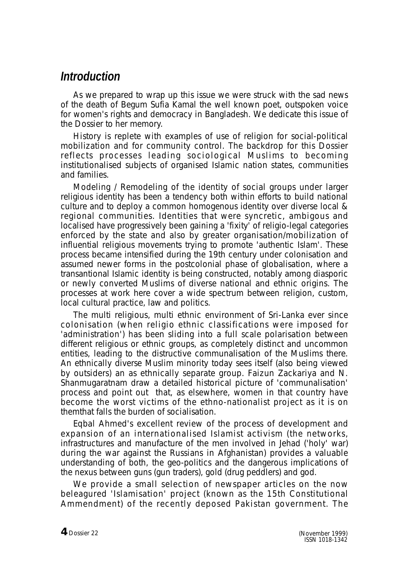### **Introduction**

As we prepared to wrap up this issue we were struck with the sad news of the death of Begum Sufia Kamal the well known poet, outspoken voice for women's rights and democracy in Bangladesh. We dedicate this issue of the Dossier to her memory.

History is replete with examples of use of religion for social-political mobilization and for community control. The backdrop for this Dossier reflects processes leading sociological Muslims to becoming institutionalised subjects of organised Islamic nation states, communities and families.

Modeling / Remodeling of the identity of social groups under larger religious identity has been a tendency both within efforts to build national culture and to deploy a common homogenous identity over diverse local & regional communities. Identities that were syncretic, ambigous and localised have progressively been gaining a 'fixity' of religio-legal categories enforced by the state and also by greater organisation/mobilization of influential religious movements trying to promote 'authentic Islam'. These process became intensified during the 19th century under colonisation and assumed newer forms in the postcolonial phase of globalisation, where a transantional Islamic identity is being constructed, notably among diasporic or newly converted Muslims of diverse national and ethnic origins. The processes at work here cover a wide spectrum between religion, custom, local cultural practice, law and politics.

The multi religious, multi ethnic environment of Sri-Lanka ever since colonisation (when religio ethnic classifications were imposed for 'administration') has been sliding into a full scale polarisation between different religious or ethnic groups, as completely distinct and uncommon entities, leading to the distructive communalisation of the Muslims there. An ethnically diverse Muslim minority today sees itself (also being viewed by outsiders) an as ethnically separate group. Faizun Zackariya and N. Shanmugaratnam draw a detailed historical picture of 'communalisation' process and point out that, as elsewhere, women in that country have become the worst victims of the ethno-nationalist project as it is on themthat falls the burden of socialisation.

Eqbal Ahmed's excellent review of the process of development and expansion of an internationalised Islamist activism (the networks, infrastructures and manufacture of the men involved in Jehad ('holy' war) during the war against the Russians in Afghanistan) provides a valuable understanding of both, the geo-politics and the dangerous implications of the nexus between guns (gun traders), gold (drug peddlers) and god.

We provide a small selection of newspaper articles on the now beleagured 'Islamisation' project (known as the 15th Constitutional Ammendment) of the recently deposed Pakistan government. The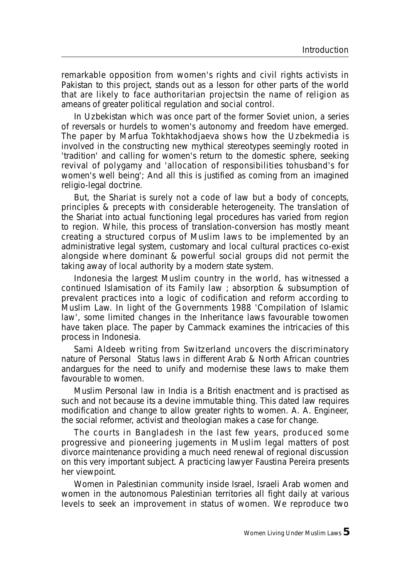remarkable opposition from women's rights and civil rights activists in Pakistan to this project, stands out as a lesson for other parts of the world that are likely to face authoritarian projectsin the name of religion as ameans of greater political regulation and social control.

In Uzbekistan which was once part of the former Soviet union, a series of reversals or hurdels to women's autonomy and freedom have emerged. The paper by Marfua Tokhtakhodjaeva shows how the Uzbekmedia is involved in the constructing new mythical stereotypes seemingly rooted in 'tradition' and calling for women's return to the domestic sphere, seeking revival of polygamy and 'allocation of responsibilities tohusband's for women's well being'; And all this is justified as coming from an imagined religio-legal doctrine.

But, the Shariat is surely not a code of law but a body of concepts, principles & precepts with considerable heterogeneity. The translation of the Shariat into actual functioning legal procedures has varied from region to region. While, this process of translation-conversion has mostly meant creating a structured corpus of Muslim laws to be implemented by an administrative legal system, customary and local cultural practices co-exist alongside where dominant & powerful social groups did not permit the taking away of local authority by a modern state system.

Indonesia the largest Muslim country in the world, has witnessed a continued Islamisation of its Family law ; absorption & subsumption of prevalent practices into a logic of codification and reform according to Muslim Law. In light of the Governments 1988 'Compilation of Islamic law', some limited changes in the Inheritance laws favourable towomen have taken place. The paper by Cammack examines the intricacies of this process in Indonesia.

Sami Aldeeb writing from Switzerland uncovers the discriminatory nature of Personal Status laws in different Arab & North African countries andargues for the need to unify and modernise these laws to make them favourable to women.

Muslim Personal law in India is a British enactment and is practised as such and not because its a devine immutable thing. This dated law requires modification and change to allow greater rights to women. A. A. Engineer, the social reformer, activist and theologian makes a case for change.

The courts in Bangladesh in the last few years, produced some progressive and pioneering jugements in Muslim legal matters of post divorce maintenance providing a much need renewal of regional discussion on this very important subject. A practicing lawyer Faustina Pereira presents her viewpoint.

Women in Palestinian community inside Israel, Israeli Arab women and women in the autonomous Palestinian territories all fight daily at various levels to seek an improvement in status of women. We reproduce two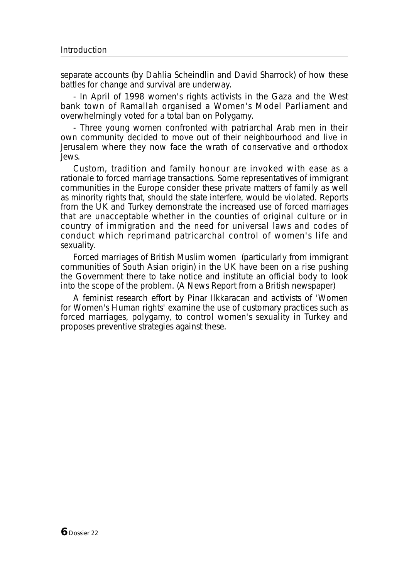separate accounts (by Dahlia Scheindlin and David Sharrock) of how these battles for change and survival are underway.

- In April of 1998 women's rights activists in the Gaza and the West bank town of Ramallah organised a Women's Model Parliament and overwhelmingly voted for a total ban on Polygamy.

- Three young women confronted with patriarchal Arab men in their own community decided to move out of their neighbourhood and live in Jerusalem where they now face the wrath of conservative and orthodox Jews.

Custom, tradition and family honour are invoked with ease as a rationale to forced marriage transactions. Some representatives of immigrant communities in the Europe consider these private matters of family as well as minority rights that, should the state interfere, would be violated. Reports from the UK and Turkey demonstrate the increased use of forced marriages that are unacceptable whether in the counties of original culture or in country of immigration and the need for universal laws and codes of conduct which reprimand patricarchal control of women's life and sexuality.

Forced marriages of British Muslim women (particularly from immigrant communities of South Asian origin) in the UK have been on a rise pushing the Government there to take notice and institute an official body to look into the scope of the problem. (A News Report from a British newspaper)

A feminist research effort by Pinar Ilkkaracan and activists of 'Women for Women's Human rights' examine the use of customary practices such as forced marriages, polygamy, to control women's sexuality in Turkey and proposes preventive strategies against these.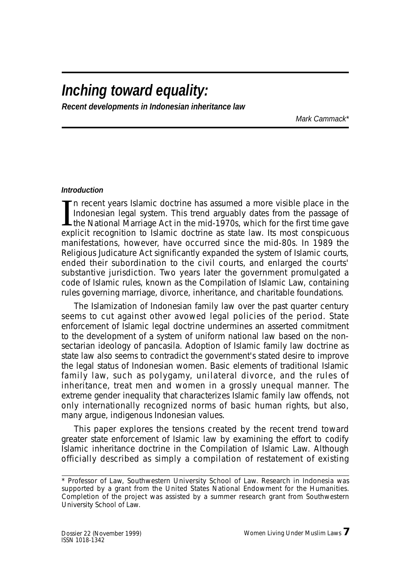## **Inching toward equality:**

**Recent developments in Indonesian inheritance law**

Mark Cammack\*

#### **Introduction**

In recent years Islamic doctrine has assumed a more visible place in the Indonesian legal system. This trend arguably dates from the passage of the National Marriage Act in the mid-1970s, which for the first time gave expl n recent years Islamic doctrine has assumed a more visible place in the Indonesian legal system. This trend arguably dates from the passage of Lthe National Marriage Act in the mid-1970s, which for the first time gave manifestations, however, have occurred since the mid-80s. In 1989 the Religious Judicature Act significantly expanded the system of Islamic courts, ended their subordination to the civil courts, and enlarged the courts' substantive jurisdiction. Two years later the government promulgated a code of Islamic rules, known as the Compilation of Islamic Law, containing rules governing marriage, divorce, inheritance, and charitable foundations.

The Islamization of Indonesian family law over the past quarter century seems to cut against other avowed legal policies of the period. State enforcement of Islamic legal doctrine undermines an asserted commitment to the development of a system of uniform national law based on the nonsectarian ideology of pancasila. Adoption of Islamic family law doctrine as state law also seems to contradict the government's stated desire to improve the legal status of Indonesian women. Basic elements of traditional Islamic family law, such as polygamy, unilateral divorce, and the rules of inheritance, treat men and women in a grossly unequal manner. The extreme gender inequality that characterizes Islamic family law offends, not only internationally recognized norms of basic human rights, but also, many argue, indigenous Indonesian values.

This paper explores the tensions created by the recent trend toward greater state enforcement of Islamic law by examining the effort to codify Islamic inheritance doctrine in the Compilation of Islamic Law. Although officially described as simply a compilation of restatement of existing

<sup>\*</sup> Professor of Law, Southwestern University School of Law. Research in Indonesia was supported by a grant from the United States National Endowment for the Humanities. Completion of the project was assisted by a summer research grant from Southwestern University School of Law.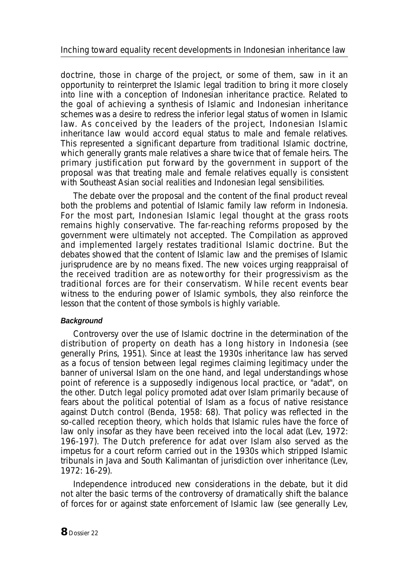doctrine, those in charge of the project, or some of them, saw in it an opportunity to reinterpret the Islamic legal tradition to bring it more closely into line with a conception of Indonesian inheritance practice. Related to the goal of achieving a synthesis of Islamic and Indonesian inheritance schemes was a desire to redress the inferior legal status of women in Islamic law. As conceived by the leaders of the project, Indonesian Islamic inheritance law would accord equal status to male and female relatives. This represented a significant departure from traditional Islamic doctrine, which generally grants male relatives a share twice that of female heirs. The primary justification put forward by the government in support of the proposal was that treating male and female relatives equally is consistent with Southeast Asian social realities and Indonesian legal sensibilities.

The debate over the proposal and the content of the final product reveal both the problems and potential of Islamic family law reform in Indonesia. For the most part, Indonesian Islamic legal thought at the grass roots remains highly conservative. The far-reaching reforms proposed by the government were ultimately not accepted. The Compilation as approved and implemented largely restates traditional Islamic doctrine. But the debates showed that the content of Islamic law and the premises of Islamic jurisprudence are by no means fixed. The new voices urging reappraisal of the received tradition are as noteworthy for their progressivism as the traditional forces are for their conservatism. While recent events bear witness to the enduring power of Islamic symbols, they also reinforce the lesson that the content of those symbols is highly variable.

#### **Background**

Controversy over the use of Islamic doctrine in the determination of the distribution of property on death has a long history in Indonesia (see generally Prins, 1951). Since at least the 1930s inheritance law has served as a focus of tension between legal regimes claiming legitimacy under the banner of universal Islam on the one hand, and legal understandings whose point of reference is a supposedly indigenous local practice, or "adat", on the other. Dutch legal policy promoted adat over Islam primarily because of fears about the political potential of Islam as a focus of native resistance against Dutch control (Benda, 1958: 68). That policy was reflected in the so-called reception theory, which holds that Islamic rules have the force of law only insofar as they have been received into the local adat (Lev, 1972: 196-197). The Dutch preference for adat over Islam also served as the impetus for a court reform carried out in the 1930s which stripped Islamic tribunals in Java and South Kalimantan of jurisdiction over inheritance (Lev, 1972: 16-29).

Independence introduced new considerations in the debate, but it did not alter the basic terms of the controversy of dramatically shift the balance of forces for or against state enforcement of Islamic law (see generally Lev,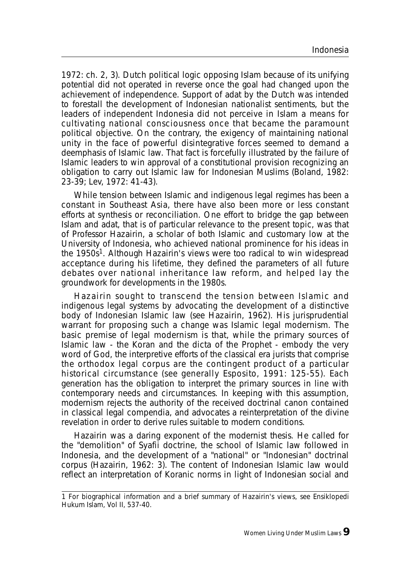1972: ch. 2, 3). Dutch political logic opposing Islam because of its unifying potential did not operated in reverse once the goal had changed upon the achievement of independence. Support of adat by the Dutch was intended to forestall the development of Indonesian nationalist sentiments, but the leaders of independent Indonesia did not perceive in Islam a means for cultivating national consciousness once that became the paramount political objective. On the contrary, the exigency of maintaining national unity in the face of powerful disintegrative forces seemed to demand a deemphasis of Islamic law. That fact is forcefully illustrated by the failure of Islamic leaders to win approval of a constitutional provision recognizing an obligation to carry out Islamic law for Indonesian Muslims (Boland, 1982: 23-39; Lev, 1972: 41-43).

While tension between Islamic and indigenous legal regimes has been a constant in Southeast Asia, there have also been more or less constant efforts at synthesis or reconciliation. One effort to bridge the gap between Islam and adat, that is of particular relevance to the present topic, was that of Professor Hazairin, a scholar of both Islamic and customary low at the University of Indonesia, who achieved national prominence for his ideas in the 1950s<sup>1</sup>. Although Hazairin's views were too radical to win widespread acceptance during his lifetime, they defined the parameters of all future debates over national inheritance law reform, and helped lay the groundwork for developments in the 1980s.

Hazairin sought to transcend the tension between Islamic and indigenous legal systems by advocating the development of a distinctive body of Indonesian Islamic law (see Hazairin, 1962). His jurisprudential warrant for proposing such a change was Islamic legal modernism. The basic premise of legal modernism is that, while the primary sources of Islamic law - the Koran and the dicta of the Prophet - embody the very word of God, the interpretive efforts of the classical era jurists that comprise the orthodox legal corpus are the contingent product of a particular historical circumstance (see generally Esposito, 1991: 125-55). Each generation has the obligation to interpret the primary sources in line with contemporary needs and circumstances. In keeping with this assumption, modernism rejects the authority of the received doctrinal canon contained in classical legal compendia, and advocates a reinterpretation of the divine revelation in order to derive rules suitable to modern conditions.

Hazairin was a daring exponent of the modernist thesis. He called for the "demolition" of Syafii doctrine, the school of Islamic law followed in Indonesia, and the development of a "national" or "Indonesian" doctrinal corpus (Hazairin, 1962: 3). The content of Indonesian Islamic law would reflect an interpretation of Koranic norms in light of Indonesian social and

<sup>1</sup> For biographical information and a brief summary of Hazairin's views, see Ensiklopedi Hukum Islam, Vol II, 537-40.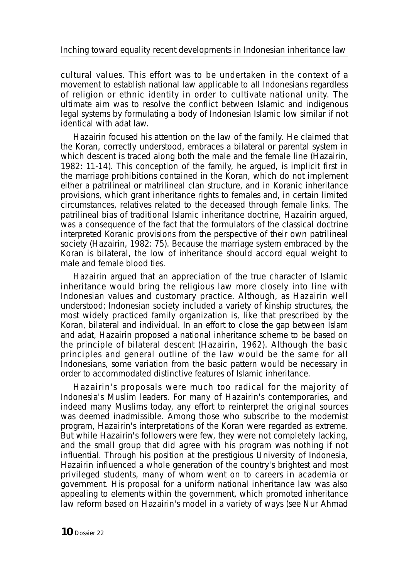cultural values. This effort was to be undertaken in the context of a movement to establish national law applicable to all Indonesians regardless of religion or ethnic identity in order to cultivate national unity. The ultimate aim was to resolve the conflict between Islamic and indigenous legal systems by formulating a body of Indonesian Islamic low similar if not identical with adat law.

Hazairin focused his attention on the law of the family. He claimed that the Koran, correctly understood, embraces a bilateral or parental system in which descent is traced along both the male and the female line (Hazairin, 1982: 11-14). This conception of the family, he argued, is implicit first in the marriage prohibitions contained in the Koran, which do not implement either a patrilineal or matrilineal clan structure, and in Koranic inheritance provisions, which grant inheritance rights to females and, in certain limited circumstances, relatives related to the deceased through female links. The patrilineal bias of traditional Islamic inheritance doctrine, Hazairin argued, was a consequence of the fact that the formulators of the classical doctrine interpreted Koranic provisions from the perspective of their own patrilineal society (Hazairin, 1982: 75). Because the marriage system embraced by the Koran is bilateral, the low of inheritance should accord equal weight to male and female blood ties.

Hazairin argued that an appreciation of the true character of Islamic inheritance would bring the religious law more closely into line with Indonesian values and customary practice. Although, as Hazairin well understood; Indonesian society included a variety of kinship structures, the most widely practiced family organization is, like that prescribed by the Koran, bilateral and individual. In an effort to close the gap between Islam and adat, Hazairin proposed a national inheritance scheme to be based on the principle of bilateral descent (Hazairin, 1962). Although the basic principles and general outline of the law would be the same for all Indonesians, some variation from the basic pattern would be necessary in order to accommodated distinctive features of Islamic inheritance.

Hazairin's proposals were much too radical for the majority of Indonesia's Muslim leaders. For many of Hazairin's contemporaries, and indeed many Muslims today, any effort to reinterpret the original sources was deemed inadmissible. Among those who subscribe to the modernist program, Hazairin's interpretations of the Koran were regarded as extreme. But while Hazairin's followers were few, they were not completely lacking, and the small group that did agree with his program was nothing if not influential. Through his position at the prestigious University of Indonesia, Hazairin influenced a whole generation of the country's brightest and most privileged students, many of whom went on to careers in academia or government. His proposal for a uniform national inheritance law was also appealing to elements within the government, which promoted inheritance law reform based on Hazairin's model in a variety of ways (see Nur Ahmad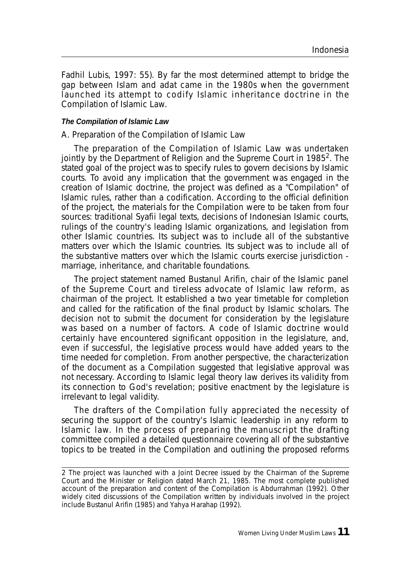Fadhil Lubis, 1997: 55). By far the most determined attempt to bridge the gap between Islam and adat came in the 1980s when the government launched its attempt to codify Islamic inheritance doctrine in the Compilation of Islamic Law.

#### **The Compilation of Islamic Law**

#### *A. Preparation of the Compilation of Islamic Law*

The preparation of the Compilation of Islamic Law was undertaken jointly by the Department of Religion and the Supreme Court in 1985<sup>2</sup>. The stated goal of the project was to specify rules to govern decisions by Islamic courts. To avoid any implication that the government was engaged in the creation of Islamic doctrine, the project was defined as a "Compilation" of Islamic rules, rather than a codification. According to the official definition of the project, the materials for the Compilation were to be taken from four sources: traditional Syafii legal texts, decisions of Indonesian Islamic courts, rulings of the country's leading Islamic organizations, and legislation from other Islamic countries. Its subject was to include all of the substantive matters over which the Islamic countries. Its subject was to include all of the substantive matters over which the Islamic courts exercise jurisdiction marriage, inheritance, and charitable foundations.

The project statement named Bustanul Arifin, chair of the Islamic panel of the Supreme Court and tireless advocate of Islamic law reform, as chairman of the project. It established a two year timetable for completion and called for the ratification of the final product by Islamic scholars. The decision not to submit the document for consideration by the legislature was based on a number of factors. A code of Islamic doctrine would certainly have encountered significant opposition in the legislature, and, even if successful, the legislative process would have added years to the time needed for completion. From another perspective, the characterization of the document as a Compilation suggested that legislative approval was not necessary. According to Islamic legal theory law derives its validity from its connection to God's revelation; positive enactment by the legislature is irrelevant to legal validity.

The drafters of the Compilation fully appreciated the necessity of securing the support of the country's Islamic leadership in any reform to Islamic law. In the process of preparing the manuscript the drafting committee compiled a detailed questionnaire covering all of the substantive topics to be treated in the Compilation and outlining the proposed reforms

<sup>2</sup> The project was launched with a Joint Decree issued by the Chairman of the Supreme Court and the Minister or Religion dated March 21, 1985. The most complete published account of the preparation and content of the Compilation is Abdurrahman (1992). Other widely cited discussions of the Compilation written by individuals involved in the project include Bustanul Arifin (1985) and Yahya Harahap (1992).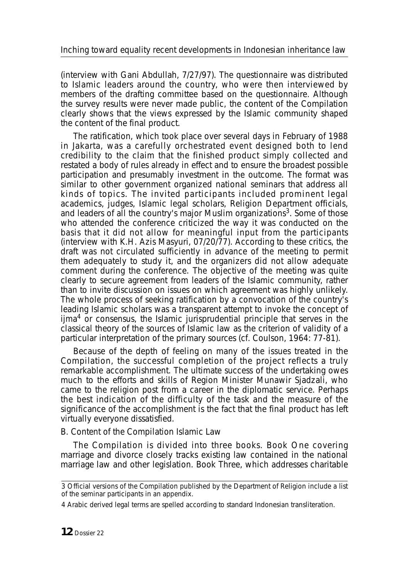(interview with Gani Abdullah, 7/27/97). The questionnaire was distributed to Islamic leaders around the country, who were then interviewed by members of the drafting committee based on the questionnaire. Although the survey results were never made public, the content of the Compilation clearly shows that the views expressed by the Islamic community shaped the content of the final product.

The ratification, which took place over several days in February of 1988 in Jakarta, was a carefully orchestrated event designed both to lend credibility to the claim that the finished product simply collected and restated a body of rules already in effect and to ensure the broadest possible participation and presumably investment in the outcome. The format was similar to other government organized national seminars that address all kinds of topics. The invited participants included prominent legal academics, judges, Islamic legal scholars, Religion Department officials, and leaders of all the country's major Muslim organizations<sup>3</sup>. Some of those who attended the conference criticized the way it was conducted on the basis that it did not allow for meaningful input from the participants (interview with K.H. Azis Masyuri, 07/20/77). According to these critics, the draft was not circulated sufficiently in advance of the meeting to permit them adequately to study it, and the organizers did not allow adequate comment during the conference. The objective of the meeting was quite clearly to secure agreement from leaders of the Islamic community, rather than to invite discussion on issues on which agreement was highly unlikely. The whole process of seeking ratification by a convocation of the country's leading Islamic scholars was a transparent attempt to invoke the concept of ijma<sup>4</sup> or consensus, the Islamic jurisprudential principle that serves in the classical theory of the sources of Islamic law as the criterion of validity of a particular interpretation of the primary sources (cf. Coulson, 1964: 77-81).

Because of the depth of feeling on many of the issues treated in the Compilation, the successful completion of the project reflects a truly remarkable accomplishment. The ultimate success of the undertaking owes much to the efforts and skills of Region Minister Munawir Sjadzali, who came to the religion post from a career in the diplomatic service. Perhaps the best indication of the difficulty of the task and the measure of the significance of the accomplishment is the fact that the final product has left virtually everyone dissatisfied.

#### *B. Content of the Compilation Islamic Law*

The Compilation is divided into three books. Book One covering marriage and divorce closely tracks existing law contained in the national marriage law and other legislation. Book Three, which addresses charitable

<sup>3</sup> Official versions of the Compilation published by the Department of Religion include a list of the seminar participants in an appendix.

<sup>4</sup> Arabic derived legal terms are spelled according to standard Indonesian transliteration.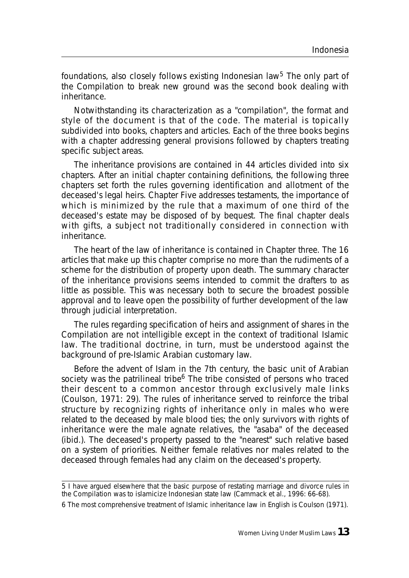foundations, also closely follows existing Indonesian law<sup>5</sup> The only part of the Compilation to break new ground was the second book dealing with inheritance.

Notwithstanding its characterization as a "compilation", the format and style of the document is that of the code. The material is topically subdivided into books, chapters and articles. Each of the three books begins with a chapter addressing general provisions followed by chapters treating specific subject areas.

The inheritance provisions are contained in 44 articles divided into six chapters. After an initial chapter containing definitions, the following three chapters set forth the rules governing identification and allotment of the deceased's legal heirs. Chapter Five addresses testaments, the importance of which is minimized by the rule that a maximum of one third of the deceased's estate may be disposed of by bequest. The final chapter deals with gifts, a subject not traditionally considered in connection with inheritance.

The heart of the law of inheritance is contained in Chapter three. The 16 articles that make up this chapter comprise no more than the rudiments of a scheme for the distribution of property upon death. The summary character of the inheritance provisions seems intended to commit the drafters to as little as possible. This was necessary both to secure the broadest possible approval and to leave open the possibility of further development of the law through judicial interpretation.

The rules regarding specification of heirs and assignment of shares in the Compilation are not intelligible except in the context of traditional Islamic law. The traditional doctrine, in turn, must be understood against the background of pre-Islamic Arabian customary law.

Before the advent of Islam in the 7th century, the basic unit of Arabian society was the patrilineal tribe<sup>6</sup> The tribe consisted of persons who traced their descent to a common ancestor through exclusively male links (Coulson, 1971: 29). The rules of inheritance served to reinforce the tribal structure by recognizing rights of inheritance only in males who were related to the deceased by male blood ties; the only survivors with rights of inheritance were the male agnate relatives, the "asaba" of the deceased (ibid.). The deceased's property passed to the "nearest" such relative based on a system of priorities. Neither female relatives nor males related to the deceased through females had any claim on the deceased's property.

<sup>5</sup> I have argued elsewhere that the basic purpose of restating marriage and divorce rules in the Compilation was to islamicize Indonesian state law (Cammack et al., 1996: 66-68).

<sup>6</sup> The most comprehensive treatment of Islamic inheritance law in English is Coulson (1971).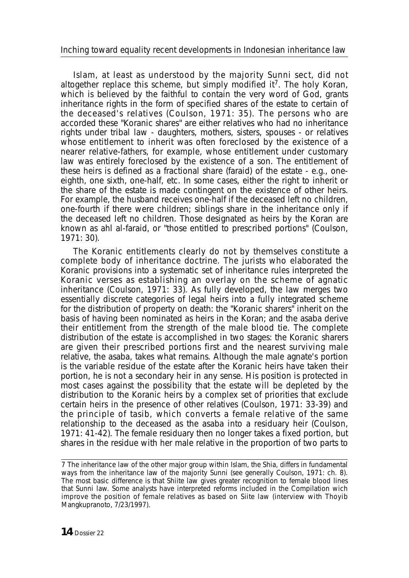Islam, at least as understood by the majority Sunni sect, did not altogether replace this scheme, but simply modified it<sup>7</sup>. The holy Koran, which is believed by the faithful to contain the very word of God, grants inheritance rights in the form of specified shares of the estate to certain of the deceased's relatives (Coulson, 1971: 35). The persons who are accorded these "Koranic shares" are either relatives who had no inheritance rights under tribal law - daughters, mothers, sisters, spouses - or relatives whose entitlement to inherit was often foreclosed by the existence of a nearer relative-fathers, for example, whose entitlement under customary law was entirely foreclosed by the existence of a son. The entitlement of these heirs is defined as a fractional share (faraid) of the estate - e.g., oneeighth, one sixth, one-half, etc. In some cases, either the right to inherit or the share of the estate is made contingent on the existence of other heirs. For example, the husband receives one-half if the deceased left no children, one-fourth if there were children; siblings share in the inheritance only if the deceased left no children. Those designated as heirs by the Koran are known as ahl al-faraid, or "those entitled to prescribed portions" (Coulson, 1971: 30).

The Koranic entitlements clearly do not by themselves constitute a complete body of inheritance doctrine. The jurists who elaborated the Koranic provisions into a systematic set of inheritance rules interpreted the Koranic verses as establishing an overlay on the scheme of agnatic inheritance (Coulson, 1971: 33). As fully developed, the law merges two essentially discrete categories of legal heirs into a fully integrated scheme for the distribution of property on death: the "Koranic sharers" inherit on the basis of having been nominated as heirs in the Koran; and the asaba derive their entitlement from the strength of the male blood tie. The complete distribution of the estate is accomplished in two stages: the Koranic sharers are given their prescribed portions first and the nearest surviving male relative, the asaba, takes what remains. Although the male agnate's portion is the variable residue of the estate after the Koranic heirs have taken their portion, he is not a secondary heir in any sense. His position is protected in most cases against the possibility that the estate will be depleted by the distribution to the Koranic heirs by a complex set of priorities that exclude certain heirs in the presence of other relatives (Coulson, 1971: 33-39) and the principle of tasib, which converts a female relative of the same relationship to the deceased as the asaba into a residuary heir (Coulson, 1971: 41-42). The female residuary then no longer takes a fixed portion, but shares in the residue with her male relative in the proportion of two parts to

<sup>7</sup> The inheritance law of the other major group within Islam, the Shia, differs in fundamental ways from the inheritance law of the majority Sunni (see generally Coulson, 1971: ch. 8). The most basic difference is that Shiite law gives greater recognition to female blood lines that Sunni law. Some analysts have interpreted reforms included in the Compilation wich improve the position of female relatives as based on Siite law (interview with Thoyib Mangkupranoto, 7/23/1997).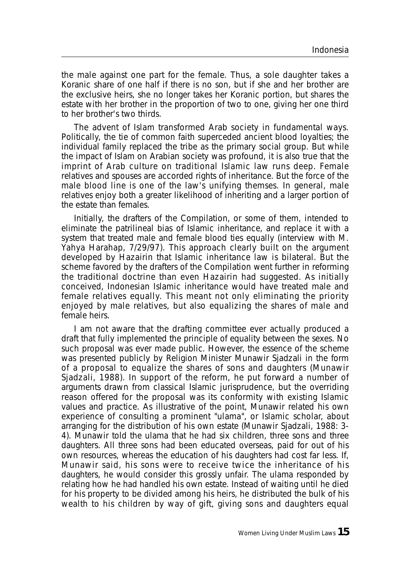the male against one part for the female. Thus, a sole daughter takes a Koranic share of one half if there is no son, but if she and her brother are the exclusive heirs, she no longer takes her Koranic portion, but shares the estate with her brother in the proportion of two to one, giving her one third to her brother's two thirds.

The advent of Islam transformed Arab society in fundamental ways. Politically, the tie of common faith superceded ancient blood loyalties; the individual family replaced the tribe as the primary social group. But while the impact of Islam on Arabian society was profound, it is also true that the imprint of Arab culture on traditional Islamic law runs deep. Female relatives and spouses are accorded rights of inheritance. But the force of the male blood line is one of the law's unifying themses. In general, male relatives enjoy both a greater likelihood of inheriting and a larger portion of the estate than females.

Initially, the drafters of the Compilation, or some of them, intended to eliminate the patrilineal bias of Islamic inheritance, and replace it with a system that treated male and female blood ties equally (interview with M. Yahya Harahap, 7/29/97). This approach clearly built on the argument developed by Hazairin that Islamic inheritance law is bilateral. But the scheme favored by the drafters of the Compilation went further in reforming the traditional doctrine than even Hazairin had suggested. As initially conceived, Indonesian Islamic inheritance would have treated male and female relatives equally. This meant not only eliminating the priority enjoyed by male relatives, but also equalizing the shares of male and female heirs.

I am not aware that the drafting committee ever actually produced a draft that fully implemented the principle of equality between the sexes. No such proposal was ever made public. However, the essence of the scheme was presented publicly by Religion Minister Munawir Sjadzali in the form of a proposal to equalize the shares of sons and daughters (Munawir Sjadzali, 1988). In support of the reform, he put forward a number of arguments drawn from classical Islamic jurisprudence, but the overriding reason offered for the proposal was its conformity with existing Islamic values and practice. As illustrative of the point, Munawir related his own experience of consulting a prominent "ulama", or Islamic scholar, about arranging for the distribution of his own estate (Munawir Sjadzali, 1988: 3- 4). Munawir told the ulama that he had six children, three sons and three daughters. All three sons had been educated overseas, paid for out of his own resources, whereas the education of his daughters had cost far less. If, Munawir said, his sons were to receive twice the inheritance of his daughters, he would consider this grossly unfair. The ulama responded by relating how he had handled his own estate. Instead of waiting until he died for his property to be divided among his heirs, he distributed the bulk of his wealth to his children by way of gift, giving sons and daughters equal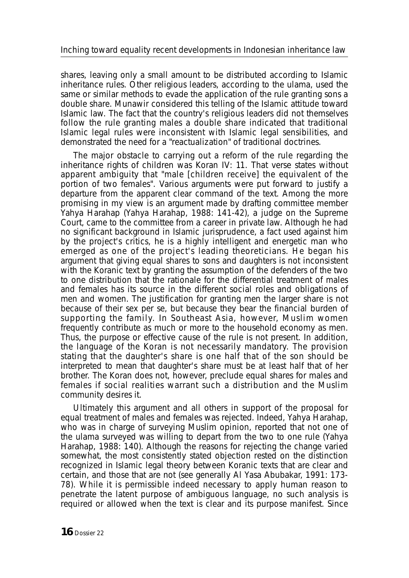shares, leaving only a small amount to be distributed according to Islamic inheritance rules. Other religious leaders, according to the ulama, used the same or similar methods to evade the application of the rule granting sons a double share. Munawir considered this telling of the Islamic attitude toward Islamic law. The fact that the country's religious leaders did not themselves follow the rule granting males a double share indicated that traditional Islamic legal rules were inconsistent with Islamic legal sensibilities, and demonstrated the need for a "reactualization" of traditional doctrines.

The major obstacle to carrying out a reform of the rule regarding the inheritance rights of children was Koran IV: 11. That verse states without apparent ambiguity that "male [children receive] the equivalent of the portion of two females". Various arguments were put forward to justify a departure from the apparent clear command of the text. Among the more promising in my view is an argument made by drafting committee member Yahya Harahap (Yahya Harahap, 1988: 141-42), a judge on the Supreme Court, came to the committee from a career in private law. Although he had no significant background in Islamic jurisprudence, a fact used against him by the project's critics, he is a highly intelligent and energetic man who emerged as one of the project's leading theoreticians. He began his argument that giving equal shares to sons and daughters is not inconsistent with the Koranic text by granting the assumption of the defenders of the two to one distribution that the rationale for the differential treatment of males and females has its source in the different social roles and obligations of men and women. The justification for granting men the larger share is not because of their sex per se, but because they bear the financial burden of supporting the family. In Southeast Asia, however, Muslim women frequently contribute as much or more to the household economy as men. Thus, the purpose or effective cause of the rule is not present. In addition, the language of the Koran is not necessarily mandatory. The provision stating that the daughter's share is one half that of the son should be interpreted to mean that daughter's share must be at least half that of her brother. The Koran does not, however, preclude equal shares for males and females if social realities warrant such a distribution and the Muslim community desires it.

Ultimately this argument and all others in support of the proposal for equal treatment of males and females was rejected. Indeed, Yahya Harahap, who was in charge of surveying Muslim opinion, reported that not one of the ulama surveyed was willing to depart from the two to one rule (Yahya Harahap, 1988: 140). Although the reasons for rejecting the change varied somewhat, the most consistently stated objection rested on the distinction recognized in Islamic legal theory between Koranic texts that are clear and certain, and those that are not (see generally Al Yasa Abubakar, 1991: 173- 78). While it is permissible indeed necessary to apply human reason to penetrate the latent purpose of ambiguous language, no such analysis is required or allowed when the text is clear and its purpose manifest. Since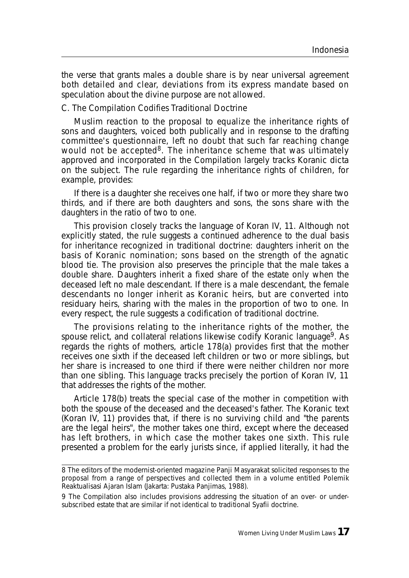the verse that grants males a double share is by near universal agreement both detailed and clear, deviations from its express mandate based on speculation about the divine purpose are not allowed.

#### *C. The Compilation Codifies Traditional Doctrine*

Muslim reaction to the proposal to equalize the inheritance rights of sons and daughters, voiced both publically and in response to the drafting committee's questionnaire, left no doubt that such far reaching change would not be accepted<sup>8</sup>. The inheritance scheme that was ultimately approved and incorporated in the Compilation largely tracks Koranic dicta on the subject. The rule regarding the inheritance rights of children, for example, provides:

If there is a daughter she receives one half, if two or more they share two thirds, and if there are both daughters and sons, the sons share with the daughters in the ratio of two to one.

This provision closely tracks the language of Koran IV, 11. Although not explicitly stated, the rule suggests a continued adherence to the dual basis for inheritance recognized in traditional doctrine: daughters inherit on the basis of Koranic nomination; sons based on the strength of the agnatic blood tie. The provision also preserves the principle that the male takes a double share. Daughters inherit a fixed share of the estate only when the deceased left no male descendant. If there is a male descendant, the female descendants no longer inherit as Koranic heirs, but are converted into residuary heirs, sharing with the males in the proportion of two to one. In every respect, the rule suggests a codification of traditional doctrine.

The provisions relating to the inheritance rights of the mother, the spouse relict, and collateral relations likewise codify Koranic language<sup>9</sup>. As regards the rights of mothers, article 178(a) provides first that the mother receives one sixth if the deceased left children or two or more siblings, but her share is increased to one third if there were neither children nor more than one sibling. This language tracks precisely the portion of Koran IV, 11 that addresses the rights of the mother.

Article 178(b) treats the special case of the mother in competition with both the spouse of the deceased and the deceased's father. The Koranic text (Koran IV, 11) provides that, if there is no surviving child and "the parents are the legal heirs", the mother takes one third, except where the deceased has left brothers, in which case the mother takes one sixth. This rule presented a problem for the early jurists since, if applied literally, it had the

<sup>8</sup> The editors of the modernist-oriented magazine Panji Masyarakat solicited responses to the proposal from a range of perspectives and collected them in a volume entitled Polemik Reaktualisasi Ajaran Islam (Jakarta: Pustaka Panjimas, 1988).

<sup>9</sup> The Compilation also includes provisions addressing the situation of an over- or undersubscribed estate that are similar if not identical to traditional Syafii doctrine.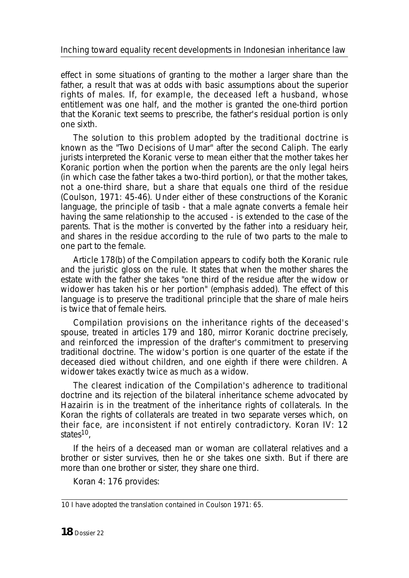effect in some situations of granting to the mother a larger share than the father, a result that was at odds with basic assumptions about the superior rights of males. If, for example, the deceased left a husband, whose entitlement was one half, and the mother is granted the one-third portion that the Koranic text seems to prescribe, the father's residual portion is only one sixth.

The solution to this problem adopted by the traditional doctrine is known as the "Two Decisions of Umar" after the second Caliph. The early jurists interpreted the Koranic verse to mean either that the mother takes her Koranic portion when the portion when the parents are the only legal heirs (in which case the father takes a two-third portion), or that the mother takes, not a one-third share, but a share that equals one third of the residue (Coulson, 1971: 45-46). Under either of these constructions of the Koranic language, the principle of tasib - that a male agnate converts a female heir having the same relationship to the accused - is extended to the case of the parents. That is the mother is converted by the father into a residuary heir, and shares in the residue according to the rule of two parts to the male to one part to the female.

Article 178(b) of the Compilation appears to codify both the Koranic rule and the juristic gloss on the rule. It states that when the mother shares the estate with the father she takes "one third of the residue after the widow or widower has taken his or her portion" (emphasis added). The effect of this language is to preserve the traditional principle that the share of male heirs is twice that of female heirs.

Compilation provisions on the inheritance rights of the deceased's spouse, treated in articles 179 and 180, mirror Koranic doctrine precisely, and reinforced the impression of the drafter's commitment to preserving traditional doctrine. The widow's portion is one quarter of the estate if the deceased died without children, and one eighth if there were children. A widower takes exactly twice as much as a widow.

The clearest indication of the Compilation's adherence to traditional doctrine and its rejection of the bilateral inheritance scheme advocated by Hazairin is in the treatment of the inheritance rights of collaterals. In the Koran the rights of collaterals are treated in two separate verses which, on their face, are inconsistent if not entirely contradictory. Koran IV: 12 states<sup>10</sup>.

If the heirs of a deceased man or woman are collateral relatives and a brother or sister survives, then he or she takes one sixth. But if there are more than one brother or sister, they share one third.

Koran 4: 176 provides:

<sup>10</sup> I have adopted the translation contained in Coulson 1971: 65.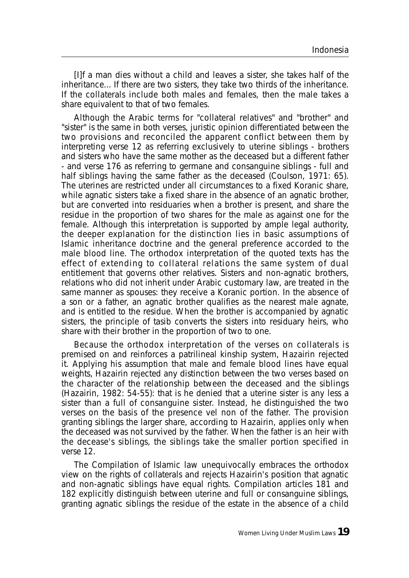[I]f a man dies without a child and leaves a sister, she takes half of the inheritance... If there are two sisters, they take two thirds of the inheritance. If the collaterals include both males and females, then the male takes a share equivalent to that of two females.

Although the Arabic terms for "collateral relatives" and "brother" and "sister" is the same in both verses, juristic opinion differentiated between the two provisions and reconciled the apparent conflict between them by interpreting verse 12 as referring exclusively to uterine siblings - brothers and sisters who have the same mother as the deceased but a different father - and verse 176 as referring to germane and consanguine siblings - full and half siblings having the same father as the deceased (Coulson, 1971: 65). The uterines are restricted under all circumstances to a fixed Koranic share, while agnatic sisters take a fixed share in the absence of an agnatic brother, but are converted into residuaries when a brother is present, and share the residue in the proportion of two shares for the male as against one for the female. Although this interpretation is supported by ample legal authority, the deeper explanation for the distinction lies in basic assumptions of Islamic inheritance doctrine and the general preference accorded to the male blood line. The orthodox interpretation of the quoted texts has the effect of extending to collateral relations the same system of dual entitlement that governs other relatives. Sisters and non-agnatic brothers, relations who did not inherit under Arabic customary law, are treated in the same manner as spouses: they receive a Koranic portion. In the absence of a son or a father, an agnatic brother qualifies as the nearest male agnate, and is entitled to the residue. When the brother is accompanied by agnatic sisters, the principle of tasib converts the sisters into residuary heirs, who share with their brother in the proportion of two to one.

Because the orthodox interpretation of the verses on collaterals is premised on and reinforces a patrilineal kinship system, Hazairin rejected it. Applying his assumption that male and female blood lines have equal weights, Hazairin rejected any distinction between the two verses based on the character of the relationship between the deceased and the siblings (Hazairin, 1982: 54-55): that is he denied that a uterine sister is any less a sister than a full of consanguine sister. Instead, he distinguished the two verses on the basis of the presence vel non of the father. The provision granting siblings the larger share, according to Hazairin, applies only when the deceased was not survived by the father. When the father is an heir with the decease's siblings, the siblings take the smaller portion specified in verse 12.

The Compilation of Islamic law unequivocally embraces the orthodox view on the rights of collaterals and rejects Hazairin's position that agnatic and non-agnatic siblings have equal rights. Compilation articles 181 and 182 explicitly distinguish between uterine and full or consanguine siblings, granting agnatic siblings the residue of the estate in the absence of a child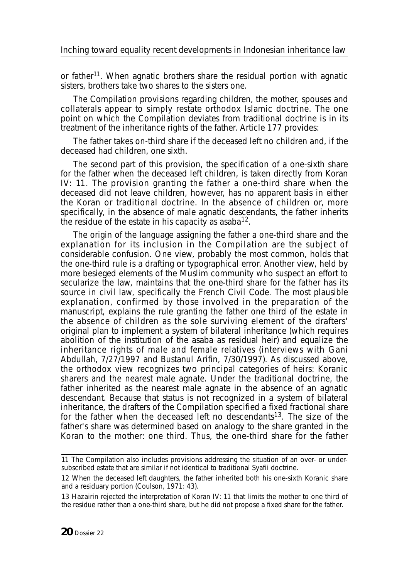or father11. When agnatic brothers share the residual portion with agnatic sisters, brothers take two shares to the sisters one.

The Compilation provisions regarding children, the mother, spouses and collaterals appear to simply restate orthodox Islamic doctrine. The one point on which the Compilation deviates from traditional doctrine is in its treatment of the inheritance rights of the father. Article 177 provides:

The father takes on-third share if the deceased left no children and, if the deceased had children, one sixth.

The second part of this provision, the specification of a one-sixth share for the father when the deceased left children, is taken directly from Koran IV: 11. The provision granting the father a one-third share when the deceased did not leave children, however, has no apparent basis in either the Koran or traditional doctrine. In the absence of children or, more specifically, in the absence of male agnatic descendants, the father inherits the residue of the estate in his capacity as asaba<sup>12</sup>.

The origin of the language assigning the father a one-third share and the explanation for its inclusion in the Compilation are the subject of considerable confusion. One view, probably the most common, holds that the one-third rule is a drafting or typographical error. Another view, held by more besieged elements of the Muslim community who suspect an effort to secularize the law, maintains that the one-third share for the father has its source in civil law, specifically the French Civil Code. The most plausible explanation, confirmed by those involved in the preparation of the manuscript, explains the rule granting the father one third of the estate in the absence of children as the sole surviving element of the drafters' original plan to implement a system of bilateral inheritance (which requires abolition of the institution of the asaba as residual heir) and equalize the inheritance rights of male and female relatives (interviews with Gani Abdullah, 7/27/1997 and Bustanul Arifin, 7/30/1997). As discussed above, the orthodox view recognizes two principal categories of heirs: Koranic sharers and the nearest male agnate. Under the traditional doctrine, the father inherited as the nearest male agnate in the absence of an agnatic descendant. Because that status is not recognized in a system of bilateral inheritance, the drafters of the Compilation specified a fixed fractional share for the father when the deceased left no descendants<sup>13</sup>. The size of the father's share was determined based on analogy to the share granted in the Koran to the mother: one third. Thus, the one-third share for the father

<sup>11</sup> The Compilation also includes provisions addressing the situation of an over- or undersubscribed estate that are similar if not identical to traditional Syafii doctrine.

<sup>12</sup> When the deceased left daughters, the father inherited both his one-sixth Koranic share and a residuary portion (Coulson, 1971: 43).

<sup>13</sup> Hazairin rejected the interpretation of Koran IV: 11 that limits the mother to one third of the residue rather than a one-third share, but he did not propose a fixed share for the father.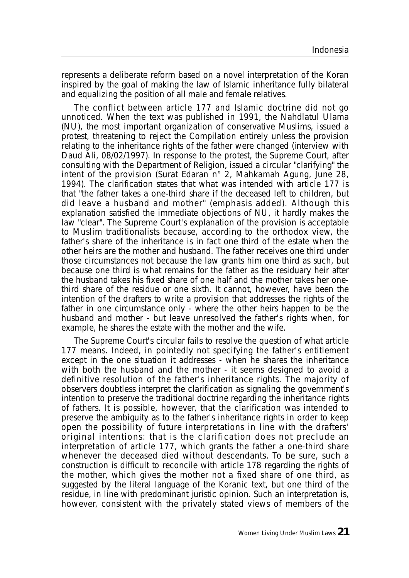represents a deliberate reform based on a novel interpretation of the Koran inspired by the goal of making the law of Islamic inheritance fully bilateral and equalizing the position of all male and female relatives.

The conflict between article 177 and Islamic doctrine did not go unnoticed. When the text was published in 1991, the Nahdlatul Ulama (NU), the most important organization of conservative Muslims, issued a protest, threatening to reject the Compilation entirely unless the provision relating to the inheritance rights of the father were changed (interview with Daud Ali, 08/02/1997). In response to the protest, the Supreme Court, after consulting with the Department of Religion, issued a circular "clarifying" the intent of the provision (Surat Edaran n° 2, Mahkamah Agung, June 28, 1994). The clarification states that what was intended with article 177 is that "the father takes a one-third share if the deceased left to children, but did leave a husband and mother" (emphasis added). Although this explanation satisfied the immediate objections of NU, it hardly makes the law "clear". The Supreme Court's explanation of the provision is acceptable to Muslim traditionalists because, according to the orthodox view, the father's share of the inheritance is in fact one third of the estate when the other heirs are the mother and husband. The father receives one third under those circumstances not because the law grants him one third as such, but because one third is what remains for the father as the residuary heir after the husband takes his fixed share of one half and the mother takes her onethird share of the residue or one sixth. It cannot, however, have been the intention of the drafters to write a provision that addresses the rights of the father in one circumstance only - where the other heirs happen to be the husband and mother - but leave unresolved the father's rights when, for example, he shares the estate with the mother and the wife.

The Supreme Court's circular fails to resolve the question of what article 177 means. Indeed, in pointedly not specifying the father's entitlement except in the one situation it addresses - when he shares the inheritance with both the husband and the mother - it seems designed to avoid a definitive resolution of the father's inheritance rights. The majority of observers doubtless interpret the clarification as signaling the government's intention to preserve the traditional doctrine regarding the inheritance rights of fathers. It is possible, however, that the clarification was intended to preserve the ambiguity as to the father's inheritance rights in order to keep open the possibility of future interpretations in line with the drafters' original intentions: that is the clarification does not preclude an interpretation of article 177, which grants the father a one-third share whenever the deceased died without descendants. To be sure, such a construction is difficult to reconcile with article 178 regarding the rights of the mother, which gives the mother not a fixed share of one third, as suggested by the literal language of the Koranic text, but one third of the residue, in line with predominant juristic opinion. Such an interpretation is, however, consistent with the privately stated views of members of the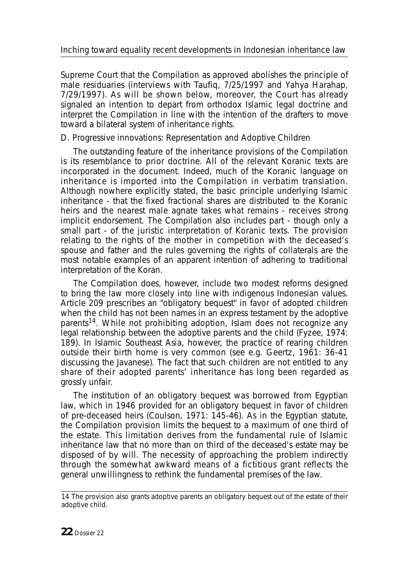Supreme Court that the Compilation as approved abolishes the principle of male residuaries (interviews with Taufiq, 7/25/1997 and Yahya Harahap, 7/29/1997). As will be shown below, moreover, the Court has already signaled an intention to depart from orthodox Islamic legal doctrine and interpret the Compilation in line with the intention of the drafters to move toward a bilateral system of inheritance rights.

#### *D. Progressive innovations: Representation and Adoptive Children*

The outstanding feature of the inheritance provisions of the Compilation is its resemblance to prior doctrine. All of the relevant Koranic texts are incorporated in the document. Indeed, much of the Koranic language on inheritance is imported into the Compilation in verbatim translation. Although nowhere explicitly stated, the basic principle underlying Islamic inheritance - that the fixed fractional shares are distributed to the Koranic heirs and the nearest male agnate takes what remains - receives strong implicit endorsement. The Compilation also includes part - though only a small part - of the juristic interpretation of Koranic texts. The provision relating to the rights of the mother in competition with the deceased's spouse and father and the rules governing the rights of collaterals are the most notable examples of an apparent intention of adhering to traditional interpretation of the Koran.

The Compilation does, however, include two modest reforms designed to bring the law more closely into line with indigenous Indonesian values. Article 209 prescribes an "obligatory bequest" in favor of adopted children when the child has not been names in an express testament by the adoptive parents14. While not prohibiting adoption, Islam does not recognize any legal relationship between the adoptive parents and the child (Fyzee, 1974: 189). In Islamic Southeast Asia, however, the practice of rearing children outside their birth home is very common (see e.g. Geertz, 1961: 36-41 discussing the Javanese). The fact that such children are not entitled to any share of their adopted parents' inheritance has long been regarded as grossly unfair.

The institution of an obligatory bequest was borrowed from Egyptian law, which in 1946 provided for an obligatory bequest in favor of children of pre-deceased heirs (Coulson, 1971: 145-46). As in the Egyptian statute, the Compilation provision limits the bequest to a maximum of one third of the estate. This limitation derives from the fundamental rule of Islamic inheritance law that no more than on third of the deceased's estate may be disposed of by will. The necessity of approaching the problem indirectly through the somewhat awkward means of a fictitious grant reflects the general unwillingness to rethink the fundamental premises of the law.

<sup>14</sup> The provision also grants adoptive parents an obligatory bequest out of the estate of their adoptive child.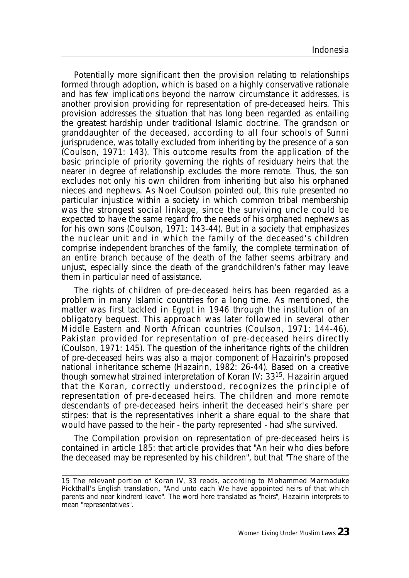Potentially more significant then the provision relating to relationships formed through adoption, which is based on a highly conservative rationale and has few implications beyond the narrow circumstance it addresses, is another provision providing for representation of pre-deceased heirs. This provision addresses the situation that has long been regarded as entailing the greatest hardship under traditional Islamic doctrine. The grandson or granddaughter of the deceased, according to all four schools of Sunni jurisprudence, was totally excluded from inheriting by the presence of a son (Coulson, 1971: 143). This outcome results from the application of the basic principle of priority governing the rights of residuary heirs that the nearer in degree of relationship excludes the more remote. Thus, the son excludes not only his own children from inheriting but also his orphaned nieces and nephews. As Noel Coulson pointed out, this rule presented no particular injustice within a society in which common tribal membership was the strongest social linkage, since the surviving uncle could be expected to have the same regard fro the needs of his orphaned nephews as for his own sons (Coulson, 1971: 143-44). But in a society that emphasizes the nuclear unit and in which the family of the deceased's children comprise independent branches of the family, the complete termination of an entire branch because of the death of the father seems arbitrary and unjust, especially since the death of the grandchildren's father may leave them in particular need of assistance.

The rights of children of pre-deceased heirs has been regarded as a problem in many Islamic countries for a long time. As mentioned, the matter was first tackled in Egypt in 1946 through the institution of an obligatory bequest. This approach was later followed in several other Middle Eastern and North African countries (Coulson, 1971: 144-46). Pakistan provided for representation of pre-deceased heirs directly (Coulson, 1971: 145). The question of the inheritance rights of the children of pre-deceased heirs was also a major component of Hazairin's proposed national inheritance scheme (Hazairin, 1982: 26-44). Based on a creative though somewhat strained interpretation of Koran IV: 3315. Hazairin argued that the Koran, correctly understood, recognizes the principle of representation of pre-deceased heirs. The children and more remote descendants of pre-deceased heirs inherit the deceased heir's share per stirpes: that is the representatives inherit a share equal to the share that would have passed to the heir - the party represented - had s/he survived.

The Compilation provision on representation of pre-deceased heirs is contained in article 185: that article provides that "An heir who dies before the deceased may be represented by his children", but that "The share of the

<sup>15</sup> The relevant portion of Koran IV, 33 reads, according to Mohammed Marmaduke Pickthall's English translation, "And unto each We have appointed heirs of that which parents and near kindrerd leave". The word here translated as "heirs", Hazairin interprets to mean "representatives".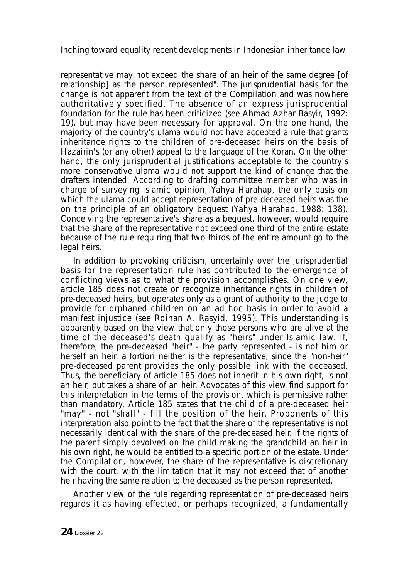representative may not exceed the share of an heir of the same degree [of relationship] as the person represented". The jurisprudential basis for the change is not apparent from the text of the Compilation and was nowhere authoritatively specified. The absence of an express jurisprudential foundation for the rule has been criticized (see Ahmad Azhar Basyir, 1992: 19), but may have been necessary for approval. On the one hand, the majority of the country's ulama would not have accepted a rule that grants inheritance rights to the children of pre-deceased heirs on the basis of Hazairin's (or any other) appeal to the language of the Koran. On the other hand, the only jurisprudential justifications acceptable to the country's more conservative ulama would not support the kind of change that the drafters intended. According to drafting committee member who was in charge of surveying Islamic opinion, Yahya Harahap, the only basis on which the ulama could accept representation of pre-deceased heirs was the on the principle of an obligatory bequest (Yahya Harahap, 1988: 138). Conceiving the representative's share as a bequest, however, would require that the share of the representative not exceed one third of the entire estate because of the rule requiring that two thirds of the entire amount go to the legal heirs.

In addition to provoking criticism, uncertainly over the jurisprudential basis for the representation rule has contributed to the emergence of conflicting views as to what the provision accomplishes. On one view, article 185 does not create or recognize inheritance rights in children of pre-deceased heirs, but operates only as a grant of authority to the judge to provide for orphaned children on an ad hoc basis in order to avoid a manifest injustice (see Roihan A. Rasyid, 1995). This understanding is apparently based on the view that only those persons who are alive at the time of the deceased's death qualify as "heirs" under Islamic law. If, therefore, the pre-deceased "heir" - the party represented - is not him or herself an heir, a fortiori neither is the representative, since the "non-heir" pre-deceased parent provides the only possible link with the deceased. Thus, the beneficiary of article 185 does not inherit in his own right, is not an heir, but takes a share of an heir. Advocates of this view find support for this interpretation in the terms of the provision, which is permissive rather than mandatory. Article 185 states that the child of a pre-deceased heir "may" - not "shall" - fill the position of the heir. Proponents of this interpretation also point to the fact that the share of the representative is not necessarily identical with the share of the pre-deceased heir. If the rights of the parent simply devolved on the child making the grandchild an heir in his own right, he would be entitled to a specific portion of the estate. Under the Compilation, however, the share of the representative is discretionary with the court, with the limitation that it may not exceed that of another heir having the same relation to the deceased as the person represented.

Another view of the rule regarding representation of pre-deceased heirs regards it as having effected, or perhaps recognized, a fundamentally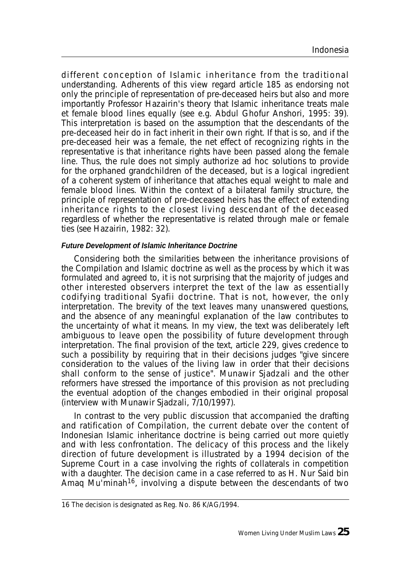different conception of Islamic inheritance from the traditional understanding. Adherents of this view regard article 185 as endorsing not only the principle of representation of pre-deceased heirs but also and more importantly Professor Hazairin's theory that Islamic inheritance treats male et female blood lines equally (see e.g. Abdul Ghofur Anshori, 1995: 39). This interpretation is based on the assumption that the descendants of the pre-deceased heir do in fact inherit in their own right. If that is so, and if the pre-deceased heir was a female, the net effect of recognizing rights in the representative is that inheritance rights have been passed along the female line. Thus, the rule does not simply authorize ad hoc solutions to provide for the orphaned grandchildren of the deceased, but is a logical ingredient of a coherent system of inheritance that attaches equal weight to male and female blood lines. Within the context of a bilateral family structure, the principle of representation of pre-deceased heirs has the effect of extending inheritance rights to the closest living descendant of the deceased regardless of whether the representative is related through male or female ties (see Hazairin, 1982: 32).

#### **Future Development of Islamic Inheritance Doctrine**

Considering both the similarities between the inheritance provisions of the Compilation and Islamic doctrine as well as the process by which it was formulated and agreed to, it is not surprising that the majority of judges and other interested observers interpret the text of the law as essentially codifying traditional Syafii doctrine. That is not, however, the only interpretation. The brevity of the text leaves many unanswered questions, and the absence of any meaningful explanation of the law contributes to the uncertainty of what it means. In my view, the text was deliberately left ambiguous to leave open the possibility of future development through interpretation. The final provision of the text, article 229, gives credence to such a possibility by requiring that in their decisions judges "give sincere consideration to the values of the living law in order that their decisions shall conform to the sense of justice". Munawir Sjadzali and the other reformers have stressed the importance of this provision as not precluding the eventual adoption of the changes embodied in their original proposal (interview with Munawir Sjadzali, 7/10/1997).

In contrast to the very public discussion that accompanied the drafting and ratification of Compilation, the current debate over the content of Indonesian Islamic inheritance doctrine is being carried out more quietly and with less confrontation. The delicacy of this process and the likely direction of future development is illustrated by a 1994 decision of the Supreme Court in a case involving the rights of collaterals in competition with a daughter. The decision came in a case referred to as H. Nur Said bin Amag Mu'minah<sup>16</sup>, involving a dispute between the descendants of two

<sup>16</sup> The decision is designated as Reg. No. 86 K/AG/1994.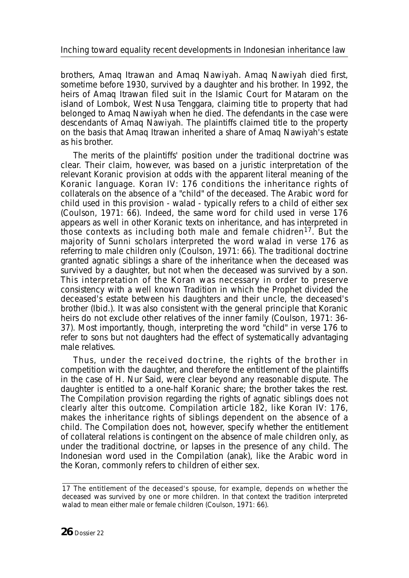brothers, Amaq Itrawan and Amaq Nawiyah. Amaq Nawiyah died first, sometime before 1930, survived by a daughter and his brother. In 1992, the heirs of Amaq Itrawan filed suit in the Islamic Court for Mataram on the island of Lombok, West Nusa Tenggara, claiming title to property that had belonged to Amaq Nawiyah when he died. The defendants in the case were descendants of Amaq Nawiyah. The plaintiffs claimed title to the property on the basis that Amaq Itrawan inherited a share of Amaq Nawiyah's estate as his brother.

The merits of the plaintiffs' position under the traditional doctrine was clear. Their claim, however, was based on a juristic interpretation of the relevant Koranic provision at odds with the apparent literal meaning of the Koranic language. Koran IV: 176 conditions the inheritance rights of collaterals on the absence of a "child" of the deceased. The Arabic word for child used in this provision - walad - typically refers to a child of either sex (Coulson, 1971: 66). Indeed, the same word for child used in verse 176 appears as well in other Koranic texts on inheritance, and has interpreted in those contexts as including both male and female chidren<sup>17</sup>. But the majority of Sunni scholars interpreted the word walad in verse 176 as referring to male children only (Coulson, 1971: 66). The traditional doctrine granted agnatic siblings a share of the inheritance when the deceased was survived by a daughter, but not when the deceased was survived by a son. This interpretation of the Koran was necessary in order to preserve consistency with a well known Tradition in which the Prophet divided the deceased's estate between his daughters and their uncle, the deceased's brother (Ibid.). It was also consistent with the general principle that Koranic heirs do not exclude other relatives of the inner family (Coulson, 1971: 36- 37). Most importantly, though, interpreting the word "child" in verse 176 to refer to sons but not daughters had the effect of systematically advantaging male relatives.

Thus, under the received doctrine, the rights of the brother in competition with the daughter, and therefore the entitlement of the plaintiffs in the case of H. Nur Said, were clear beyond any reasonable dispute. The daughter is entitled to a one-half Koranic share; the brother takes the rest. The Compilation provision regarding the rights of agnatic siblings does not clearly alter this outcome. Compilation article 182, like Koran IV: 176, makes the inheritance rights of siblings dependent on the absence of a child. The Compilation does not, however, specify whether the entitlement of collateral relations is contingent on the absence of male children only, as under the traditional doctrine, or lapses in the presence of any child. The Indonesian word used in the Compilation (anak), like the Arabic word in the Koran, commonly refers to children of either sex.

<sup>17</sup> The entitlement of the deceased's spouse, for example, depends on whether the deceased was survived by one or more children. In that context the tradition interpreted walad to mean either male or female children (Coulson, 1971: 66).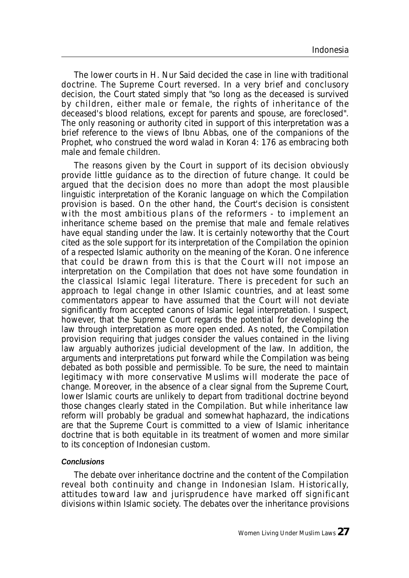The lower courts in H. Nur Said decided the case in line with traditional doctrine. The Supreme Court reversed. In a very brief and conclusory decision, the Court stated simply that "so long as the deceased is survived by children, either male or female, the rights of inheritance of the deceased's blood relations, except for parents and spouse, are foreclosed". The only reasoning or authority cited in support of this interpretation was a brief reference to the views of Ibnu Abbas, one of the companions of the Prophet, who construed the word walad in Koran 4: 176 as embracing both male and female children.

The reasons given by the Court in support of its decision obviously provide little guidance as to the direction of future change. It could be argued that the decision does no more than adopt the most plausible linguistic interpretation of the Koranic language on which the Compilation provision is based. On the other hand, the Court's decision is consistent with the most ambitious plans of the reformers - to implement an inheritance scheme based on the premise that male and female relatives have equal standing under the law. It is certainly noteworthy that the Court cited as the sole support for its interpretation of the Compilation the opinion of a respected Islamic authority on the meaning of the Koran. One inference that could be drawn from this is that the Court will not impose an interpretation on the Compilation that does not have some foundation in the classical Islamic legal literature. There is precedent for such an approach to legal change in other Islamic countries, and at least some commentators appear to have assumed that the Court will not deviate significantly from accepted canons of Islamic legal interpretation. I suspect, however, that the Supreme Court regards the potential for developing the law through interpretation as more open ended. As noted, the Compilation provision requiring that judges consider the values contained in the living law arguably authorizes judicial development of the law. In addition, the arguments and interpretations put forward while the Compilation was being debated as both possible and permissible. To be sure, the need to maintain legitimacy with more conservative Muslims will moderate the pace of change. Moreover, in the absence of a clear signal from the Supreme Court, lower Islamic courts are unlikely to depart from traditional doctrine beyond those changes clearly stated in the Compilation. But while inheritance law reform will probably be gradual and somewhat haphazard, the indications are that the Supreme Court is committed to a view of Islamic inheritance doctrine that is both equitable in its treatment of women and more similar to its conception of Indonesian custom.

#### **Conclusions**

The debate over inheritance doctrine and the content of the Compilation reveal both continuity and change in Indonesian Islam. Historically, attitudes toward law and jurisprudence have marked off significant divisions within Islamic society. The debates over the inheritance provisions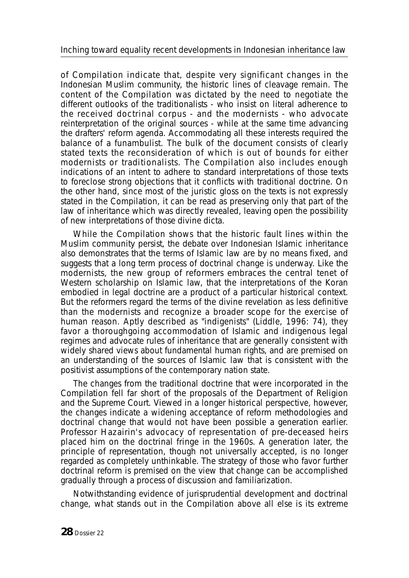of Compilation indicate that, despite very significant changes in the Indonesian Muslim community, the historic lines of cleavage remain. The content of the Compilation was dictated by the need to negotiate the different outlooks of the traditionalists - who insist on literal adherence to the received doctrinal corpus - and the modernists - who advocate reinterpretation of the original sources - while at the same time advancing the drafters' reform agenda. Accommodating all these interests required the balance of a funambulist. The bulk of the document consists of clearly stated texts the reconsideration of which is out of bounds for either modernists or traditionalists. The Compilation also includes enough indications of an intent to adhere to standard interpretations of those texts to foreclose strong objections that it conflicts with traditional doctrine. On the other hand, since most of the juristic gloss on the texts is not expressly stated in the Compilation, it can be read as preserving only that part of the law of inheritance which was directly revealed, leaving open the possibility of new interpretations of those divine dicta.

While the Compilation shows that the historic fault lines within the Muslim community persist, the debate over Indonesian Islamic inheritance also demonstrates that the terms of Islamic law are by no means fixed, and suggests that a long term process of doctrinal change is underway. Like the modernists, the new group of reformers embraces the central tenet of Western scholarship on Islamic law, that the interpretations of the Koran embodied in legal doctrine are a product of a particular historical context. But the reformers regard the terms of the divine revelation as less definitive than the modernists and recognize a broader scope for the exercise of human reason. Aptly described as "indigenists" (Liddle, 1996: 74), they favor a thoroughgoing accommodation of Islamic and indigenous legal regimes and advocate rules of inheritance that are generally consistent with widely shared views about fundamental human rights, and are premised on an understanding of the sources of Islamic law that is consistent with the positivist assumptions of the contemporary nation state.

The changes from the traditional doctrine that were incorporated in the Compilation fell far short of the proposals of the Department of Religion and the Supreme Court. Viewed in a longer historical perspective, however, the changes indicate a widening acceptance of reform methodologies and doctrinal change that would not have been possible a generation earlier. Professor Hazairin's advocacy of representation of pre-deceased heirs placed him on the doctrinal fringe in the 1960s. A generation later, the principle of representation, though not universally accepted, is no longer regarded as completely unthinkable. The strategy of those who favor further doctrinal reform is premised on the view that change can be accomplished gradually through a process of discussion and familiarization.

Notwithstanding evidence of jurisprudential development and doctrinal change, what stands out in the Compilation above all else is its extreme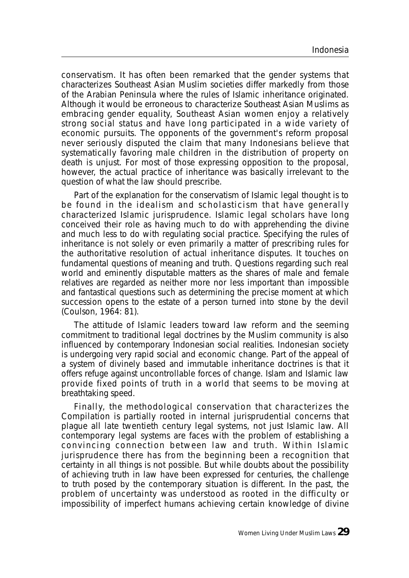conservatism. It has often been remarked that the gender systems that characterizes Southeast Asian Muslim societies differ markedly from those of the Arabian Peninsula where the rules of Islamic inheritance originated. Although it would be erroneous to characterize Southeast Asian Muslims as embracing gender equality, Southeast Asian women enjoy a relatively strong social status and have long participated in a wide variety of economic pursuits. The opponents of the government's reform proposal never seriously disputed the claim that many Indonesians believe that systematically favoring male children in the distribution of property on death is unjust. For most of those expressing opposition to the proposal, however, the actual practice of inheritance was basically irrelevant to the question of what the law should prescribe.

Part of the explanation for the conservatism of Islamic legal thought is to be found in the idealism and scholasticism that have generally characterized Islamic jurisprudence. Islamic legal scholars have long conceived their role as having much to do with apprehending the divine and much less to do with regulating social practice. Specifying the rules of inheritance is not solely or even primarily a matter of prescribing rules for the authoritative resolution of actual inheritance disputes. It touches on fundamental questions of meaning and truth. Questions regarding such real world and eminently disputable matters as the shares of male and female relatives are regarded as neither more nor less important than impossible and fantastical questions such as determining the precise moment at which succession opens to the estate of a person turned into stone by the devil (Coulson, 1964: 81).

The attitude of Islamic leaders toward law reform and the seeming commitment to traditional legal doctrines by the Muslim community is also influenced by contemporary Indonesian social realities. Indonesian society is undergoing very rapid social and economic change. Part of the appeal of a system of divinely based and immutable inheritance doctrines is that it offers refuge against uncontrollable forces of change. Islam and Islamic law provide fixed points of truth in a world that seems to be moving at breathtaking speed.

Finally, the methodological conservation that characterizes the Compilation is partially rooted in internal jurisprudential concerns that plague all late twentieth century legal systems, not just Islamic law. All contemporary legal systems are faces with the problem of establishing a convincing connection between law and truth. Within Islamic jurisprudence there has from the beginning been a recognition that certainty in all things is not possible. But while doubts about the possibility of achieving truth in law have been expressed for centuries, the challenge to truth posed by the contemporary situation is different. In the past, the problem of uncertainty was understood as rooted in the difficulty or impossibility of imperfect humans achieving certain knowledge of divine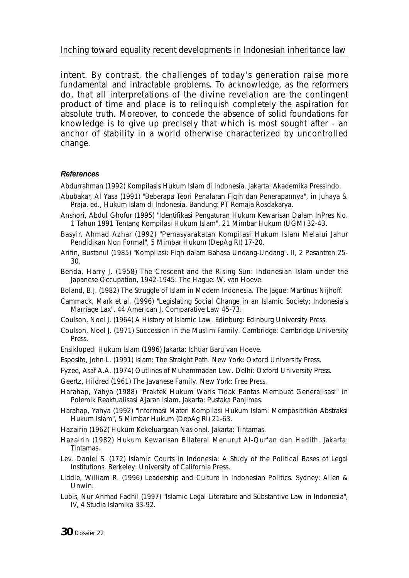intent. By contrast, the challenges of today's generation raise more fundamental and intractable problems. To acknowledge, as the reformers do, that all interpretations of the divine revelation are the contingent product of time and place is to relinquish completely the aspiration for absolute truth. Moreover, to concede the absence of solid foundations for knowledge is to give up precisely that which is most sought after - an anchor of stability in a world otherwise characterized by uncontrolled change.

#### **References**

Abdurrahman (1992) *Kompilasis Hukum Islam di Indonesia*. Jakarta: Akademika Pressindo.

- Abubakar, Al Yasa (1991) "Beberapa Teori Penalaran Fiqih dan Penerapannya", in Juhaya S. Praja, ed., Hukum Islam di Indonesia. Bandung: *PT Remaja Rosdakarya*.
- Anshori, Abdul Ghofur (1995) "Identifikasi Pengaturan Hukum Kewarisan Dalam InPres No. 1 Tahun 1991 Tentang Kompilasi Hukum Islam", 21 *Mimbar Hukum* (UGM) 32-43.

Basyir, Ahmad Azhar (1992) "Pemasyarakatan Kompilasi Hukum Islam Melalui Jahur Pendidikan Non Formal", 5 *Mimbar Hukum* (DepAg RI) 17-20.

Arifin, Bustanul (1985) "*Kompilasi: Fiqh dalam Bahasa Undang-Undang*". II, 2 Pesantren 25- 30.

Benda, Harry J. (1958) *The Crescent and the Rising Sun: Indonesian Islam under the Japanese Occupation, 1942-1945*. The Hague: W. van Hoeve.

Boland, B.J. (1982) *The Struggle of Islam in Modern Indonesia*. The Jague: Martinus Nijhoff.

- Cammack, Mark et al. (1996) "Legislating Social Change in an Islamic Society: Indonesia's Marriage Lax", 44 *American J. Comparative Law* 45-73.
- Coulson, Noel J. (1964) *A History of Islamic Law*. Edinburg: Edinburg University Press.
- Coulson, Noel J. (1971) *Succession in the Muslim Family*. Cambridge: Cambridge University Press.
- Ensiklopedi Hukum Islam (1996) Jakarta: Ichtiar Baru van Hoeve.

Esposito, John L. (1991) *Islam: The Straight Path*. New York: Oxford University Press.

Fyzee, Asaf A.A. (1974) *Outlines of Muhammadan Law*. Delhi: Oxford University Press.

Geertz, Hildred (1961) *The Javanese Family*. New York: Free Press.

- Harahap, Yahya (1988) "Praktek Hukum Waris Tidak Pantas Membuat Generalisasi" in Polemik Reaktualisasi Ajaran Islam. Jakarta: *Pustaka Panjimas*.
- Harahap, Yahya (1992) "Informasi Materi Kompilasi Hukum Islam: Mempositifkan Abstraksi Hukum Islam", 5 *Mimbar Hukum* (DepAg RI) 21-63.

Hazairin (1962) *Hukum Kekeluargaan Nasional.* Jakarta: Tintamas.

Hazairin (1982) *Hukum Kewarisan Bilateral Menurut Al-Qur'an dan Hadith*. Jakarta: Tintamas.

Lev, Daniel S. (172) *Islamic Courts in Indonesia: A Study of the Political Bases of Legal Institutions*. Berkeley: University of California Press.

Liddle, William R. (1996) *Leadership and Culture in Indonesian Politics.* Sydney: Allen & Unwin.

Lubis, Nur Ahmad Fadhil (1997) "Islamic Legal Literature and Substantive Law in Indonesia", IV, 4 *Studia Islamika* 33-92.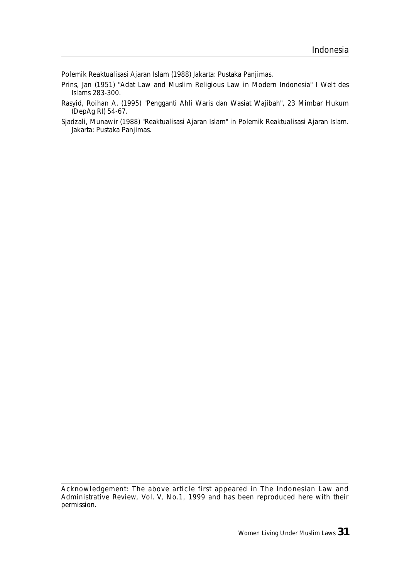Polemik Reaktualisasi Ajaran Islam (1988) Jakarta: Pustaka Panjimas.

- Prins, Jan (1951) "Adat Law and Muslim Religious Law in Modern Indonesia" *I Welt des Islams* 283-300.
- Rasyid, Roihan A. (1995) "Pengganti Ahli Waris dan Wasiat Wajibah", 23 *Mimbar Hukum* (DepAg RI) 54-67.
- Sjadzali, Munawir (1988) "Reaktualisasi Ajaran Islam" in *Polemik Reaktualisasi Ajaran Islam*. Jakarta: Pustaka Panjimas.

Acknowledgement: The above article first appeared in The Indonesian Law and Administrative Review, Vol. V, No.1, 1999 and has been reproduced here with their permission.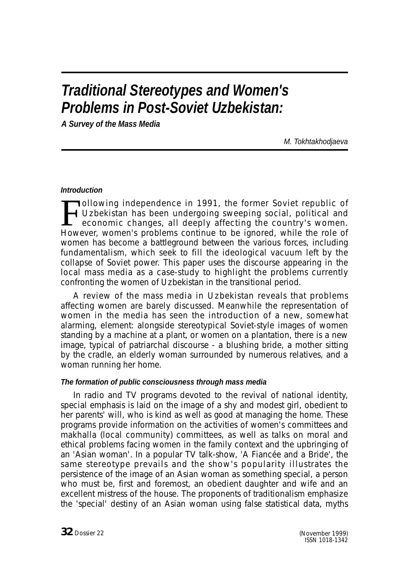## **Traditional Stereotypes and Women's Problems in Post-Soviet Uzbekistan:**

**A Survey of the Mass Media** 

M. Tokhtakhodjaeva

#### **Introduction**

Following independence in 1991, the former Soviet republic of<br>Uzbekistan has been undergoing sweeping social, political and<br>economic changes, all deeply affecting the country's women.<br>However women's problems continue to b Uzbekistan has been undergoing sweeping social, political and economic changes, all deeply affecting the country's women. However, women's problems continue to be ignored, while the role of women has become a battleground between the various forces, including fundamentalism, which seek to fill the ideological vacuum left by the collapse of Soviet power. This paper uses the discourse appearing in the local mass media as a case-study to highlight the problems currently confronting the women of Uzbekistan in the transitional period.

A review of the mass media in Uzbekistan reveals that problems affecting women are barely discussed. Meanwhile the representation of women in the media has seen the introduction of a new, somewhat alarming, element: alongside stereotypical Soviet-style images of women standing by a machine at a plant, or women on a plantation, there is a new image, typical of patriarchal discourse - a blushing bride, a mother sitting by the cradle, an elderly woman surrounded by numerous relatives, and a woman running her home.

#### **The formation of public consciousness through mass media**

In radio and TV programs devoted to the revival of national identity, special emphasis is laid on the image of a shy and modest girl, obedient to her parents' will, who is kind as well as good at managing the home. These programs provide information on the activities of women's committees and makhalla (local community) committees, as well as talks on moral and ethical problems facing women in the family context and the upbringing of an 'Asian woman'. In a popular TV talk-show, 'A Fiancée and a Bride', the same stereotype prevails and the show's popularity illustrates the persistence of the image of an Asian woman as something special, a person who must be, first and foremost, an obedient daughter and wife and an excellent mistress of the house. The proponents of traditionalism emphasize the 'special' destiny of an Asian woman using false statistical data, myths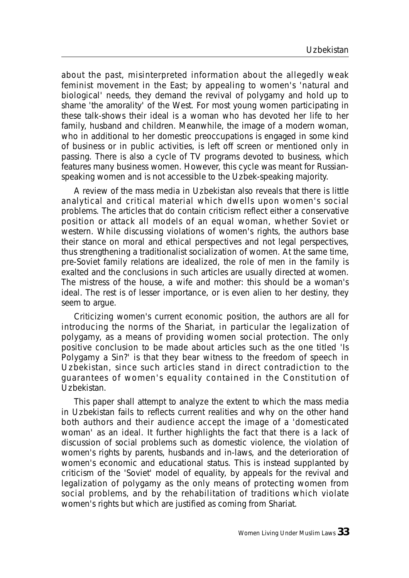about the past, misinterpreted information about the allegedly weak feminist movement in the East; by appealing to women's 'natural and biological' needs, they demand the revival of polygamy and hold up to shame 'the amorality' of the West. For most young women participating in these talk-shows their ideal is a woman who has devoted her life to her family, husband and children. Meanwhile, the image of a modern woman, who in additional to her domestic preoccupations is engaged in some kind of business or in public activities, is left off screen or mentioned only in passing. There is also a cycle of TV programs devoted to business, which features many business women. However, this cycle was meant for Russianspeaking women and is not accessible to the Uzbek-speaking majority.

A review of the mass media in Uzbekistan also reveals that there is little analytical and critical material which dwells upon women's social problems. The articles that do contain criticism reflect either a conservative position or attack all models of an equal woman, whether Soviet or western. While discussing violations of women's rights, the authors base their stance on moral and ethical perspectives and not legal perspectives, thus strengthening a traditionalist socialization of women. At the same time, pre-Soviet family relations are idealized, the role of men in the family is exalted and the conclusions in such articles are usually directed at women. The mistress of the house, a wife and mother: this should be a woman's ideal. The rest is of lesser importance, or is even alien to her destiny, they seem to argue.

Criticizing women's current economic position, the authors are all for introducing the norms of the Shariat, in particular the legalization of polygamy, as a means of providing women social protection. The only positive conclusion to be made about articles such as the one titled 'Is Polygamy a Sin?' is that they bear witness to the freedom of speech in Uzbekistan, since such articles stand in direct contradiction to the guarantees of women's equality contained in the Constitution of Uzbekistan.

This paper shall attempt to analyze the extent to which the mass media in Uzbekistan fails to reflects current realities and why on the other hand both authors and their audience accept the image of a 'domesticated woman' as an ideal. It further highlights the fact that there is a lack of discussion of social problems such as domestic violence, the violation of women's rights by parents, husbands and in-laws, and the deterioration of women's economic and educational status. This is instead supplanted by criticism of the 'Soviet' model of equality, by appeals for the revival and legalization of polygamy as the only means of protecting women from social problems, and by the rehabilitation of traditions which violate women's rights but which are justified as coming from Shariat.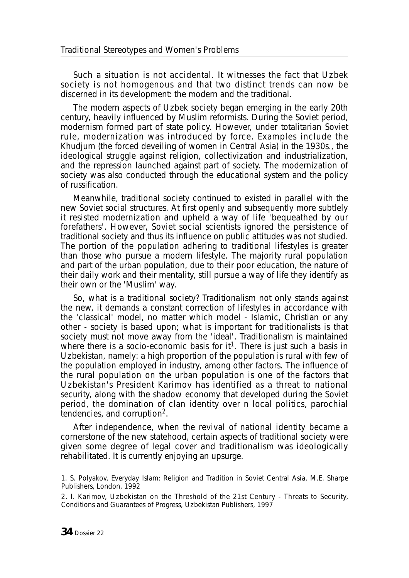Such a situation is not accidental. It witnesses the fact that Uzbek society is not homogenous and that two distinct trends can now be discerned in its development: the modern and the traditional.

The modern aspects of Uzbek society began emerging in the early 20th century, heavily influenced by Muslim reformists. During the Soviet period, modernism formed part of state policy. However, under totalitarian Soviet rule, modernization was introduced by force. Examples include the Khudjum (the forced deveiling of women in Central Asia) in the 1930s., the ideological struggle against religion, collectivization and industrialization, and the repression launched against part of society. The modernization of society was also conducted through the educational system and the policy of russification.

Meanwhile, traditional society continued to existed in parallel with the new Soviet social structures. At first openly and subsequently more subtlely it resisted modernization and upheld a way of life 'bequeathed by our forefathers'. However, Soviet social scientists ignored the persistence of traditional society and thus its influence on public attitudes was not studied. The portion of the population adhering to traditional lifestyles is greater than those who pursue a modern lifestyle. The majority rural population and part of the urban population, due to their poor education, the nature of their daily work and their mentality, still pursue a way of life they identify as their own or the 'Muslim' way.

So, what is a traditional society? Traditionalism not only stands against the new, it demands a constant correction of lifestyles in accordance with the 'classical' model, no matter which model - Islamic, Christian or any other - society is based upon; what is important for traditionalists is that society must not move away from the 'ideal'. Traditionalism is maintained where there is a socio-economic basis for  $it^1$ . There is just such a basis in Uzbekistan, namely: a high proportion of the population is rural with few of the population employed in industry, among other factors. The influence of the rural population on the urban population is one of the factors that Uzbekistan's President Karimov has identified as a threat to national security, along with the shadow economy that developed during the Soviet period, the domination of clan identity over n local politics, parochial tendencies, and corruption<sup>2</sup>.

After independence, when the revival of national identity became a cornerstone of the new statehood, certain aspects of traditional society were given some degree of legal cover and traditionalism was ideologically rehabilitated. It is currently enjoying an upsurge.

<sup>1.</sup> S. Polyakov, Everyday Islam: Religion and Tradition in Soviet Central Asia, M.E. Sharpe Publishers, London, 1992

<sup>2.</sup> I. Karimov, Uzbekistan on the Threshold of the 21st Century - Threats to Security, Conditions and Guarantees of Progress, Uzbekistan Publishers, 1997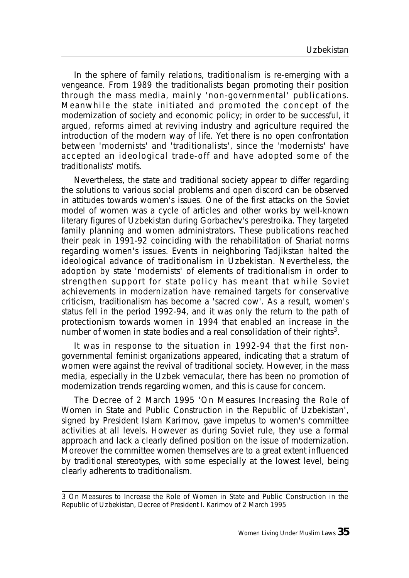In the sphere of family relations, traditionalism is re-emerging with a vengeance. From 1989 the traditionalists began promoting their position through the mass media, mainly 'non-governmental' publications. Meanwhile the state initiated and promoted the concept of the modernization of society and economic policy; in order to be successful, it argued, reforms aimed at reviving industry and agriculture required the introduction of the modern way of life. Yet there is no open confrontation between 'modernists' and 'traditionalists', since the 'modernists' have accepted an ideological trade-off and have adopted some of the traditionalists' motifs.

Nevertheless, the state and traditional society appear to differ regarding the solutions to various social problems and open discord can be observed in attitudes towards women's issues. One of the first attacks on the Soviet model of women was a cycle of articles and other works by well-known literary figures of Uzbekistan during Gorbachev's perestroika. They targeted family planning and women administrators. These publications reached their peak in 1991-92 coinciding with the rehabilitation of Shariat norms regarding women's issues. Events in neighboring Tadjikstan halted the ideological advance of traditionalism in Uzbekistan. Nevertheless, the adoption by state 'modernists' of elements of traditionalism in order to strengthen support for state policy has meant that while Soviet achievements in modernization have remained targets for conservative criticism, traditionalism has become a 'sacred cow'. As a result, women's status fell in the period 1992-94, and it was only the return to the path of protectionism towards women in 1994 that enabled an increase in the number of women in state bodies and a real consolidation of their rights<sup>3</sup>.

It was in response to the situation in 1992-94 that the first nongovernmental feminist organizations appeared, indicating that a stratum of women were against the revival of traditional society. However, in the mass media, especially in the Uzbek vernacular, there has been no promotion of modernization trends regarding women, and this is cause for concern.

The Decree of 2 March 1995 'On Measures Increasing the Role of Women in State and Public Construction in the Republic of Uzbekistan', signed by President Islam Karimov, gave impetus to women's committee activities at all levels. However as during Soviet rule, they use a formal approach and lack a clearly defined position on the issue of modernization. Moreover the committee women themselves are to a great extent influenced by traditional stereotypes, with some especially at the lowest level, being clearly adherents to traditionalism.

<sup>3</sup> On Measures to Increase the Role of Women in State and Public Construction in the Republic of Uzbekistan, Decree of President I. Karimov of 2 March 1995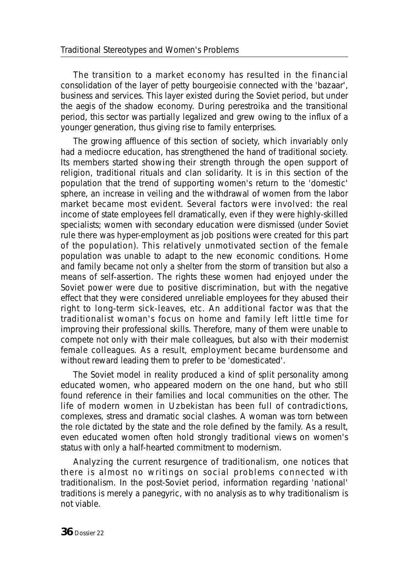The transition to a market economy has resulted in the financial consolidation of the layer of petty bourgeoisie connected with the 'bazaar', business and services. This layer existed during the Soviet period, but under the aegis of the shadow economy. During perestroika and the transitional period, this sector was partially legalized and grew owing to the influx of a younger generation, thus giving rise to family enterprises.

The growing affluence of this section of society, which invariably only had a mediocre education, has strengthened the hand of traditional society. Its members started showing their strength through the open support of religion, traditional rituals and clan solidarity. It is in this section of the population that the trend of supporting women's return to the 'domestic' sphere, an increase in veiling and the withdrawal of women from the labor market became most evident. Several factors were involved: the real income of state employees fell dramatically, even if they were highly-skilled specialists; women with secondary education were dismissed (under Soviet rule there was hyper-employment as job positions were created for this part of the population). This relatively unmotivated section of the female population was unable to adapt to the new economic conditions. Home and family became not only a shelter from the storm of transition but also a means of self-assertion. The rights these women had enjoyed under the Soviet power were due to positive discrimination, but with the negative effect that they were considered unreliable employees for they abused their right to long-term sick-leaves, etc. An additional factor was that the traditionalist woman's focus on home and family left little time for improving their professional skills. Therefore, many of them were unable to compete not only with their male colleagues, but also with their modernist female colleagues. As a result, employment became burdensome and without reward leading them to prefer to be 'domesticated'.

The Soviet model in reality produced a kind of split personality among educated women, who appeared modern on the one hand, but who still found reference in their families and local communities on the other. The life of modern women in Uzbekistan has been full of contradictions, complexes, stress and dramatic social clashes. A woman was torn between the role dictated by the state and the role defined by the family. As a result, even educated women often hold strongly traditional views on women's status with only a half-hearted commitment to modernism.

Analyzing the current resurgence of traditionalism, one notices that there is almost no writings on social problems connected with traditionalism. In the post-Soviet period, information regarding 'national' traditions is merely a panegyric, with no analysis as to why traditionalism is not viable.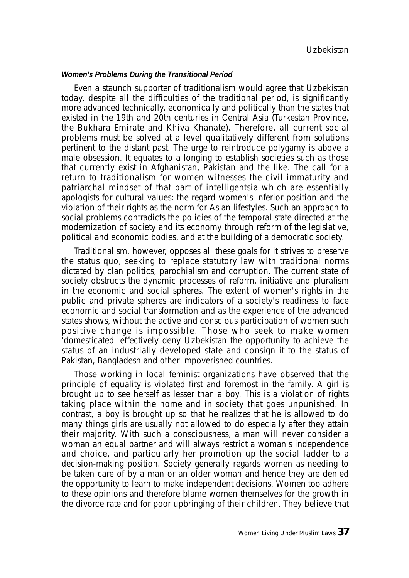## **Women's Problems During the Transitional Period**

Even a staunch supporter of traditionalism would agree that Uzbekistan today, despite all the difficulties of the traditional period, is significantly more advanced technically, economically and politically than the states that existed in the 19th and 20th centuries in Central Asia (Turkestan Province, the Bukhara Emirate and Khiva Khanate). Therefore, all current social problems must be solved at a level qualitatively different from solutions pertinent to the distant past. The urge to reintroduce polygamy is above a male obsession. It equates to a longing to establish societies such as those that currently exist in Afghanistan, Pakistan and the like. The call for a return to traditionalism for women witnesses the civil immaturity and patriarchal mindset of that part of intelligentsia which are essentially apologists for cultural values: the regard women's inferior position and the violation of their rights as the norm for Asian lifestyles. Such an approach to social problems contradicts the policies of the temporal state directed at the modernization of society and its economy through reform of the legislative, political and economic bodies, and at the building of a democratic society.

Traditionalism, however, opposes all these goals for it strives to preserve the status quo, seeking to replace statutory law with traditional norms dictated by clan politics, parochialism and corruption. The current state of society obstructs the dynamic processes of reform, initiative and pluralism in the economic and social spheres. The extent of women's rights in the public and private spheres are indicators of a society's readiness to face economic and social transformation and as the experience of the advanced states shows, without the active and conscious participation of women such positive change is impossible. Those who seek to make women 'domesticated' effectively deny Uzbekistan the opportunity to achieve the status of an industrially developed state and consign it to the status of Pakistan, Bangladesh and other impoverished countries.

Those working in local feminist organizations have observed that the principle of equality is violated first and foremost in the family. A girl is brought up to see herself as lesser than a boy. This is a violation of rights taking place within the home and in society that goes unpunished. In contrast, a boy is brought up so that he realizes that he is allowed to do many things girls are usually not allowed to do especially after they attain their majority. With such a consciousness, a man will never consider a woman an equal partner and will always restrict a woman's independence and choice, and particularly her promotion up the social ladder to a decision-making position. Society generally regards women as needing to be taken care of by a man or an older woman and hence they are denied the opportunity to learn to make independent decisions. Women too adhere to these opinions and therefore blame women themselves for the growth in the divorce rate and for poor upbringing of their children. They believe that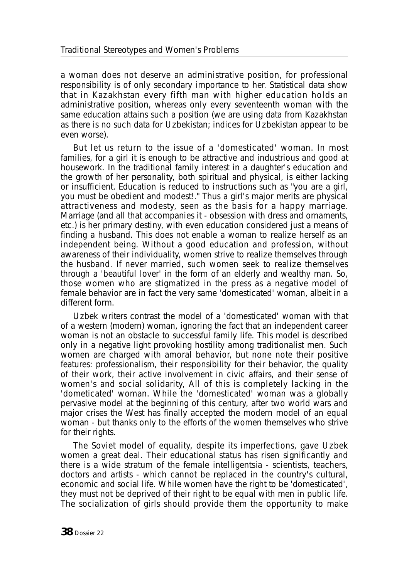a woman does not deserve an administrative position, for professional responsibility is of only secondary importance to her. Statistical data show that in Kazakhstan every fifth man with higher education holds an administrative position, whereas only every seventeenth woman with the same education attains such a position (we are using data from Kazakhstan as there is no such data for Uzbekistan; indices for Uzbekistan appear to be even worse).

But let us return to the issue of a 'domesticated' woman. In most families, for a girl it is enough to be attractive and industrious and good at housework. In the traditional family interest in a daughter's education and the growth of her personality, both spiritual and physical, is either lacking or insufficient. Education is reduced to instructions such as "you are a girl, you must be obedient and modest!." Thus a girl's major merits are physical attractiveness and modesty, seen as the basis for a happy marriage. Marriage (and all that accompanies it - obsession with dress and ornaments, etc.) is her primary destiny, with even education considered just a means of finding a husband. This does not enable a woman to realize herself as an independent being. Without a good education and profession, without awareness of their individuality, women strive to realize themselves through the husband. If never married, such women seek to realize themselves through a 'beautiful lover' in the form of an elderly and wealthy man. So, those women who are stigmatized in the press as a negative model of female behavior are in fact the very same 'domesticated' woman, albeit in a different form.

Uzbek writers contrast the model of a 'domesticated' woman with that of a western (modern) woman, ignoring the fact that an independent career woman is not an obstacle to successful family life. This model is described only in a negative light provoking hostility among traditionalist men. Such women are charged with amoral behavior, but none note their positive features: professionalism, their responsibility for their behavior, the quality of their work, their active involvement in civic affairs, and their sense of women's and social solidarity, All of this is completely lacking in the 'dometicated' woman. While the 'domesticated' woman was a globally pervasive model at the beginning of this century, after two world wars and major crises the West has finally accepted the modern model of an equal woman - but thanks only to the efforts of the women themselves who strive for their rights.

The Soviet model of equality, despite its imperfections, gave Uzbek women a great deal. Their educational status has risen significantly and there is a wide stratum of the female intelligentsia - scientists, teachers, doctors and artists - which cannot be replaced in the country's cultural, economic and social life. While women have the right to be 'domesticated', they must not be deprived of their right to be equal with men in public life. The socialization of girls should provide them the opportunity to make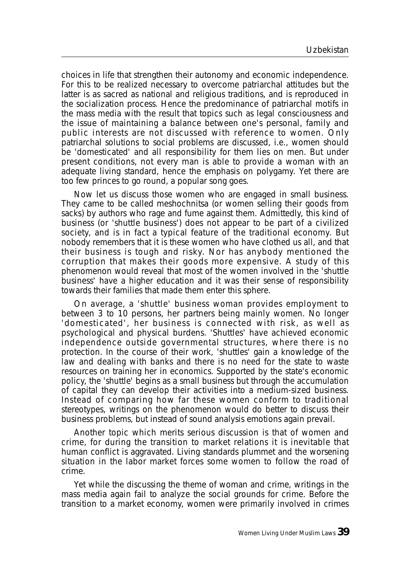choices in life that strengthen their autonomy and economic independence. For this to be realized necessary to overcome patriarchal attitudes but the latter is as sacred as national and religious traditions, and is reproduced in the socialization process. Hence the predominance of patriarchal motifs in the mass media with the result that topics such as legal consciousness and the issue of maintaining a balance between one's personal, family and public interests are not discussed with reference to women. Only patriarchal solutions to social problems are discussed, i.e., women should be 'domesticated' and all responsibility for them lies on men. But under present conditions, not every man is able to provide a woman with an adequate living standard, hence the emphasis on polygamy. Yet there are too few princes to go round, a popular song goes.

Now let us discuss those women who are engaged in small business. They came to be called *meshochnitsa* (or women selling their goods from sacks) by authors who rage and fume against them. Admittedly, this kind of business (or 'shuttle business') does not appear to be part of a civilized society, and is in fact a typical feature of the traditional economy. But nobody remembers that it is these women who have clothed us all, and that their business is tough and risky. Nor has anybody mentioned the corruption that makes their goods more expensive. A study of this phenomenon would reveal that most of the women involved in the 'shuttle business' have a higher education and it was their sense of responsibility towards their families that made them enter this sphere.

On average, a 'shuttle' business woman provides employment to between 3 to 10 persons, her partners being mainly women. No longer 'domesticated', her business is connected with risk, as well as psychological and physical burdens. 'Shuttles' have achieved economic independence outside governmental structures, where there is no protection. In the course of their work, 'shuttles' gain a knowledge of the law and dealing with banks and there is no need for the state to waste resources on training her in economics. Supported by the state's economic policy, the 'shuttle' begins as a small business but through the accumulation of capital they can develop their activities into a medium-sized business. Instead of comparing how far these women conform to traditional stereotypes, writings on the phenomenon would do better to discuss their business problems, but instead of sound analysis emotions again prevail.

Another topic which merits serious discussion is that of women and crime, for during the transition to market relations it is inevitable that human conflict is aggravated. Living standards plummet and the worsening situation in the labor market forces some women to follow the road of crime.

Yet while the discussing the theme of woman and crime, writings in the mass media again fail to analyze the social grounds for crime. Before the transition to a market economy, women were primarily involved in crimes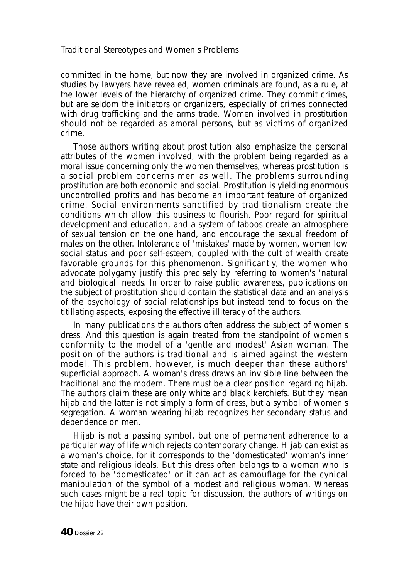committed in the home, but now they are involved in organized crime. As studies by lawyers have revealed, women criminals are found, as a rule, at the lower levels of the hierarchy of organized crime. They commit crimes, but are seldom the initiators or organizers, especially of crimes connected with drug trafficking and the arms trade. Women involved in prostitution should not be regarded as amoral persons, but as victims of organized crime.

Those authors writing about prostitution also emphasize the personal attributes of the women involved, with the problem being regarded as a moral issue concerning only the women themselves, whereas prostitution is a social problem concerns men as well. The problems surrounding prostitution are both economic and social. Prostitution is yielding enormous uncontrolled profits and has become an important feature of organized crime. Social environments sanctified by traditionalism create the conditions which allow this business to flourish. Poor regard for spiritual development and education, and a system of taboos create an atmosphere of sexual tension on the one hand, and encourage the sexual freedom of males on the other. Intolerance of 'mistakes' made by women, women low social status and poor self-esteem, coupled with the cult of wealth create favorable grounds for this phenomenon. Significantly, the women who advocate polygamy justify this precisely by referring to women's 'natural and biological' needs. In order to raise public awareness, publications on the subject of prostitution should contain the statistical data and an analysis of the psychology of social relationships but instead tend to focus on the titillating aspects, exposing the effective illiteracy of the authors.

In many publications the authors often address the subject of women's dress. And this question is again treated from the standpoint of women's conformity to the model of a 'gentle and modest' Asian woman. The position of the authors is traditional and is aimed against the western model. This problem, however, is much deeper than these authors' superficial approach. A woman's dress draws an invisible line between the traditional and the modern. There must be a clear position regarding hijab. The authors claim these are only white and black kerchiefs. But they mean hijab and the latter is not simply a form of dress, but a symbol of women's segregation. A woman wearing hijab recognizes her secondary status and dependence on men.

Hijab is not a passing symbol, but one of permanent adherence to a particular way of life which rejects contemporary change. Hijab can exist as a woman's choice, for it corresponds to the 'domesticated' woman's inner state and religious ideals. But this dress often belongs to a woman who is forced to be 'domesticated' or it can act as camouflage for the cynical manipulation of the symbol of a modest and religious woman. Whereas such cases might be a real topic for discussion, the authors of writings on the hijab have their own position.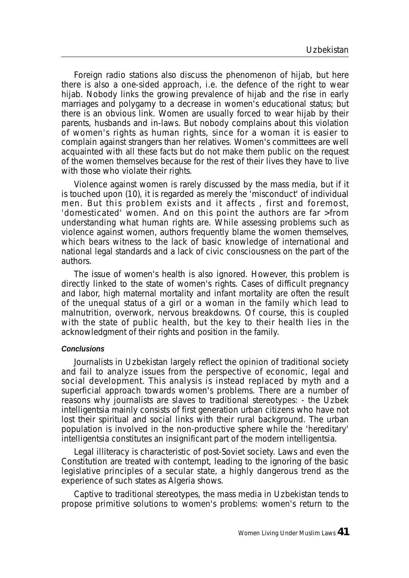Foreign radio stations also discuss the phenomenon of hijab, but here there is also a one-sided approach, i.e. the defence of the right to wear hijab. Nobody links the growing prevalence of hijab and the rise in early marriages and polygamy to a decrease in women's educational status; but there is an obvious link. Women are usually forced to wear hijab by their parents, husbands and in-laws. But nobody complains about this violation of women's rights as human rights, since for a woman it is easier to complain against strangers than her relatives. Women's committees are well acquainted with all these facts but do not make them public on the request of the women themselves because for the rest of their lives they have to live with those who violate their rights.

Violence against women is rarely discussed by the mass media, but if it is touched upon (10), it is regarded as merely the 'misconduct' of individual men. But this problem exists and it affects , first and foremost, 'domesticated' women. And on this point the authors are far >from understanding what human rights are. While assessing problems such as violence against women, authors frequently blame the women themselves, which bears witness to the lack of basic knowledge of international and national legal standards and a lack of civic consciousness on the part of the authors.

The issue of women's health is also ignored. However, this problem is directly linked to the state of women's rights. Cases of difficult pregnancy and labor, high maternal mortality and infant mortality are often the result of the unequal status of a girl or a woman in the family which lead to malnutrition, overwork, nervous breakdowns. Of course, this is coupled with the state of public health, but the key to their health lies in the acknowledgment of their rights and position in the family.

## **Conclusions**

Journalists in Uzbekistan largely reflect the opinion of traditional society and fail to analyze issues from the perspective of economic, legal and social development. This analysis is instead replaced by myth and a superficial approach towards women's problems. There are a number of reasons why journalists are slaves to traditional stereotypes: - the Uzbek intelligentsia mainly consists of first generation urban citizens who have not lost their spiritual and social links with their rural background. The urban population is involved in the non-productive sphere while the 'hereditary' intelligentsia constitutes an insignificant part of the modern intelligentsia.

Legal illiteracy is characteristic of post-Soviet society. Laws and even the Constitution are treated with contempt, leading to the ignoring of the basic legislative principles of a secular state, a highly dangerous trend as the experience of such states as Algeria shows.

Captive to traditional stereotypes, the mass media in Uzbekistan tends to propose primitive solutions to women's problems: women's return to the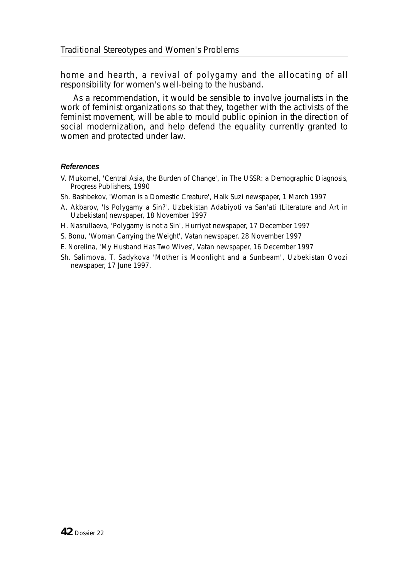home and hearth, a revival of polygamy and the allocating of all responsibility for women's well-being to the husband.

As a recommendation, it would be sensible to involve journalists in the work of feminist organizations so that they, together with the activists of the feminist movement, will be able to mould public opinion in the direction of social modernization, and help defend the equality currently granted to women and protected under law.

## **References**

- V. Mukomel, 'Central Asia, the Burden of Change', in *The USSR: a Demographic Diagnosis*, Progress Publishers, 1990
- Sh. Bashbekov, 'Woman is a Domestic Creature', *Halk Suzi* newspaper, 1 March 1997
- A. Akbarov, 'Is Polygamy a Sin?', Uzbekistan Adabiyoti va San'ati (*Literature and Art in Uzbekistan*) newspaper, 18 November 1997
- H. Nasrullaeva, 'Polygamy is not a Sin', *Hurriyat* newspaper, 17 December 1997
- S. Bonu, 'Woman Carrying the Weight', *Vatan* newspaper, 28 November 1997
- E. Norelina, 'My Husband Has Two Wives', *Vatan* newspaper, 16 December 1997
- Sh. Salimova, T. Sadykova 'Mother is Moonlight and a Sunbeam', *Uzbekistan Ovozi* newspaper, 17 June 1997.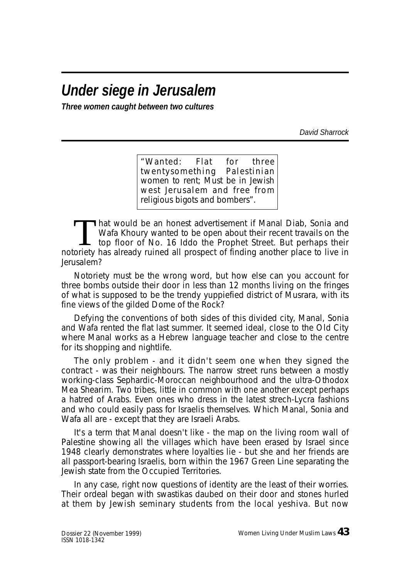# **Under siege in Jerusalem**

**Three women caught between two cultures**

David Sharrock

"Wanted: Flat for three twentysomething Palestinian women to rent; Must be in Jewish west Jerusalem and free from religious bigots and bombers".

That would be an honest advertisement if Manal Diab, Sonia and<br>Wafa Khoury wanted to be open about their recent travails on the<br>top floor of No. 16 Iddo the Prophet Street. But perhaps their<br>oriety has already ruined all p Wafa Khoury wanted to be open about their recent travails on the top floor of No. 16 Iddo the Prophet Street. But perhaps their notoriety has already ruined all prospect of finding another place to live in Jerusalem?

Notoriety must be the wrong word, but how else can you account for three bombs outside their door in less than 12 months living on the fringes of what is supposed to be the trendy yuppiefied district of Musrara, with its fine views of the gilded Dome of the Rock?

Defying the conventions of both sides of this divided city, Manal, Sonia and Wafa rented the flat last summer. It seemed ideal, close to the Old City where Manal works as a Hebrew language teacher and close to the centre for its shopping and nightlife.

The only problem - and it didn't seem one when they signed the contract - was their neighbours. The narrow street runs between a mostly working-class Sephardic-Moroccan neighbourhood and the ultra-Othodox Mea Shearim. Two tribes, little in common with one another except perhaps a hatred of Arabs. Even ones who dress in the latest strech-Lycra fashions and who could easily pass for Israelis themselves. Which Manal, Sonia and Wafa all are - except that they are Israeli Arabs.

It's a term that Manal doesn't like - the map on the living room wall of Palestine showing all the villages which have been erased by Israel since 1948 clearly demonstrates where loyalties lie - but she and her friends are all passport-bearing Israelis, born within the 1967 Green Line separating the Jewish state from the Occupied Territories.

In any case, right now questions of identity are the least of their worries. Their ordeal began with swastikas daubed on their door and stones hurled at them by Jewish seminary students from the local yeshiva. But now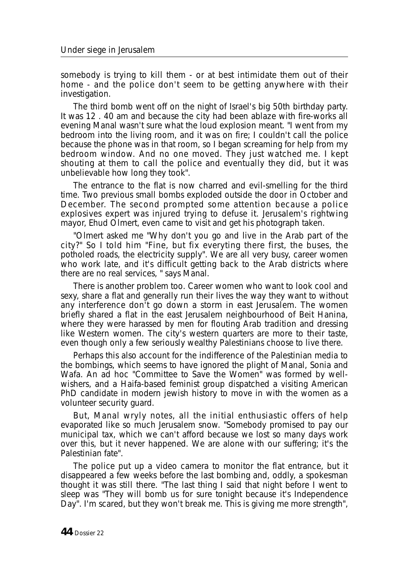somebody is trying to kill them - or at best intimidate them out of their home - and the police don't seem to be getting anywhere with their investigation.

The third bomb went off on the night of Israel's big 50th birthday party. It was 12 . 40 am and because the city had been ablaze with fire-works all evening Manal wasn't sure what the loud explosion meant. "I went from my bedroom into the living room, and it was on fire; I couldn't call the police because the phone was in that room, so I began screaming for help from my bedroom window. And no one moved. They just watched me. I kept shouting at them to call the police and eventually they did, but it was unbelievable how long they took".

The entrance to the flat is now charred and evil-smelling for the third time. Two previous small bombs exploded outside the door in October and December. The second prompted some attention because a police explosives expert was injured trying to defuse it. Jerusalem's rightwing mayor, Ehud Olmert, even came to visit and get his photograph taken.

"Olmert asked me "Why don't you go and live in the Arab part of the city?" So I told him "Fine, but fix everyting there first, the buses, the potholed roads, the electricity supply". We are all very busy, career women who work late, and it's difficult getting back to the Arab districts where there are no real services, " says Manal.

There is another problem too. Career women who want to look cool and sexy, share a flat and generally run their lives the way they want to without any interference don't go down a storm in east Jerusalem. The women briefly shared a flat in the east Jerusalem neighbourhood of Beit Hanina, where they were harassed by men for flouting Arab tradition and dressing like Western women. The city's western quarters are more to their taste, even though only a few seriously wealthy Palestinians choose to live there.

Perhaps this also account for the indifference of the Palestinian media to the bombings, which seems to have ignored the plight of Manal, Sonia and Wafa. An ad hoc "Committee to Save the Women" was formed by wellwishers, and a Haifa-based feminist group dispatched a visiting American PhD candidate in modern jewish history to move in with the women as a volunteer security guard.

But, Manal wryly notes, all the initial enthusiastic offers of help evaporated like so much Jerusalem snow. "Somebody promised to pay our municipal tax, which we can't afford because we lost so many days work over this, but it never happened. We are alone with our suffering; it's the Palestinian fate".

The police put up a video camera to monitor the flat entrance, but it disappeared a few weeks before the last bombing and, oddly, a spokesman thought it was still there. "The last thing I said that night before I went to sleep was "They will bomb us for sure tonight because it's Independence Day". I'm scared, but they won't break me. This is giving me more strength",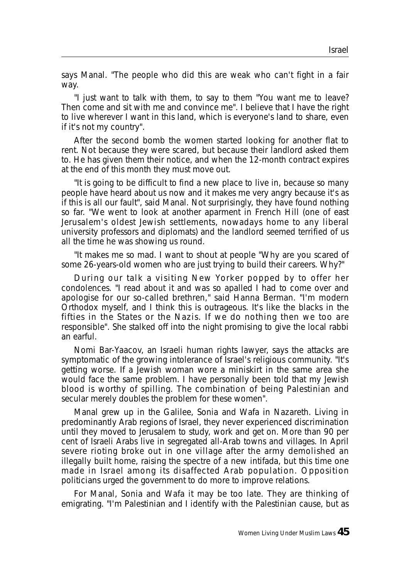says Manal. "The people who did this are weak who can't fight in a fair way.

"I just want to talk with them, to say to them "You want me to leave? Then come and sit with me and convince me". I believe that I have the right to live wherever I want in this land, which is everyone's land to share, even if it's not my country".

After the second bomb the women started looking for another flat to rent. Not because they were scared, but because their landlord asked them to. He has given them their notice, and when the 12-month contract expires at the end of this month they must move out.

"It is going to be difficult to find a new place to live in, because so many people have heard about us now and it makes me very angry because it's as if this is all our fault", said Manal. Not surprisingly, they have found nothing so far. "We went to look at another aparment in French Hill (one of east Jerusalem's oldest Jewish settlements, nowadays home to any liberal university professors and diplomats) and the landlord seemed terrified of us all the time he was showing us round.

"It makes me so mad. I want to shout at people "Why are you scared of some 26-years-old women who are just trying to build their careers. Why?"

During our talk a visiting New Yorker popped by to offer her condolences. "I read about it and was so apalled I had to come over and apologise for our so-called brethren," said Hanna Berman. "I'm modern Orthodox myself, and I think this is outrageous. It's like the blacks in the fifties in the States or the Nazis. If we do nothing then we too are responsible". She stalked off into the night promising to give the local rabbi an earful.

Nomi Bar-Yaacov, an Israeli human rights lawyer, says the attacks are symptomatic of the growing intolerance of Israel's religious community. "It's getting worse. If a Jewish woman wore a miniskirt in the same area she would face the same problem. I have personally been told that my Jewish blood is worthy of spilling. The combination of being Palestinian and secular merely doubles the problem for these women".

Manal grew up in the Galilee, Sonia and Wafa in Nazareth. Living in predominantly Arab regions of Israel, they never experienced discrimination until they moved to Jerusalem to study, work and get on. More than 90 per cent of Israeli Arabs live in segregated all-Arab towns and villages. In April severe rioting broke out in one village after the army demolished an illegally built home, raising the spectre of a new intifada, but this time one made in Israel among its disaffected Arab population. Opposition politicians urged the government to do more to improve relations.

For Manal, Sonia and Wafa it may be too late. They are thinking of emigrating. "I'm Palestinian and I identify with the Palestinian cause, but as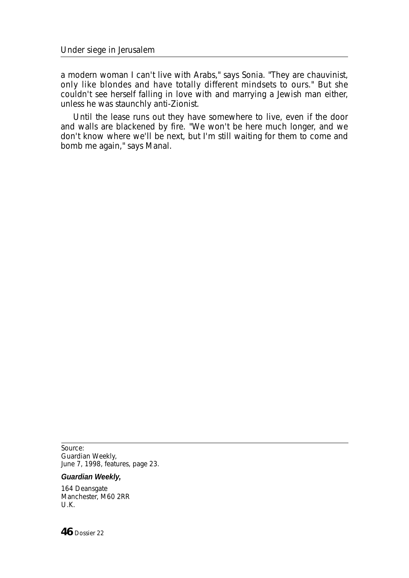a modern woman I can't live with Arabs," says Sonia. "They are chauvinist, only like blondes and have totally different mindsets to ours." But she couldn't see herself falling in love with and marrying a Jewish man either, unless he was staunchly anti-Zionist.

Until the lease runs out they have somewhere to live, even if the door and walls are blackened by fire. "We won't be here much longer, and we don't know where we'll be next, but I'm still waiting for them to come and bomb me again," says Manal.

Source: Guardian Weekly, June 7, 1998, features, page 23.

### **Guardian Weekly,**

164 Deansgate Manchester, M60 2RR U.K.

**46** Dossier 22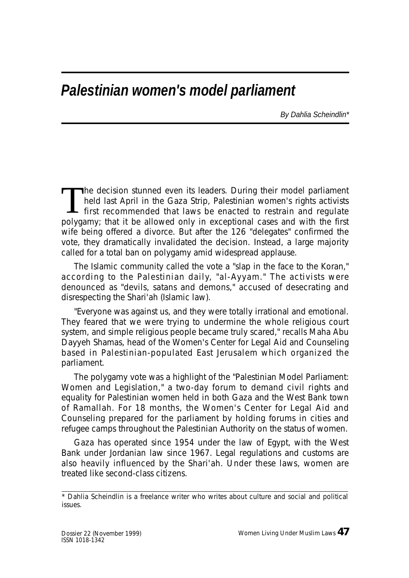# **Palestinian women's model parliament**

By Dahlia Scheindlin\*

The decision stunned even its leaders. During their model parliament<br>held last April in the Gaza Strip, Palestinian women's rights activists<br>first recommended that laws be enacted to restrain and regulate held last April in the Gaza Strip, Palestinian women's rights activists polygamy; that it be allowed only in exceptional cases and with the first wife being offered a divorce. But after the 126 "delegates" confirmed the vote, they dramatically invalidated the decision. Instead, a large majority called for a total ban on polygamy amid widespread applause.

The Islamic community called the vote a "slap in the face to the Koran," according to the Palestinian daily, "al-Ayyam." The activists were denounced as "devils, satans and demons," accused of desecrating and disrespecting the Shari'ah (Islamic law).

"Everyone was against us, and they were totally irrational and emotional. They feared that we were trying to undermine the whole religious court system, and simple religious people became truly scared," recalls Maha Abu Dayyeh Shamas, head of the Women's Center for Legal Aid and Counseling based in Palestinian-populated East Jerusalem which organized the parliament.

The polygamy vote was a highlight of the "Palestinian Model Parliament: Women and Legislation," a two-day forum to demand civil rights and equality for Palestinian women held in both Gaza and the West Bank town of Ramallah. For 18 months, the Women's Center for Legal Aid and Counseling prepared for the parliament by holding forums in cities and refugee camps throughout the Palestinian Authority on the status of women.

Gaza has operated since 1954 under the law of Egypt, with the West Bank under Jordanian law since 1967. Legal regulations and customs are also heavily influenced by the Shari'ah. Under these laws, women are treated like second-class citizens.

<sup>\*</sup> Dahlia Scheindlin is a freelance writer who writes about culture and social and political issues.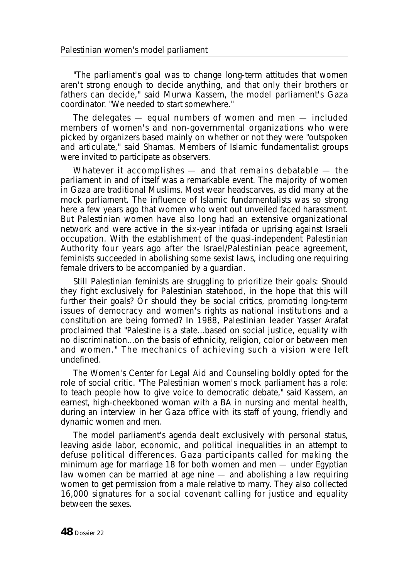"The parliament's goal was to change long-term attitudes that women aren't strong enough to decide anything, and that only their brothers or fathers can decide," said Murwa Kassem, the model parliament's Gaza coordinator. "We needed to start somewhere."

The delegates — equal numbers of women and men — included members of women's and non-governmental organizations who were picked by organizers based mainly on whether or not they were "outspoken and articulate," said Shamas. Members of Islamic fundamentalist groups were invited to participate as observers.

Whatever it accomplishes — and that remains debatable — the parliament in and of itself was a remarkable event. The majority of women in Gaza are traditional Muslims. Most wear headscarves, as did many at the mock parliament. The influence of Islamic fundamentalists was so strong here a few years ago that women who went out unveiled faced harassment. But Palestinian women have also long had an extensive organizational network and were active in the six-year intifada or uprising against Israeli occupation. With the establishment of the quasi-independent Palestinian Authority four years ago after the Israel/Palestinian peace agreement, feminists succeeded in abolishing some sexist laws, including one requiring female drivers to be accompanied by a guardian.

Still Palestinian feminists are struggling to prioritize their goals: Should they fight exclusively for Palestinian statehood, in the hope that this will further their goals? Or should they be social critics, promoting long-term issues of democracy and women's rights as national institutions and a constitution are being formed? In 1988, Palestinian leader Yasser Arafat proclaimed that "Palestine is a state...based on social justice, equality with no discrimination...on the basis of ethnicity, religion, color or between men and women." The mechanics of achieving such a vision were left undefined.

The Women's Center for Legal Aid and Counseling boldly opted for the role of social critic. "The Palestinian women's mock parliament has a role: to teach people how to give voice to democratic debate," said Kassem, an earnest, high-cheekboned woman with a BA in nursing and mental health, during an interview in her Gaza office with its staff of young, friendly and dynamic women and men.

The model parliament's agenda dealt exclusively with personal status, leaving aside labor, economic, and political inequalities in an attempt to defuse political differences. Gaza participants called for making the minimum age for marriage 18 for both women and men — under Egyptian law women can be married at age nine — and abolishing a law requiring women to get permission from a male relative to marry. They also collected 16,000 signatures for a social covenant calling for justice and equality between the sexes.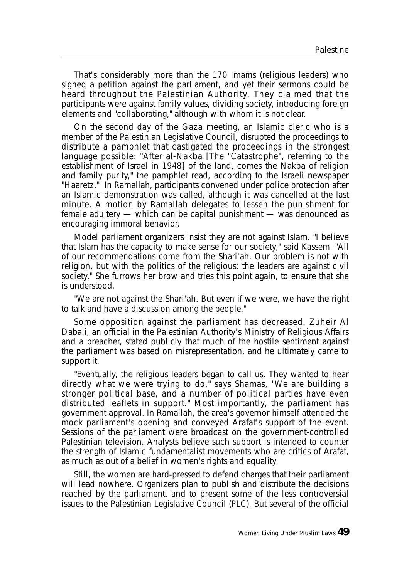That's considerably more than the 170 imams (religious leaders) who signed a petition against the parliament, and yet their sermons could be heard throughout the Palestinian Authority. They claimed that the participants were against family values, dividing society, introducing foreign elements and "collaborating," although with whom it is not clear.

On the second day of the Gaza meeting, an Islamic cleric who is a member of the Palestinian Legislative Council, disrupted the proceedings to distribute a pamphlet that castigated the proceedings in the strongest language possible: "After al-Nakba [The "Catastrophe", referring to the establishment of Israel in 1948] of the land, comes the Nakba of religion and family purity," the pamphlet read, according to the Israeli newspaper "Haaretz." In Ramallah, participants convened under police protection after an Islamic demonstration was called, although it was cancelled at the last minute. A motion by Ramallah delegates to lessen the punishment for female adultery — which can be capital punishment — was denounced as encouraging immoral behavior.

Model parliament organizers insist they are not against Islam. "I believe that Islam has the capacity to make sense for our society," said Kassem. "All of our recommendations come from the Shari'ah. Our problem is not with religion, but with the politics of the religious: the leaders are against civil society." She furrows her brow and tries this point again, to ensure that she is understood.

"We are not against the Shari'ah. But even if we were, we have the right to talk and have a discussion among the people."

Some opposition against the parliament has decreased. Zuheir Al Daba'i, an official in the Palestinian Authority's Ministry of Religious Affairs and a preacher, stated publicly that much of the hostile sentiment against the parliament was based on misrepresentation, and he ultimately came to support it.

"Eventually, the religious leaders began to call us. They wanted to hear directly what we were trying to do," says Shamas, "We are building a stronger political base, and a number of political parties have even distributed leaflets in support." Most importantly, the parliament has government approval. In Ramallah, the area's governor himself attended the mock parliament's opening and conveyed Arafat's support of the event. Sessions of the parliament were broadcast on the government-controlled Palestinian television. Analysts believe such support is intended to counter the strength of Islamic fundamentalist movements who are critics of Arafat, as much as out of a belief in women's rights and equality.

Still, the women are hard-pressed to defend charges that their parliament will lead nowhere. Organizers plan to publish and distribute the decisions reached by the parliament, and to present some of the less controversial issues to the Palestinian Legislative Council (PLC). But several of the official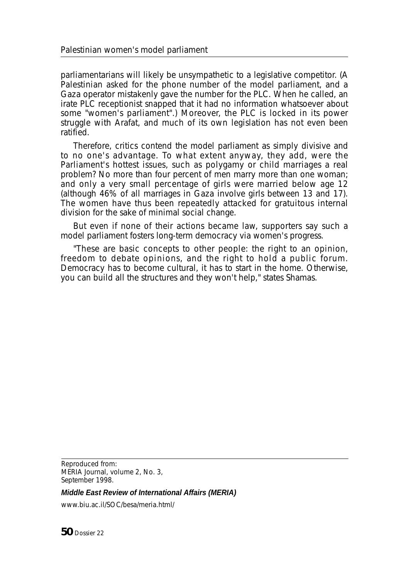parliamentarians will likely be unsympathetic to a legislative competitor. (A Palestinian asked for the phone number of the model parliament, and a Gaza operator mistakenly gave the number for the PLC. When he called, an irate PLC receptionist snapped that it had no information whatsoever about some "women's parliament".) Moreover, the PLC is locked in its power struggle with Arafat, and much of its own legislation has not even been ratified.

Therefore, critics contend the model parliament as simply divisive and to no one's advantage. To what extent anyway, they add, were the Parliament's hottest issues, such as polygamy or child marriages a real problem? No more than four percent of men marry more than one woman; and only a very small percentage of girls were married below age 12 (although 46% of all marriages in Gaza involve girls between 13 and 17). The women have thus been repeatedly attacked for gratuitous internal division for the sake of minimal social change.

But even if none of their actions became law, supporters say such a model parliament fosters long-term democracy via women's progress.

"These are basic concepts to other people: the right to an opinion, freedom to debate opinions, and the right to hold a public forum. Democracy has to become cultural, it has to start in the home. Otherwise, you can build all the structures and they won't help," states Shamas.

Reproduced from: MERIA Journal, volume 2, No. 3, September 1998.

**Middle East Review of International Affairs (MERIA)** 

www.biu.ac.il/SOC/besa/meria.html/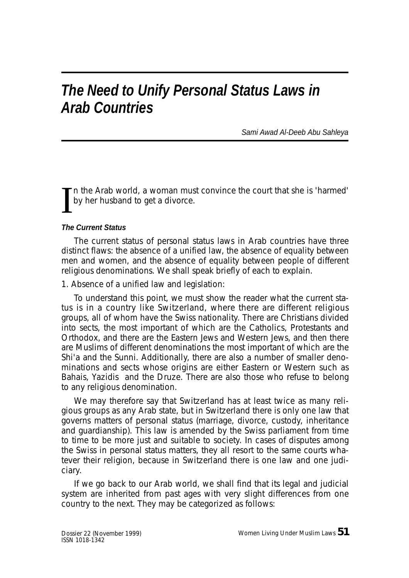# **The Need to Unify Personal Status Laws in Arab Countries**

Sami Awad Al-Deeb Abu Sahleya

I n the Arab world, a woman must convince the court that she is 'harmed' by her husband to get a divorce.

### **The Current Status**

The current status of personal status laws in Arab countries have three distinct flaws: the absence of a unified law, the absence of equality between men and women, and the absence of equality between people of different religious denominations. We shall speak briefly of each to explain.

## *1. Absence of a unified law and legislation:*

To understand this point, we must show the reader what the current status is in a country like Switzerland, where there are different religious groups, all of whom have the Swiss nationality. There are Christians divided into sects, the most important of which are the Catholics, Protestants and Orthodox, and there are the Eastern Jews and Western Jews, and then there are Muslims of different denominations the most important of which are the *Shi'a* and the *Sunni*. Additionally, there are also a number of smaller denominations and sects whose origins are either Eastern or Western such as *Bahais*, *Yazidis* and the *Druze*. There are also those who refuse to belong to any religious denomination.

We may therefore say that Switzerland has at least twice as many religious groups as any Arab state, but in Switzerland there is only one law that governs matters of personal status (marriage, divorce, custody, inheritance and guardianship). This law is amended by the Swiss parliament from time to time to be more just and suitable to society. In cases of disputes among the Swiss in personal status matters, they all resort to the same courts whatever their religion, because in Switzerland there is one law and one judiciary.

If we go back to our Arab world, we shall find that its legal and judicial system are inherited from past ages with very slight differences from one country to the next. They may be categorized as follows: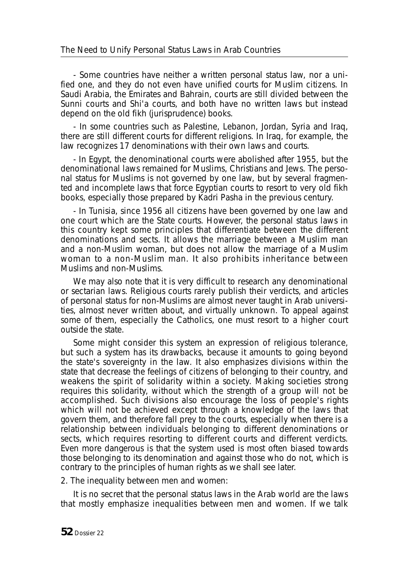- Some countries have neither a written personal status law, nor a unified one, and they do not even have unified courts for Muslim citizens. In Saudi Arabia, the Emirates and Bahrain, courts are still divided between the *Sunni* courts and Shi'a courts, and both have no written laws but instead depend on the old *fikh* (jurisprudence) books.

- In some countries such as Palestine, Lebanon, Jordan, Syria and Iraq, there are still different courts for different religions. In Iraq, for example, the law recognizes 17 denominations with their own laws and courts.

- In Egypt, the denominational courts were abolished after 1955, but the denominational laws remained for Muslims, Christians and Jews. The personal status for Muslims is not governed by one law, but by several fragmented and incomplete laws that force Egyptian courts to resort to very old *fikh* books, especially those prepared by Kadri Pasha in the previous century.

- In Tunisia, since 1956 all citizens have been governed by one law and one court which are the State courts. However, the personal status laws in this country kept some principles that differentiate between the different denominations and sects. It allows the marriage between a Muslim man and a non-Muslim woman, but does not allow the marriage of a Muslim woman to a non-Muslim man. It also prohibits inheritance between Muslims and non-Muslims.

We may also note that it is very difficult to research any denominational or sectarian laws. Religious courts rarely publish their verdicts, and articles of personal status for non-Muslims are almost never taught in Arab universities, almost never written about, and virtually unknown. To appeal against some of them, especially the Catholics, one must resort to a higher court outside the state.

Some might consider this system an expression of religious tolerance, but such a system has its drawbacks, because it amounts to going beyond the state's sovereignty in the law. It also emphasizes divisions within the state that decrease the feelings of citizens of belonging to their country, and weakens the spirit of solidarity within a society. Making societies strong requires this solidarity, without which the strength of a group will not be accomplished. Such divisions also encourage the loss of people's rights which will not be achieved except through a knowledge of the laws that govern them, and therefore fall prey to the courts, especially when there is a relationship between individuals belonging to different denominations or sects, which requires resorting to different courts and different verdicts. Even more dangerous is that the system used is most often biased towards those belonging to its denomination and against those who do not, which is contrary to the principles of human rights as we shall see later.

## *2. The inequality between men and women:*

It is no secret that the personal status laws in the Arab world are the laws that mostly emphasize inequalities between men and women. If we talk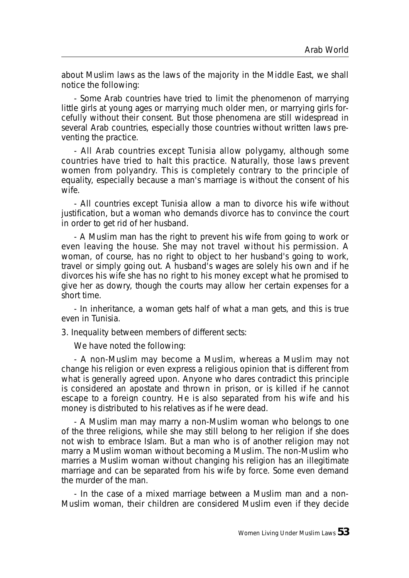about Muslim laws as the laws of the majority in the Middle East, we shall notice the following:

- Some Arab countries have tried to limit the phenomenon of marrying little girls at young ages or marrying much older men, or marrying girls forcefully without their consent. But those phenomena are still widespread in several Arab countries, especially those countries without written laws preventing the practice.

- All Arab countries except Tunisia allow polygamy, although some countries have tried to halt this practice. Naturally, those laws prevent women from polyandry. This is completely contrary to the principle of equality, especially because a man's marriage is without the consent of his wife.

- All countries except Tunisia allow a man to divorce his wife without justification, but a woman who demands divorce has to convince the court in order to get rid of her husband.

- A Muslim man has the right to prevent his wife from going to work or even leaving the house. She may not travel without his permission. A woman, of course, has no right to object to her husband's going to work, travel or simply going out. A husband's wages are solely his own and if he divorces his wife she has no right to his money except what he promised to give her as dowry, though the courts may allow her certain expenses for a short time.

- In inheritance, a woman gets half of what a man gets, and this is true even in Tunisia.

*3. Inequality between members of different sects:*

We have noted the following:

- A non-Muslim may become a Muslim, whereas a Muslim may not change his religion or even express a religious opinion that is different from what is generally agreed upon. Anyone who dares contradict this principle is considered an apostate and thrown in prison, or is killed if he cannot escape to a foreign country. He is also separated from his wife and his money is distributed to his relatives as if he were dead.

- A Muslim man may marry a non-Muslim woman who belongs to one of the three religions, while she may still belong to her religion if she does not wish to embrace Islam. But a man who is of another religion may not marry a Muslim woman without becoming a Muslim. The non-Muslim who marries a Muslim woman without changing his religion has an illegitimate marriage and can be separated from his wife by force. Some even demand the murder of the man.

- In the case of a mixed marriage between a Muslim man and a non-Muslim woman, their children are considered Muslim even if they decide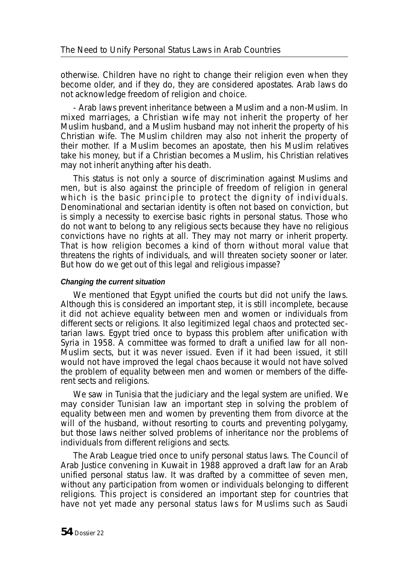otherwise. Children have no right to change their religion even when they become older, and if they do, they are considered apostates. Arab laws do not acknowledge freedom of religion and choice.

- Arab laws prevent inheritance between a Muslim and a non-Muslim. In mixed marriages, a Christian wife may not inherit the property of her Muslim husband, and a Muslim husband may not inherit the property of his Christian wife. The Muslim children may also not inherit the property of their mother. If a Muslim becomes an apostate, then his Muslim relatives take his money, but if a Christian becomes a Muslim, his Christian relatives may not inherit anything after his death.

This status is not only a source of discrimination against Muslims and men, but is also against the principle of freedom of religion in general which is the basic principle to protect the dignity of individuals. Denominational and sectarian identity is often not based on conviction, but is simply a necessity to exercise basic rights in personal status. Those who do not want to belong to any religious sects because they have no religious convictions have no rights at all. They may not marry or inherit property. That is how religion becomes a kind of thorn without moral value that threatens the rights of individuals, and will threaten society sooner or later. But how do we get out of this legal and religious impasse?

## **Changing the current situation**

We mentioned that Egypt unified the courts but did not unify the laws. Although this is considered an important step, it is still incomplete, because it did not achieve equality between men and women or individuals from different sects or religions. It also legitimized legal chaos and protected sectarian laws. Egypt tried once to bypass this problem after unification with Syria in 1958. A committee was formed to draft a unified law for all non-Muslim sects, but it was never issued. Even if it had been issued, it still would not have improved the legal chaos because it would not have solved the problem of equality between men and women or members of the different sects and religions.

We saw in Tunisia that the judiciary and the legal system are unified. We may consider Tunisian law an important step in solving the problem of equality between men and women by preventing them from divorce at the will of the husband, without resorting to courts and preventing polygamy, but those laws neither solved problems of inheritance nor the problems of individuals from different religions and sects.

The Arab League tried once to unify personal status laws. The Council of Arab Justice convening in Kuwait in 1988 approved a draft law for an Arab unified personal status law. It was drafted by a committee of seven men, without any participation from women or individuals belonging to different religions. This project is considered an important step for countries that have not yet made any personal status laws for Muslims such as Saudi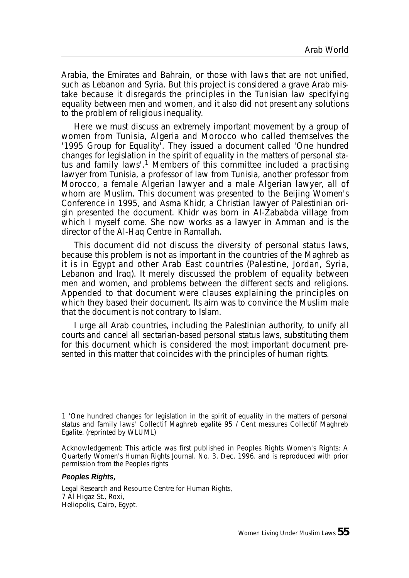Arabia, the Emirates and Bahrain, or those with laws that are not unified, such as Lebanon and Syria. But this project is considered a grave Arab mistake because it disregards the principles in the Tunisian law specifying equality between men and women, and it also did not present any solutions to the problem of religious inequality.

Here we must discuss an extremely important movement by a group of women from Tunisia, Algeria and Morocco who called themselves the '1995 Group for Equality'. They issued a document called 'One hundred changes for legislation in the spirit of equality in the matters of personal status and family laws'.<sup>1</sup> Members of this committee included a practising lawyer from Tunisia, a professor of law from Tunisia, another professor from Morocco, a female Algerian lawyer and a male Algerian lawyer, all of whom are Muslim. This document was presented to the Beijing Women's Conference in 1995, and Asma Khidr, a Christian lawyer of Palestinian origin presented the document. Khidr was born in Al-Zababda village from which I myself come. She now works as a lawyer in Amman and is the director of the Al-Haq Centre in Ramallah.

This document did not discuss the diversity of personal status laws, because this problem is not as important in the countries of the Maghreb as it is in Egypt and other Arab East countries (Palestine, Jordan, Syria, Lebanon and Iraq). It merely discussed the problem of equality between men and women, and problems between the different sects and religions. Appended to that document were clauses explaining the principles on which they based their document. Its aim was to convince the Muslim male that the document is not contrary to Islam.

I urge all Arab countries, including the Palestinian authority, to unify all courts and cancel all sectarian-based personal status laws, substituting them for this document which is considered the most important document presented in this matter that coincides with the principles of human rights.

1 'One hundred changes for legislation in the spirit of equality in the matters of personal status and family laws' Collectif Maghreb egalité 95 / Cent messures Collectif Maghreb Egalite. (reprinted by WLUML)

#### **Peoples Rights,**

Legal Research and Resource Centre for Human Rights, 7 Al Higaz St., Roxi, Heliopolis, Cairo, Egypt.

Acknowledgement: This article was first published in *Peoples Rights Women's Rights: A Quarterly Women's Human Rights Journal.* No. 3. Dec. 1996. and is reproduced with prior permission from the Peoples rights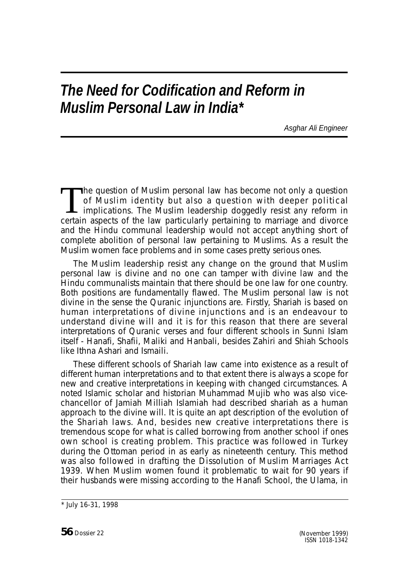# **The Need for Codification and Reform in Muslim Personal Law in India\***

Asghar Ali Engineer

The question of Muslim personal law has become not only a question<br>of Muslim identity but also a question with deeper political<br>implications. The Muslim leadership doggedly resist any reform in<br>cortain aspects of the law p of Muslim identity but also a question with deeper political certain aspects of the law particularly pertaining to marriage and divorce and the Hindu communal leadership would not accept anything short of complete abolition of personal law pertaining to Muslims. As a result the Muslim women face problems and in some cases pretty serious ones.

The Muslim leadership resist any change on the ground that Muslim personal law is divine and no one can tamper with divine law and the Hindu communalists maintain that there should be one law for one country. Both positions are fundamentally flawed. The Muslim personal law is not divine in the sense the Quranic injunctions are. Firstly, Shariah is based on human interpretations of divine injunctions and is an endeavour to understand divine will and it is for this reason that there are several interpretations of Quranic verses and four different schools in Sunni Islam itself - Hanafi, Shafii, Maliki and Hanbali, besides Zahiri and Shiah Schools like Ithna Ashari and Ismaili.

These different schools of Shariah law came into existence as a result of different human interpretations and to that extent there is always a scope for new and creative interpretations in keeping with changed circumstances. A noted Islamic scholar and historian Muhammad Mujib who was also vicechancellor of Jamiah Milliah Islamiah had described shariah as a human approach to the divine will. It is quite an apt description of the evolution of the Shariah laws. And, besides new creative interpretations there is tremendous scope for what is called borrowing from another school if ones own school is creating problem. This practice was followed in Turkey during the Ottoman period in as early as nineteenth century. This method was also followed in drafting the Dissolution of Muslim Marriages Act 1939. When Muslim women found it problematic to wait for 90 years if their husbands were missing according to the Hanafi School, the Ulama, in

 $*$  July 16-31, 1998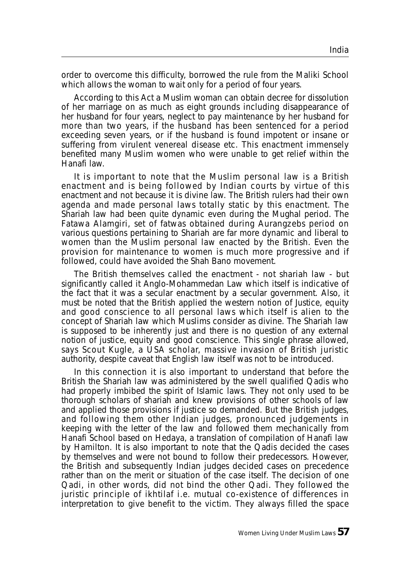order to overcome this difficulty, borrowed the rule from the Maliki School which allows the woman to wait only for a period of four years.

According to this Act a Muslim woman can obtain decree for dissolution of her marriage on as much as eight grounds including disappearance of her husband for four years, neglect to pay maintenance by her husband for more than two years, if the husband has been sentenced for a period exceeding seven years, or if the husband is found impotent or insane or suffering from virulent venereal disease etc. This enactment immensely benefited many Muslim women who were unable to get relief within the Hanafi law.

It is important to note that the Muslim personal law is a British enactment and is being followed by Indian courts by virtue of this enactment and not because it is divine law. The British rulers had their own agenda and made personal laws totally static by this enactment. The Shariah law had been quite dynamic even during the Mughal period. The Fatawa Alamgiri, set of fatwas obtained during Aurangzebs period on various questions pertaining to Shariah are far more dynamic and liberal to women than the Muslim personal law enacted by the British. Even the provision for maintenance to women is much more progressive and if followed, could have avoided the Shah Bano movement.

The British themselves called the enactment - not shariah law - but significantly called it Anglo-Mohammedan Law which itself is indicative of the fact that it was a secular enactment by a secular government. Also, it must be noted that the British applied the western notion of Justice, equity and good conscience to all personal laws which itself is alien to the concept of Shariah law which Muslims consider as divine. The Shariah law is supposed to be inherently just and there is no question of any external notion of justice, equity and good conscience. This single phrase allowed, says Scout Kugle, a USA scholar, massive invasion of British juristic authority, despite caveat that English law itself was not to be introduced.

In this connection it is also important to understand that before the British the Shariah law was administered by the swell qualified Qadis who had properly imbibed the spirit of Islamic laws. They not only used to be thorough scholars of shariah and knew provisions of other schools of law and applied those provisions if justice so demanded. But the British judges, and following them other Indian judges, pronounced judgements in keeping with the letter of the law and followed them mechanically from Hanafi School based on Hedaya, a translation of compilation of Hanafi law by Hamilton. It is also important to note that the Qadis decided the cases by themselves and were not bound to follow their predecessors. However, the British and subsequently Indian judges decided cases on precedence rather than on the merit or situation of the case itself. The decision of one Qadi, in other words, did not bind the other Qadi. They followed the juristic principle of ikhtilaf i.e. mutual co-existence of differences in interpretation to give benefit to the victim. They always filled the space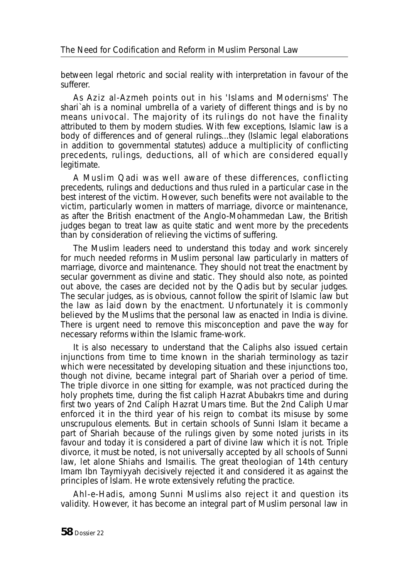between legal rhetoric and social reality with interpretation in favour of the sufferer.

As Aziz al-Azmeh points out in his 'Islams and Modernisms' The shari`ah is a nominal umbrella of a variety of different things and is by no means univocal. The majority of its rulings do not have the finality attributed to them by modern studies. With few exceptions, Islamic law is a body of differences and of general rulings...they (Islamic legal elaborations in addition to governmental statutes) adduce a multiplicity of conflicting precedents, rulings, deductions, all of which are considered equally legitimate.

A Muslim Qadi was well aware of these differences, conflicting precedents, rulings and deductions and thus ruled in a particular case in the best interest of the victim. However, such benefits were not available to the victim, particularly women in matters of marriage, divorce or maintenance, as after the British enactment of the Anglo-Mohammedan Law, the British judges began to treat law as quite static and went more by the precedents than by consideration of relieving the victims of suffering.

The Muslim leaders need to understand this today and work sincerely for much needed reforms in Muslim personal law particularly in matters of marriage, divorce and maintenance. They should not treat the enactment by secular government as divine and static. They should also note, as pointed out above, the cases are decided not by the Qadis but by secular judges. The secular judges, as is obvious, cannot follow the spirit of Islamic law but the law as laid down by the enactment. Unfortunately it is commonly believed by the Muslims that the personal law as enacted in India is divine. There is urgent need to remove this misconception and pave the way for necessary reforms within the Islamic frame-work.

It is also necessary to understand that the Caliphs also issued certain injunctions from time to time known in the shariah terminology as tazir which were necessitated by developing situation and these injunctions too, though not divine, became integral part of Shariah over a period of time. The triple divorce in one sitting for example, was not practiced during the holy prophets time, during the fist caliph Hazrat Abubakrs time and during first two years of 2nd Caliph Hazrat Umars time. But the 2nd Caliph Umar enforced it in the third year of his reign to combat its misuse by some unscrupulous elements. But in certain schools of Sunni Islam it became a part of Shariah because of the rulings given by some noted jurists in its favour and today it is considered a part of divine law which it is not. Triple divorce, it must be noted, is not universally accepted by all schools of Sunni law, let alone Shiahs and Ismailis. The great theologian of 14th century Imam Ibn Taymiyyah decisively rejected it and considered it as against the principles of Islam. He wrote extensively refuting the practice.

Ahl-e-Hadis, among Sunni Muslims also reject it and question its validity. However, it has become an integral part of Muslim personal law in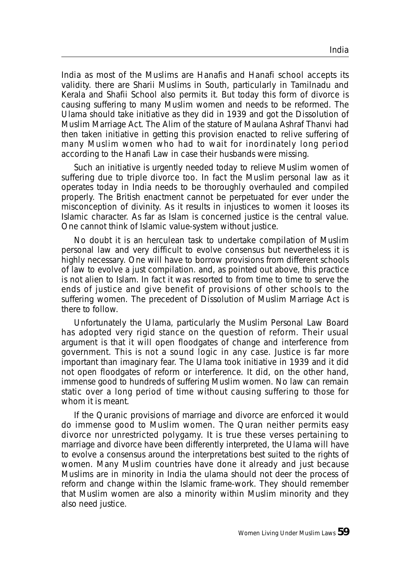India as most of the Muslims are Hanafis and Hanafi school accepts its validity. there are Sharii Muslims in South, particularly in Tamilnadu and Kerala and Shafii School also permits it. But today this form of divorce is causing suffering to many Muslim women and needs to be reformed. The Ulama should take initiative as they did in 1939 and got the Dissolution of Muslim Marriage Act. The Alim of the stature of Maulana Ashraf Thanvi had then taken initiative in getting this provision enacted to relive suffering of many Muslim women who had to wait for inordinately long period according to the Hanafi Law in case their husbands were missing.

Such an initiative is urgently needed today to relieve Muslim women of suffering due to triple divorce too. In fact the Muslim personal law as it operates today in India needs to be thoroughly overhauled and compiled properly. The British enactment cannot be perpetuated for ever under the misconception of divinity. As it results in injustices to women it looses its Islamic character. As far as Islam is concerned justice is the central value. One cannot think of Islamic value-system without justice.

No doubt it is an herculean task to undertake compilation of Muslim personal law and very difficult to evolve consensus but nevertheless it is highly necessary. One will have to borrow provisions from different schools of law to evolve a just compilation. and, as pointed out above, this practice is not alien to Islam. In fact it was resorted to from time to time to serve the ends of justice and give benefit of provisions of other schools to the suffering women. The precedent of Dissolution of Muslim Marriage Act is there to follow.

Unfortunately the Ulama, particularly the Muslim Personal Law Board has adopted very rigid stance on the question of reform. Their usual argument is that it will open floodgates of change and interference from government. This is not a sound logic in any case. Justice is far more important than imaginary fear. The Ulama took initiative in 1939 and it did not open floodgates of reform or interference. It did, on the other hand, immense good to hundreds of suffering Muslim women. No law can remain static over a long period of time without causing suffering to those for whom it is meant.

If the Quranic provisions of marriage and divorce are enforced it would do immense good to Muslim women. The Quran neither permits easy divorce nor unrestricted polygamy. It is true these verses pertaining to marriage and divorce have been differently interpreted, the Ulama will have to evolve a consensus around the interpretations best suited to the rights of women. Many Muslim countries have done it already and just because Muslims are in minority in India the ulama should not deer the process of reform and change within the Islamic frame-work. They should remember that Muslim women are also a minority within Muslim minority and they also need justice.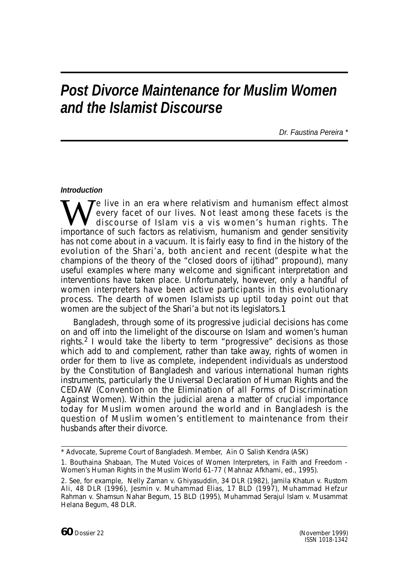## **Post Divorce Maintenance for Muslim Women and the Islamist Discourse**

Dr. Faustina Pereira \*

### **Introduction**

We live in an era where relativism and humanism effect almost<br>every facet of our lives. Not least among these facets is the<br>importance of such factors as relativism humanism and gender sensitivity every facet of our lives. Not least among these facets is the discourse of Islam vis a vis women's human rights. The importance of such factors as relativism, humanism and gender sensitivity has not come about in a vacuum. It is fairly easy to find in the history of the evolution of the Shari'a, both ancient and recent (despite what the champions of the theory of the "closed doors of ijtihad" propound), many useful examples where many welcome and significant interpretation and interventions have taken place. Unfortunately, however, only a handful of women interpreters have been active participants in this evolutionary process. The dearth of women Islamists up uptil today point out that women are the subject of the Shari'a but not its legislators.1

Bangladesh, through some of its progressive judicial decisions has come on and off into the limelight of the discourse on Islam and women's human rights.<sup>2</sup> I would take the liberty to term "progressive" decisions as those which add to and complement, rather than take away, rights of women in order for them to live as complete, independent individuals as understood by the Constitution of Bangladesh and various international human rights instruments, particularly the Universal Declaration of Human Rights and the CEDAW (Convention on the Elimination of all Forms of Discrimination Against Women). Within the judicial arena a matter of crucial importance today for Muslim women around the world and in Bangladesh is the question of Muslim women's entitlement to maintenance from their husbands after their divorce.

<sup>\*</sup> Advocate, Supreme Court of Bangladesh. Member, Ain O Salish Kendra (ASK)

<sup>1.</sup> Bouthaina Shabaan, *The Muted Voices of Women Interpreters,* in Faith and Freedom - Women's Human Rights in the Muslim World 61-77 ( Mahnaz Afkhami, ed., 1995).

<sup>2.</sup> See, for example, Nelly Zaman v. Ghiyasuddin, 34 DLR (1982), Jamila Khatun v. Rustom Ali, 48 DLR (1996), Jesmin v. Muhammad Elias, 17 BLD (1997), Muhammad Hefzur Rahman v. Shamsun Nahar Begum, 15 BLD (1995), Muhammad Serajul Islam v. Musammat Helana Begum, 48 DLR.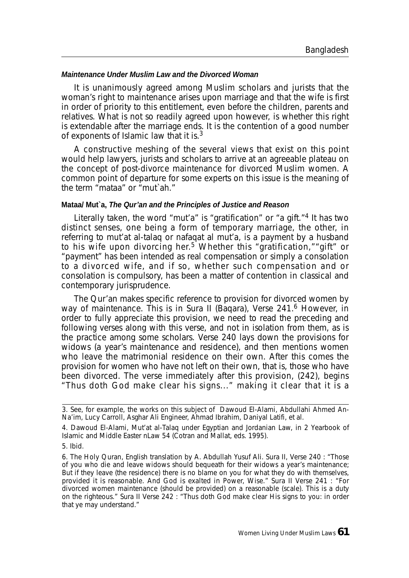### **Maintenance Under Muslim Law and the Divorced Woman**

It is unanimously agreed among Muslim scholars and jurists that the woman's right to maintenance arises upon marriage and that the wife is first in order of priority to this entitlement, even before the children, parents and relatives. What is not so readily agreed upon however, is whether this right is extendable after the marriage ends. It is the contention of a good number of exponents of Islamic law that it is.<sup>3</sup>

A constructive meshing of the several views that exist on this point would help lawyers, jurists and scholars to arrive at an agreeable plateau on the concept of post-divorce maintenance for divorced Muslim women. A common point of departure for some experts on this issue is the meaning of the term "mataa" or "mut`ah."

### **Mataa/ Mut`a, The Qur'an and the Principles of Justice and Reason**

Literally taken, the word "mut'a" is "gratification" or "a gift."<sup>4</sup> It has two distinct senses, one being a form of temporary marriage, the other, in referring to *mut'at al-talaq* or *nafaqat al mut'a*, is a payment by a husband to his wife upon divorcing her.<sup>5</sup> Whether this "gratification," "gift" or "payment" has been intended as real compensation or simply a consolation to a divorced wife, and if so, whether such compensation and or consolation is compulsory, has been a matter of contention in classical and contemporary jurisprudence.

The Qur'an makes specific reference to provision for divorced women by way of maintenance. This is in Sura II (Bagara), Verse 241.<sup>6</sup> However, in order to fully appreciate this provision, we need to read the preceding and following verses along with this verse, and not in isolation from them, as is the practice among some scholars. Verse 240 lays down the provisions for widows (a year's maintenance and residence), and then mentions women who leave the matrimonial residence on their own. After this comes the provision for women who have not left on their own, that is, those who have been divorced. The verse immediately after this provision, (242), begins "Thus doth God make clear his signs..." making it clear that it is a

<sup>3.</sup> See, for example, the works on this subject of Dawoud El-Alami, Abdullahi Ahmed An-Na'im, Lucy Carroll, Asghar Ali Engineer, Ahmad Ibrahim, Daniyal Latifi, et al.

<sup>4.</sup> Dawoud El-Alami, *Mut'at al-Talaq under Egyptian and Jordanian Law,* in 2 Yearbook of Islamic and Middle Easter nLaw 54 (Cotran and Mallat, eds. 1995).

<sup>5.</sup> *Ibid.*

<sup>6.</sup> The Holy Quran, English translation by A. Abdullah Yusuf Ali. Sura II, Verse 240 : "Those of you who die and leave widows should bequeath for their widows a year's maintenance; But if they leave (the residence) there is no blame on you for what they do with themselves, provided it is reasonable. And God is exalted in Power, Wise." Sura II Verse 241 : "For divorced women maintenance (should be provided) on a reasonable (scale). This is a duty on the righteous." Sura II Verse 242 : "Thus doth God make clear His signs to you: in order that ye may understand."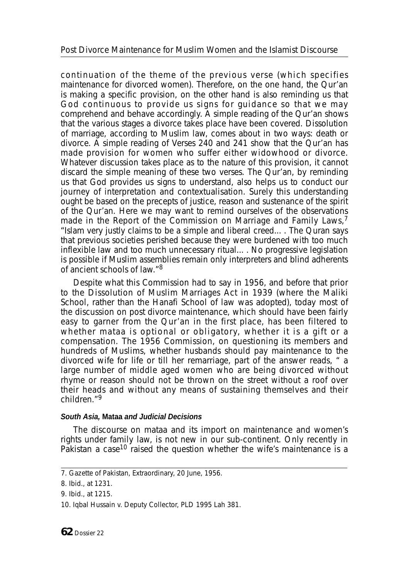continuation of the theme of the previous verse (which specifies maintenance for divorced women). Therefore, on the one hand, the Qur'an is making a specific provision, on the other hand is also reminding us that God continuous to provide us signs for guidance so that we may comprehend and behave accordingly. A simple reading of the Qur'an shows that the various stages a divorce takes place have been covered. Dissolution of marriage, according to Muslim law, comes about in two ways: death or divorce. A simple reading of Verses 240 and 241 show that the Qur'an has made provision for women who suffer either widowhood or divorce. Whatever discussion takes place as to the nature of this provision, it cannot discard the simple meaning of these two verses. The Qur'an, by reminding us that God provides us signs to understand, also helps us to conduct our journey of interpretation and contextualisation. Surely this understanding ought be based on the precepts of justice, reason and sustenance of the spirit of the Qur'an. Here we may want to remind ourselves of the observations made in the Report of the Commission on Marriage and Family Laws,<sup>7</sup> "Islam very justly claims to be a simple and liberal creed... . The Quran says that previous societies perished because they were burdened with too much inflexible law and too much unnecessary ritual... . No progressive legislation is possible if Muslim assemblies remain only interpreters and blind adherents of ancient schools of law."8

Despite what this Commission had to say in 1956, and before that prior to the Dissolution of Muslim Marriages Act in 1939 (where the Maliki School, rather than the Hanafi School of law was adopted), today most of the discussion on post divorce maintenance, which should have been fairly easy to garner from the Qur'an in the first place, has been filtered to whether *mataa* is optional or obligatory, whether it is a gift or a compensation. The 1956 Commission, on questioning its members and hundreds of Muslims, whether husbands should pay maintenance to the divorced wife for life or till her remarriage, part of the answer reads, " a large number of middle aged women who are being divorced without rhyme or reason should not be thrown on the street without a roof over their heads and without any means of sustaining themselves and their children."9

## **South Asia, Mataa and Judicial Decisions**

The discourse on *mataa* and its import on maintenance and women's rights under family law, is not new in our sub-continent. Only recently in Pakistan a case<sup>10</sup> raised the question whether the wife's maintenance is a

<sup>7.</sup> Gazette of Pakistan, Extraordinary, 20 June, 1956.

<sup>8.</sup> *Ibid.*, at 1231.

<sup>9.</sup> *Ibid.,* at 1215.

<sup>10.</sup> Iqbal Hussain v. Deputy Collector, PLD 1995 Lah 381.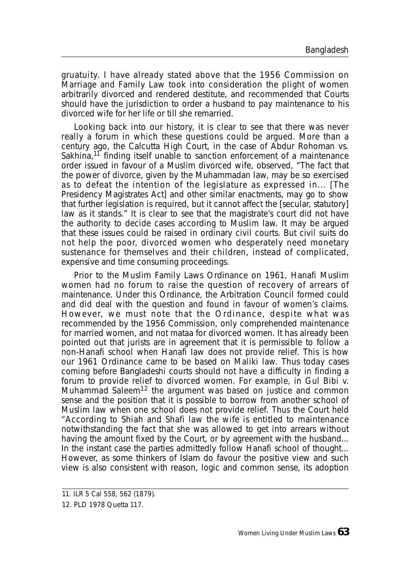gruatuity. I have already stated above that the 1956 Commission on Marriage and Family Law took into consideration the plight of women arbitrarily divorced and rendered destitute, and recommended that Courts should have the jurisdiction to order a husband to pay maintenance to his divorced wife for her life or till she remarried.

Looking back into our history, it is clear to see that there was never really a forum in which these questions could be argued. More than a century ago, the Calcutta High Court, in the case of Abdur Rohoman vs. Sakhina,<sup>11</sup> finding itself unable to sanction enforcement of a maintenance order issued in favour of a Muslim divorced wife, observed, "The fact that the power of divorce, given by the Muhammadan law, may be so exercised as to defeat the intention of the legislature as expressed in... [The Presidency Magistrates Act] and other similar enactments, may go to show that further legislation is required, but it cannot affect the [secular, statutory] law as it stands." It is clear to see that the magistrate's court did not have the authority to decide cases according to Muslim law. It may be argued that these issues could be raised in ordinary civil courts. But civil suits do not help the poor, divorced women who desperately need monetary sustenance for themselves and their children, instead of complicated, expensive and time consuming proceedings.

Prior to the Muslim Family Laws Ordinance on 1961, Hanafi Muslim women had no forum to raise the question of recovery of arrears of maintenance. Under this Ordinance, the Arbitration Council formed could and did deal with the question and found in favour of women's claims. However, we must note that the Ordinance, despite what was recommended by the 1956 Commission, only comprehended maintenance for married women, and not mataa for divorced women. It has already been pointed out that jurists are in agreement that it is permissible to follow a non-Hanafi school when Hanafi law does not provide relief. This is how our 1961 Ordinance came to be based on Maliki law. Thus today cases coming before Bangladeshi courts should not have a difficulty in finding a forum to provide relief to divorced women. For example, in Gul Bibi v. Muhammad Saleem<sup>12</sup> the argument was based on justice and common sense and the position that it is possible to borrow from another school of Muslim law when one school does not provide relief. Thus the Court held "According to Shiah and Shafi law the wife is entitled to maintenance notwithstanding the fact that she was allowed to get into arrears without having the amount fixed by the Court, or by agreement with the husband... In the instant case the parties admittedly follow Hanafi school of thought... However, as some thinkers of Islam do favour the positive view and such view is also consistent with reason, logic and common sense, its adoption

<sup>11.</sup> ILR 5 Cal 558, 562 (1879).

<sup>12.</sup> PLD 1978 Quetta 117.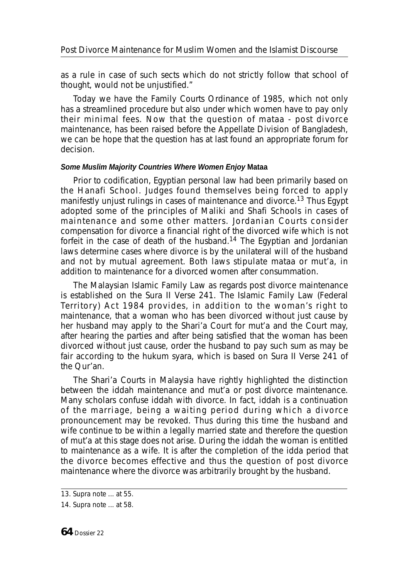as a rule in case of such sects which do not strictly follow that school of thought, would not be unjustified."

Today we have the Family Courts Ordinance of 1985, which not only has a streamlined procedure but also under which women have to pay only their minimal fees. Now that the question of mataa - post divorce maintenance, has been raised before the Appellate Division of Bangladesh, we can be hope that the question has at last found an appropriate forum for decision.

## **Some Muslim Majority Countries Where Women Enjoy Mataa**

Prior to codification, Egyptian personal law had been primarily based on the Hanafi School. Judges found themselves being forced to apply manifestly unjust rulings in cases of maintenance and divorce.<sup>13</sup> Thus Egypt adopted some of the principles of Maliki and Shafi Schools in cases of maintenance and some other matters. Jordanian Courts consider compensation for divorce a financial right of the divorced wife which is not forfeit in the case of death of the husband.<sup>14</sup> The Egyptian and Jordanian laws determine cases where divorce is by the unilateral will of the husband and not by mutual agreement. Both laws stipulate *mataa* or *mut'a*, in addition to maintenance for a divorced women after consummation.

The Malaysian Islamic Family Law as regards post divorce maintenance is established on the Sura II Verse 241. The Islamic Family Law (Federal Territory) Act 1984 provides, in addition to the woman's right to maintenance, that a woman who has been divorced without just cause by her husband may apply to the Shari'a Court for mut'a and the Court may, after hearing the parties and after being satisfied that the woman has been divorced without just cause, order the husband to pay such sum as may be fair according to the *hukum syara*, which is based on Sura II Verse 241 of the Qur'an.

The Shari'a Courts in Malaysia have rightly highlighted the distinction between the iddah maintenance and mut'a or post divorce maintenance. Many scholars confuse iddah with divorce. In fact, iddah is a continuation of the marriage, being a waiting period during which a divorce pronouncement may be revoked. Thus during this time the husband and wife continue to be within a legally married state and therefore the question of mut'a at this stage does not arise. During the iddah the woman is entitled to maintenance as a wife. It is after the completion of the idda period that the divorce becomes effective and thus the question of post divorce maintenance where the divorce was arbitrarily brought by the husband.

<sup>13.</sup> Supra note ... at 55.

<sup>14.</sup> Supra note ... at 58.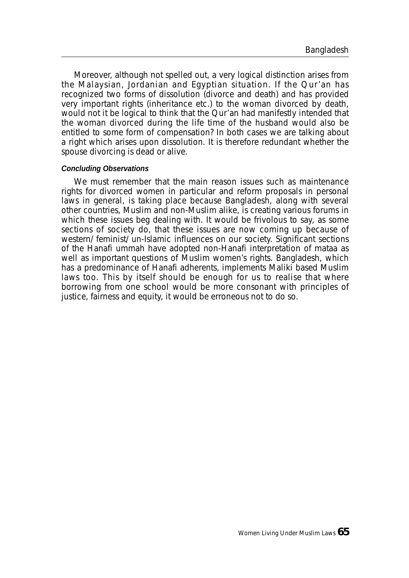Moreover, although not spelled out, a very logical distinction arises from the Malaysian, Jordanian and Egyptian situation. If the Qur'an has recognized two forms of dissolution (divorce and death) and has provided very important rights (inheritance etc.) to the woman divorced by death, would not it be logical to think that the Qur'an had manifestly intended that the woman divorced during the life time of the husband would also be entitled to some form of compensation? In both cases we are talking about a right which arises upon dissolution. It is therefore redundant whether the spouse divorcing is dead or alive.

### **Concluding Observations**

We must remember that the main reason issues such as maintenance rights for divorced women in particular and reform proposals in personal laws in general, is taking place because Bangladesh, along with several other countries, Muslim and non-Muslim alike, is creating various forums in which these issues beg dealing with. It would be frivolous to say, as some sections of society do, that these issues are now coming up because of western/ feminist/ un-Islamic influences on our society. Significant sections of the Hanafi ummah have adopted non-Hanafi interpretation of *mataa* as well as important questions of Muslim women's rights. Bangladesh, which has a predominance of Hanafi adherents, implements Maliki based Muslim laws too. This by itself should be enough for us to realise that where borrowing from one school would be more consonant with principles of justice, fairness and equity, it would be erroneous not to do so.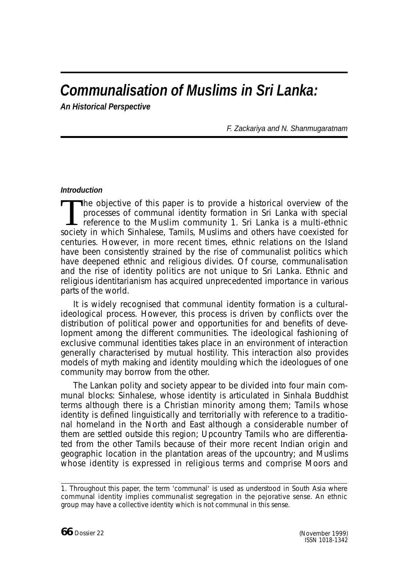# **Communalisation of Muslims in Sri Lanka:**

**An Historical Perspective**

F. Zackariya and N. Shanmugaratnam

## **Introduction**

The objective of this paper is to provide a historical overview of the<br>processes of communal identity formation in Sri Lanka with special<br>reference to the Muslim community 1. Sri Lanka is a multi-ethnic<br>society in which Si processes of communal identity formation in Sri Lanka with special reference to the Muslim community 1. Sri Lanka is a multi-ethnic society in which Sinhalese, Tamils, Muslims and others have coexisted for centuries. However, in more recent times, ethnic relations on the Island have been consistently strained by the rise of communalist politics which have deepened ethnic and religious divides. Of course, communalisation and the rise of identity politics are not unique to Sri Lanka. Ethnic and religious identitarianism has acquired unprecedented importance in various parts of the world.

It is widely recognised that communal identity formation is a culturalideological process. However, this process is driven by conflicts over the distribution of political power and opportunities for and benefits of development among the different communities. The ideological fashioning of exclusive communal identities takes place in an environment of interaction generally characterised by mutual hostility. This interaction also provides models of myth making and identity moulding which the ideologues of one community may borrow from the other.

The Lankan polity and society appear to be divided into four main communal blocks: Sinhalese, whose identity is articulated in Sinhala Buddhist terms although there is a Christian minority among them; Tamils whose identity is defined linguistically and territorially with reference to a traditional homeland in the North and East although a considerable number of them are settled outside this region; Upcountry Tamils who are differentiated from the other Tamils because of their more recent Indian origin and geographic location in the plantation areas of the upcountry; and Muslims whose identity is expressed in religious terms and comprise Moors and

<sup>1.</sup> Throughout this paper, the term 'communal' is used as understood in South Asia where communal identity implies communalist segregation in the pejorative sense. An ethnic group may have a collective identity which is not communal in this sense.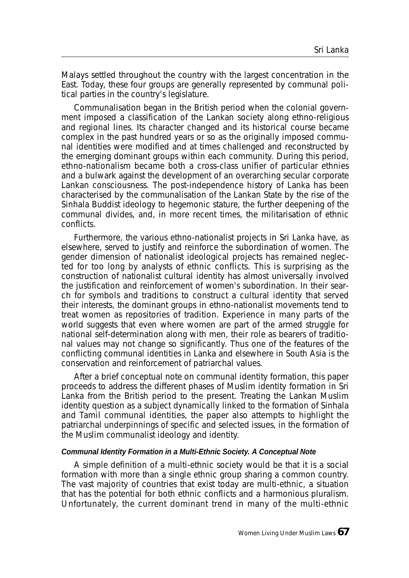Malays settled throughout the country with the largest concentration in the East. Today, these four groups are generally represented by communal political parties in the country's legislature.

Communalisation began in the British period when the colonial government imposed a classification of the Lankan society along ethno-religious and regional lines. Its character changed and its historical course became complex in the past hundred years or so as the originally imposed communal identities were modified and at times challenged and reconstructed by the emerging dominant groups within each community. During this period, ethno-nationalism became both a cross-class unifier of particular ethnies and a bulwark against the development of an overarching secular corporate Lankan consciousness. The post-independence history of Lanka has been characterised by the communalisation of the Lankan State by the rise of the Sinhala Buddist ideology to hegemonic stature, the further deepening of the communal divides, and, in more recent times, the militarisation of ethnic conflicts.

Furthermore, the various ethno-nationalist projects in Sri Lanka have, as elsewhere, served to justify and reinforce the subordination of women. The gender dimension of nationalist ideological projects has remained neglected for too long by analysts of ethnic conflicts. This is surprising as the construction of nationalist cultural identity has almost universally involved the justification and reinforcement of women's subordination. In their search for symbols and traditions to construct a cultural identity that served their interests, the dominant groups in ethno-nationalist movements tend to treat women as repositories of tradition. Experience in many parts of the world suggests that even where women are part of the armed struggle for national self-determination along with men, their role as bearers of traditional values may not change so significantly. Thus one of the features of the conflicting communal identities in Lanka and elsewhere in South Asia is the conservation and reinforcement of patriarchal values.

After a brief conceptual note on communal identity formation, this paper proceeds to address the different phases of Muslim identity formation in Sri Lanka from the British period to the present. Treating the Lankan Muslim identity question as a subject dynamically linked to the formation of Sinhala and Tamil communal identities, the paper also attempts to highlight the patriarchal underpinnings of specific and selected issues, in the formation of the Muslim communalist ideology and identity.

## **Communal Identity Formation in a Multi-Ethnic Society. A Conceptual Note**

A simple definition of a multi-ethnic society would be that it is a social formation with more than a single ethnic group sharing a common country. The vast majority of countries that exist today are multi-ethnic, a situation that has the potential for both ethnic conflicts and a harmonious pluralism. Unfortunately, the current dominant trend in many of the multi-ethnic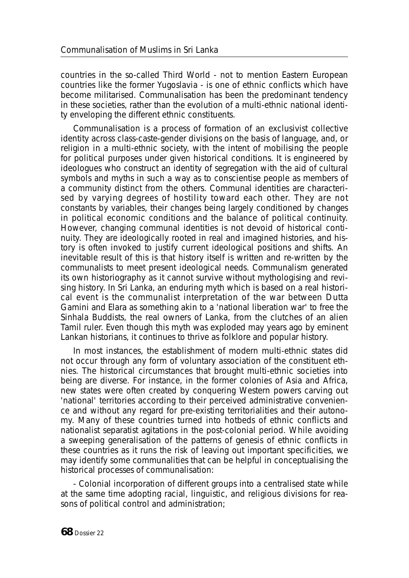countries in the so-called Third World - not to mention Eastern European countries like the former Yugoslavia - is one of ethnic conflicts which have become militarised. Communalisation has been the predominant tendency in these societies, rather than the evolution of a multi-ethnic national identity enveloping the different ethnic constituents.

Communalisation is a process of formation of an exclusivist collective identity across class-caste-gender divisions on the basis of language, and, or religion in a multi-ethnic society, with the intent of mobilising the people for political purposes under given historical conditions. It is engineered by ideologues who construct an identity of segregation with the aid of cultural symbols and myths in such a way as to conscientise people as members of a community distinct from the others. Communal identities are characterised by varying degrees of hostility toward each other. They are not constants by variables, their changes being largely conditioned by changes in political economic conditions and the balance of political continuity. However, changing communal identities is not devoid of historical continuity. They are ideologically rooted in real and imagined histories, and history is often invoked to justify current ideological positions and shifts. An inevitable result of this is that history itself is written and re-written by the communalists to meet present ideological needs. Communalism generated its own historiography as it cannot survive without mythologising and revising history. In Sri Lanka, an enduring myth which is based on a real historical event is the communalist interpretation of the war between Dutta Gamini and Elara as something akin to a 'national liberation war' to free the Sinhala Buddists, the real owners of Lanka, from the clutches of an alien Tamil ruler. Even though this myth was exploded may years ago by eminent Lankan historians, it continues to thrive as folklore and popular history.

In most instances, the establishment of modern multi-ethnic states did not occur through any form of voluntary association of the constituent ethnies. The historical circumstances that brought multi-ethnic societies into being are diverse. For instance, in the former colonies of Asia and Africa, new states were often created by conquering Western powers carving out 'national' territories according to their perceived administrative convenience and without any regard for pre-existing territorialities and their autonomy. Many of these countries turned into hotbeds of ethnic conflicts and nationalist separatist agitations in the post-colonial period. While avoiding a sweeping generalisation of the patterns of genesis of ethnic conflicts in these countries as it runs the risk of leaving out important specificities, we may identify some communalities that can be helpful in conceptualising the historical processes of communalisation:

- Colonial incorporation of different groups into a centralised state while at the same time adopting racial, linguistic, and religious divisions for reasons of political control and administration;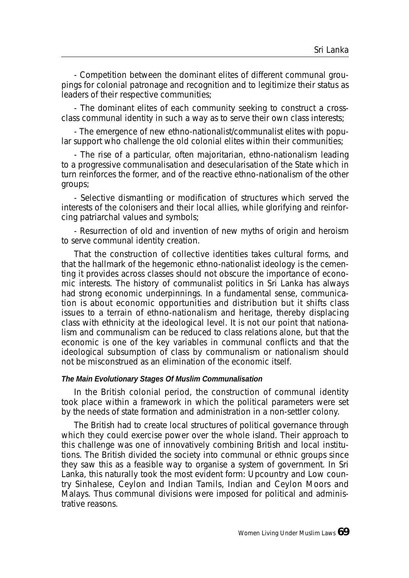- Competition between the dominant elites of different communal groupings for colonial patronage and recognition and to legitimize their status as leaders of their respective communities;

- The dominant elites of each community seeking to construct a crossclass communal identity in such a way as to serve their own class interests;

- The emergence of new ethno-nationalist/communalist elites with popular support who challenge the old colonial elites within their communities;

- The rise of a particular, often majoritarian, ethno-nationalism leading to a progressive communalisation and desecularisation of the State which in turn reinforces the former, and of the reactive ethno-nationalism of the other groups;

- Selective dismantling or modification of structures which served the interests of the colonisers and their local allies, while glorifying and reinforcing patriarchal values and symbols;

- Resurrection of old and invention of new myths of origin and heroism to serve communal identity creation.

That the construction of collective identities takes cultural forms, and that the hallmark of the hegemonic ethno-nationalist ideology is the cementing it provides across classes should not obscure the importance of economic interests. The history of communalist politics in Sri Lanka has always had strong economic underpinnings. In a fundamental sense, communication is about economic opportunities and distribution but it shifts class issues to a terrain of ethno-nationalism and heritage, thereby displacing class with ethnicity at the ideological level. It is not our point that nationalism and communalism can be reduced to class relations alone, but that the economic is one of the key variables in communal conflicts and that the ideological subsumption of class by communalism or nationalism should not be misconstrued as an elimination of the economic itself.

## **The Main Evolutionary Stages Of Muslim Communalisation**

In the British colonial period, the construction of communal identity took place within a framework in which the political parameters were set by the needs of state formation and administration in a non-settler colony.

The British had to create local structures of political governance through which they could exercise power over the whole island. Their approach to this challenge was one of innovatively combining British and local institutions. The British divided the society into communal or ethnic groups since they saw this as a feasible way to organise a system of government. In Sri Lanka, this naturally took the most evident form: Upcountry and Low country Sinhalese, Ceylon and Indian Tamils, Indian and Ceylon Moors and Malays. Thus communal divisions were imposed for political and administrative reasons.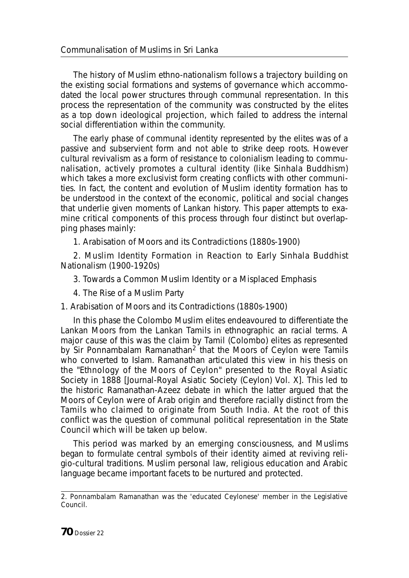The history of Muslim ethno-nationalism follows a trajectory building on the existing social formations and systems of governance which accommodated the local power structures through communal representation. In this process the representation of the community was constructed by the elites as a top down ideological projection, which failed to address the internal social differentiation within the community.

The early phase of communal identity represented by the elites was of a passive and subservient form and not able to strike deep roots. However cultural revivalism as a form of resistance to colonialism leading to communalisation, actively promotes a cultural identity (like Sinhala Buddhism) which takes a more exclusivist form creating conflicts with other communities. In fact, the content and evolution of Muslim identity formation has to be understood in the context of the economic, political and social changes that underlie given moments of Lankan history. This paper attempts to examine critical components of this process through four distinct but overlapping phases mainly:

1. Arabisation of Moors and its Contradictions (1880s-1900)

2. Muslim Identity Formation in Reaction to Early Sinhala Buddhist Nationalism (1900-1920s)

3. Towards a Common Muslim Identity or a Misplaced Emphasis

4. The Rise of a Muslim Party

# *1. Arabisation of Moors and its Contradictions (1880s-1900)*

In this phase the Colombo Muslim elites endeavoured to differentiate the Lankan Moors from the Lankan Tamils in ethnographic an racial terms. A major cause of this was the claim by Tamil (Colombo) elites as represented by Sir Ponnambalam Ramanathan<sup>2</sup> that the Moors of Ceylon were Tamils who converted to Islam. Ramanathan articulated this view in his thesis on the "Ethnology of the Moors of Ceylon" presented to the Royal Asiatic Society in 1888 [Journal-Royal Asiatic Society (Ceylon) Vol. X]. This led to the historic Ramanathan-Azeez debate in which the latter argued that the Moors of Ceylon were of Arab origin and therefore racially distinct from the Tamils who claimed to originate from South India. At the root of this conflict was the question of communal political representation in the State Council which will be taken up below.

This period was marked by an emerging consciousness, and Muslims began to formulate central symbols of their identity aimed at reviving religio-cultural traditions. Muslim personal law, religious education and Arabic language became important facets to be nurtured and protected.

<sup>2.</sup> Ponnambalam Ramanathan was the 'educated Ceylonese' member in the Legislative Council.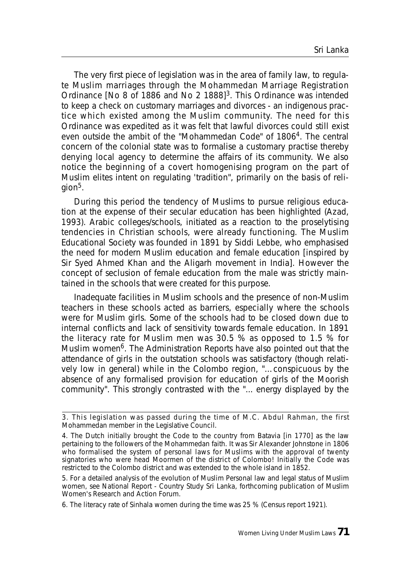The very first piece of legislation was in the area of family law, to regulate Muslim marriages through the Mohammedan Marriage Registration Ordinance [No 8 of 1886 and No 2 1888]<sup>3</sup>. This Ordinance was intended to keep a check on customary marriages and divorces - an indigenous practice which existed among the Muslim community. The need for this Ordinance was expedited as it was felt that lawful divorces could still exist even outside the ambit of the "Mohammedan Code" of 1806<sup>4</sup>. The central concern of the colonial state was to formalise a customary practise thereby denying local agency to determine the affairs of its community. We also notice the beginning of a covert homogenising program on the part of Muslim elites intent on regulating 'tradition", primarily on the basis of religion5.

During this period the tendency of Muslims to pursue religious education at the expense of their secular education has been highlighted (Azad, 1993). Arabic colleges/schools, initiated as a reaction to the proselytising tendencies in Christian schools, were already functioning. The Muslim Educational Society was founded in 1891 by Siddi Lebbe, who emphasised the need for modern Muslim education and female education [inspired by Sir Syed Ahmed Khan and the Aligarh movement in India]. However the concept of seclusion of female education from the male was strictly maintained in the schools that were created for this purpose.

Inadequate facilities in Muslim schools and the presence of non-Muslim teachers in these schools acted as barriers, especially where the schools were for Muslim girls. Some of the schools had to be closed down due to internal conflicts and lack of sensitivity towards female education. In 1891 the literacy rate for Muslim men was 30.5 % as opposed to 1.5 % for Muslim women<sup>6</sup>. The Administration Reports have also pointed out that the attendance of girls in the outstation schools was satisfactory (though relatively low in general) while in the Colombo region, "…*conspicuous by the absence of any formalised provision for education of girls of the Moorish community*". This strongly contrasted with the "... *energy displayed by the*

<sup>3.</sup> This legislation was passed during the time of M.C. Abdul Rahman, the first Mohammedan member in the Legislative Council.

<sup>4.</sup> The Dutch initially brought the Code to the country from Batavia [in 1770] as the law pertaining to the followers of the Mohammedan faith. It was Sir Alexander Johnstone in 1806 who formalised the system of personal laws for Muslims with the approval of twenty signatories who were head Moormen of the district of Colombo! Initially the Code was restricted to the Colombo district and was extended to the whole island in 1852.

<sup>5.</sup> For a detailed analysis of the evolution of Muslim Personal law and legal status of Muslim women, see National Report - Country Study Sri Lanka, forthcoming publication of Muslim Women's Research and Action Forum.

<sup>6.</sup> The literacy rate of Sinhala women during the time was 25 % (Census report 1921).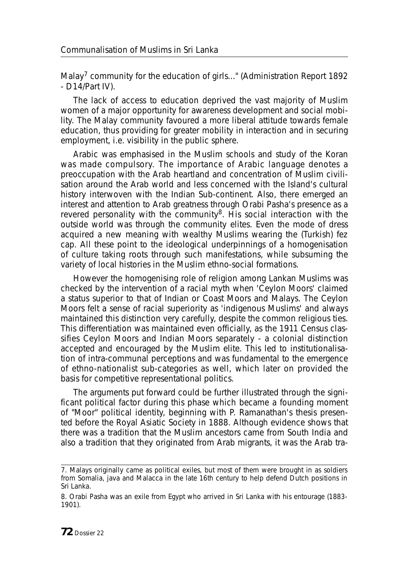*Malay*<sup>7</sup> *community for the education of girls*..." (Administration Report 1892 - D14/Part IV).

The lack of access to education deprived the vast majority of Muslim women of a major opportunity for awareness development and social mobility. The Malay community favoured a more liberal attitude towards female education, thus providing for greater mobility in interaction and in securing employment, i.e. visibility in the public sphere.

Arabic was emphasised in the Muslim schools and study of the Koran was made compulsory. The importance of Arabic language denotes a preoccupation with the Arab heartland and concentration of Muslim civilisation around the Arab world and less concerned with the Island's cultural history interwoven with the Indian Sub-continent. Also, there emerged an interest and attention to Arab greatness through Orabi Pasha's presence as a revered personality with the community<sup>8</sup>. His social interaction with the outside world was through the community elites. Even the mode of dress acquired a new meaning with wealthy Muslims wearing the (Turkish) fez cap. All these point to the ideological underpinnings of a homogenisation of culture taking roots through such manifestations, while subsuming the variety of local histories in the Muslim ethno-social formations.

However the homogenising role of religion among Lankan Muslims was checked by the intervention of a racial myth when 'Ceylon Moors' claimed a status superior to that of Indian or Coast Moors and Malays. The Ceylon Moors felt a sense of racial superiority as 'indigenous Muslims' and always maintained this distinction very carefully, despite the common religious ties. This differentiation was maintained even officially, as the 1911 Census classifies Ceylon Moors and Indian Moors separately - a colonial distinction accepted and encouraged by the Muslim elite. This led to institutionalisation of intra-communal perceptions and was fundamental to the emergence of ethno-nationalist sub-categories as well, which later on provided the basis for competitive representational politics.

The arguments put forward could be further illustrated through the significant political factor during this phase which became a founding moment of "Moor" political identity, beginning with P. Ramanathan's thesis presented before the Royal Asiatic Society in 1888. Although evidence shows that there was a tradition that the Muslim ancestors came from South India and also a tradition that they originated from Arab migrants, it was the Arab tra-

<sup>7.</sup> Malays originally came as political exiles, but most of them were brought in as soldiers from Somalia, java and Malacca in the late 16th century to help defend Dutch positions in Sri Lanka.

<sup>8.</sup> Orabi Pasha was an exile from Egypt who arrived in Sri Lanka with his entourage (1883- 1901).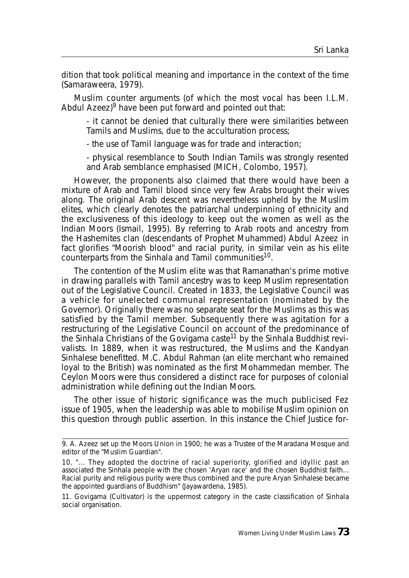dition that took political meaning and importance in the context of the time (Samaraweera, 1979).

Muslim counter arguments (of which the most vocal has been I.L.M. Abdul Azeez)<sup>9</sup> have been put forward and pointed out that:

- it cannot be denied that culturally there were similarities between Tamils and Muslims, due to the acculturation process;

- the use of Tamil language was for trade and interaction;

- physical resemblance to South Indian Tamils was strongly resented and Arab semblance emphasised (MICH, Colombo, 1957).

However, the proponents also claimed that there would have been a mixture of Arab and Tamil blood since very few Arabs brought their wives along. The original Arab descent was nevertheless upheld by the Muslim elites, which clearly denotes the patriarchal underpinning of ethnicity and the exclusiveness of this ideology to keep out the women as well as the Indian Moors (Ismail, 1995). By referring to Arab roots and ancestry from the Hashemites clan (descendants of Prophet Muhammed) Abdul Azeez in fact glorifies "*Moorish blood*" and racial purity, in similar vein as his elite counterparts from the Sinhala and Tamil communities<sup>10</sup>.

The contention of the Muslim elite was that Ramanathan's prime motive in drawing parallels with Tamil ancestry was to keep Muslim representation out of the Legislative Council. Created in 1833, the Legislative Council was a vehicle for unelected communal representation (nominated by the Governor). Originally there was no separate seat for the Muslims as this was satisfied by the Tamil member. Subsequently there was agitation for a restructuring of the Legislative Council on account of the predominance of the Sinhala Christians of the Govigama caste<sup>11</sup> by the Sinhala Buddhist revivalists. In 1889, when it was restructured, the Muslims and the Kandyan Sinhalese benefitted. M.C. Abdul Rahman (an elite merchant who remained loyal to the British) was nominated as the first Mohammedan member. The Ceylon Moors were thus considered a distinct race for purposes of colonial administration while defining out the Indian Moors.

The other issue of historic significance was the much publicised Fez issue of 1905, when the leadership was able to mobilise Muslim opinion on this question through public assertion. In this instance the Chief Justice for-

<sup>9.</sup> A. Azeez set up the Moors Union in 1900; he was a Trustee of the Maradana Mosque and editor of the "Muslim Guardian".

<sup>10. &</sup>quot;... They adopted the doctrine of racial superiority, glorified and idyllic past an associated the Sinhala people with the chosen 'Aryan race' and the chosen Buddhist faith... Racial purity and religious purity were thus combined and the pure Aryan Sinhalese became the appointed guardians of Buddhism" (Jayawardena, 1985).

<sup>11.</sup> Govigama (Cultivator) is the uppermost category in the caste classification of Sinhala social organisation.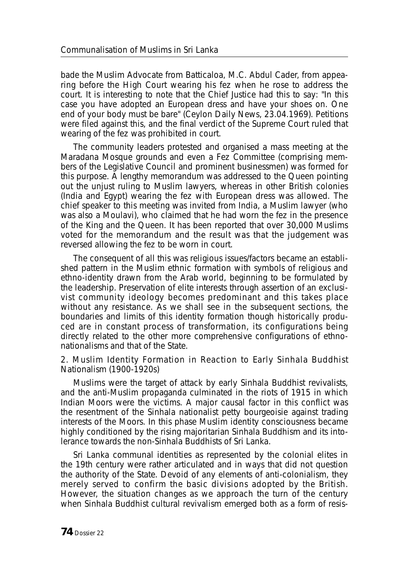bade the Muslim Advocate from Batticaloa, M.C. Abdul Cader, from appearing before the High Court wearing his fez when he rose to address the court. It is interesting to note that the Chief Justice had this to say: "*In this case you have adopted an European dress and have your shoes on. One end of your body must be bare*" (Ceylon Daily News, 23.04.1969). Petitions were filed against this, and the final verdict of the Supreme Court ruled that wearing of the fez was prohibited in court.

The community leaders protested and organised a mass meeting at the Maradana Mosque grounds and even a Fez Committee (comprising members of the Legislative Council and prominent businessmen) was formed for this purpose. A lengthy memorandum was addressed to the Queen pointing out the unjust ruling to Muslim lawyers, whereas in other British colonies (India and Egypt) wearing the fez with European dress was allowed. The chief speaker to this meeting was invited from India, a Muslim lawyer (who was also a Moulavi), who claimed that he had worn the fez in the presence of the King and the Queen. It has been reported that over 30,000 Muslims voted for the memorandum and the result was that the judgement was reversed allowing the fez to be worn in court.

The consequent of all this was religious issues/factors became an established pattern in the Muslim ethnic formation with symbols of religious and ethno-identity drawn from the Arab world, beginning to be formulated by the leadership. Preservation of elite interests through assertion of an exclusivist community ideology becomes predominant and this takes place without any resistance. As we shall see in the subsequent sections, the boundaries and limits of this identity formation though historically produced are in constant process of transformation, its configurations being directly related to the other more comprehensive configurations of ethnonationalisms and that of the State.

2. Muslim Identity Formation in Reaction to Early Sinhala Buddhist Nationalism (1900-1920s)

Muslims were the target of attack by early Sinhala Buddhist revivalists, and the anti-Muslim propaganda culminated in the riots of 1915 in which Indian Moors were the victims. A major causal factor in this conflict was the resentment of the Sinhala nationalist petty bourgeoisie against trading interests of the Moors. In this phase Muslim identity consciousness became highly conditioned by the rising majoritarian Sinhala Buddhism and its intolerance towards the non-Sinhala Buddhists of Sri Lanka.

Sri Lanka communal identities as represented by the colonial elites in the 19th century were rather articulated and in ways that did not question the authority of the State. Devoid of any elements of anti-colonialism, they merely served to confirm the basic divisions adopted by the British. However, the situation changes as we approach the turn of the century when Sinhala Buddhist cultural revivalism emerged both as a form of resis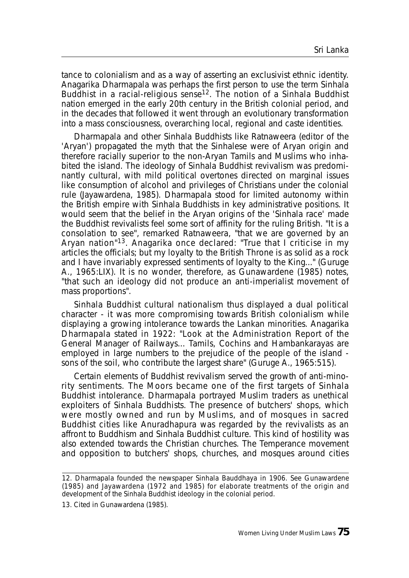tance to colonialism and as a way of asserting an exclusivist ethnic identity. Anagarika Dharmapala was perhaps the first person to use the term Sinhala Buddhist in a racial-religious sense<sup>12</sup>. The notion of a Sinhala Buddhist nation emerged in the early 20th century in the British colonial period, and in the decades that followed it went through an evolutionary transformation into a mass consciousness, overarching local, regional and caste identities.

Dharmapala and other Sinhala Buddhists like Ratnaweera (editor of the 'Aryan') propagated the myth that the Sinhalese were of Aryan origin and therefore racially superior to the non-Aryan Tamils and Muslims who inhabited the island. The ideology of Sinhala Buddhist revivalism was predominantly cultural, with mild political overtones directed on marginal issues like consumption of alcohol and privileges of Christians under the colonial rule (Jayawardena, 1985). Dharmapala stood for limited autonomy within the British empire with Sinhala Buddhists in key administrative positions. It would seem that the belief in the Aryan origins of the 'Sinhala race' made the Buddhist revivalists feel some sort of affinity for the ruling British. *"It is a consolation to see"*, remarked Ratnaweera, *"that we are governed by an Aryan nation"*13. Anagarika once declared: *"True that I criticise in my articles the officials; but my loyalty to the British Throne is as solid as a rock and I have invariably expressed sentiments of loyalty to the King..."* (Guruge A., 1965:LIX). It is no wonder, therefore, as Gunawardene (1985) notes, *"that such an ideology did not produce an anti-imperialist movement of mass proportions".*

Sinhala Buddhist cultural nationalism thus displayed a dual political character - it was more compromising towards British colonialism while displaying a growing intolerance towards the Lankan minorities. Anagarika Dharmapala stated in 1922: "Look at the Administration Report of the General Manager of Railways... Tamils, Cochins and Hambankarayas are employed in large numbers to the prejudice of the people of the island sons of the soil, who contribute the largest share" (Guruge A., 1965:515).

Certain elements of Buddhist revivalism served the growth of anti-minority sentiments. The Moors became one of the first targets of Sinhala Buddhist intolerance. Dharmapala portrayed Muslim traders as unethical exploiters of Sinhala Buddhists. The presence of butchers' shops, which were mostly owned and run by Muslims, and of mosques in sacred Buddhist cities like Anuradhapura was regarded by the revivalists as an affront to Buddhism and Sinhala Buddhist culture. This kind of hostility was also extended towards the Christian churches. The Temperance movement and opposition to butchers' shops, churches, and mosques around cities

13. Cited in Gunawardena (1985).

<sup>12.</sup> Dharmapala founded the newspaper Sinhala Bauddhaya in 1906. See Gunawardene (1985) and Jayawardena (1972 and 1985) for elaborate treatments of the origin and development of the Sinhala Buddhist ideology in the colonial period.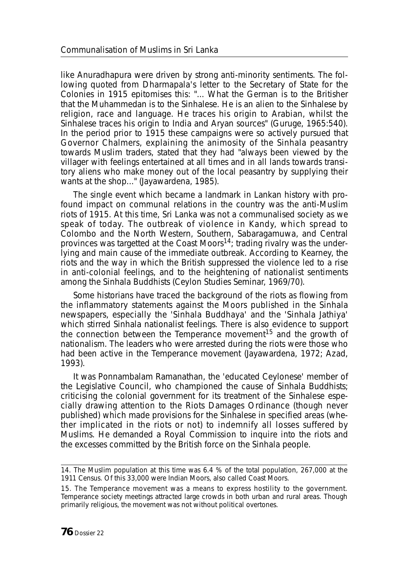like Anuradhapura were driven by strong anti-minority sentiments. The following quoted from Dharmapala's letter to the Secretary of State for the Colonies in 1915 epitomises this: *"... What the German is to the Britisher that the Muhammedan is to the Sinhalese. He is an alien to the Sinhalese by religion, race and language. He traces his origin to Arabian, whilst the Sinhalese traces his origin to India and Aryan sources"* (Guruge, 1965:540). In the period prior to 1915 these campaigns were so actively pursued that Governor Chalmers, explaining the animosity of the Sinhala peasantry towards Muslim traders, stated that they had "*always been viewed by the villager with feelings entertained at all times and in all lands towards transitory aliens who make money out of the local peasantry by supplying their wants at the shop..."* (Jayawardena, 1985).

The single event which became a landmark in Lankan history with profound impact on communal relations in the country was the anti-Muslim riots of 1915. At this time, Sri Lanka was not a communalised society as we speak of today. The outbreak of violence in Kandy, which spread to Colombo and the North Western, Southern, Sabaragamuwa, and Central provinces was targetted at the Coast Moors<sup>14</sup>; trading rivalry was the underlying and main cause of the immediate outbreak. According to Kearney, the riots and the way in which the British suppressed the violence led to a rise in anti-colonial feelings, and to the heightening of nationalist sentiments among the Sinhala Buddhists (Ceylon Studies Seminar, 1969/70).

Some historians have traced the background of the riots as flowing from the inflammatory statements against the Moors published in the Sinhala newspapers, especially the 'Sinhala Buddhaya' and the 'Sinhala Jathiya' which stirred Sinhala nationalist feelings. There is also evidence to support the connection between the Temperance movement<sup>15</sup> and the growth of nationalism. The leaders who were arrested during the riots were those who had been active in the Temperance movement (Jayawardena, 1972; Azad, 1993).

It was Ponnambalam Ramanathan, the 'educated Ceylonese' member of the Legislative Council, who championed the cause of Sinhala Buddhists; criticising the colonial government for its treatment of the Sinhalese especially drawing attention to the Riots Damages Ordinance (though never published) which made provisions for the Sinhalese in specified areas (whether implicated in the riots or not) to indemnify all losses suffered by Muslims. He demanded a Royal Commission to inquire into the riots and the excesses committed by the British force on the Sinhala people.

<sup>14.</sup> The Muslim population at this time was 6.4 % of the total population, 267,000 at the 1911 Census. Of this 33,000 were Indian Moors, also called Coast Moors.

<sup>15.</sup> The Temperance movement was a means to express hostility to the government. Temperance society meetings attracted large crowds in both urban and rural areas. Though primarily religious, the movement was not without political overtones.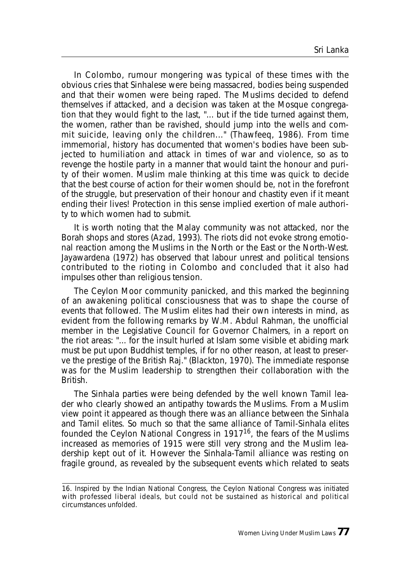In Colombo, rumour mongering was typical of these times with the obvious cries that Sinhalese were being massacred, bodies being suspended and that their women were being raped. The Muslims decided to defend themselves if attacked, and a decision was taken at the Mosque congregation that they would fight to the last, *"... but if the tide turned against them, the women, rather than be ravished, should jump into the wells and commit suicide, leaving only the children..."* (Thawfeeq, 1986). From time immemorial, history has documented that women's bodies have been subjected to humiliation and attack in times of war and violence, so as to revenge the hostile party in a manner that would taint the honour and purity of their women. Muslim male thinking at this time was quick to decide that the best course of action for their women should be, not in the forefront of the struggle, but preservation of their honour and chastity even if it meant ending their lives! Protection in this sense implied exertion of male authority to which women had to submit.

It is worth noting that the Malay community was not attacked, nor the Borah shops and stores (Azad, 1993). The riots did not evoke strong emotional reaction among the Muslims in the North or the East or the North-West. Jayawardena (1972) has observed that labour unrest and political tensions contributed to the rioting in Colombo and concluded that it also had impulses other than religious tension.

The Ceylon Moor community panicked, and this marked the beginning of an awakening political consciousness that was to shape the course of events that followed. The Muslim elites had their own interests in mind, as evident from the following remarks by W.M. Abdul Rahman, the unofficial member in the Legislative Council for Governor Chalmers, in a report on the riot areas: *"... for the insult hurled at Islam some visible et abiding mark must be put upon Buddhist temples, if for no other reason, at least to preserve the prestige of the British Raj."* (Blackton, 1970). The immediate response was for the Muslim leadership to strengthen their collaboration with the British.

The Sinhala parties were being defended by the well known Tamil leader who clearly showed an antipathy towards the Muslims. From a Muslim view point it appeared as though there was an alliance between the Sinhala and Tamil elites. So much so that the same alliance of Tamil-Sinhala elites founded the Ceylon National Congress in 191716, the fears of the Muslims increased as memories of 1915 were still very strong and the Muslim leadership kept out of it. However the Sinhala-Tamil alliance was resting on fragile ground, as revealed by the subsequent events which related to seats

<sup>16.</sup> Inspired by the Indian National Congress, the Ceylon National Congress was initiated with professed liberal ideals, but could not be sustained as historical and political circumstances unfolded.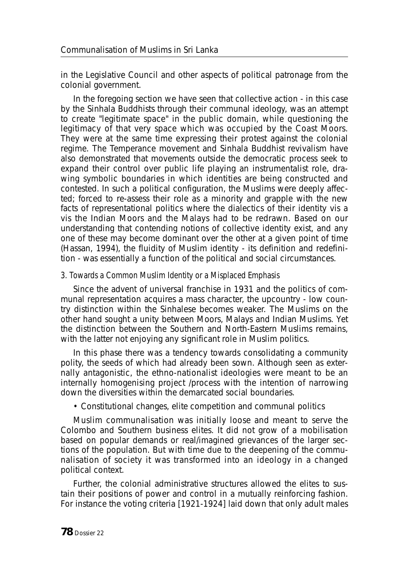in the Legislative Council and other aspects of political patronage from the colonial government.

In the foregoing section we have seen that collective action - in this case by the Sinhala Buddhists through their communal ideology, was an attempt to create "legitimate space" in the public domain, while questioning the legitimacy of that very space which was occupied by the Coast Moors. They were at the same time expressing their protest against the colonial regime. The Temperance movement and Sinhala Buddhist revivalism have also demonstrated that movements outside the democratic process seek to expand their control over public life playing an instrumentalist role, drawing symbolic boundaries in which identities are being constructed and contested. In such a political configuration, the Muslims were deeply affected; forced to re-assess their role as a minority and grapple with the new facts of representational politics where the dialectics of their identity vis a vis the Indian Moors and the Malays had to be redrawn. Based on our understanding that contending notions of collective identity exist, and any one of these may become dominant over the other at a given point of time (Hassan, 1994), the fluidity of Muslim identity - its definition and redefinition - was essentially a function of the political and social circumstances.

# *3. Towards a Common Muslim Identity or a Misplaced Emphasis*

Since the advent of universal franchise in 1931 and the politics of communal representation acquires a mass character, the upcountry - low country distinction within the Sinhalese becomes weaker. The Muslims on the other hand sought a unity between Moors, Malays and Indian Muslims. Yet the distinction between the Southern and North-Eastern Muslims remains, with the latter not enjoying any significant role in Muslim politics.

In this phase there was a tendency towards consolidating a community polity, the seeds of which had already been sown. Although seen as externally antagonistic, the ethno-nationalist ideologies were meant to be an internally homogenising project /process with the intention of narrowing down the diversities within the demarcated social boundaries.

• Constitutional changes, elite competition and communal politics

Muslim communalisation was initially loose and meant to serve the Colombo and Southern business elites. It did not grow of a mobilisation based on popular demands or real/imagined grievances of the larger sections of the population. But with time due to the deepening of the communalisation of society it was transformed into an ideology in a changed political context.

Further, the colonial administrative structures allowed the elites to sustain their positions of power and control in a mutually reinforcing fashion. For instance the voting criteria [1921-1924] laid down that only adult males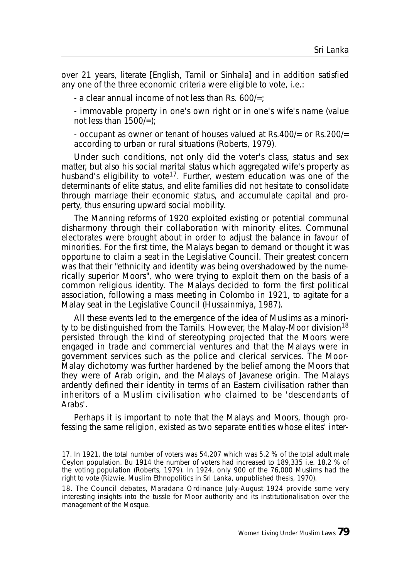over 21 years, literate [English, Tamil or Sinhala] and in addition satisfied any one of the three economic criteria were eligible to vote, i.e.:

- a clear annual income of not less than Rs. 600/=;

- immovable property in one's own right or in one's wife's name (value not less than  $1500 (=)$ ;

- occupant as owner or tenant of houses valued at Rs.400/= or Rs.200/= according to urban or rural situations (Roberts, 1979).

Under such conditions, not only did the voter's class, status and sex matter, but also his social marital status which aggregated wife's property as husband's eligibility to vote<sup>17</sup>. Further, western education was one of the determinants of elite status, and elite families did not hesitate to consolidate through marriage their economic status, and accumulate capital and property, thus ensuring upward social mobility.

The Manning reforms of 1920 exploited existing or potential communal disharmony through their collaboration with minority elites. Communal electorates were brought about in order to adjust the balance in favour of minorities. For the first time, the Malays began to demand or thought it was opportune to claim a seat in the Legislative Council. Their greatest concern was that their *"ethnicity and identity was being overshadowed by the numerically superior Moors"*, who were trying to exploit them on the basis of a common religious identity. The Malays decided to form the first political association, following a mass meeting in Colombo in 1921, to agitate for a Malay seat in the Legislative Council (Hussainmiya, 1987).

All these events led to the emergence of the idea of Muslims as a minority to be distinguished from the Tamils. However, the Malay-Moor division<sup>18</sup> persisted through the kind of stereotyping projected that the Moors were engaged in trade and commercial ventures and that the Malays were in government services such as the police and clerical services. The Moor-Malay dichotomy was further hardened by the belief among the Moors that they were of Arab origin, and the Malays of Javanese origin. The Malays ardently defined their identity in terms of an Eastern civilisation rather than inheritors of a Muslim civilisation who claimed to be 'descendants of Arabs'.

Perhaps it is important to note that the Malays and Moors, though professing the same religion, existed as two separate entities whose elites' inter-

<sup>17.</sup> In 1921, the total number of voters was 54,207 which was 5.2 % of the total adult male Ceylon population. Bu 1914 the number of voters had increased to 189,335 i.e. 18.2 % of the voting population (Roberts, 1979). In 1924, only 900 of the 76,000 Muslims had the right to vote (Rizwie, Muslim Ethnopolitics in Sri Lanka, unpublished thesis, 1970).

<sup>18.</sup> The Council debates, Maradana Ordinance July-August 1924 provide some very interesting insights into the tussle for Moor authority and its institutionalisation over the management of the Mosque.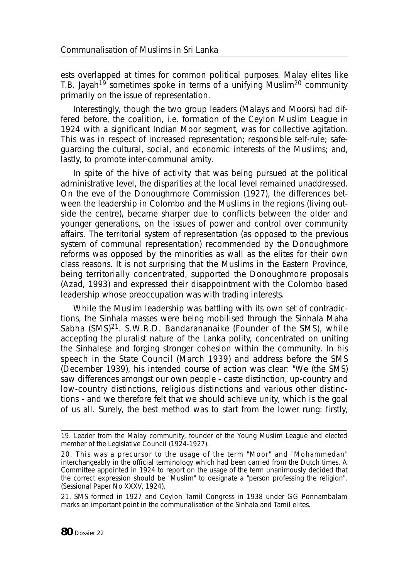ests overlapped at times for common political purposes. Malay elites like T.B. Jayah<sup>19</sup> sometimes spoke in terms of a unifying Muslim<sup>20</sup> community primarily on the issue of representation.

Interestingly, though the two group leaders (Malays and Moors) had differed before, the coalition, i.e. formation of the Ceylon Muslim League in 1924 with a significant Indian Moor segment, was for collective agitation. This was in respect of increased representation; responsible self-rule; safeguarding the cultural, social, and economic interests of the Muslims; and, lastly, to promote inter-communal amity.

In spite of the hive of activity that was being pursued at the political administrative level, the disparities at the local level remained unaddressed. On the eve of the Donoughmore Commission (1927), the differences between the leadership in Colombo and the Muslims in the regions (living outside the centre), became sharper due to conflicts between the older and younger generations, on the issues of power and control over community affairs. The territorial system of representation (as opposed to the previous system of communal representation) recommended by the Donoughmore reforms was opposed by the minorities as wall as the elites for their own class reasons. It is not surprising that the Muslims in the Eastern Province, being territorially concentrated, supported the Donoughmore proposals (Azad, 1993) and expressed their disappointment with the Colombo based leadership whose preoccupation was with trading interests.

While the Muslim leadership was battling with its own set of contradictions, the Sinhala masses were being mobilised through the Sinhala Maha Sabha  $(SMS)^{21}$ . S.W.R.D. Bandarananaike (Founder of the SMS), while accepting the pluralist nature of the Lanka polity, concentrated on uniting the Sinhalese and forging stronger cohesion within the community. In his speech in the State Council (March 1939) and address before the SMS (December 1939), his intended course of action was clear: *"We (the SMS) saw differences amongst our own people - caste distinction, up-country and low-country distinctions, religious distinctions and various other distinctions - and we therefore felt that we should achieve unity, which is the goal of us all. Surely, the best method was to start from the lower rung: firstly,*

21. SMS formed in 1927 and Ceylon Tamil Congress in 1938 under GG Ponnambalam marks an important point in the communalisation of the Sinhala and Tamil elites.

<sup>19.</sup> Leader from the Malay community, founder of the Young Muslim League and elected member of the Legislative Council (1924-1927).

<sup>20.</sup> This was a precursor to the usage of the term "Moor" and "Mohammedan" interchangeably in the official terminology which had been carried from the Dutch times. A Committee appointed in 1924 to report on the usage of the term unanimously decided that the correct expression should be "Muslim" to designate a "person professing the religion". (Sessional Paper No XXXV, 1924).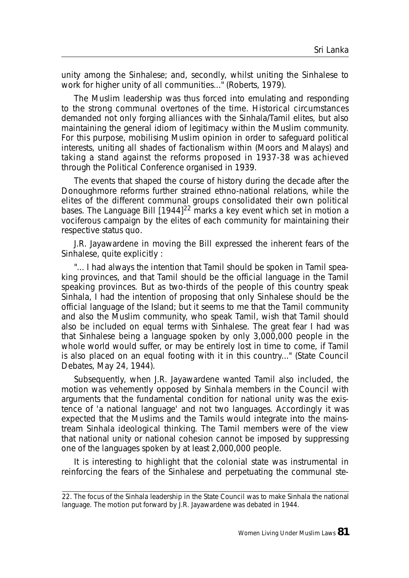*unity among the Sinhalese; and, secondly, whilst uniting the Sinhalese to work for higher unity of all communities..."* (Roberts, 1979).

The Muslim leadership was thus forced into emulating and responding to the strong communal overtones of the time. Historical circumstances demanded not only forging alliances with the Sinhala/Tamil elites, but also maintaining the general idiom of legitimacy within the Muslim community. For this purpose, mobilising Muslim opinion in order to safeguard political interests, uniting all shades of factionalism within (Moors and Malays) and taking a stand against the reforms proposed in 1937-38 was achieved through the Political Conference organised in 1939.

The events that shaped the course of history during the decade after the Donoughmore reforms further strained ethno-national relations, while the elites of the different communal groups consolidated their own political bases. The Language Bill  $[1944]^{22}$  marks a key event which set in motion a vociferous campaign by the elites of each community for maintaining their respective status quo.

J.R. Jayawardene in moving the Bill expressed the inherent fears of the Sinhalese, quite explicitly :

*"... I had always the intention that Tamil should be spoken in Tamil speaking provinces, and that Tamil should be the official language in the Tamil speaking provinces. But as two-thirds of the people of this country speak Sinhala, I had the intention of proposing that only Sinhalese should be the official language of the Island; but it seems to me that the Tamil community and also the Muslim community, who speak Tamil, wish that Tamil should also be included on equal terms with Sinhalese. The great fear I had was that Sinhalese being a language spoken by only 3,000,000 people in the whole world would suffer, or may be entirely lost in time to come, if Tamil is also placed on an equal footing with it in this country..."* (State Council Debates, May 24, 1944).

Subsequently, when J.R. Jayawardene wanted Tamil also included, the motion was vehemently opposed by Sinhala members in the Council with arguments that the fundamental condition for national unity was the existence of 'a national language' and not two languages. Accordingly it was expected that the Muslims and the Tamils would integrate into the mainstream Sinhala ideological thinking. The Tamil members were of the view that national unity or national cohesion cannot be imposed by suppressing one of the languages spoken by at least 2,000,000 people.

It is interesting to highlight that the colonial state was instrumental in reinforcing the fears of the Sinhalese and perpetuating the communal ste-

<sup>22.</sup> The focus of the Sinhala leadership in the State Council was to make Sinhala the national language. The motion put forward by J.R. Jayawardene was debated in 1944.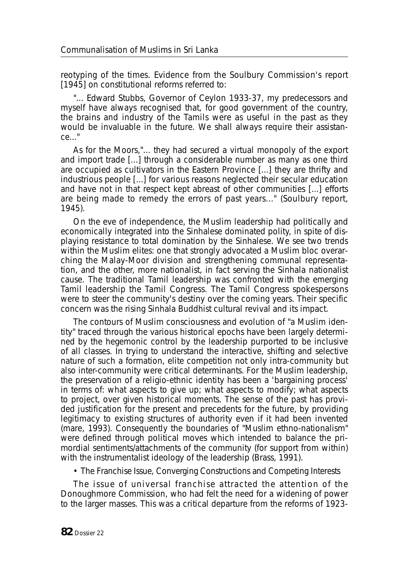reotyping of the times. Evidence from the Soulbury Commission's report [1945] on constitutional reforms referred to:

*"... Edward Stubbs, Governor of Ceylon 1933-37, my predecessors and myself have always recognised that, for good government of the country, the brains and industry of the Tamils were as useful in the past as they would be invaluable in the future. We shall always require their assistance..."*

As for the Moors,*"... they had secured a virtual monopoly of the export and import trade [...] through a considerable number as many as one third are occupied as cultivators in the Eastern Province [...] they are thrifty and industrious people [...] for various reasons neglected their secular education and have not in that respect kept abreast of other communities [...] efforts are being made to remedy the errors of past years..."* (Soulbury report, 1945).

On the eve of independence, the Muslim leadership had politically and economically integrated into the Sinhalese dominated polity, in spite of displaying resistance to total domination by the Sinhalese. We see two trends within the Muslim elites: one that strongly advocated a Muslim bloc overarching the Malay-Moor division and strengthening communal representation, and the other, more nationalist, in fact serving the Sinhala nationalist cause. The traditional Tamil leadership was confronted with the emerging Tamil leadership the Tamil Congress. The Tamil Congress spokespersons were to steer the community's destiny over the coming years. Their specific concern was the rising Sinhala Buddhist cultural revival and its impact.

The contours of Muslim consciousness and evolution of "a Muslim identity" traced through the various historical epochs have been largely determined by the hegemonic control by the leadership purported to be inclusive of all classes. In trying to understand the interactive, shifting and selective nature of such a formation, elite competition not only intra-community but also inter-community were critical determinants. For the Muslim leadership, the preservation of a religio-ethnic identity has been a 'bargaining process' in terms of: what aspects to give up; what aspects to modify; what aspects to project, over given historical moments. The sense of the past has provided justification for the present and precedents for the future, by providing legitimacy to existing structures of authority even if it had been invented (mare, 1993). Consequently the boundaries of "Muslim ethno-nationalism" were defined through political moves which intended to balance the primordial sentiments/attachments of the community (for support from within) with the instrumentalist ideology of the leadership (Brass, 1991).

• The Franchise Issue, Converging Constructions and Competing Interests

The issue of universal franchise attracted the attention of the Donoughmore Commission, who had felt the need for a widening of power to the larger masses. This was a critical departure from the reforms of 1923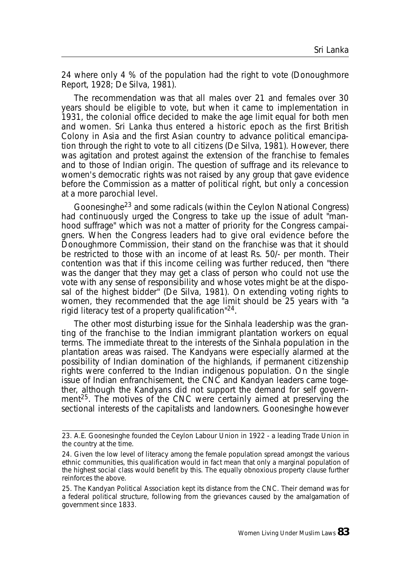24 where only 4 % of the population had the right to vote (Donoughmore Report, 1928; De Silva, 1981).

The recommendation was that all males over 21 and females over 30 years should be eligible to vote, but when it came to implementation in 1931, the colonial office decided to make the age limit equal for both men and women. Sri Lanka thus entered a historic epoch as the first British Colony in Asia and the first Asian country to advance political emancipation through the right to vote to all citizens (De Silva, 1981). However, there was agitation and protest against the extension of the franchise to females and to those of Indian origin. The question of suffrage and its relevance to women's democratic rights was not raised by any group that gave evidence before the Commission as a matter of political right, but only a concession at a more parochial level.

Goonesinghe<sup>23</sup> and some radicals (within the Ceylon National Congress) had continuously urged the Congress to take up the issue of adult "manhood suffrage" which was not a matter of priority for the Congress campaigners. When the Congress leaders had to give oral evidence before the Donoughmore Commission, their stand on the franchise was that it should be restricted to those with an income of at least Rs. 50/- per month. Their contention was that if this income ceiling was further reduced, then "there was the danger that they may get a class of person who could not use the vote with any sense of responsibility and whose votes might be at the disposal of the highest bidder" (De Silva, 1981). On extending voting rights to women, they recommended that the age limit should be 25 years with "a rigid literacy test of a property qualification"24.

The other most disturbing issue for the Sinhala leadership was the granting of the franchise to the Indian immigrant plantation workers on equal terms. The immediate threat to the interests of the Sinhala population in the plantation areas was raised. The Kandyans were especially alarmed at the possibility of Indian domination of the highlands, if permanent citizenship rights were conferred to the Indian indigenous population. On the single issue of Indian enfranchisement, the CNC and Kandyan leaders came together, although the Kandyans did not support the demand for self government<sup>25</sup>. The motives of the CNC were certainly aimed at preserving the sectional interests of the capitalists and landowners. Goonesinghe however

<sup>23.</sup> A.E. Goonesinghe founded the Ceylon Labour Union in 1922 - a leading Trade Union in the country at the time.

<sup>24.</sup> Given the low level of literacy among the female population spread amongst the various ethnic communities, this qualification would in fact mean that only a marginal population of the highest social class would benefit by this. The equally obnoxious property clause further reinforces the above.

<sup>25.</sup> The Kandyan Political Association kept its distance from the CNC. Their demand was for a federal political structure, following from the grievances caused by the amalgamation of government since 1833.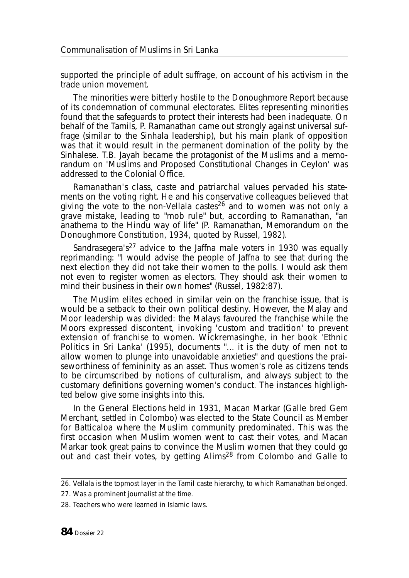supported the principle of adult suffrage, on account of his activism in the trade union movement.

The minorities were bitterly hostile to the Donoughmore Report because of its condemnation of communal electorates. Elites representing minorities found that the safeguards to protect their interests had been inadequate. On behalf of the Tamils, P. Ramanathan came out strongly against universal suffrage (similar to the Sinhala leadership), but his main plank of opposition was that it would result in the permanent domination of the polity by the Sinhalese. T.B. Jayah became the protagonist of the Muslims and a memorandum on 'Muslims and Proposed Constitutional Changes in Ceylon' was addressed to the Colonial Office.

Ramanathan's class, caste and patriarchal values pervaded his statements on the voting right. He and his conservative colleagues believed that giving the vote to the non-Vellala castes<sup>26</sup> and to women was not only a grave mistake, leading to "mob rule" but, according to Ramanathan, "an anathema to the Hindu way of life" (P. Ramanathan, Memorandum on the Donoughmore Constitution, 1934, quoted by Russel, 1982).

Sandrasegera's<sup>27</sup> advice to the Jaffna male voters in 1930 was equally reprimanding: *"I would advise the people of Jaffna to see that during the next election they did not take their women to the polls. I would ask them not even to register women as electors. They should ask their women to mind their business in their own homes"* (Russel, 1982:87).

The Muslim elites echoed in similar vein on the franchise issue, that is would be a setback to their own political destiny. However, the Malay and Moor leadership was divided: the Malays favoured the franchise while the Moors expressed discontent, invoking 'custom and tradition' to prevent extension of franchise to women. Wickremasinghe, in her book 'Ethnic Politics in Sri Lanka' (1995), documents *"... it is the duty of men not to allow women to plunge into unavoidable anxieties"* and questions the praiseworthiness of femininity as an asset. Thus women's role as citizens tends to be circumscribed by notions of culturalism, and always subject to the customary definitions governing women's conduct. The instances highlighted below give some insights into this.

In the General Elections held in 1931, Macan Markar (Galle bred Gem Merchant, settled in Colombo) was elected to the State Council as Member for Batticaloa where the Muslim community predominated. This was the first occasion when Muslim women went to cast their votes, and Macan Markar took great pains to convince the Muslim women that they could go out and cast their votes, by getting Alims<sup>28</sup> from Colombo and Galle to

<sup>26.</sup> Vellala is the topmost layer in the Tamil caste hierarchy, to which Ramanathan belonged.

<sup>27.</sup> Was a prominent journalist at the time.

<sup>28.</sup> Teachers who were learned in Islamic laws.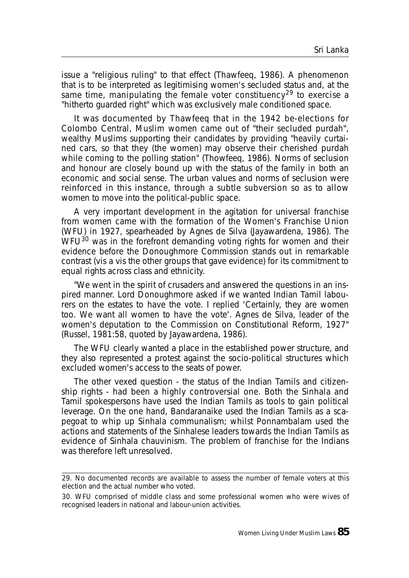issue a *"religious ruling"* to that effect (Thawfeeq, 1986). A phenomenon that is to be interpreted as legitimising women's secluded status and, at the same time, manipulating the female voter constituency<sup>29</sup> to exercise a *"hitherto guarded right"* which was exclusively male conditioned space.

It was documented by Thawfeeq that in the 1942 be-elections for Colombo Central, Muslim women came out of *"their secluded purdah"*, wealthy Muslims supporting their candidates by providing *"heavily curtained cars, so that they (the women) may observe their cherished purdah while coming to the polling station"* (Thowfeeq, 1986). Norms of seclusion and honour are closely bound up with the status of the family in both an economic and social sense. The urban values and norms of seclusion were reinforced in this instance, through a subtle subversion so as to allow women to move into the political-public space.

A very important development in the agitation for universal franchise from women came with the formation of the Women's Franchise Union (WFU) in 1927, spearheaded by Agnes de Silva (Jayawardena, 1986). The WFU<sup>30</sup> was in the forefront demanding voting rights for women and their evidence before the Donoughmore Commission stands out in remarkable contrast (vis a vis the other groups that gave evidence) for its commitment to equal rights across class and ethnicity.

*"We went in the spirit of crusaders and answered the questions in an inspired manner. Lord Donoughmore asked if we wanted Indian Tamil labourers on the estates to have the vote. I replied 'Certainly, they are women too. We want all women to have the vote'. Agnes de Silva, leader of the women's deputation to the Commission on Constitutional Reform, 1927"* (Russel, 1981:58, quoted by Jayawardena, 1986).

The WFU clearly wanted a place in the established power structure, and they also represented a protest against the socio-political structures which excluded women's access to the seats of power.

The other vexed question - the status of the Indian Tamils and citizenship rights - had been a highly controversial one. Both the Sinhala and Tamil spokespersons have used the Indian Tamils as tools to gain political leverage. On the one hand, Bandaranaike used the Indian Tamils as a scapegoat to whip up Sinhala communalism; whilst Ponnambalam used the actions and statements of the Sinhalese leaders towards the Indian Tamils as evidence of Sinhala chauvinism. The problem of franchise for the Indians was therefore left unresolved.

<sup>29.</sup> No documented records are available to assess the number of female voters at this election and the actual number who voted.

<sup>30.</sup> WFU comprised of middle class and some professional women who were wives of recognised leaders in national and labour-union activities.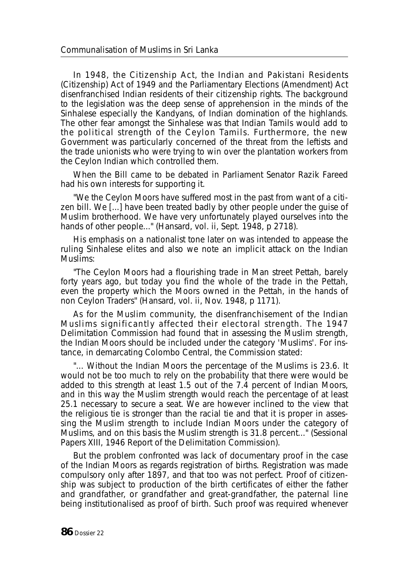In 1948, the Citizenship Act, the Indian and Pakistani Residents (Citizenship) Act of 1949 and the Parliamentary Elections (Amendment) Act disenfranchised Indian residents of their citizenship rights. The background to the legislation was the deep sense of apprehension in the minds of the Sinhalese especially the Kandyans, of Indian domination of the highlands. The other fear amongst the Sinhalese was that Indian Tamils would add to the political strength of the Ceylon Tamils. Furthermore, the new Government was particularly concerned of the threat from the leftists and the trade unionists who were trying to win over the plantation workers from the Ceylon Indian which controlled them.

When the Bill came to be debated in Parliament Senator Razik Fareed had his own interests for supporting it.

*"We the Ceylon Moors have suffered most in the past from want of a citizen bill. We [...] have been treated badly by other people under the guise of Muslim brotherhood. We have very unfortunately played ourselves into the hands of other people..."* (Hansard, vol. ii, Sept. 1948, p 2718).

His emphasis on a nationalist tone later on was intended to appease the ruling Sinhalese elites and also we note an implicit attack on the Indian Muslims:

*"The Ceylon Moors had a flourishing trade in Man street Pettah, barely forty years ago, but today you find the whole of the trade in the Pettah, even the property which the Moors owned in the Pettah, in the hands of non Ceylon Traders"* (Hansard, vol. ii, Nov. 1948, p 1171).

As for the Muslim community, the disenfranchisement of the Indian Muslims significantly affected their electoral strength. The 1947 Delimitation Commission had found that in assessing the Muslim strength, the Indian Moors should be included under the category 'Muslims'. For instance, in demarcating Colombo Central, the Commission stated:

*"... Without the Indian Moors the percentage of the Muslims is 23.6. It would not be too much to rely on the probability that there were would be added to this strength at least 1.5 out of the 7.4 percent of Indian Moors, and in this way the Muslim strength would reach the percentage of at least 25.1 necessary to secure a seat. We are however inclined to the view that the religious tie is stronger than the racial tie and that it is proper in assessing the Muslim strength to include Indian Moors under the category of Muslims, and on this basis the Muslim strength is 31.8 percent..."* (Sessional Papers XIII, 1946 Report of the Delimitation Commission).

But the problem confronted was lack of documentary proof in the case of the Indian Moors as regards registration of births. Registration was made compulsory only after 1897, and that too was not perfect. Proof of citizenship was subject to production of the birth certificates of either the father and grandfather, or grandfather and great-grandfather, the paternal line being institutionalised as proof of birth. Such proof was required whenever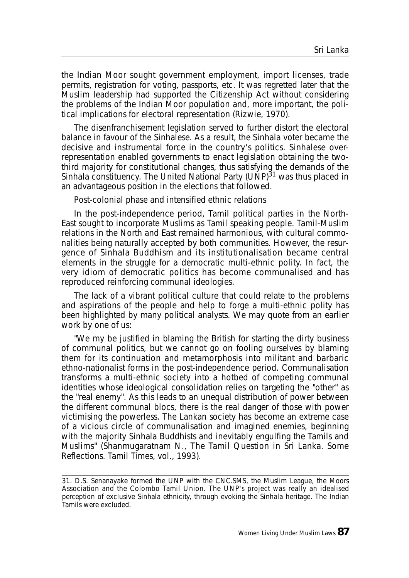the Indian Moor sought government employment, import licenses, trade permits, registration for voting, passports, etc. It was regretted later that the Muslim leadership had supported the Citizenship Act without considering the problems of the Indian Moor population and, more important, the political implications for electoral representation (Rizwie, 1970).

The disenfranchisement legislation served to further distort the electoral balance in favour of the Sinhalese. As a result, the Sinhala voter became the decisive and instrumental force in the country's politics. Sinhalese overrepresentation enabled governments to enact legislation obtaining the twothird majority for constitutional changes, thus satisfying the demands of the Sinhala constituency. The United National Party  $(UNP)^{31}$  was thus placed in an advantageous position in the elections that followed.

Post-colonial phase and intensified ethnic relations

In the post-independence period, Tamil political parties in the North-East sought to incorporate Muslims as Tamil speaking people. Tamil-Muslim relations in the North and East remained harmonious, with cultural commonalities being naturally accepted by both communities. However, the resurgence of Sinhala Buddhism and its institutionalisation became central elements in the struggle for a democratic multi-ethnic polity. In fact, the very idiom of democratic politics has become communalised and has reproduced reinforcing communal ideologies.

The lack of a vibrant political culture that could relate to the problems and aspirations of the people and help to forge a multi-ethnic polity has been highlighted by many political analysts. We may quote from an earlier work by one of us:

*"We my be justified in blaming the British for starting the dirty business of communal politics, but we cannot go on fooling ourselves by blaming them for its continuation and metamorphosis into militant and barbaric ethno-nationalist forms in the post-independence period. Communalisation transforms a multi-ethnic society into a hotbed of competing communal identities whose ideological consolidation relies on targeting the "other" as the "real enemy". As this leads to an unequal distribution of power between the different communal blocs, there is the real danger of those with power victimising the powerless. The Lankan society has become an extreme case of a vicious circle of communalisation and imagined enemies, beginning with the majority Sinhala Buddhists and inevitably engulfing the Tamils and Muslims"* (Shanmugaratnam N., The Tamil Question in Sri Lanka. Some Reflections. Tamil Times, vol., 1993).

<sup>31.</sup> D.S. Senanayake formed the UNP with the CNC.SMS, the Muslim League, the Moors Association and the Colombo Tamil Union. The UNP's project was really an idealised perception of exclusive Sinhala ethnicity, through evoking the Sinhala heritage. The Indian Tamils were excluded.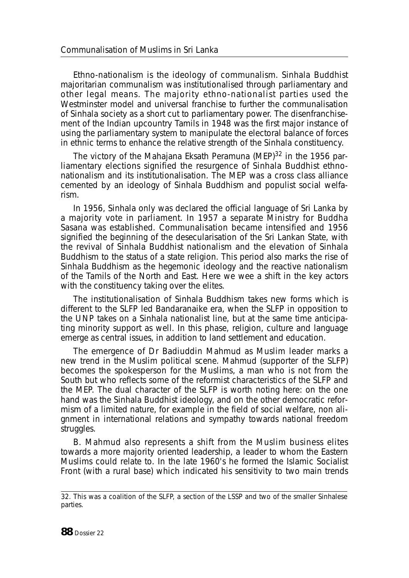Ethno-nationalism is the ideology of communalism. Sinhala Buddhist majoritarian communalism was institutionalised through parliamentary and other legal means. The majority ethno-nationalist parties used the Westminster model and universal franchise to further the communalisation of Sinhala society as a short cut to parliamentary power. The disenfranchisement of the Indian upcountry Tamils in 1948 was the first major instance of using the parliamentary system to manipulate the electoral balance of forces in ethnic terms to enhance the relative strength of the Sinhala constituency.

The victory of the Mahajana Eksath Peramuna (MEP) $32$  in the 1956 parliamentary elections signified the resurgence of Sinhala Buddhist ethnonationalism and its institutionalisation. The MEP was a cross class alliance cemented by an ideology of Sinhala Buddhism and populist social welfarism.

In 1956, Sinhala only was declared the official language of Sri Lanka by a majority vote in parliament. In 1957 a separate Ministry for Buddha Sasana was established. Communalisation became intensified and 1956 signified the beginning of the desecularisation of the Sri Lankan State, with the revival of Sinhala Buddhist nationalism and the elevation of Sinhala Buddhism to the status of a state religion. This period also marks the rise of Sinhala Buddhism as the hegemonic ideology and the reactive nationalism of the Tamils of the North and East. Here we wee a shift in the key actors with the constituency taking over the elites.

The institutionalisation of Sinhala Buddhism takes new forms which is different to the SLFP led Bandaranaike era, when the SLFP in opposition to the UNP takes on a Sinhala nationalist line, but at the same time anticipating minority support as well. In this phase, religion, culture and language emerge as central issues, in addition to land settlement and education.

The emergence of Dr Badiuddin Mahmud as Muslim leader marks a new trend in the Muslim political scene. Mahmud (supporter of the SLFP) becomes the spokesperson for the Muslims, a man who is not from the South but who reflects some of the reformist characteristics of the SLFP and the MEP. The dual character of the SLFP is worth noting here: on the one hand was the Sinhala Buddhist ideology, and on the other democratic reformism of a limited nature, for example in the field of social welfare, non alignment in international relations and sympathy towards national freedom struggles.

B. Mahmud also represents a shift from the Muslim business elites towards a more majority oriented leadership, a leader to whom the Eastern Muslims could relate to. In the late 1960's he formed the Islamic Socialist Front (with a rural base) which indicated his sensitivity to two main trends

<sup>32.</sup> This was a coalition of the SLFP, a section of the LSSP and two of the smaller Sinhalese parties.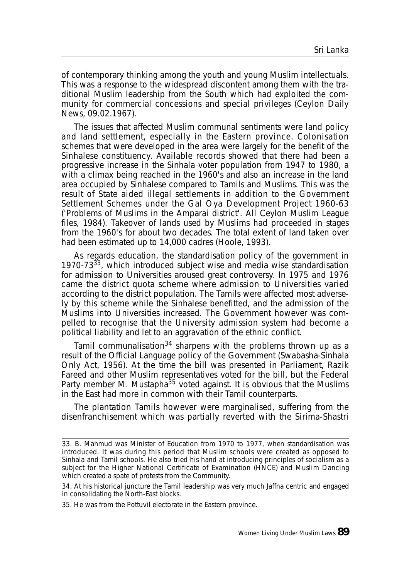of contemporary thinking among the youth and young Muslim intellectuals. This was a response to the widespread discontent among them with the traditional Muslim leadership from the South which had exploited the community for commercial concessions and special privileges (Ceylon Daily News, 09.02.1967).

The issues that affected Muslim communal sentiments were land policy and land settlement, especially in the Eastern province. Colonisation schemes that were developed in the area were largely for the benefit of the Sinhalese constituency. Available records showed that there had been a progressive increase in the Sinhala voter population from 1947 to 1980, a with a climax being reached in the 1960's and also an increase in the land area occupied by Sinhalese compared to Tamils and Muslims. This was the result of State aided illegal settlements in addition to the Government Settlement Schemes under the Gal Oya Development Project 1960-63 ('Problems of Muslims in the Amparai district'. All Ceylon Muslim League files, 1984). Takeover of lands used by Muslims had proceeded in stages from the 1960's for about two decades. The total extent of land taken over had been estimated up to 14,000 cadres (Hoole, 1993).

As regards education, the standardisation policy of the government in 1970-73 $33$ , which introduced subject wise and media wise standardisation for admission to Universities aroused great controversy. In 1975 and 1976 came the district quota scheme where admission to Universities varied according to the district population. The Tamils were affected most adversely by this scheme while the Sinhalese benefitted, and the admission of the Muslims into Universities increased. The Government however was compelled to recognise that the University admission system had become a political liability and let to an aggravation of the ethnic conflict.

Tamil communalisation<sup>34</sup> sharpens with the problems thrown up as a result of the Official Language policy of the Government (Swabasha-Sinhala Only Act, 1956). At the time the bill was presented in Parliament, Razik Fareed and other Muslim representatives voted for the bill, but the Federal Party member M. Mustapha<sup>35</sup> voted against. It is obvious that the Muslims in the East had more in common with their Tamil counterparts.

The plantation Tamils however were marginalised, suffering from the disenfranchisement which was partially reverted with the Sirima-Shastri

35. He was from the Pottuvil electorate in the Eastern province.

<sup>33.</sup> B. Mahmud was Minister of Education from 1970 to 1977, when standardisation was introduced. It was during this period that Muslim schools were created as opposed to Sinhala and Tamil schools. He also tried his hand at introducing principles of socialism as a subject for the Higher National Certificate of Examination (HNCE) and Muslim Dancing which created a spate of protests from the Community.

<sup>34.</sup> At his historical juncture the Tamil leadership was very much Jaffna centric and engaged in consolidating the North-East blocks.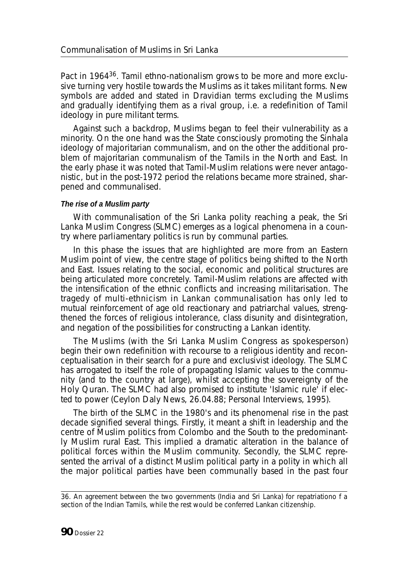Pact in 1964<sup>36</sup>. Tamil ethno-nationalism grows to be more and more exclusive turning very hostile towards the Muslims as it takes militant forms. New symbols are added and stated in Dravidian terms excluding the Muslims and gradually identifying them as a rival group, i.e. a redefinition of Tamil ideology in pure militant terms.

Against such a backdrop, Muslims began to feel their vulnerability as a minority. On the one hand was the State consciously promoting the Sinhala ideology of majoritarian communalism, and on the other the additional problem of majoritarian communalism of the Tamils in the North and East. In the early phase it was noted that Tamil-Muslim relations were never antagonistic, but in the post-1972 period the relations became more strained, sharpened and communalised.

### **The rise of a Muslim party**

With communalisation of the Sri Lanka polity reaching a peak, the Sri Lanka Muslim Congress (SLMC) emerges as a logical phenomena in a country where parliamentary politics is run by communal parties.

In this phase the issues that are highlighted are more from an Eastern Muslim point of view, the centre stage of politics being shifted to the North and East. Issues relating to the social, economic and political structures are being articulated more concretely. Tamil-Muslim relations are affected with the intensification of the ethnic conflicts and increasing militarisation. The tragedy of multi-ethnicism in Lankan communalisation has only led to mutual reinforcement of age old reactionary and patriarchal values, strengthened the forces of religious intolerance, class disunity and disintegration, and negation of the possibilities for constructing a Lankan identity.

The Muslims (with the Sri Lanka Muslim Congress as spokesperson) begin their own redefinition with recourse to a religious identity and reconceptualisation in their search for a pure and exclusivist ideology. The SLMC has arrogated to itself the role of propagating Islamic values to the community (and to the country at large), whilst accepting the sovereignty of the Holy Quran. The SLMC had also promised to institute 'Islamic rule' if elected to power (Ceylon Daly News, 26.04.88; Personal Interviews, 1995).

The birth of the SLMC in the 1980's and its phenomenal rise in the past decade signified several things. Firstly, it meant a shift in leadership and the centre of Muslim politics from Colombo and the South to the predominantly Muslim rural East. This implied a dramatic alteration in the balance of political forces within the Muslim community. Secondly, the SLMC represented the arrival of a distinct Muslim political party in a polity in which all the major political parties have been communally based in the past four

<sup>36.</sup> An agreement between the two governments (India and Sri Lanka) for repatriationo f a section of the Indian Tamils, while the rest would be conferred Lankan citizenship.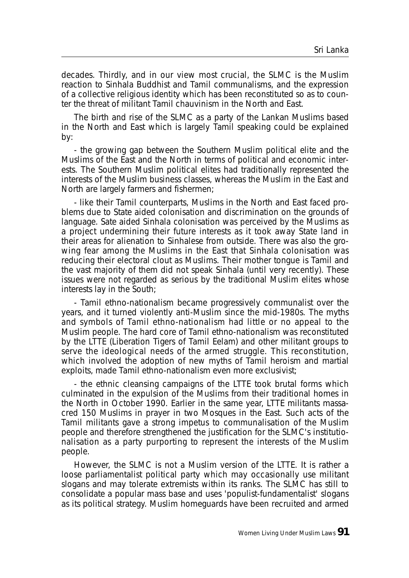decades. Thirdly, and in our view most crucial, the SLMC is the Muslim reaction to Sinhala Buddhist and Tamil communalisms, and the expression of a collective religious identity which has been reconstituted so as to counter the threat of militant Tamil chauvinism in the North and East.

The birth and rise of the SLMC as a party of the Lankan Muslims based in the North and East which is largely Tamil speaking could be explained by:

- the growing gap between the Southern Muslim political elite and the Muslims of the East and the North in terms of political and economic interests. The Southern Muslim political elites had traditionally represented the interests of the Muslim business classes, whereas the Muslim in the East and North are largely farmers and fishermen;

- like their Tamil counterparts, Muslims in the North and East faced problems due to State aided colonisation and discrimination on the grounds of language. Sate aided Sinhala colonisation was perceived by the Muslims as a project undermining their future interests as it took away State land in their areas for alienation to Sinhalese from outside. There was also the growing fear among the Muslims in the East that Sinhala colonisation was reducing their electoral clout as Muslims. Their mother tongue is Tamil and the vast majority of them did not speak Sinhala (until very recently). These issues were not regarded as serious by the traditional Muslim elites whose interests lay in the South;

- Tamil ethno-nationalism became progressively communalist over the years, and it turned violently anti-Muslim since the mid-1980s. The myths and symbols of Tamil ethno-nationalism had little or no appeal to the Muslim people. The hard core of Tamil ethno-nationalism was reconstituted by the LTTE (Liberation Tigers of Tamil Eelam) and other militant groups to serve the ideological needs of the armed struggle. This reconstitution, which involved the adoption of new myths of Tamil heroism and martial exploits, made Tamil ethno-nationalism even more exclusivist;

- the ethnic cleansing campaigns of the LTTE took brutal forms which culminated in the expulsion of the Muslims from their traditional homes in the North in October 1990. Earlier in the same year, LTTE militants massacred 150 Muslims in prayer in two Mosques in the East. Such acts of the Tamil militants gave a strong impetus to communalisation of the Muslim people and therefore strengthened the justification for the SLMC's institutionalisation as a party purporting to represent the interests of the Muslim people.

However, the SLMC is not a Muslim version of the LTTE. It is rather a loose parliamentalist political party which may occasionally use militant slogans and may tolerate extremists within its ranks. The SLMC has still to consolidate a popular mass base and uses 'populist-fundamentalist' slogans as its political strategy. Muslim homeguards have been recruited and armed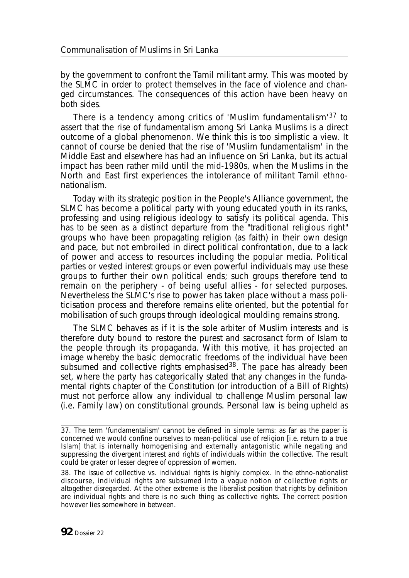by the government to confront the Tamil militant army. This was mooted by the SLMC in order to protect themselves in the face of violence and changed circumstances. The consequences of this action have been heavy on both sides.

There is a tendency among critics of 'Muslim fundamentalism'<sup>37</sup> to assert that the rise of fundamentalism among Sri Lanka Muslims is a direct outcome of a global phenomenon. We think this is too simplistic a view. It cannot of course be denied that the rise of 'Muslim fundamentalism' in the Middle East and elsewhere has had an influence on Sri Lanka, but its actual impact has been rather mild until the mid-1980s, when the Muslims in the North and East first experiences the intolerance of militant Tamil ethnonationalism.

Today with its strategic position in the People's Alliance government, the SLMC has become a political party with young educated youth in its ranks, professing and using religious ideology to satisfy its political agenda. This has to be seen as a distinct departure from the "traditional religious right" groups who have been propagating religion (as faith) in their own design and pace, but not embroiled in direct political confrontation, due to a lack of power and access to resources including the popular media. Political parties or vested interest groups or even powerful individuals may use these groups to further their own political ends; such groups therefore tend to remain on the periphery - of being useful allies - for selected purposes. Nevertheless the SLMC's rise to power has taken place without a mass politicisation process and therefore remains elite oriented, but the potential for mobilisation of such groups through ideological moulding remains strong.

The SLMC behaves as if it is the sole arbiter of Muslim interests and is therefore duty bound to restore the purest and sacrosanct form of Islam to the people through its propaganda. With this motive, it has projected an image whereby the basic democratic freedoms of the individual have been subsumed and collective rights emphasised<sup>38</sup>. The pace has already been set, where the party has categorically stated that any changes in the fundamental rights chapter of the Constitution (or introduction of a Bill of Rights) must not perforce allow any individual to challenge Muslim personal law (i.e. Family law) on constitutional grounds. Personal law is being upheld as

<sup>37.</sup> The term 'fundamentalism' cannot be defined in simple terms: as far as the paper is concerned we would confine ourselves to mean-political use of religion [i.e. return to a true Islam] that is internally homogenising and externally antagonistic while negating and suppressing the divergent interest and rights of individuals within the collective. The result could be grater or lesser degree of oppression of women.

<sup>38.</sup> The issue of collective vs. individual rights is highly complex. In the ethno-nationalist discourse, individual rights are subsumed into a vague notion of collective rights or altogether disregarded. At the other extreme is the liberalist position that rights by definition are individual rights and there is no such thing as collective rights. The correct position however lies somewhere in between.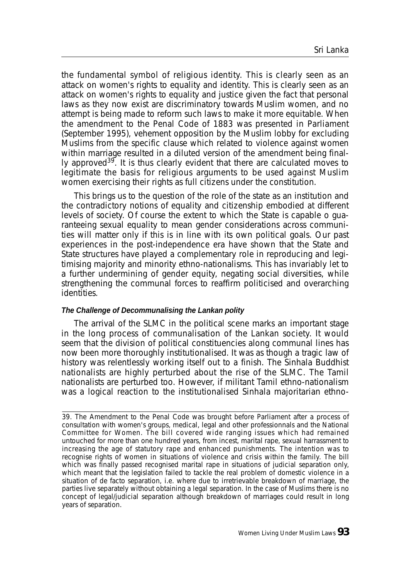the fundamental symbol of religious identity. This is clearly seen as an attack on women's rights to equality and identity. This is clearly seen as an attack on women's rights to equality and justice given the fact that personal laws as they now exist are discriminatory towards Muslim women, and no attempt is being made to reform such laws to make it more equitable. When the amendment to the Penal Code of 1883 was presented in Parliament (September 1995), vehement opposition by the Muslim lobby for excluding Muslims from the specific clause which related to violence against women within marriage resulted in a diluted version of the amendment being finally approved<sup>39</sup>. It is thus clearly evident that there are calculated moves to legitimate the basis for religious arguments to be used against Muslim women exercising their rights as full citizens under the constitution.

This brings us to the question of the role of the state as an institution and the contradictory notions of equality and citizenship embodied at different levels of society. Of course the extent to which the State is capable o guaranteeing sexual equality to mean gender considerations across communities will matter only if this is in line with its own political goals. Our past experiences in the post-independence era have shown that the State and State structures have played a complementary role in reproducing and legitimising majority and minority ethno-nationalisms. This has invariably let to a further undermining of gender equity, negating social diversities, while strengthening the communal forces to reaffirm politicised and overarching identities.

### **The Challenge of Decommunalising the Lankan polity**

The arrival of the SLMC in the political scene marks an important stage in the long process of communalisation of the Lankan society. It would seem that the division of political constituencies along communal lines has now been more thoroughly institutionalised. It was as though a tragic law of history was relentlessly working itself out to a finish. The Sinhala Buddhist nationalists are highly perturbed about the rise of the SLMC. The Tamil nationalists are perturbed too. However, if militant Tamil ethno-nationalism was a logical reaction to the institutionalised Sinhala majoritarian ethno-

<sup>39.</sup> The Amendment to the Penal Code was brought before Parliament after a process of consultation with women's groups, medical, legal and other professionnals and the National Committee for Women. The bill covered wide ranging issues which had remained untouched for more than one hundred years, from incest, marital rape, sexual harrassment to increasing the age of statutory rape and enhanced punishments. The intention was to recognise rights of women in situations of violence and crisis within the family. The bill which was finally passed recognised marital rape in situations of judicial separation only, which meant that the legislation failed to tackle the real problem of domestic violence in a situation of de facto separation, i.e. where due to irretrievable breakdown of marriage, the parties live separately without obtaining a legal separation. In the case of Muslims there is no concept of legal/judicial separation although breakdown of marriages could result in long years of separation.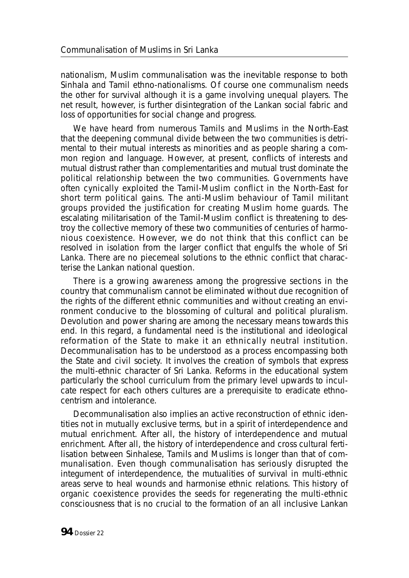nationalism, Muslim communalisation was the inevitable response to both Sinhala and Tamil ethno-nationalisms. Of course one communalism needs the other for survival although it is a game involving unequal players. The net result, however, is further disintegration of the Lankan social fabric and loss of opportunities for social change and progress.

We have heard from numerous Tamils and Muslims in the North-East that the deepening communal divide between the two communities is detrimental to their mutual interests as minorities and as people sharing a common region and language. However, at present, conflicts of interests and mutual distrust rather than complementarities and mutual trust dominate the political relationship between the two communities. Governments have often cynically exploited the Tamil-Muslim conflict in the North-East for short term political gains. The anti-Muslim behaviour of Tamil militant groups provided the justification for creating Muslim home guards. The escalating militarisation of the Tamil-Muslim conflict is threatening to destroy the collective memory of these two communities of centuries of harmonious coexistence. However, we do not think that this conflict can be resolved in isolation from the larger conflict that engulfs the whole of Sri Lanka. There are no piecemeal solutions to the ethnic conflict that characterise the Lankan national question.

There is a growing awareness among the progressive sections in the country that communalism cannot be eliminated without due recognition of the rights of the different ethnic communities and without creating an environment conducive to the blossoming of cultural and political pluralism. Devolution and power sharing are among the necessary means towards this end. In this regard, a fundamental need is the institutional and ideological reformation of the State to make it an ethnically neutral institution. Decommunalisation has to be understood as a process encompassing both the State and civil society. It involves the creation of symbols that express the multi-ethnic character of Sri Lanka. Reforms in the educational system particularly the school curriculum from the primary level upwards to inculcate respect for each others cultures are a prerequisite to eradicate ethnocentrism and intolerance.

Decommunalisation also implies an active reconstruction of ethnic identities not in mutually exclusive terms, but in a spirit of interdependence and mutual enrichment. After all, the history of interdependence and mutual enrichment. After all, the history of interdependence and cross cultural fertilisation between Sinhalese, Tamils and Muslims is longer than that of communalisation. Even though communalisation has seriously disrupted the integument of interdependence, the mutualities of survival in multi-ethnic areas serve to heal wounds and harmonise ethnic relations. This history of organic coexistence provides the seeds for regenerating the multi-ethnic consciousness that is no crucial to the formation of an all inclusive Lankan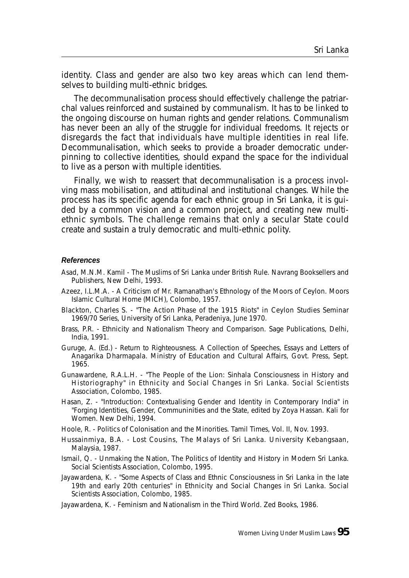identity. Class and gender are also two key areas which can lend themselves to building multi-ethnic bridges.

The decommunalisation process should effectively challenge the patriarchal values reinforced and sustained by communalism. It has to be linked to the ongoing discourse on human rights and gender relations. Communalism has never been an ally of the struggle for individual freedoms. It rejects or disregards the fact that individuals have multiple identities in real life. Decommunalisation, which seeks to provide a broader democratic underpinning to collective identities, should expand the space for the individual to live as a person with multiple identities.

Finally, we wish to reassert that decommunalisation is a process involving mass mobilisation, and attitudinal and institutional changes. While the process has its specific agenda for each ethnic group in Sri Lanka, it is guided by a common vision and a common project, and creating new multiethnic symbols. The challenge remains that only a secular State could create and sustain a truly democratic and multi-ethnic polity.

#### **References**

- Asad, M.N.M. Kamil The Muslims of Sri Lanka under British Rule. Navrang Booksellers and Publishers, New Delhi, 1993.
- Azeez, I.L.M.A. A Criticism of Mr. Ramanathan's Ethnology of the Moors of Ceylon. Moors Islamic Cultural Home (MICH), Colombo, 1957.
- Blackton, Charles S. "The Action Phase of the 1915 Riots" in Ceylon Studies Seminar 1969/70 Series, University of Sri Lanka, Peradeniya, June 1970.
- Brass, P.R. Ethnicity and Nationalism Theory and Comparison. Sage Publications, Delhi, India, 1991.
- Guruge, A. (Ed.) Return to Righteousness. A Collection of Speeches, Essays and Letters of Anagarika Dharmapala. Ministry of Education and Cultural Affairs, Govt. Press, Sept. 1965.
- Gunawardene, R.A.L.H. "The People of the Lion: Sinhala Consciousness in History and Historiography" in Ethnicity and Social Changes in Sri Lanka. Social Scientists Association, Colombo, 1985.
- Hasan, Z. "Introduction: Contextualising Gender and Identity in Contemporary India" in "Forging Identities, Gender, Communinities and the State, edited by Zoya Hassan. Kali for Women. New Delhi, 1994.
- Hoole, R. Politics of Colonisation and the Minorities. Tamil Times, Vol. II, Nov. 1993.
- Hussainmiya, B.A. Lost Cousins, The Malays of Sri Lanka. University Kebangsaan, Malaysia, 1987.
- Ismail, Q. Unmaking the Nation, The Politics of Identity and History in Modern Sri Lanka. Social Scientists Association, Colombo, 1995.
- Jayawardena, K. "Some Aspects of Class and Ethnic Consciousness in Sri Lanka in the late 19th and early 20th centuries" in Ethnicity and Social Changes in Sri Lanka. Social Scientists Association, Colombo, 1985.
- Jayawardena, K. Feminism and Nationalism in the Third World. Zed Books, 1986.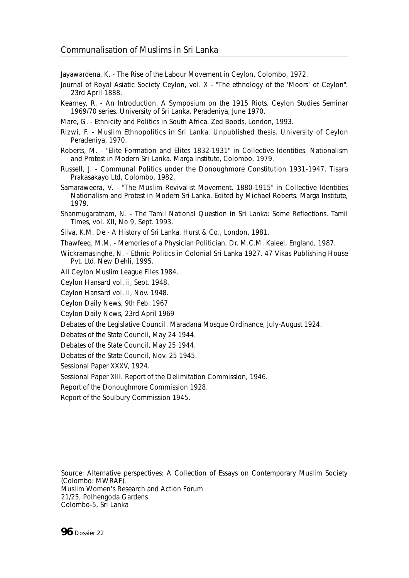Jayawardena, K. - The Rise of the Labour Movement in Ceylon, Colombo, 1972.

- Journal of Royal Asiatic Society Ceylon, vol. X "The ethnology of the 'Moors' of Ceylon". 23rd April 1888.
- Kearney, R. An Introduction. A Symposium on the 1915 Riots. Ceylon Studies Seminar 1969/70 series. University of Sri Lanka. Peradeniya, June 1970.

Mare, G. - Ethnicity and Politics in South Africa. Zed Boods, London, 1993.

- Rizwi, F. Muslim Ethnopolitics in Sri Lanka. Unpublished thesis. University of Ceylon Peradeniya, 1970.
- Roberts, M. "Elite Formation and Elites 1832-1931" in Collective Identities. Nationalism and Protest in Modern Sri Lanka. Marga Institute, Colombo, 1979.
- Russell, J. Communal Politics under the Donoughmore Constitution 1931-1947. Tisara Prakasakayo Ltd, Colombo, 1982.
- Samaraweera, V. "The Muslim Revivalist Movement, 1880-1915" in Collective Identities Nationalism and Protest in Modern Sri Lanka. Edited by Michael Roberts. Marga Institute, 1979.
- Shanmugaratnam, N. The Tamil National Question in Sri Lanka: Some Reflections. Tamil Times, vol. XII, No 9, Sept. 1993.
- Silva, K.M. De A History of Sri Lanka. Hurst & Co., London, 1981.
- Thawfeeq, M.M. Memories of a Physician Politician, Dr. M.C.M. Kaleel, England, 1987.
- Wickramasinghe, N. Ethnic Politics in Colonial Sri Lanka 1927. 47 Vikas Publishing House Pvt. Ltd. New Dehli, 1995.
- All Ceylon Muslim League Files 1984.
- Ceylon Hansard vol. ii, Sept. 1948.
- Ceylon Hansard vol. ii, Nov. 1948.
- Ceylon Daily News, 9th Feb. 1967
- Ceylon Daily News, 23rd April 1969
- Debates of the Legislative Council. Maradana Mosque Ordinance, July-August 1924.
- Debates of the State Council, May 24 1944.
- Debates of the State Council, May 25 1944.
- Debates of the State Council, Nov. 25 1945.

Sessional Paper XXXV, 1924.

- Sessional Paper XIII. Report of the Delimitation Commission, 1946.
- Report of the Donoughmore Commission 1928.
- Report of the Soulbury Commission 1945.

Source: Alternative perspectives: A Collection of Essays on Contemporary Muslim Society (Colombo: MWRAF). Muslim Women's Research and Action Forum 21/25, Polhengoda Gardens

Colombo-5, Sri Lanka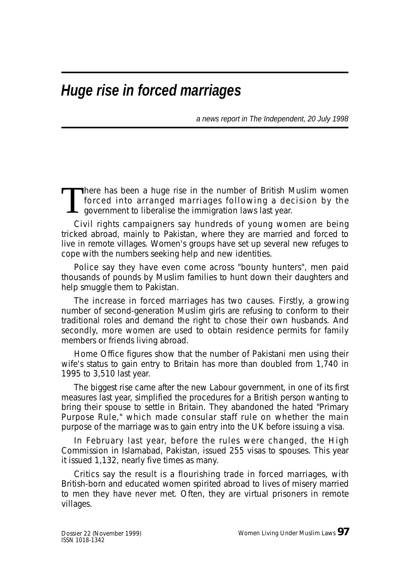# **Huge rise in forced marriages**

a news report in The Independent, 20 July 1998

There has been a huge rise in the number of British Muslim women<br>forced into arranged marriages following a decision by the<br>government to liberalise the immigration laws last year. forced into arranged marriages following a decision by the government to liberalise the immigration laws last year.

Civil rights campaigners say hundreds of young women are being tricked abroad, mainly to Pakistan, where they are married and forced to live in remote villages. Women's groups have set up several new refuges to cope with the numbers seeking help and new identities.

Police say they have even come across "bounty hunters", men paid thousands of pounds by Muslim families to hunt down their daughters and help smuggle them to Pakistan.

The increase in forced marriages has two causes. Firstly, a growing number of second-generation Muslim girls are refusing to conform to their traditional roles and demand the right to chose their own husbands. And secondly, more women are used to obtain residence permits for family members or friends living abroad.

Home Office figures show that the number of Pakistani men using their wife's status to gain entry to Britain has more than doubled from 1,740 in 1995 to 3,510 last year.

The biggest rise came after the new Labour government, in one of its first measures last year, simplified the procedures for a British person wanting to bring their spouse to settle in Britain. They abandoned the hated "Primary Purpose Rule," which made consular staff rule on whether the main purpose of the marriage was to gain entry into the UK before issuing a visa.

In February last year, before the rules were changed, the High Commission in Islamabad, Pakistan, issued 255 visas to spouses. This year it issued 1,132, nearly five times as many.

Critics say the result is a flourishing trade in forced marriages, with British-born and educated women spirited abroad to lives of misery married to men they have never met. Often, they are virtual prisoners in remote villages.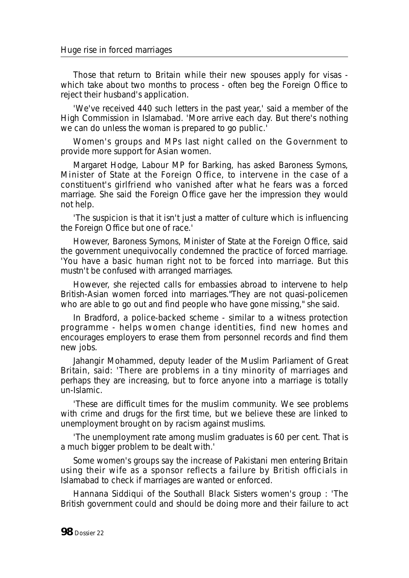Those that return to Britain while their new spouses apply for visas which take about two months to process - often beg the Foreign Office to reject their husband's application.

'We've received 440 such letters in the past year,' said a member of the High Commission in Islamabad. 'More arrive each day. But there's nothing we can do unless the woman is prepared to go public.'

Women's groups and MPs last night called on the Government to provide more support for Asian women.

Margaret Hodge, Labour MP for Barking, has asked Baroness Symons, Minister of State at the Foreign Office, to intervene in the case of a constituent's girlfriend who vanished after what he fears was a forced marriage. She said the Foreign Office gave her the impression they would not help.

'The suspicion is that it isn't just a matter of culture which is influencing the Foreign Office but one of race.'

However, Baroness Symons, Minister of State at the Foreign Office, said the government unequivocally condemned the practice of forced marriage. 'You have a basic human right not to be forced into marriage. But this mustn't be confused with arranged marriages.

However, she rejected calls for embassies abroad to intervene to help British-Asian women forced into marriages."They are not quasi-policemen who are able to go out and find people who have gone missing," she said.

In Bradford, a police-backed scheme - similar to a witness protection programme - helps women change identities, find new homes and encourages employers to erase them from personnel records and find them new jobs.

Jahangir Mohammed, deputy leader of the Muslim Parliament of Great Britain, said: 'There are problems in a tiny minority of marriages and perhaps they are increasing, but to force anyone into a marriage is totally un-Islamic.

'These are difficult times for the muslim community. We see problems with crime and drugs for the first time, but we believe these are linked to unemployment brought on by racism against muslims.

'The unemployment rate among muslim graduates is 60 per cent. That is a much bigger problem to be dealt with.'

Some women's groups say the increase of Pakistani men entering Britain using their wife as a sponsor reflects a failure by British officials in Islamabad to check if marriages are wanted or enforced.

Hannana Siddiqui of the Southall Black Sisters women's group : 'The British government could and should be doing more and their failure to act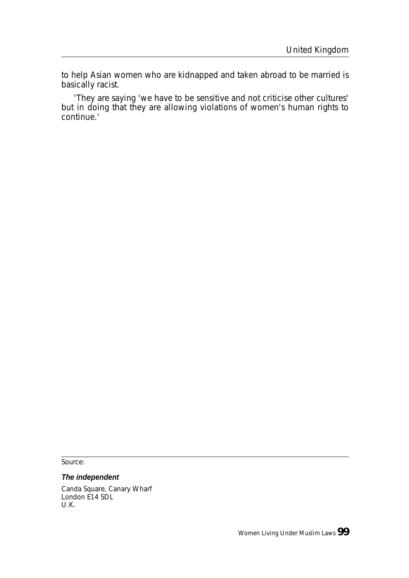to help Asian women who are kidnapped and taken abroad to be married is basically racist.

'They are saying 'we have to be sensitive and not criticise other cultures' but in doing that they are allowing violations of women's human rights to continue.'

Source:

# **The independent**

Canda Square, Canary Wharf London E14 SDL U.K.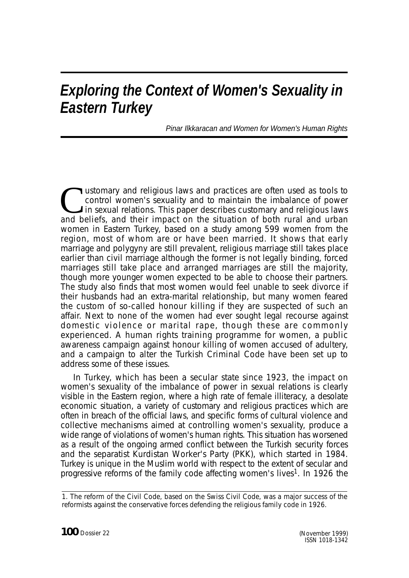# **Exploring the Context of Women's Sexuality in Eastern Turkey**

Pinar Ilkkaracan and Women for Women's Human Rights

ustomary and religious laws and practices are often used as tools to control women's sexuality and to maintain the imbalance of power<br>in sexual relations. This paper describes customary and religious laws<br>and beliefs, and control women's sexuality and to maintain the imbalance of power in sexual relations. This paper describes customary and religious laws and beliefs, and their impact on the situation of both rural and urban women in Eastern Turkey, based on a study among 599 women from the region, most of whom are or have been married. It shows that early marriage and polygyny are still prevalent, religious marriage still takes place earlier than civil marriage although the former is not legally binding, forced marriages still take place and arranged marriages are still the majority, though more younger women expected to be able to choose their partners. The study also finds that most women would feel unable to seek divorce if their husbands had an extra-marital relationship, but many women feared the custom of so-called honour killing if they are suspected of such an affair. Next to none of the women had ever sought legal recourse against domestic violence or marital rape, though these are commonly experienced. A human rights training programme for women, a public awareness campaign against honour killing of women accused of adultery, and a campaign to alter the Turkish Criminal Code have been set up to address some of these issues.

In Turkey, which has been a secular state since 1923, the impact on women's sexuality of the imbalance of power in sexual relations is clearly visible in the Eastern region, where a high rate of female illiteracy, a desolate economic situation, a variety of customary and religious practices which are often in breach of the official laws, and specific forms of cultural violence and collective mechanisms aimed at controlling women's sexuality, produce a wide range of violations of women's human rights. This situation has worsened as a result of the ongoing armed conflict between the Turkish security forces and the separatist Kurdistan Worker's Party (PKK), which started in 1984. Turkey is unique in the Muslim world with respect to the extent of secular and progressive reforms of the family code affecting women's lives<sup>1</sup>. In 1926 the

<sup>1.</sup> The reform of the Civil Code, based on the Swiss Civil Code, was a major success of the reformists against the conservative forces defending the religious family code in 1926.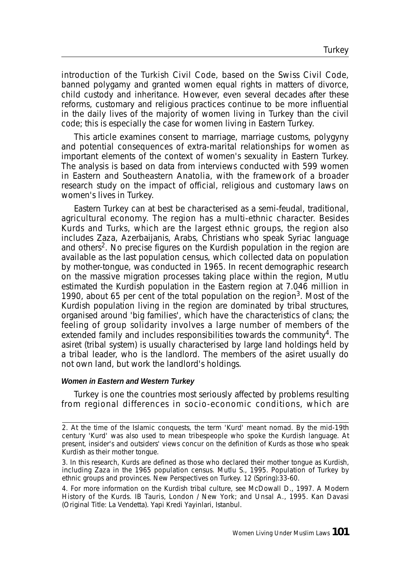introduction of the Turkish Civil Code, based on the Swiss Civil Code, banned polygamy and granted women equal rights in matters of divorce, child custody and inheritance. However, even several decades after these reforms, customary and religious practices continue to be more influential in the daily lives of the majority of women living in Turkey than the civil code; this is especially the case for women living in Eastern Turkey.

This article examines consent to marriage, marriage customs, polygyny and potential consequences of extra-marital relationships for women as important elements of the context of women's sexuality in Eastern Turkey. The analysis is based on data from interviews conducted with 599 women in Eastern and Southeastern Anatolia, with the framework of a broader research study on the impact of official, religious and customary laws on women's lives in Turkey.

Eastern Turkey can at best be characterised as a semi-feudal, traditional, agricultural economy. The region has a multi-ethnic character. Besides Kurds and Turks, which are the largest ethnic groups, the region also includes Zaza, Azerbaijanis, Arabs, Christians who speak Syriac language and others<sup>2</sup>. No precise figures on the Kurdish population in the region are available as the last population census, which collected data on population by mother-tongue, was conducted in 1965. In recent demographic research on the massive migration processes taking place within the region, Mutlu estimated the Kurdish population in the Eastern region at 7.046 million in 1990, about 65 per cent of the total population on the region<sup>3</sup>. Most of the Kurdish population living in the region are dominated by tribal structures, organised around 'big families', which have the characteristics of clans; the feeling of group solidarity involves a large number of members of the extended family and includes responsibilities towards the community<sup>4</sup>. The asiret (tribal system) is usually characterised by large land holdings held by a tribal leader, who is the landlord. The members of the asiret usually do not own land, but work the landlord's holdings.

#### **Women in Eastern and Western Turkey**

Turkey is one the countries most seriously affected by problems resulting from regional differences in socio-economic conditions, which are

<sup>2.</sup> At the time of the Islamic conquests, the term 'Kurd' meant nomad. By the mid-19th century 'Kurd' was also used to mean tribespeople who spoke the Kurdish language. At present, insider's and outsiders' views concur on the definition of Kurds as those who speak Kurdish as their mother tongue.

<sup>3.</sup> In this research, Kurds are defined as those who declared their mother tongue as Kurdish, including Zaza in the 1965 population census. Mutlu S., 1995. Population of Turkey by ethnic groups and provinces. New Perspectives on Turkey. 12 (Spring):33-60.

<sup>4.</sup> For more information on the Kurdish tribal culture, see McDowall D., 1997. A Modern History of the Kurds. IB Tauris, London / New York; and Unsal A., 1995. Kan Davasi (Original Title: La Vendetta). Yapi Kredi Yayinlari, Istanbul.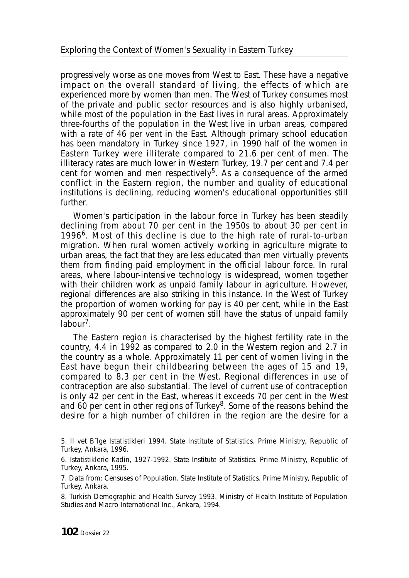progressively worse as one moves from West to East. These have a negative impact on the overall standard of living, the effects of which are experienced more by women than men. The West of Turkey consumes most of the private and public sector resources and is also highly urbanised, while most of the population in the East lives in rural areas. Approximately three-fourths of the population in the West live in urban areas, compared with a rate of 46 per vent in the East. Although primary school education has been mandatory in Turkey since 1927, in 1990 half of the women in Eastern Turkey were illiterate compared to 21.6 per cent of men. The illiteracy rates are much lower in Western Turkey, 19.7 per cent and 7.4 per cent for women and men respectively<sup>5</sup>. As a consequence of the armed conflict in the Eastern region, the number and quality of educational institutions is declining, reducing women's educational opportunities still further.

Women's participation in the labour force in Turkey has been steadily declining from about 70 per cent in the 1950s to about 30 per cent in 1996<sup>6</sup>. Most of this decline is due to the high rate of rural-to-urban migration. When rural women actively working in agriculture migrate to urban areas, the fact that they are less educated than men virtually prevents them from finding paid employment in the official labour force. In rural areas, where labour-intensive technology is widespread, women together with their children work as unpaid family labour in agriculture. However, regional differences are also striking in this instance. In the West of Turkey the proportion of women working for pay is 40 per cent, while in the East approximately 90 per cent of women still have the status of unpaid family  $l$ abour $\prime$ .

The Eastern region is characterised by the highest fertility rate in the country, 4.4 in 1992 as compared to 2.0 in the Western region and 2.7 in the country as a whole. Approximately 11 per cent of women living in the East have begun their childbearing between the ages of 15 and 19, compared to 8.3 per cent in the West. Regional differences in use of contraception are also substantial. The level of current use of contraception is only 42 per cent in the East, whereas it exceeds 70 per cent in the West and 60 per cent in other regions of Turkey<sup>8</sup>. Some of the reasons behind the desire for a high number of children in the region are the desire for a

<sup>5.</sup> Il vet Bˆlge Istatistikleri 1994. State Institute of Statistics. Prime Ministry, Republic of Turkey, Ankara, 1996.

<sup>6.</sup> Istatistiklerie Kadin, 1927-1992. State Institute of Statistics. Prime Ministry, Republic of Turkey, Ankara, 1995.

<sup>7.</sup> Data from: Censuses of Population. State Institute of Statistics. Prime Ministry, Republic of Turkey, Ankara.

<sup>8.</sup> Turkish Demographic and Health Survey 1993. Ministry of Health Institute of Population Studies and Macro International Inc., Ankara, 1994.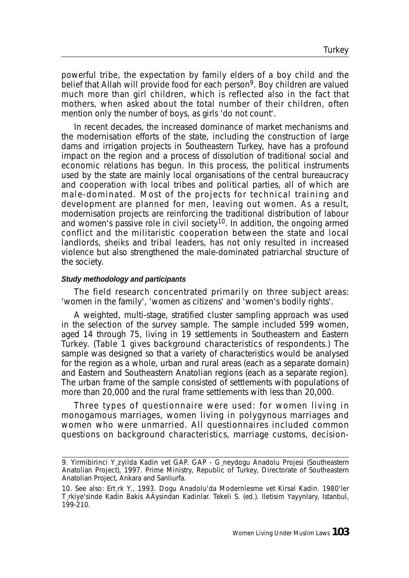powerful tribe, the expectation by family elders of a boy child and the belief that Allah will provide food for each person<sup>9</sup>. Boy children are valued much more than girl children, which is reflected also in the fact that mothers, when asked about the total number of their children, often mention only the number of boys, as girls 'do not count'.

In recent decades, the increased dominance of market mechanisms and the modernisation efforts of the state, including the construction of large dams and irrigation projects in Southeastern Turkey, have has a profound impact on the region and a process of dissolution of traditional social and economic relations has begun. In this process, the political instruments used by the state are mainly local organisations of the central bureaucracy and cooperation with local tribes and political parties, all of which are male-dominated. Most of the projects for technical training and development are planned for men, leaving out women. As a result, modernisation projects are reinforcing the traditional distribution of labour and women's passive role in civil society<sup>10</sup>. In addition, the ongoing armed conflict and the militaristic cooperation between the state and local landlords, sheiks and tribal leaders, has not only resulted in increased violence but also strengthened the male-dominated patriarchal structure of the society.

### **Study methodology and participants**

The field research concentrated primarily on three subject areas: 'women in the family', 'women as citizens' and 'women's bodily rights'.

A weighted, multi-stage, stratified cluster sampling approach was used in the selection of the survey sample. The sample included 599 women, aged 14 through 75, living in 19 settlements in Southeastern and Eastern Turkey. (Table 1 gives background characteristics of respondents.) The sample was designed so that a variety of characteristics would be analysed for the region as a whole, urban and rural areas (each as a separate domain) and Eastern and Southeastern Anatolian regions (each as a separate region). The urban frame of the sample consisted of settlements with populations of more than 20,000 and the rural frame settlements with less than 20,000.

Three types of questionnaire were used: for women living in monogamous marriages, women living in polygynous marriages and women who were unmarried. All questionnaires included common questions on background characteristics, marriage customs, decision-

<sup>9.</sup> Yirmibirinci Y¸zyilda Kadin vet GAP. GAP - G¸neydogu Anadolu Projesi (Southeastern Anatolian Project), 1997. Prime Ministry, Republic of Turkey, Directorate of Southeastern Anatolian Project, Ankara and Sanliurfa.

<sup>10.</sup> See also: Ert¸rk Y., 1993. Dogu Anadolu'da Modernlesme vet Kirsal Kadin. 1980'ler T¸rkiye'sinde Kadin Bakis AÁysindan Kadinlar. Tekeli S. (ed.). Iletisim Yayynlary, Istanbul, 199-210.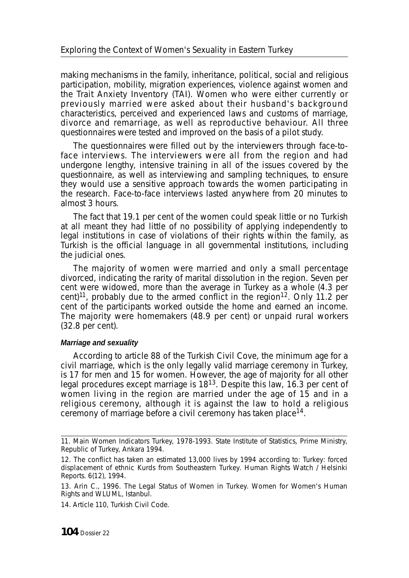making mechanisms in the family, inheritance, political, social and religious participation, mobility, migration experiences, violence against women and the Trait Anxiety Inventory (TAI). Women who were either currently or previously married were asked about their husband's background characteristics, perceived and experienced laws and customs of marriage, divorce and remarriage, as well as reproductive behaviour. All three questionnaires were tested and improved on the basis of a pilot study.

The questionnaires were filled out by the interviewers through face-toface interviews. The interviewers were all from the region and had undergone lengthy, intensive training in all of the issues covered by the questionnaire, as well as interviewing and sampling techniques, to ensure they would use a sensitive approach towards the women participating in the research. Face-to-face interviews lasted anywhere from 20 minutes to almost 3 hours.

The fact that 19.1 per cent of the women could speak little or no Turkish at all meant they had little of no possibility of applying independently to legal institutions in case of violations of their rights within the family, as Turkish is the official language in all governmental institutions, including the judicial ones.

The majority of women were married and only a small percentage divorced, indicating the rarity of marital dissolution in the region. Seven per cent were widowed, more than the average in Turkey as a whole (4.3 per cent)<sup>11</sup>, probably due to the armed conflict in the region<sup>12</sup>. Only 11.2 per cent of the participants worked outside the home and earned an income. The majority were homemakers (48.9 per cent) or unpaid rural workers (32.8 per cent).

### **Marriage and sexuality**

According to article 88 of the Turkish Civil Cove, the minimum age for a civil marriage, which is the only legally valid marriage ceremony in Turkey, is 17 for men and 15 for women. However, the age of majority for all other legal procedures except marriage is 1813. Despite this law, 16.3 per cent of women living in the region are married under the age of 15 and in a religious ceremony, although it is against the law to hold a religious ceremony of marriage before a civil ceremony has taken place<sup>14</sup>.

14. Article 110, Turkish Civil Code.

<sup>11.</sup> Main Women Indicators Turkey, 1978-1993. State Institute of Statistics, Prime Ministry, Republic of Turkey, Ankara 1994.

<sup>12.</sup> The conflict has taken an estimated 13,000 lives by 1994 according to: Turkey: forced displacement of ethnic Kurds from Southeastern Turkey. Human Rights Watch / Helsinki Reports. 6(12), 1994.

<sup>13.</sup> Arin C., 1996. The Legal Status of Women in Turkey. Women for Women's Human Rights and WLUML, Istanbul.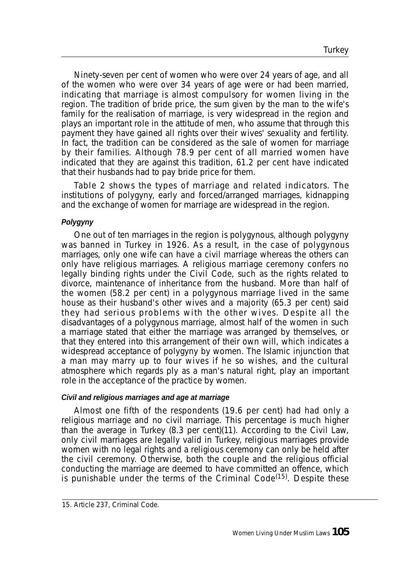Ninety-seven per cent of women who were over 24 years of age, and all of the women who were over 34 years of age were or had been married, indicating that marriage is almost compulsory for women living in the region. The tradition of bride price, the sum given by the man to the wife's family for the realisation of marriage, is very widespread in the region and plays an important role in the attitude of men, who assume that through this payment they have gained all rights over their wives' sexuality and fertility. In fact, the tradition can be considered as the sale of women for marriage by their families. Although 78.9 per cent of all married women have indicated that they are against this tradition, 61.2 per cent have indicated that their husbands had to pay bride price for them.

Table 2 shows the types of marriage and related indicators. The institutions of polygyny, early and forced/arranged marriages, kidnapping and the exchange of women for marriage are widespread in the region.

# **Polygyny**

One out of ten marriages in the region is polygynous, although polygyny was banned in Turkey in 1926. As a result, in the case of polygynous marriages, only one wife can have a civil marriage whereas the others can only have religious marriages. A religious marriage ceremony confers no legally binding rights under the Civil Code, such as the rights related to divorce, maintenance of inheritance from the husband. More than half of the women (58.2 per cent) in a polygynous marriage lived in the same house as their husband's other wives and a majority (65.3 per cent) said they had serious problems with the other wives. Despite all the disadvantages of a polygynous marriage, almost half of the women in such a marriage stated that either the marriage was arranged by themselves, or that they entered into this arrangement of their own will, which indicates a widespread acceptance of polygyny by women. The Islamic injunction that a man may marry up to four wives if he so wishes, and the cultural atmosphere which regards ply as a man's natural right, play an important role in the acceptance of the practice by women.

# **Civil and religious marriages and age at marriage**

Almost one fifth of the respondents (19.6 per cent) had had only a religious marriage and no civil marriage. This percentage is much higher than the average in Turkey (8.3 per cent)(11). According to the Civil Law, only civil marriages are legally valid in Turkey, religious marriages provide women with no legal rights and a religious ceremony can only be held after the civil ceremony. Otherwise, both the couple and the religious official conducting the marriage are deemed to have committed an offence, which is punishable under the terms of the Criminal Code $(15)$ . Despite these

<sup>15.</sup> Article 237, Criminal Code.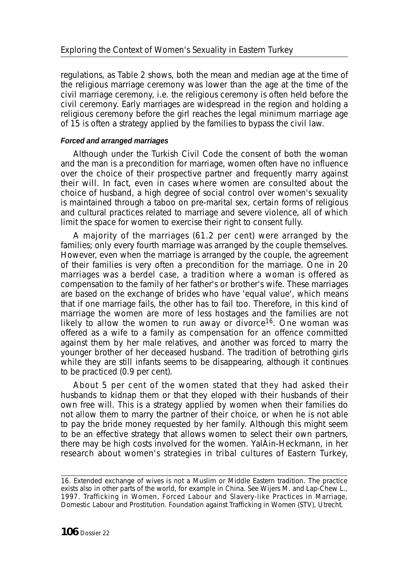regulations, as Table 2 shows, both the mean and median age at the time of the religious marriage ceremony was lower than the age at the time of the civil marriage ceremony, i.e. the religious ceremony is often held before the civil ceremony. Early marriages are widespread in the region and holding a religious ceremony before the girl reaches the legal minimum marriage age of 15 is often a strategy applied by the families to bypass the civil law.

#### **Forced and arranged marriages**

Although under the Turkish Civil Code the consent of both the woman and the man is a precondition for marriage, women often have no influence over the choice of their prospective partner and frequently marry against their will. In fact, even in cases where women are consulted about the choice of husband, a high degree of social control over women's sexuality is maintained through a taboo on pre-marital sex, certain forms of religious and cultural practices related to marriage and severe violence, all of which limit the space for women to exercise their right to consent fully.

A majority of the marriages (61.2 per cent) were arranged by the families; only every fourth marriage was arranged by the couple themselves. However, even when the marriage is arranged by the couple, the agreement of their families is very often a precondition for the marriage. One in 20 marriages was a berdel case, a tradition where a woman is offered as compensation to the family of her father's or brother's wife. These marriages are based on the exchange of brides who have 'equal value', which means that if one marriage fails, the other has to fail too. Therefore, in this kind of marriage the women are more of less hostages and the families are not likely to allow the women to run away or divorce<sup>16</sup>. One woman was offered as a wife to a family as compensation for an offence committed against them by her male relatives, and another was forced to marry the younger brother of her deceased husband. The tradition of betrothing girls while they are still infants seems to be disappearing, although it continues to be practiced (0.9 per cent).

About 5 per cent of the women stated that they had asked their husbands to kidnap them or that they eloped with their husbands of their own free will. This is a strategy applied by women when their families do not allow them to marry the partner of their choice, or when he is not able to pay the bride money requested by her family. Although this might seem to be an effective strategy that allows women to select their own partners, there may be high costs involved for the women. YalÁin-Heckmann, in her research about women's strategies in tribal cultures of Eastern Turkey,

<sup>16.</sup> Extended exchange of wives is not a Muslim or Middle Eastern tradition. The practice exists also in other parts of the world, for example in China. See Wijers M. and Lap-Chew L., 1997. Trafficking in Women, Forced Labour and Slavery-like Practices in Marriage, Domestic Labour and Prostitution. Foundation against Trafficking in Women (STV), Utrecht.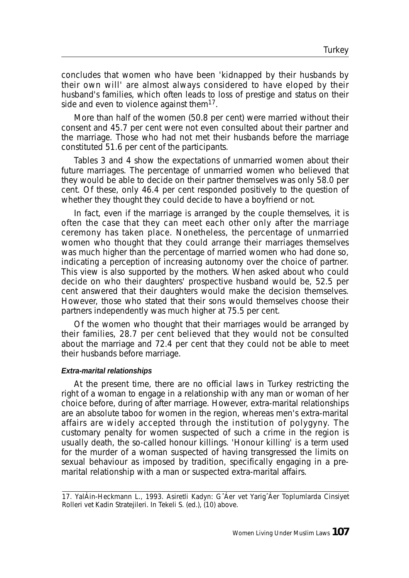concludes that women who have been 'kidnapped by their husbands by their own will' are almost always considered to have eloped by their husband's families, which often leads to loss of prestige and status on their side and even to violence against them<sup>17</sup>.

More than half of the women (50.8 per cent) were married without their consent and 45.7 per cent were not even consulted about their partner and the marriage. Those who had not met their husbands before the marriage constituted 51.6 per cent of the participants.

Tables 3 and 4 show the expectations of unmarried women about their future marriages. The percentage of unmarried women who believed that they would be able to decide on their partner themselves was only 58.0 per cent. Of these, only 46.4 per cent responded positively to the question of whether they thought they could decide to have a boyfriend or not.

In fact, even if the marriage is arranged by the couple themselves, it is often the case that they can meet each other only after the marriage ceremony has taken place. Nonetheless, the percentage of unmarried women who thought that they could arrange their marriages themselves was much higher than the percentage of married women who had done so, indicating a perception of increasing autonomy over the choice of partner. This view is also supported by the mothers. When asked about who could decide on who their daughters' prospective husband would be, 52.5 per cent answered that their daughters would make the decision themselves. However, those who stated that their sons would themselves choose their partners independently was much higher at 75.5 per cent.

Of the women who thought that their marriages would be arranged by their families, 28.7 per cent believed that they would not be consulted about the marriage and 72.4 per cent that they could not be able to meet their husbands before marriage.

#### **Extra-marital relationships**

At the present time, there are no official laws in Turkey restricting the right of a woman to engage in a relationship with any man or woman of her choice before, during of after marriage. However, extra-marital relationships are an absolute taboo for women in the region, whereas men's extra-marital affairs are widely accepted through the institution of polygyny. The customary penalty for women suspected of such a crime in the region is usually death, the so-called honour killings. 'Honour killing' is a term used for the murder of a woman suspected of having transgressed the limits on sexual behaviour as imposed by tradition, specifically engaging in a premarital relationship with a man or suspected extra-marital affairs.

<sup>17.</sup> YalÁin-Heckmann L., 1993. Asiretli Kadyn: GˆÁer vet YarigˆÁer Toplumlarda Cinsiyet Rolleri vet Kadin Stratejileri. In Tekeli S. (ed.), (10) above.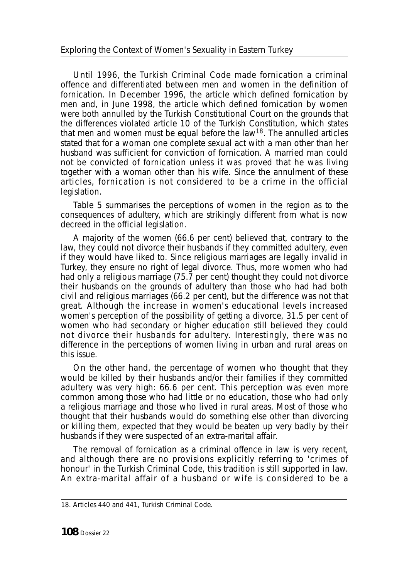Until 1996, the Turkish Criminal Code made fornication a criminal offence and differentiated between men and women in the definition of fornication. In December 1996, the article which defined fornication by men and, in June 1998, the article which defined fornication by women were both annulled by the Turkish Constitutional Court on the grounds that the differences violated article 10 of the Turkish Constitution, which states that men and women must be equal before the  $\text{law}^{\text{18}}$ . The annulled articles stated that for a woman one complete sexual act with a man other than her husband was sufficient for conviction of fornication. A married man could not be convicted of fornication unless it was proved that he was living together with a woman other than his wife. Since the annulment of these articles, fornication is not considered to be a crime in the official legislation.

Table 5 summarises the perceptions of women in the region as to the consequences of adultery, which are strikingly different from what is now decreed in the official legislation.

A majority of the women (66.6 per cent) believed that, contrary to the law, they could not divorce their husbands if they committed adultery, even if they would have liked to. Since religious marriages are legally invalid in Turkey, they ensure no right of legal divorce. Thus, more women who had had only a religious marriage (75.7 per cent) thought they could not divorce their husbands on the grounds of adultery than those who had had both civil and religious marriages (66.2 per cent), but the difference was not that great. Although the increase in women's educational levels increased women's perception of the possibility of getting a divorce, 31.5 per cent of women who had secondary or higher education still believed they could not divorce their husbands for adultery. Interestingly, there was no difference in the perceptions of women living in urban and rural areas on this issue.

On the other hand, the percentage of women who thought that they would be killed by their husbands and/or their families if they committed adultery was very high: 66.6 per cent. This perception was even more common among those who had little or no education, those who had only a religious marriage and those who lived in rural areas. Most of those who thought that their husbands would do something else other than divorcing or killing them, expected that they would be beaten up very badly by their husbands if they were suspected of an extra-marital affair.

The removal of fornication as a criminal offence in law is very recent, and although there are no provisions explicitly referring to 'crimes of honour' in the Turkish Criminal Code, this tradition is still supported in law. An extra-marital affair of a husband or wife is considered to be a

<sup>18.</sup> Articles 440 and 441, Turkish Criminal Code.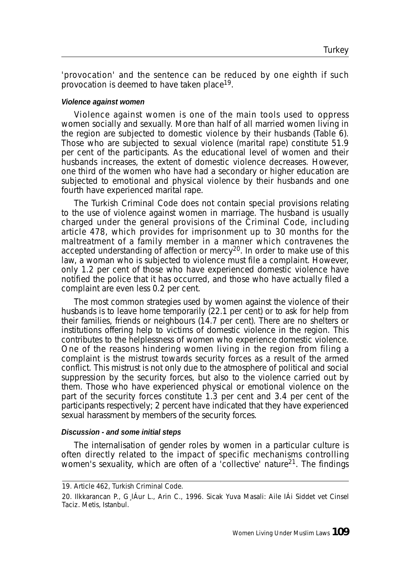'provocation' and the sentence can be reduced by one eighth if such provocation is deemed to have taken place<sup>19</sup>.

#### **Violence against women**

Violence against women is one of the main tools used to oppress women socially and sexually. More than half of all married women living in the region are subjected to domestic violence by their husbands (Table 6). Those who are subjected to sexual violence (marital rape) constitute 51.9 per cent of the participants. As the educational level of women and their husbands increases, the extent of domestic violence decreases. However, one third of the women who have had a secondary or higher education are subjected to emotional and physical violence by their husbands and one fourth have experienced marital rape.

The Turkish Criminal Code does not contain special provisions relating to the use of violence against women in marriage. The husband is usually charged under the general provisions of the Criminal Code, including article 478, which provides for imprisonment up to 30 months for the maltreatment of a family member in a manner which contravenes the accepted understanding of affection or mercy20. In order to make use of this law, a woman who is subjected to violence must file a complaint. However, only 1.2 per cent of those who have experienced domestic violence have notified the police that it has occurred, and those who have actually filed a complaint are even less 0.2 per cent.

The most common strategies used by women against the violence of their husbands is to leave home temporarily (22.1 per cent) or to ask for help from their families, friends or neighbours (14.7 per cent). There are no shelters or institutions offering help to victims of domestic violence in the region. This contributes to the helplessness of women who experience domestic violence. One of the reasons hindering women living in the region from filing a complaint is the mistrust towards security forces as a result of the armed conflict. This mistrust is not only due to the atmosphere of political and social suppression by the security forces, but also to the violence carried out by them. Those who have experienced physical or emotional violence on the part of the security forces constitute 1.3 per cent and 3.4 per cent of the participants respectively; 2 percent have indicated that they have experienced sexual harassment by members of the security forces.

#### **Discussion - and some initial steps**

The internalisation of gender roles by women in a particular culture is often directly related to the impact of specific mechanisms controlling women's sexuality, which are often of a 'collective' nature<sup>21</sup>. The findings

<sup>19.</sup> Article 462, Turkish Criminal Code.

<sup>20.</sup> Ilkkarancan P., G¸lÁur L., Arin C., 1996. Sicak Yuva Masali: Aile IÁi Siddet vet Cinsel Taciz. Metis, Istanbul.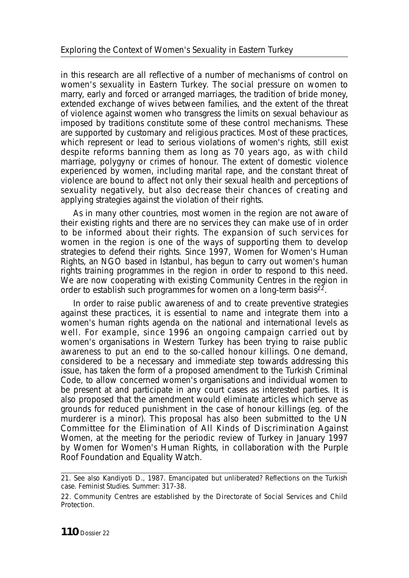in this research are all reflective of a number of mechanisms of control on women's sexuality in Eastern Turkey. The social pressure on women to marry, early and forced or arranged marriages, the tradition of bride money, extended exchange of wives between families, and the extent of the threat of violence against women who transgress the limits on sexual behaviour as imposed by traditions constitute some of these control mechanisms. These are supported by customary and religious practices. Most of these practices, which represent or lead to serious violations of women's rights, still exist despite reforms banning them as long as 70 years ago, as with child marriage, polygyny or crimes of honour. The extent of domestic violence experienced by women, including marital rape, and the constant threat of violence are bound to affect not only their sexual health and perceptions of sexuality negatively, but also decrease their chances of creating and applying strategies against the violation of their rights.

As in many other countries, most women in the region are not aware of their existing rights and there are no services they can make use of in order to be informed about their rights. The expansion of such services for women in the region is one of the ways of supporting them to develop strategies to defend their rights. Since 1997, Women for Women's Human Rights, an NGO based in Istanbul, has begun to carry out women's human rights training programmes in the region in order to respond to this need. We are now cooperating with existing Community Centres in the region in order to establish such programmes for women on a long-term basis<sup>22</sup>.

In order to raise public awareness of and to create preventive strategies against these practices, it is essential to name and integrate them into a women's human rights agenda on the national and international levels as well. For example, since 1996 an ongoing campaign carried out by women's organisations in Western Turkey has been trying to raise public awareness to put an end to the so-called honour killings. One demand, considered to be a necessary and immediate step towards addressing this issue, has taken the form of a proposed amendment to the Turkish Criminal Code, to allow concerned women's organisations and individual women to be present at and participate in any court cases as interested parties. It is also proposed that the amendment would eliminate articles which serve as grounds for reduced punishment in the case of honour killings (eg. of the murderer is a minor). This proposal has also been submitted to the UN Committee for the Elimination of All Kinds of Discrimination Against Women, at the meeting for the periodic review of Turkey in January 1997 by Women for Women's Human Rights, in collaboration with the Purple Roof Foundation and Equality Watch.

<sup>21.</sup> See also Kandiyoti D., 1987. Emancipated but unliberated? Reflections on the Turkish case. Feminist Studies. Summer: 317-38.

<sup>22.</sup> Community Centres are established by the Directorate of Social Services and Child Protection.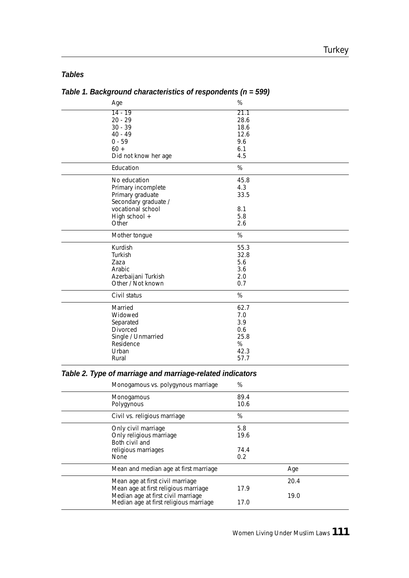#### **Tables**

| Age                  | %    |  |
|----------------------|------|--|
| $14 - 19$            | 21.1 |  |
| $20 - 29$            | 28.6 |  |
| $30 - 39$            | 18.6 |  |
| $40 - 49$            | 12.6 |  |
| $0 - 59$             | 9.6  |  |
| $60 +$               | 6.1  |  |
| Did not know her age | 4.5  |  |
| Education            | %    |  |
| No education         | 45.8 |  |
| Primary incomplete   | 4.3  |  |
| Primary graduate     | 33.5 |  |
| Secondary graduate / |      |  |
| vocational school    | 8.1  |  |
| High school +        | 5.8  |  |
| Other                | 2.6  |  |
| Mother tongue        | $\%$ |  |
| Kurdish              | 55.3 |  |
| Turkish              | 32.8 |  |
| Zaza                 | 5.6  |  |
| Arabic               | 3.6  |  |
| Azerbaijani Turkish  | 2.0  |  |
| Other / Not known    | 0.7  |  |
| Civil status         | %    |  |
| Married              | 62.7 |  |
| Widowed              | 7.0  |  |
| Separated            | 3.9  |  |
| <b>Divorced</b>      | 0.6  |  |
| Single / Unmarried   | 25.8 |  |
| Residence            | $\%$ |  |
| Urban                | 42.3 |  |
| Rural                | 57.7 |  |

#### **Table 1. Background characteristics of respondents (n = 599)**

## **Table 2. Type of marriage and marriage-related indicators**

| Monogamous vs. polygynous marriage                                           | %            |      |
|------------------------------------------------------------------------------|--------------|------|
| Monogamous<br>Polygynous                                                     | 89.4<br>10.6 |      |
| Civil vs. religious marriage                                                 | $\%$         |      |
| Only civil marriage<br>Only religious marriage<br>Both civil and             | 5.8<br>19.6  |      |
| religious marriages<br><b>None</b>                                           | 74.4<br>0.2  |      |
| Mean and median age at first marriage                                        |              | Age  |
| Mean age at first civil marriage<br>Mean age at first religious marriage     | 17.9         | 20.4 |
| Median age at first civil marriage<br>Median age at first religious marriage | 17.0         | 19.0 |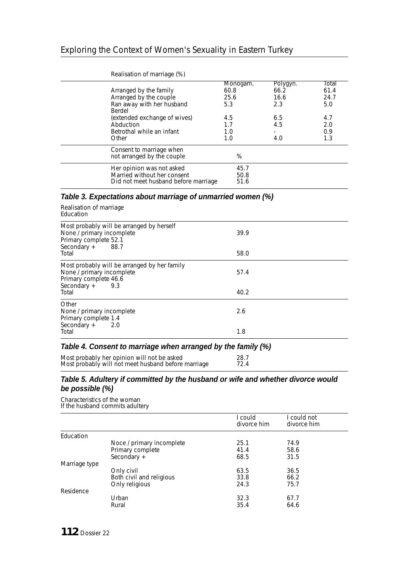| Realisation of marriage (%)                                                                      |                                 |                                 |                              |
|--------------------------------------------------------------------------------------------------|---------------------------------|---------------------------------|------------------------------|
| Arranged by the family<br>Arranged by the couple<br>Ran away with her husband<br>Berdel          | Monogam.<br>60.8<br>25.6<br>5.3 | Polygyn.<br>66.2<br>16.6<br>2.3 | Total<br>61.4<br>24.7<br>5.0 |
| (extended exchange of wives)<br>Abduction<br>Betrothal while an infant<br>Other                  | 4.5<br>1.7<br>1.0<br>1.0        | 6.5<br>4.5<br>4.0               | 4.7<br>2.0<br>0.9<br>1.3     |
| Consent to marriage when<br>not arranged by the couple                                           | %                               |                                 |                              |
| Her opinion was not asked<br>Married without her consent<br>Did not meet husband before marriage | 45.7<br>50.8<br>51.6            |                                 |                              |

#### **Table 3. Expectations about marriage of unmarried women (%)**

| Realisation of marriage<br>Education                                                               |      |
|----------------------------------------------------------------------------------------------------|------|
| Most probably will be arranged by herself<br>None / primary incomplete<br>Primary complete 52.1    | 39.9 |
| Secondary +<br>88.7<br>Total                                                                       | 58.0 |
| Most probably will be arranged by her family<br>None / primary incomplete<br>Primary complete 46.6 | 57.4 |
| Secondary +<br>9.3<br>Total                                                                        | 40.2 |
| Other<br>None / primary incomplete<br>Primary complete 1.4                                         | 2.6  |
| Secondary +<br>2.0<br>Total                                                                        | 1.8  |

#### **Table 4. Consent to marriage when arranged by the family (%)**

Most probably her opinion will not be asked 28.7 Most probably will not meet husband before marriage  $\hspace{1.5cm}72.4$ 

#### **Table 5. Adultery if committed by the husband or wife and whether divorce would be possible (%)**

Characteristics of the woman If the husband commits adultery

|               |                           | I could<br>divorce him | I could not<br>divorce him |
|---------------|---------------------------|------------------------|----------------------------|
| Education     |                           |                        |                            |
|               | Noce / primary incomplete | 25.1                   | 74.9                       |
|               | Primary complete          | 41.4                   | 58.6                       |
|               | Secondary +               | 68.5                   | 31.5                       |
| Marriage type |                           |                        |                            |
|               | Only civil                | 63.5                   | 36.5                       |
|               | Both civil and religious  | 33.8                   | 66.2                       |
|               | Only religious            | 24.3                   | 75.7                       |
| Residence     |                           |                        |                            |
|               | Urban                     | 32.3                   | 67.7                       |
|               | Rural                     | 35.4                   | 64.6                       |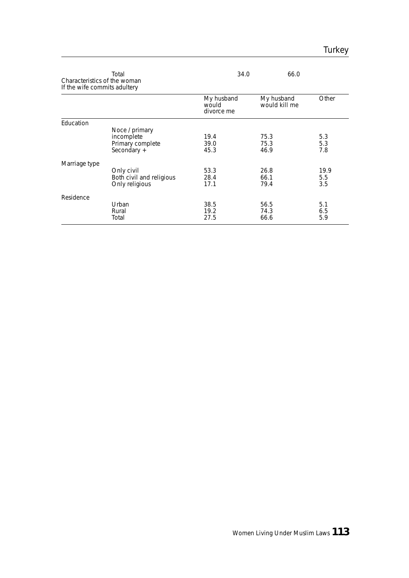| Total<br>Characteristics of the woman<br>If the wife commits adultery |                                                                 | 34.0                              | 66.0                        |                    |
|-----------------------------------------------------------------------|-----------------------------------------------------------------|-----------------------------------|-----------------------------|--------------------|
|                                                                       |                                                                 | My husband<br>would<br>divorce me | My husband<br>would kill me | Other              |
| Education                                                             |                                                                 |                                   |                             |                    |
|                                                                       | Noce / primary<br>incomplete<br>Primary complete<br>Secondary + | 19.4<br>39.0<br>45.3              | 75.3<br>75.3<br>46.9        | 5.3<br>5.3<br>7.8  |
| Marriage type                                                         |                                                                 |                                   |                             |                    |
|                                                                       | Only civil<br>Both civil and religious<br>Only religious        | 53.3<br>28.4<br>17.1              | 26.8<br>66.1<br>79.4        | 19.9<br>5.5<br>3.5 |
| Residence                                                             |                                                                 |                                   |                             |                    |
|                                                                       | Urban<br>Rural<br>Total                                         | 38.5<br>19.2<br>27.5              | 56.5<br>74.3<br>66.6        | 5.1<br>6.5<br>5.9  |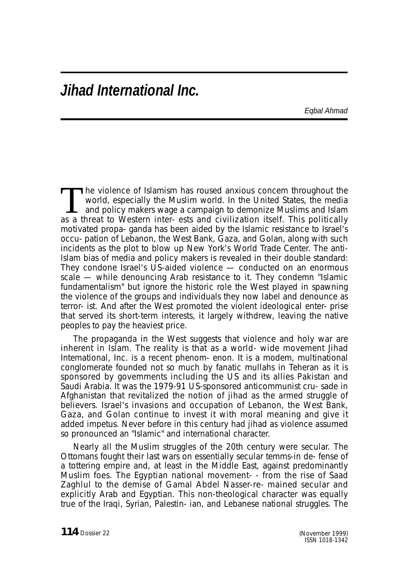Eqbal Ahmad

The violence of Islamism has roused anxious concem throughout the<br>world, especially the Muslim world. In the United States, the media<br>and policy makers wage a campaign to demonize Muslims and Islam<br>as a threat to Western i world, especially the Muslim world. In the United States, the media and policy makers wage a campaign to demonize Muslims and Islam as a threat to Western inter- ests and civilization itself. This politically motivated propa- ganda has been aided by the Islamic resistance to Israel's occu- pation of Lebanon, the West Bank, Gaza, and Golan, along with such incidents as the plot to blow up New York's World Trade Center. The antilslam bias of media and policy makers is revealed in their double standard: They condone Israel's US-aided violence — conducted on an enormous scale — while denouncing Arab resistance to it. They condemn "Islamic fundamentalism" but ignore the historic role the West played in spawning the violence of the groups and individuals they now label and denounce as terror- ist. And after the West promoted the violent ideological enter- prise that served its short-term interests, it largely withdrew, leaving the native peoples to pay the heaviest price.

The propaganda in the West suggests that violence and holy war are inherent in Islam. The reality is that as a world- wide movement Jihad Intemational, Inc. is a recent phenom- enon. It is a modem, multinational conglomerate founded not so much by fanatic mullahs in Teheran as it is sponsored by govemments including the US and its allies Pakistan and Saudi Arabia. It was the 1979-91 US-sponsored anticommunist cru- sade in Afghanistan that revitalized the notion of jihad as the armed struggle of believers. Israel's invasions and occupation of Lebanon, the West Bank, Gaza, and Golan continue to invest it with moral meaning and give it added impetus. Never before in this century had jihad as violence assumed so pronounced an "Islamic" and international character.

Nearly all the Muslim struggles of the 20th century were secular. The Ottomans fought their last wars on essentially secular temms-in de- fense of a tottering empire and, at least in the Middle East, against predominantly Muslim foes. The Egyptian national movement- - from the rise of Saad Zaghlul to the demise of Gamal Abdel Nasser-re- mained secular and explicitly Arab and Egyptian. This non-theological character was equally true of the Iraqi, Syrian, Palestin- ian, and Lebanese national struggles. The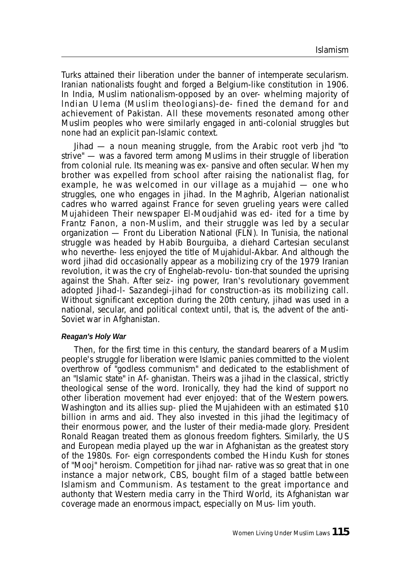Turks attained their liberation under the banner of intemperate secularism. Iranian nationalists fought and forged a Belgium-like constitution in 1906. In India, Muslim nationalism-opposed by an over- whelming majority of lndian Ulema (Muslim theologians)-de- fined the demand for and achievement of Pakistan. All these movements resonated among other Muslim peoples who were similarly engaged in anti-colonial struggles but none had an explicit pan-lslamic context.

Jihad — a noun meaning struggle, from the Arabic root verb jhd "to strive" — was a favored term among Muslims in their struggle of liberation from colonial rule. Its meaning was ex- pansive and often secular. When my brother was expelled from school after raising the nationalist flag, for example, he was welcomed in our village as a mujahid  $-$  one who struggles, one who engages in jihad. In the Maghrib, Algerian nationalist cadres who warred against France for seven grueling years were called Mujahideen Their newspaper El-Moudjahid was ed- ited for a time by Frantz Fanon, a non-Muslim, and their struggle was led by a secular organization — Front du Liberation National (FLN). In Tunisia, the national struggle was headed by Habib Bourguiba, a diehard Cartesian seculanst who neverthe- less enjoyed the title of Mujahidul-Akbar. And although the word jihad did occasionally appear as a mobilizing cry of the 1979 Iranian revolution, it was the cry of Enghelab-revolu- tion-that sounded the uprising against the Shah. After seiz- ing power, Iran's revolutionary govemment adopted Jihad-l- Sazandegi-jihad for construction-as its mobilizing call. Without significant exception during the 20th century, jihad was used in a national, secular, and political context until, that is, the advent of the anti-Soviet war in Afghanistan.

#### **Reagan's Holy War**

Then, for the first time in this century, the standard bearers of a Muslim people's struggle for liberation were Islamic panies committed to the violent overthrow of "godless communism" and dedicated to the establishment of an "Islamic state" in Af- ghanistan. Theirs was a jihad in the classical, strictly theological sense of the word. Ironically, they had the kind of support no other liberation movement had ever enjoyed: that of the Western powers. Washington and its allies sup- plied the Mujahideen with an estimated \$10 billion in arms and aid. They also invested in this jihad the legitimacy of their enormous power, and the luster of their media-made glory. President Ronald Reagan treated them as glonous freedom fighters. Similarly, the US and European media played up the war in Afghanistan as the greatest story of the 1980s. For- eign correspondents combed the Hindu Kush for stones of "Mooj" heroism. Competition for jihad nar- rative was so great that in one instance a major network, CBS, bought film of a staged battle between Islamism and Communism. As testament to the great importance and authonty that Western media carry in the Third World, its Afghanistan war coverage made an enormous impact, especially on Mus- lim youth.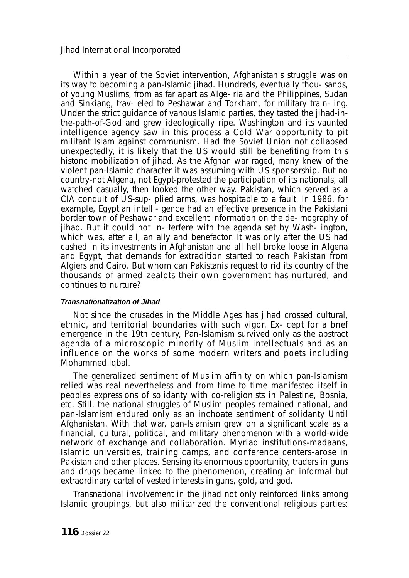Within a year of the Soviet intervention, Afghanistan's struggle was on its way to becoming a pan-lslamic jihad. Hundreds, eventually thou- sands, of young Muslims, from as far apart as Alge- ria and the Philippines, Sudan and Sinkiang, trav- eled to Peshawar and Torkham, for military train- ing. Under the strict guidance of vanous Islamic parties, they tasted the jihad-inthe-path-of-God and grew ideologically ripe. Washington and its vaunted intelligence agency saw in this process a Cold War opportunity to pit militant Islam against communism. Had the Soviet Union not collapsed unexpectedly, it is likely that the US would still be benefiting from this histonc mobilization of jihad. As the Afghan war raged, many knew of the violent pan-lslamic character it was assuming-with US sponsorship. But no country-not Algena, not Egypt-protested the participation of its nationals; all watched casually, then looked the other way. Pakistan, which served as a CIA conduit of US-sup- plied arms, was hospitable to a fault. In 1986, for example, Egyptian intelli- gence had an effective presence in the Pakistani border town of Peshawar and excellent information on the de- mography of jihad. But it could not in- terfere with the agenda set by Wash- ington, which was, after all, an ally and benefactor. It was only after the US had cashed in its investments in Afghanistan and all hell broke loose in Algena and Egypt, that demands for extradition started to reach Pakistan from Algiers and Cairo. But whom can Pakistanis request to rid its country of the thousands of armed zealots their own government has nurtured, and continues to nurture?

#### **Transnationalization of Jihad**

Not since the crusades in the Middle Ages has jihad crossed cultural, ethnic, and territorial boundaries with such vigor. Ex- cept for a bnef emergence in the 19th century, Pan-lslamism survived only as the abstract agenda of a microscopic minority of Muslim intellectuals and as an influence on the works of some modern writers and poets including Mohammed Iqbal.

The generalized sentiment of Muslim affinity on which pan-lslamism relied was real nevertheless and from time to time manifested itself in peoples expressions of solidanty with co-religionists in Palestine, Bosnia, etc. Still, the national struggles of Muslim peoples remained national, and pan-lslamism endured only as an inchoate sentiment of solidanty Until Afghanistan. With that war, pan-lslamism grew on a significant scale as a financial, cultural, political, and military phenomenon with a world-wide network of exchange and collaboration. Myriad institutions-madaans, Islamic universities, training camps, and conference centers-arose in Pakistan and other places. Sensing its enormous opportunity, traders in guns and drugs became linked to the phenomenon, creating an informal but extraordinary cartel of vested interests in guns, gold, and god.

Transnational involvement in the jihad not only reinforced links among Islamic groupings, but also militarized the conventional religious parties: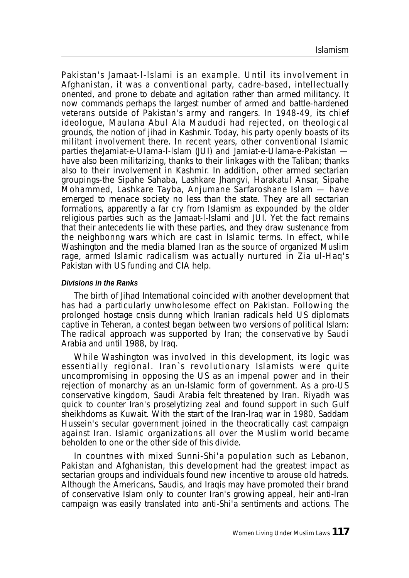Pakistan's Jamaat-l-lslami is an example. Until its involvement in Afghanistan, it was a conventional party, cadre-based, intellectually onented, and prone to debate and agitation rather than armed militancy. It now commands perhaps the largest number of armed and battle-hardened veterans outside of Pakistan's army and rangers. In 1948-49, its chief ideologue, Maulana Abul Ala Maududi had rejected, on theological grounds, the notion of jihad in Kashmir. Today, his party openly boasts of its militant involvement there. In recent years, other conventional Islamic parties theJamiat-e-Ulama-l-lslam (JUI) and Jamiat-e-Ulama-e-Pakistan have also been militarizing, thanks to their linkages with the Taliban; thanks also to their involvement in Kashmir. In addition, other armed sectarian groupings-the Sipahe Sahaba, Lashkare Jhangvi, Harakatul Ansar, Sipahe Mohammed, Lashkare Tayba, Anjumane Sarfaroshane Islam — have emerged to menace society no less than the state. They are all sectarian formations, apparently a far cry from Islamism as expounded by the older religious parties such as the Jamaat-l-lslami and JUI. Yet the fact remains that their antecedents lie with these parties, and they draw sustenance from the neighbonng wars which are cast in Islamic terms. In effect, while Washington and the media blamed Iran as the source of organized Muslim rage, armed Islamic radicalism was actually nurtured in Zia ul-Haq's Pakistan with US funding and CIA help.

#### **Divisions in the Ranks**

The birth of Jihad Intemational coincided with another development that has had a particularly unwholesome effect on Pakistan. Following the prolonged hostage cnsis dunng which Iranian radicals held US diplomats captive in Teheran, a contest began between two versions of political Islam: The radical approach was supported by Iran; the conservative by Saudi Arabia and until 1988, by Iraq.

While Washington was involved in this development, its logic was essentially regional. Iran`s revolutionary Islamists were quite uncompromising in opposing the US as an impenal power and in their rejection of monarchy as an un-lslamic form of government. As a pro-US conservative kingdom, Saudi Arabia felt threatened by Iran. Riyadh was quick to counter Iran's proselytizing zeal and found support in such Gulf sheikhdoms as Kuwait. With the start of the Iran-lraq war in 1980, Saddam Hussein's secular government joined in the theocratically cast campaign against Iran. Islamic organizations all over the Muslim world became beholden to one or the other side of this divide.

In countnes with mixed Sunni-Shi'a population such as Lebanon, Pakistan and Afghanistan, this development had the greatest impact as sectarian groups and individuals found new incentive to arouse old hatreds. Although the Americans, Saudis, and Iraqis may have promoted their brand of conservative Islam only to counter Iran's growing appeal, heir anti-lran campaign was easily translated into anti-Shi'a sentiments and actions. The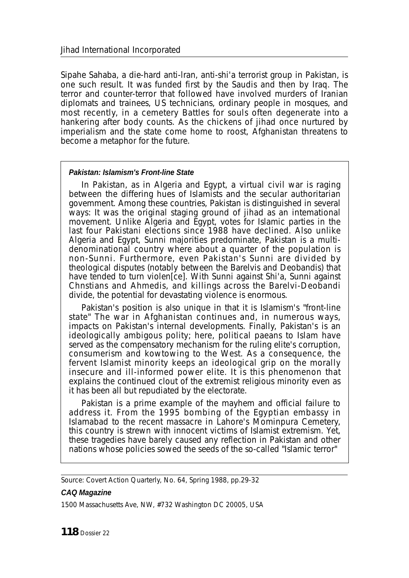Sipahe Sahaba, a die-hard anti-lran, anti-shi'a terrorist group in Pakistan, is one such result. It was funded first by the Saudis and then by Iraq. The terror and counter-terror that followed have involved murders of Iranian diplomats and trainees, US technicians, ordinary people in mosques, and most recently, in a cemetery Battles for souls often degenerate into a hankering after body counts. As the chickens of jihad once nurtured by imperialism and the state come home to roost, Afghanistan threatens to become a metaphor for the future.

#### **Pakistan: Islamism's Front-line State**

In Pakistan, as in Algeria and Egypt, a virtual civil war is raging between the differing hues of Islamists and the secular authoritarian govemment. Among these countries, Pakistan is distinguished in several ways: It was the original staging ground of jihad as an intemational movement. Unlike Algeria and Egypt, votes for Islamic parties in the last four Pakistani elections since 1988 have declined. Also unlike Algeria and Egypt, Sunni majorities predominate, Pakistan is a multidenominational country where about a quarter of the population is non-Sunni. Furthermore, even Pakistan's Sunni are divided by theological disputes (notably between the Barelvis and Deobandis) that have tended to turn violen[ce]. With Sunni against Shi'a, Sunni against Chnstians and Ahmedis, and killings across the Barelvi-Deobandi divide, the potential for devastating violence is enormous.

Pakistan's position is also unique in that it is Islamism's "front-line state" The war in Afghanistan continues and, in numerous ways, impacts on Pakistan's internal developments. Finally, Pakistan's is an ideologically ambigous polity; here, political paeans to Islam have served as the compensatory mechanism for the ruling elite's corruption, consumerism and kowtowing to the West. As a consequence, the fervent Islamist minority keeps an ideological grip on the morally insecure and ill-informed power elite. It is this phenomenon that explains the continued clout of the extremist religious minority even as it has been all but repudiated by the electorate.

Pakistan is a prime example of the mayhem and official failure to address it. From the 1995 bombing of the Egyptian embassy in Islamabad to the recent massacre in Lahore's Mominpura Cemetery, this country is strewn with innocent victims of Islamist extremism. Yet, these tragedies have barely caused any reflection in Pakistan and other nations whose policies sowed the seeds of the so-called "Islamic terror"

Source: Covert Action Quarterly, No. 64, Spring 1988, pp.29-32

#### **CAQ Magazine**

1500 Massachusetts Ave, NW, #732 Washington DC 20005, USA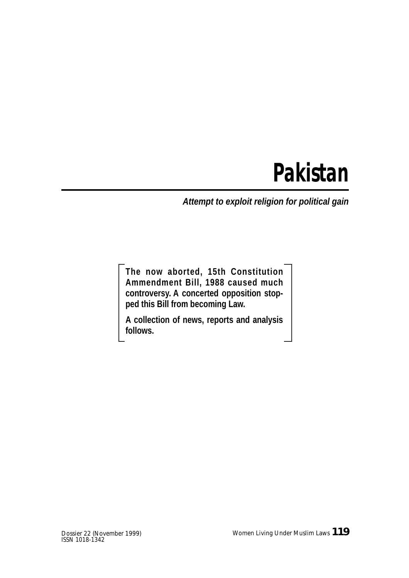# *Pakistan*

**Attempt to exploit religion for political gain**

**The now aborted, 15th Constitution Ammendment Bill, 1988 caused much controversy. A concerted opposition stopped this Bill from becoming Law.**

**A collection of news, reports and analysis follows.**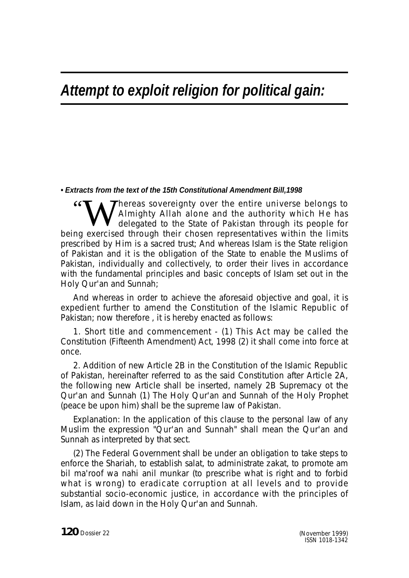# **Attempt to exploit religion for political gain:**

#### **• Extracts from the text of the 15th Constitutional Amendment Bill,1998**

" Thereas sovereignty over the entire universe belongs to Almighty Allah alone and the authority which He has delegated to the State of Pakistan through its people for being exercised through their chosen representatives within the limits prescribed by Him is a sacred trust; And whereas Islam is the State religion of Pakistan and it is the obligation of the State to enable the Muslims of Pakistan, individually and collectively, to order their lives in accordance with the fundamental principles and basic concepts of Islam set out in the Holy Qur'an and Sunnah;

And whereas in order to achieve the aforesaid objective and goal, it is expedient further to amend the Constitution of the Islamic Republic of Pakistan; now therefore , it is hereby enacted as follows:

1. Short title and commencement - (1) This Act may be called the Constitution (Fifteenth Amendment) Act, 1998 (2) it shall come into force at once.

2. Addition of new Article 2B in the Constitution of the Islamic Republic of Pakistan, hereinafter referred to as the said Constitution after Article 2A, the following new Article shall be inserted, namely 2B Supremacy ot the Qur'an and Sunnah (1) The Holy Qur'an and Sunnah of the Holy Prophet (peace be upon him) shall be the supreme law of Pakistan.

Explanation: In the application of this clause to the personal law of any Muslim the expression "Qur'an and Sunnah" shall mean the Qur'an and Sunnah as interpreted by that sect.

(2) The Federal Government shall be under an obligation to take steps to enforce the Shariah, to establish *salat,* to administrate *zakat*, to promote *am bil ma'roof wa nahi anil munkar* (to prescribe what is right and to forbid what is wrong) to eradicate corruption at all levels and to provide substantial socio-economic justice, in accordance with the principles of Islam, as laid down in the Holy Qur'an and Sunnah.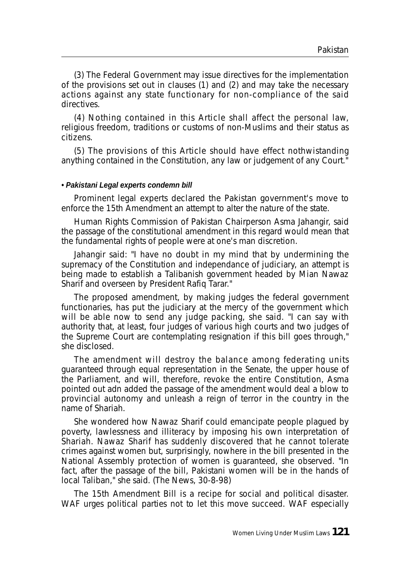(3) The Federal Government may issue directives for the implementation of the provisions set out in clauses (1) and (2) and may take the necessary actions against any state functionary for non-compliance of the said directives.

(4) Nothing contained in this Article shall affect the personal law, religious freedom, traditions or customs of non-Muslims and their status as citizens.

(5) The provisions of this Article should have effect nothwistanding anything contained in the Constitution, any law or judgement of any Court."

#### **• Pakistani Legal experts condemn bill**

Prominent legal experts declared the Pakistan government's move to enforce the 15th Amendment an attempt to alter the nature of the state.

Human Rights Commission of Pakistan Chairperson Asma Jahangir, said the passage of the constitutional amendment in this regard would mean that the fundamental rights of people were at one's man discretion.

Jahangir said: "I have no doubt in my mind that by undermining the supremacy of the Constitution and independance of judiciary, an attempt is being made to establish a Talibanish government headed by Mian Nawaz Sharif and overseen by President Rafiq Tarar."

The proposed amendment, by making judges the federal government functionaries, has put the judiciary at the mercy of the government which will be able now to send any judge packing, she said. "I can say with authority that, at least, four judges of various high courts and two judges of the Supreme Court are contemplating resignation if this bill goes through," she disclosed.

The amendment will destroy the balance among federating units guaranteed through equal representation in the Senate, the upper house of the Parliament, and will, therefore, revoke the entire Constitution, Asma pointed out adn added the passage of the amendment would deal a blow to provincial autonomy and unleash a reign of terror in the country in the name of Shariah.

She wondered how Nawaz Sharif could emancipate people plagued by poverty, lawlessness and illiteracy by imposing his own interpretation of Shariah. Nawaz Sharif has suddenly discovered that he cannot tolerate crimes against women but, surprisingly, nowhere in the bill presented in the National Assembly protection of women is guaranteed, she observed. "In fact, after the passage of the bill, Pakistani women will be in the hands of local Taliban," she said. (The News, 30-8-98)

The 15th Amendment Bill is a recipe for social and political disaster. WAF urges political parties not to let this move succeed. WAF especially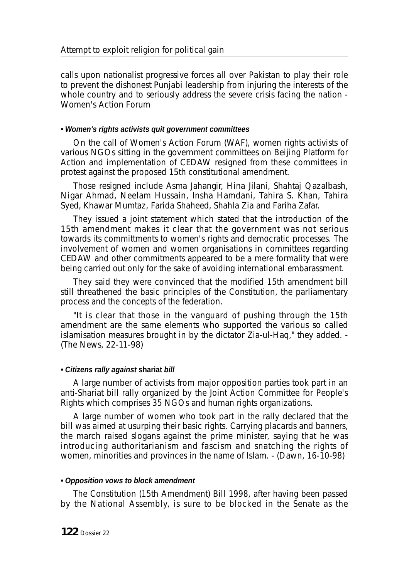calls upon nationalist progressive forces all over Pakistan to play their role to prevent the dishonest Punjabi leadership from injuring the interests of the whole country and to seriously address the severe crisis facing the nation - Women's Action Forum

#### **• Women's rights activists quit government committees**

On the call of Women's Action Forum (WAF), women rights activists of various NGOs sitting in the government committees on Beijing Platform for Action and implementation of CEDAW resigned from these committees in protest against the proposed 15th constitutional amendment.

Those resigned include Asma Jahangir, Hina Jilani, Shahtaj Qazalbash, Nigar Ahmad, Neelam Hussain, Insha Hamdani, Tahira S. Khan, Tahira Syed, Khawar Mumtaz, Farida Shaheed, Shahla Zia and Fariha Zafar.

They issued a joint statement which stated that the introduction of the 15th amendment makes it clear that the government was not serious towards its committments to women's rights and democratic processes. The involvement of women and women organisations in committees regarding CEDAW and other commitments appeared to be a mere formality that were being carried out only for the sake of avoiding international embarassment.

They said they were convinced that the modified 15th amendment bill still threathened the basic principles of the Constitution, the parliamentary process and the concepts of the federation.

"It is clear that those in the vanguard of pushing through the 15th amendment are the same elements who supported the various so called islamisation measures brought in by the dictator Zia-ul-Haq," they added. - (The News, 22-11-98)

#### **• Citizens rally against shariat bill**

A large number of activists from major opposition parties took part in an anti-Shariat bill rally organized by the Joint Action Committee for People's Rights which comprises 35 NGOs and human rights organizations.

A large number of women who took part in the rally declared that the bill was aimed at usurping their basic rights. Carrying placards and banners, the march raised slogans against the prime minister, saying that he was introducing authoritarianism and fascism and snatching the rights of women, minorities and provinces in the name of Islam. - (Dawn, 16-10-98)

#### **• Opposition vows to block amendment**

The Constitution (15th Amendment) Bill 1998, after having been passed by the National Assembly, is sure to be blocked in the Senate as the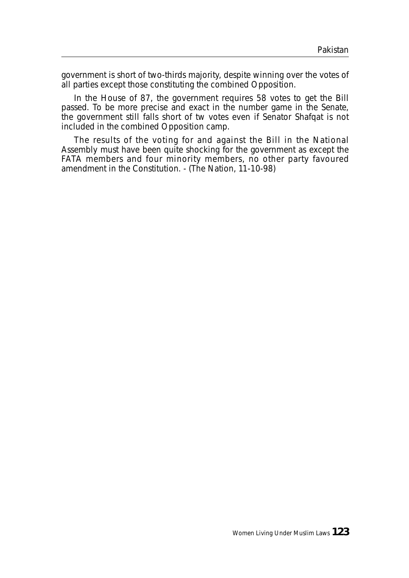government is short of two-thirds majority, despite winning over the votes of all parties except those constituting the combined Opposition.

In the House of 87, the government requires 58 votes to get the Bill passed. To be more precise and exact in the number game in the Senate, the government still falls short of tw votes even if Senator Shafqat is not included in the combined Opposition camp.

The results of the voting for and against the Bill in the National Assembly must have been quite shocking for the government as except the FATA members and four minority members, no other party favoured amendment in the Constitution. - (The Nation, 11-10-98)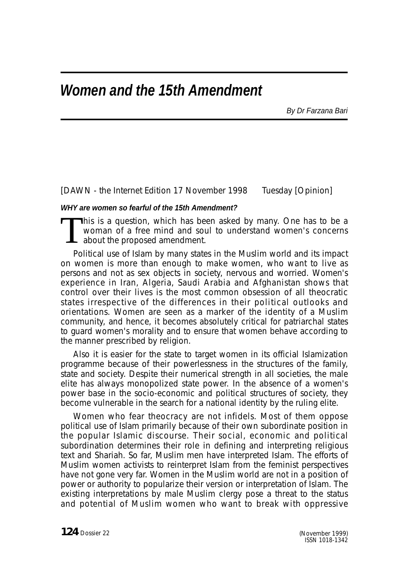# **Women and the 15th Amendment**

By Dr Farzana Bari

[DAWN - the Internet Edition 17 November 1998 Tuesday [Opinion]

#### **WHY are women so fearful of the 15th Amendment?**

This is a question, which has been asked by many. One has to be a woman of a free mind and soul to understand women's concerns helproposed amendment.

Political use of Islam by many states in the Muslim world and its impact on women is more than enough to make women, who want to live as persons and not as sex objects in society, nervous and worried. Women's experience in Iran, Algeria, Saudi Arabia and Afghanistan shows that control over their lives is the most common obsession of all theocratic states irrespective of the differences in their political outlooks and orientations. Women are seen as a marker of the identity of a Muslim community, and hence, it becomes absolutely critical for patriarchal states to guard women's morality and to ensure that women behave according to the manner prescribed by religion.

Also it is easier for the state to target women in its official Islamization programme because of their powerlessness in the structures of the family, state and society. Despite their numerical strength in all societies, the male elite has always monopolized state power. In the absence of a women's power base in the socio-economic and political structures of society, they become vulnerable in the search for a national identity by the ruling elite.

Women who fear theocracy are not infidels. Most of them oppose political use of Islam primarily because of their own subordinate position in the popular Islamic discourse. Their social, economic and political subordination determines their role in defining and interpreting religious text and Shariah. So far, Muslim men have interpreted Islam. The efforts of Muslim women activists to reinterpret Islam from the feminist perspectives have not gone very far. Women in the Muslim world are not in a position of power or authority to popularize their version or interpretation of Islam. The existing interpretations by male Muslim clergy pose a threat to the status and potential of Muslim women who want to break with oppressive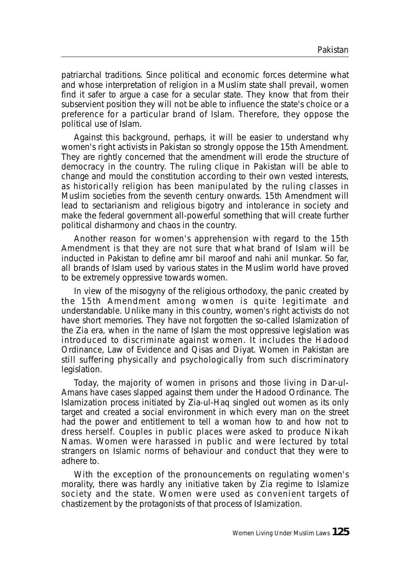patriarchal traditions. Since political and economic forces determine what and whose interpretation of religion in a Muslim state shall prevail, women find it safer to argue a case for a secular state. They know that from their subservient position they will not be able to influence the state's choice or a preference for a particular brand of Islam. Therefore, they oppose the political use of Islam.

Against this background, perhaps, it will be easier to understand why women's right activists in Pakistan so strongly oppose the 15th Amendment. They are rightly concerned that the amendment will erode the structure of democracy in the country. The ruling clique in Pakistan will be able to change and mould the constitution according to their own vested interests, as historically religion has been manipulated by the ruling classes in Muslim societies from the seventh century onwards. 15th Amendment will lead to sectarianism and religious bigotry and intolerance in society and make the federal government all-powerful something that will create further political disharmony and chaos in the country.

Another reason for women's apprehension with regard to the 15th Amendment is that they are not sure that what brand of Islam will be inducted in Pakistan to define amr bil maroof and nahi anil munkar. So far, all brands of Islam used by various states in the Muslim world have proved to be extremely oppressive towards women.

In view of the misogyny of the religious orthodoxy, the panic created by the 15th Amendment among women is quite legitimate and understandable. Unlike many in this country, women's right activists do not have short memories. They have not forgotten the so-called Islamization of the Zia era, when in the name of Islam the most oppressive legislation was introduced to discriminate against women. It includes the Hadood Ordinance, Law of Evidence and Qisas and Diyat. Women in Pakistan are still suffering physically and psychologically from such discriminatory legislation.

Today, the majority of women in prisons and those living in Dar-ul-Amans have cases slapped against them under the Hadood Ordinance. The Islamization process initiated by Zia-ul-Haq singled out women as its only target and created a social environment in which every man on the street had the power and entitlement to tell a woman how to and how not to dress herself. Couples in public places were asked to produce *Nikah Namas*. Women were harassed in public and were lectured by total strangers on Islamic norms of behaviour and conduct that they were to adhere to.

With the exception of the pronouncements on regulating women's morality, there was hardly any initiative taken by Zia regime to Islamize society and the state. Women were used as convenient targets of chastizement by the protagonists of that process of Islamization.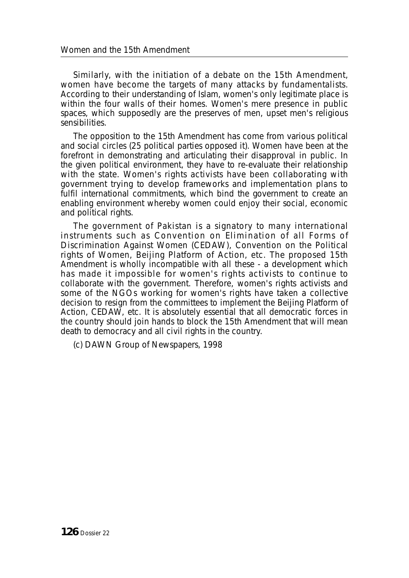Similarly, with the initiation of a debate on the 15th Amendment, women have become the targets of many attacks by fundamentalists. According to their understanding of Islam, women's only legitimate place is within the four walls of their homes. Women's mere presence in public spaces, which supposedly are the preserves of men, upset men's religious sensibilities.

The opposition to the 15th Amendment has come from various political and social circles (25 political parties opposed it). Women have been at the forefront in demonstrating and articulating their disapproval in public. In the given political environment, they have to re-evaluate their relationship with the state. Women's rights activists have been collaborating with government trying to develop frameworks and implementation plans to fulfil international commitments, which bind the government to create an enabling environment whereby women could enjoy their social, economic and political rights.

The government of Pakistan is a signatory to many international instruments such as Convention on Elimination of all Forms of Discrimination Against Women (CEDAW), Convention on the Political rights of Women, Beijing Platform of Action, etc. The proposed 15th Amendment is wholly incompatible with all these - a development which has made it impossible for women's rights activists to continue to collaborate with the government. Therefore, women's rights activists and some of the NGOs working for women's rights have taken a collective decision to resign from the committees to implement the Beijing Platform of Action, CEDAW, etc. It is absolutely essential that all democratic forces in the country should join hands to block the 15th Amendment that will mean death to democracy and all civil rights in the country.

(c) DAWN Group of Newspapers, 1998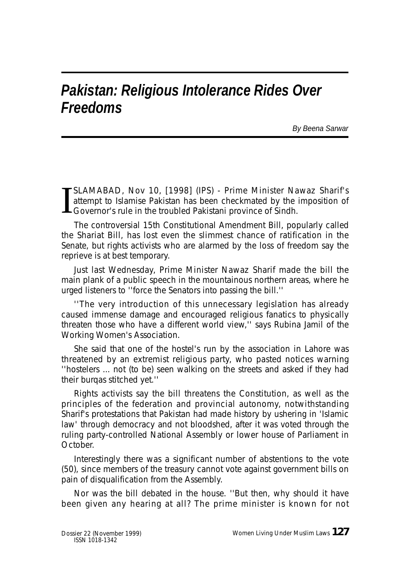# **Pakistan: Religious Intolerance Rides Over Freedoms**

By Beena Sarwar

SLAMABAD, Nov 10, [1998] (IPS) - Prime Minister Nattempt to Islamise Pakistan has been checkmated by the Governor's rule in the troubled Pakistani province of Sindh. SLAMABAD, Nov 10, [1998] (IPS) - Prime Minister Nawaz Sharif's attempt to Islamise Pakistan has been checkmated by the imposition of

The controversial 15th Constitutional Amendment Bill, popularly called the Shariat Bill, has lost even the slimmest chance of ratification in the Senate, but rights activists who are alarmed by the loss of freedom say the reprieve is at best temporary.

Just last Wednesday, Prime Minister Nawaz Sharif made the bill the main plank of a public speech in the mountainous northern areas, where he urged listeners to ''force the Senators into passing the bill.''

''The very introduction of this unnecessary legislation has already caused immense damage and encouraged religious fanatics to physically threaten those who have a different world view,'' says Rubina Jamil of the Working Women's Association.

She said that one of the hostel's run by the association in Lahore was threatened by an extremist religious party, who pasted notices warning ''hostelers ... not (to be) seen walking on the streets and asked if they had their burqas stitched yet.''

Rights activists say the bill threatens the Constitution, as well as the principles of the federation and provincial autonomy, notwithstanding Sharif's protestations that Pakistan had made history by ushering in 'Islamic law' through democracy and not bloodshed, after it was voted through the ruling party-controlled National Assembly or lower house of Parliament in October.

Interestingly there was a significant number of abstentions to the vote (50), since members of the treasury cannot vote against government bills on pain of disqualification from the Assembly.

Nor was the bill debated in the house. ''But then, why should it have been given any hearing at all? The prime minister is known for not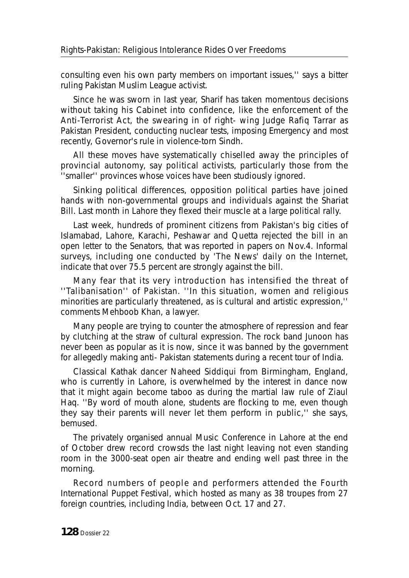consulting even his own party members on important issues,'' says a bitter ruling Pakistan Muslim League activist.

Since he was sworn in last year, Sharif has taken momentous decisions without taking his Cabinet into confidence, like the enforcement of the Anti-Terrorist Act, the swearing in of right- wing Judge Rafiq Tarrar as Pakistan President, conducting nuclear tests, imposing Emergency and most recently, Governor's rule in violence-torn Sindh.

All these moves have systematically chiselled away the principles of provincial autonomy, say political activists, particularly those from the ''smaller'' provinces whose voices have been studiously ignored.

Sinking political differences, opposition political parties have joined hands with non-governmental groups and individuals against the Shariat Bill. Last month in Lahore they flexed their muscle at a large political rally.

Last week, hundreds of prominent citizens from Pakistan's big cities of Islamabad, Lahore, Karachi, Peshawar and Quetta rejected the bill in an open letter to the Senators, that was reported in papers on Nov.4. Informal surveys, including one conducted by 'The News' daily on the Internet, indicate that over 75.5 percent are strongly against the bill.

Many fear that its very introduction has intensified the threat of ''Talibanisation'' of Pakistan. ''In this situation, women and religious minorities are particularly threatened, as is cultural and artistic expression,'' comments Mehboob Khan, a lawyer.

Many people are trying to counter the atmosphere of repression and fear by clutching at the straw of cultural expression. The rock band Junoon has never been as popular as it is now, since it was banned by the government for allegedly making anti- Pakistan statements during a recent tour of India.

Classical Kathak dancer Naheed Siddiqui from Birmingham, England, who is currently in Lahore, is overwhelmed by the interest in dance now that it might again become taboo as during the martial law rule of Ziaul Haq. ''By word of mouth alone, students are flocking to me, even though they say their parents will never let them perform in public,'' she says, bemused.

The privately organised annual Music Conference in Lahore at the end of October drew record crowsds the last night leaving not even standing room in the 3000-seat open air theatre and ending well past three in the morning.

Record numbers of people and performers attended the Fourth International Puppet Festival, which hosted as many as 38 troupes from 27 foreign countries, including India, between Oct. 17 and 27.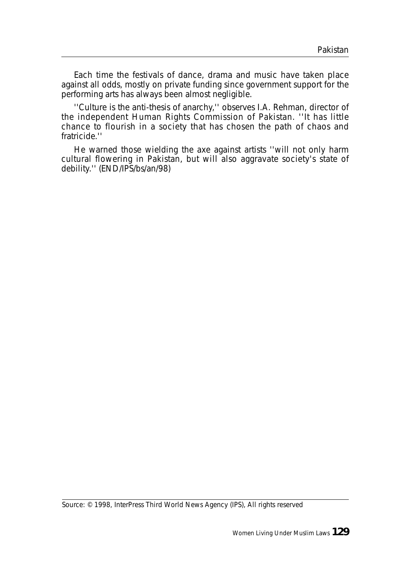Each time the festivals of dance, drama and music have taken place against all odds, mostly on private funding since government support for the performing arts has always been almost negligible.

''Culture is the anti-thesis of anarchy,'' observes I.A. Rehman, director of the independent Human Rights Commission of Pakistan. ''It has little chance to flourish in a society that has chosen the path of chaos and fratricide.''

He warned those wielding the axe against artists ''will not only harm cultural flowering in Pakistan, but will also aggravate society's state of debility.'' (END/IPS/bs/an/98)

Source: © 1998, InterPress Third World News Agency (IPS), All rights reserved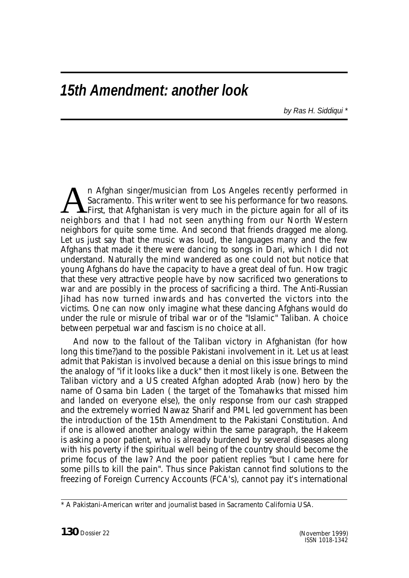# **15th Amendment: another look**

by Ras H. Siddiqui \*

An Afghan singer/musician from Los Angeles recently performed in<br>Sacramento. This writer went to see his performance for two reasons.<br>First, that Afghanistan is very much in the picture again for all of its<br>peigbbors and t Sacramento. This writer went to see his performance for two reasons. First, that Afghanistan is very much in the picture again for all of its neighbors and that I had not seen anything from our North Western neighbors for quite some time. And second that friends dragged me along. Let us just say that the music was loud, the languages many and the few Afghans that made it there were dancing to songs in Dari, which I did not understand. Naturally the mind wandered as one could not but notice that young Afghans do have the capacity to have a great deal of fun. How tragic that these very attractive people have by now sacrificed two generations to war and are possibly in the process of sacrificing a third. The Anti-Russian Jihad has now turned inwards and has converted the victors into the victims. One can now only imagine what these dancing Afghans would do under the rule or misrule of tribal war or of the "Islamic" Taliban. A choice between perpetual war and fascism is no choice at all.

And now to the fallout of the Taliban victory in Afghanistan (for how long this time?)and to the possible Pakistani involvement in it. Let us at least admit that Pakistan is involved because a denial on this issue brings to mind the analogy of "if it looks like a duck" then it most likely is one. Between the Taliban victory and a US created Afghan adopted Arab (now) hero by the name of Osama bin Laden ( the target of the Tomahawks that missed him and landed on everyone else), the only response from our cash strapped and the extremely worried Nawaz Sharif and PML led government has been the introduction of the 15th Amendment to the Pakistani Constitution. And if one is allowed another analogy within the same paragraph, the Hakeem is asking a poor patient, who is already burdened by several diseases along with his poverty if the spiritual well being of the country should become the prime focus of the law? And the poor patient replies "but I came here for some pills to kill the pain". Thus since Pakistan cannot find solutions to the freezing of Foreign Currency Accounts (FCA's), cannot pay it's international

<sup>\*</sup> A Pakistani-American writer and journalist based in Sacramento California USA.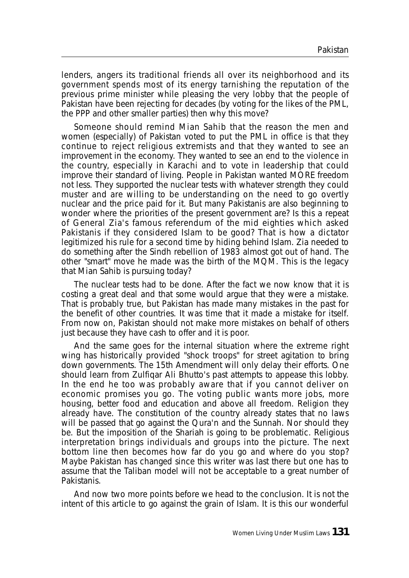lenders, angers its traditional friends all over its neighborhood and its government spends most of its energy tarnishing the reputation of the previous prime minister while pleasing the very lobby that the people of Pakistan have been rejecting for decades (by voting for the likes of the PML, the PPP and other smaller parties) then why this move?

Someone should remind Mian Sahib that the reason the men and women (especially) of Pakistan voted to put the PML in office is that they continue to reject religious extremists and that they wanted to see an improvement in the economy. They wanted to see an end to the violence in the country, especially in Karachi and to vote in leadership that could improve their standard of living. People in Pakistan wanted MORE freedom not less. They supported the nuclear tests with whatever strength they could muster and are willing to be understanding on the need to go overtly nuclear and the price paid for it. But many Pakistanis are also beginning to wonder where the priorities of the present government are? Is this a repeat of General Zia's famous referendum of the mid eighties which asked Pakistanis if they considered Islam to be good? That is how a dictator legitimized his rule for a second time by hiding behind Islam. Zia needed to do something after the Sindh rebellion of 1983 almost got out of hand. The other "smart" move he made was the birth of the MQM. This is the legacy that Mian Sahib is pursuing today?

The nuclear tests had to be done. After the fact we now know that it is costing a great deal and that some would argue that they were a mistake. That is probably true, but Pakistan has made many mistakes in the past for the benefit of other countries. It was time that it made a mistake for itself. From now on, Pakistan should not make more mistakes on behalf of others just because they have cash to offer and it is poor.

And the same goes for the internal situation where the extreme right wing has historically provided "shock troops" for street agitation to bring down governments. The 15th Amendment will only delay their efforts. One should learn from Zulfiqar Ali Bhutto's past attempts to appease this lobby. In the end he too was probably aware that if you cannot deliver on economic promises you go. The voting public wants more jobs, more housing, better food and education and above all freedom. Religion they already have. The constitution of the country already states that no laws will be passed that go against the Qura'n and the Sunnah. Nor should they be. But the imposition of the Shariah is going to be problematic. Religious interpretation brings individuals and groups into the picture. The next bottom line then becomes how far do you go and where do you stop? Maybe Pakistan has changed since this writer was last there but one has to assume that the Taliban model will not be acceptable to a great number of Pakistanis.

And now two more points before we head to the conclusion. It is not the intent of this article to go against the grain of Islam. It is this our wonderful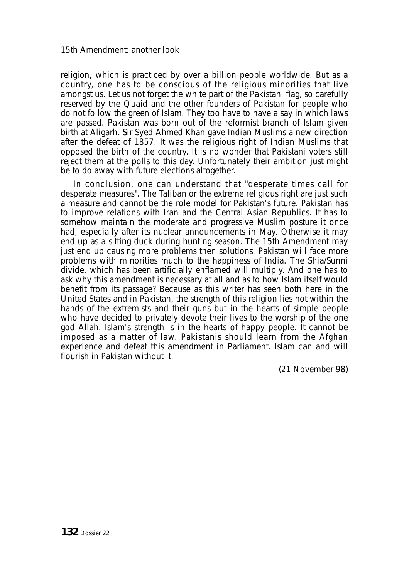religion, which is practiced by over a billion people worldwide. But as a country, one has to be conscious of the religious minorities that live amongst us. Let us not forget the white part of the Pakistani flag, so carefully reserved by the Quaid and the other founders of Pakistan for people who do not follow the green of Islam. They too have to have a say in which laws are passed. Pakistan was born out of the reformist branch of Islam given birth at Aligarh. Sir Syed Ahmed Khan gave Indian Muslims a new direction after the defeat of 1857. It was the religious right of Indian Muslims that opposed the birth of the country. It is no wonder that Pakistani voters still reject them at the polls to this day. Unfortunately their ambition just might be to do away with future elections altogether.

In conclusion, one can understand that "desperate times call for desperate measures". The Taliban or the extreme religious right are just such a measure and cannot be the role model for Pakistan's future. Pakistan has to improve relations with Iran and the Central Asian Republics. It has to somehow maintain the moderate and progressive Muslim posture it once had, especially after its nuclear announcements in May. Otherwise it may end up as a sitting duck during hunting season. The 15th Amendment may just end up causing more problems then solutions. Pakistan will face more problems with minorities much to the happiness of India. The Shia/Sunni divide, which has been artificially enflamed will multiply. And one has to ask why this amendment is necessary at all and as to how Islam itself would benefit from its passage? Because as this writer has seen both here in the United States and in Pakistan, the strength of this religion lies not within the hands of the extremists and their guns but in the hearts of simple people who have decided to privately devote their lives to the worship of the one god Allah. Islam's strength is in the hearts of happy people. It cannot be imposed as a matter of law. Pakistanis should learn from the Afghan experience and defeat this amendment in Parliament. Islam can and will flourish in Pakistan without it.

(21 November 98)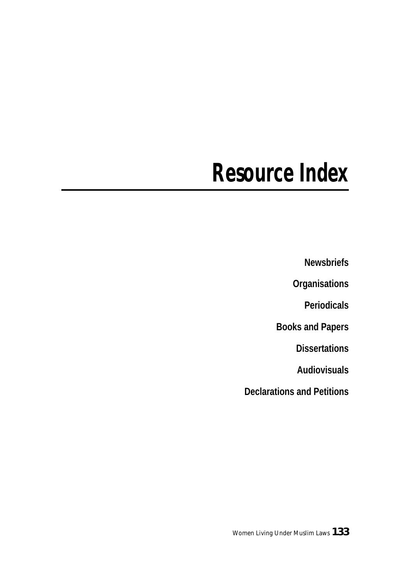# *Resource Index*

**Newsbriefs**

**Organisations**

**Periodicals**

**Books and Papers**

**Dissertations**

**Audiovisuals**

**Declarations and Petitions**

Women Living Under Muslim Laws **133**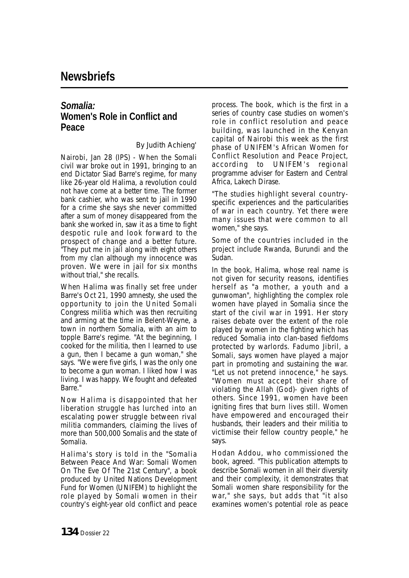## **Somalia: Women's Role in Conflict and Peace**

#### *By Judith Achieng'*

Nairobi, Jan 28 (IPS) - When the Somali civil war broke out in 1991, bringing to an end Dictator Siad Barre's regime, for many like 26-year old Halima, a revolution could not have come at a better time. The former bank cashier, who was sent to jail in 1990 for a crime she says she never committed after a sum of money disappeared from the bank she worked in, saw it as a time to fight despotic rule and look forward to the prospect of change and a better future. "They put me in jail along with eight others from my clan although my innocence was proven. We were in jail for six months without trial," she recalls.

When Halima was finally set free under Barre's Oct 21, 1990 amnesty, she used the opportunity to join the United Somali Congress militia which was then recruiting and arming at the time in Belent-Weyne, a town in northern Somalia, with an aim to topple Barre's regime. "At the beginning, I cooked for the militia, then I learned to use a gun, then I became a gun woman," she says. "We were five girls, I was the only one to become a gun woman. I liked how I was living. I was happy. We fought and defeated Barre."

Now Halima is disappointed that her liberation struggle has lurched into an escalating power struggle between rival militia commanders, claiming the lives of more than 500,000 Somalis and the state of Somalia.

Halima's story is told in the "Somalia Between Peace And War: Somali Women On The Eve Of The 21st Century", a book produced by United Nations Development Fund for Women (UNIFEM) to highlight the role played by Somali women in their country's eight-year old conflict and peace

process. The book, which is the first in a series of country case studies on women's role in conflict resolution and peace building, was launched in the Kenyan capital of Nairobi this week as the first phase of UNIFEM's African Women for Conflict Resolution and Peace Project, according to UNIFEM's regional programme adviser for Eastern and Central Africa, Lakech Dirase.

"The studies highlight several countryspecific experiences and the particularities of war in each country. Yet there were many issues that were common to all women," she says.

Some of the countries included in the project include Rwanda, Burundi and the Sudan.

In the book, Halima, whose real name is not given for security reasons, identifies herself as "a mother, a youth and a gunwoman", highlighting the complex role women have played in Somalia since the start of the civil war in 1991. Her story raises debate over the extent of the role played by women in the fighting which has reduced Somalia into clan-based fiefdoms protected by warlords. Fadumo Jibril, a Somali, says women have played a major part in promoting and sustaining the war. "Let us not pretend innocence," he says. "Women must accept their share of violating the Allah (God)- given rights of others. Since 1991, women have been igniting fires that burn lives still. Women have empowered and encouraged their husbands, their leaders and their militia to victimise their fellow country people," he says.

Hodan Addou, who commissioned the book, agreed. "This publication attempts to describe Somali women in all their diversity and their complexity, it demonstrates that Somali women share responsibility for the war," she says, but adds that "it also examines women's potential role as peace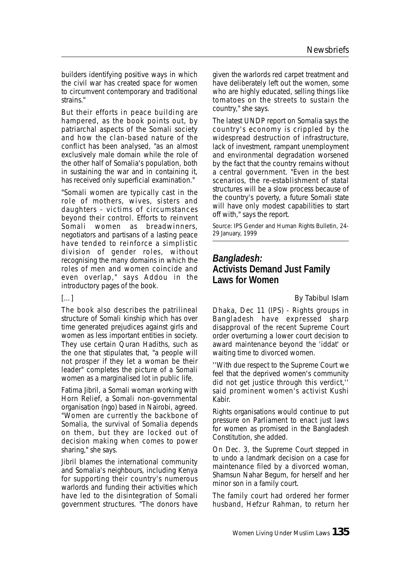builders identifying positive ways in which the civil war has created space for women to circumvent contemporary and traditional strains."

But their efforts in peace building are hampered, as the book points out, by patriarchal aspects of the Somali society and how the clan-based nature of the conflict has been analysed, "as an almost exclusively male domain while the role of the other half of Somalia's population, both in sustaining the war and in containing it, has received only superficial examination."

"Somali women are typically cast in the role of mothers, wives, sisters and daughters - victims of circumstances beyond their control. Efforts to reinvent Somali women as breadwinners, negotiators and partisans of a lasting peace have tended to reinforce a simplistic division of gender roles, without recognising the many domains in which the roles of men and women coincide and even overlap," says Addou in the introductory pages of the book.

#### $\left[\ldots\right]$

The book also describes the patrilineal structure of Somali kinship which has over time generated prejudices against girls and women as less important entities in society. They use certain Quran Hadiths, such as the one that stipulates that, "a people will not prosper if they let a woman be their leader" completes the picture of a Somali women as a marginalised lot in public life.

Fatima Jibril, a Somali woman working with Horn Relief, a Somali non-governmental organisation (ngo) based in Nairobi, agreed. "Women are currently the backbone of Somalia, the survival of Somalia depends on them, but they are locked out of decision making when comes to power sharing," she says.

Jibril blames the international community and Somalia's neighbours, including Kenya for supporting their country's numerous warlords and funding their activities which have led to the disintegration of Somali government structures. "The donors have

given the warlords red carpet treatment and have deliberately left out the women, some who are highly educated, selling things like tomatoes on the streets to sustain the country," she says.

The latest UNDP report on Somalia says the country's economy is crippled by the widespread destruction of infrastructure, lack of investment, rampant unemployment and environmental degradation worsened by the fact that the country remains without a central government. "Even in the best scenarios, the re-establishment of statal structures will be a slow process because of the country's poverty, a future Somali state will have only modest capabilities to start off with," says the report.

*Source: IPS Gender and Human Rights Bulletin, 24- 29 January, 1999*

# **Bangladesh: Activists Demand Just Family Laws for Women**

#### *By Tabibul Islam*

Dhaka, Dec 11 (IPS) - Rights groups in Bangladesh have expressed sharp disapproval of the recent Supreme Court order overturning a lower court decision to award maintenance beyond the 'iddat' or waiting time to divorced women.

''With due respect to the Supreme Court we feel that the deprived women's community did not get justice through this verdict,'' said prominent women's activist Kushi Kabir.

Rights organisations would continue to put pressure on Parliament to enact just laws for women as promised in the Bangladesh Constitution, she added.

On Dec. 3, the Supreme Court stepped in to undo a landmark decision on a case for maintenance filed by a divorced woman, Shamsun Nahar Begum, for herself and her minor son in a family court.

The family court had ordered her former husband, Hefzur Rahman, to return her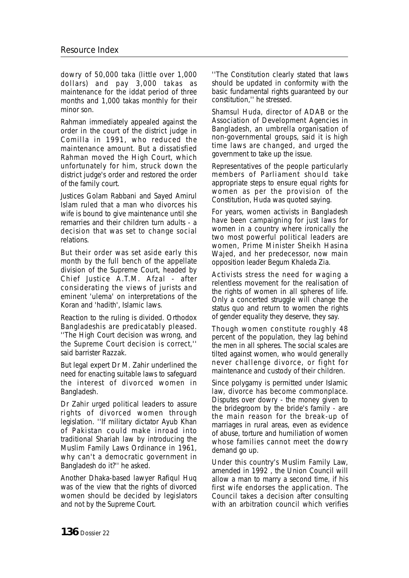dowry of 50,000 taka (little over 1,000 dollars) and pay 3,000 takas as maintenance for the iddat period of three months and 1,000 takas monthly for their minor son.

Rahman immediately appealed against the order in the court of the district judge in Comilla in 1991, who reduced the maintenance amount. But a dissatisfied Rahman moved the High Court, which unfortunately for him, struck down the district judge's order and restored the order of the family court.

Justices Golam Rabbani and Sayed Amirul Islam ruled that a man who divorces his wife is bound to give maintenance until she remarries and their children turn adults - a decision that was set to change social relations.

But their order was set aside early this month by the full bench of the appellate division of the Supreme Court, headed by Chief Justice A.T.M. Afzal - after considerating the views of jurists and eminent 'ulema' on interpretations of the Koran and 'hadith', Islamic laws.

Reaction to the ruling is divided. Orthodox Bangladeshis are predicatably pleased. ''The High Court decision was wrong, and the Supreme Court decision is correct,'' said barrister Razzak.

But legal expert Dr M. Zahir underlined the need for enacting suitable laws to safeguard the interest of divorced women in Bangladesh.

Dr Zahir urged political leaders to assure rights of divorced women through legislation. ''If military dictator Ayub Khan of Pakistan could make inroad into traditional Shariah law by introducing the Muslim Family Laws Ordinance in 1961, why can't a democratic government in Bangladesh do it?'' he asked.

Another Dhaka-based lawyer Rafiqul Huq was of the view that the rights of divorced women should be decided by legislators and not by the Supreme Court.

''The Constitution clearly stated that laws should be updated in conformity with the basic fundamental rights guaranteed by our constitution,'' he stressed.

Shamsul Huda, director of ADAB or the Association of Development Agencies in Bangladesh, an umbrella organisation of non-governmental groups, said it is high time laws are changed, and urged the government to take up the issue.

Representatives of the people particularly members of Parliament should take appropriate steps to ensure equal rights for women as per the provision of the Constitution, Huda was quoted saying.

For years, women activists in Bangladesh have been campaigning for just laws for women in a country where ironically the two most powerful political leaders are women, Prime Minister Sheikh Hasina Wajed, and her predecessor, now main opposition leader Begum Khaleda Zia.

Activists stress the need for waging a relentless movement for the realisation of the rights of women in all spheres of life. Only a concerted struggle will change the status quo and return to women the rights of gender equality they deserve, they say.

Though women constitute roughly 48 percent of the population, they lag behind the men in all spheres. The social scales are tilted against women, who would generally never challenge divorce, or fight for maintenance and custody of their children.

Since polygamy is permitted under Islamic law, divorce has become commonplace. Disputes over dowry - the money given to the bridegroom by the bride's family - are the main reason for the break-up of marriages in rural areas, even as evidence of abuse, torture and humiliation of women whose families cannot meet the dowry demand go up.

Under this country's Muslim Family Law, amended in 1992 , the Union Council will allow a man to marry a second time, if his first wife endorses the application. The Council takes a decision after consulting with an arbitration council which verifies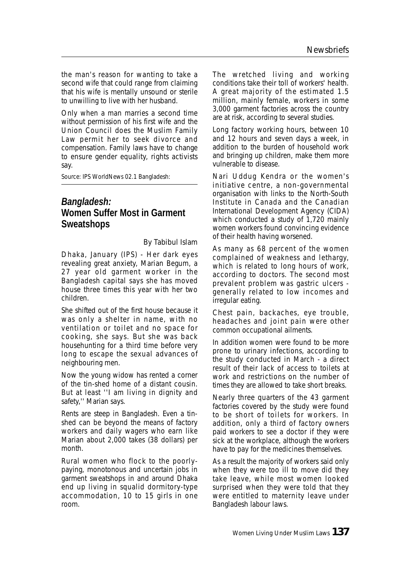the man's reason for wanting to take a second wife that could range from claiming that his wife is mentally unsound or sterile to unwilling to live with her husband.

Only when a man marries a second time without permission of his first wife and the Union Council does the Muslim Family Law permit her to seek divorce and compensation. Family laws have to change to ensure gender equality, rights activists say.

*Source: IPS WorldNews 02.1 Bangladesh:* 

## **Bangladesh: Women Suffer Most in Garment Sweatshops**

#### *By Tabibul Islam*

Dhaka, January (IPS) - Her dark eyes revealing great anxiety, Marian Begum, a 27 year old garment worker in the Bangladesh capital says she has moved house three times this year with her two children.

She shifted out of the first house because it was only a shelter in name, with no ventilation or toilet and no space for cooking, she says. But she was back househunting for a third time before very long to escape the sexual advances of neighbouring men.

Now the young widow has rented a corner of the tin-shed home of a distant cousin. But at least ''I am living in dignity and safety," Marian says.

Rents are steep in Bangladesh. Even a tinshed can be beyond the means of factory workers and daily wagers who earn like Marian about 2,000 takes (38 dollars) per month.

Rural women who flock to the poorlypaying, monotonous and uncertain jobs in garment sweatshops in and around Dhaka end up living in squalid dormitory-type accommodation, 10 to 15 girls in one room.

The wretched living and working conditions take their toll of workers' health. A great majority of the estimated 1.5 million, mainly female, workers in some 3,000 garment factories across the country are at risk, according to several studies.

Long factory working hours, between 10 and 12 hours and seven days a week, in addition to the burden of household work and bringing up children, make them more vulnerable to disease.

Nari Uddug Kendra or the women's initiative centre, a non-governmental organisation with links to the North-South Institute in Canada and the Canadian International Development Agency (CIDA) which conducted a study of 1,720 mainly women workers found convincing evidence of their health having worsened.

As many as 68 percent of the women complained of weakness and lethargy, which is related to long hours of work, according to doctors. The second most prevalent problem was gastric ulcers generally related to low incomes and irregular eating.

Chest pain, backaches, eye trouble, headaches and joint pain were other common occupational ailments.

In addition women were found to be more prone to urinary infections, according to the study conducted in March - a direct result of their lack of access to toilets at work and restrictions on the number of times they are allowed to take short breaks.

Nearly three quarters of the 43 garment factories covered by the study were found to be short of toilets for workers. In addition, only a third of factory owners paid workers to see a doctor if they were sick at the workplace, although the workers have to pay for the medicines themselves.

As a result the majority of workers said only when they were too ill to move did they take leave, while most women looked surprised when they were told that they were entitled to maternity leave under Bangladesh labour laws.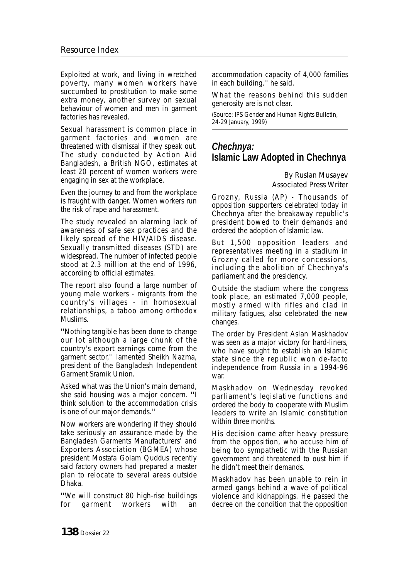Exploited at work, and living in wretched poverty, many women workers have succumbed to prostitution to make some extra money, another survey on sexual behaviour of women and men in garment factories has revealed.

Sexual harassment is common place in garment factories and women are threatened with dismissal if they speak out. The study conducted by Action Aid Bangladesh, a British NGO, estimates at least 20 percent of women workers were engaging in sex at the workplace.

Even the journey to and from the workplace is fraught with danger. Women workers run the risk of rape and harassment.

The study revealed an alarming lack of awareness of safe sex practices and the likely spread of the HIV/AIDS disease. Sexually transmitted diseases (STD) are widespread. The number of infected people stood at 2.3 million at the end of 1996, according to official estimates.

The report also found a large number of young male workers - migrants from the country's villages - in homosexual relationships, a taboo among orthodox Muslims.

''Nothing tangible has been done to change our lot although a large chunk of the country's export earnings come from the garment sector,'' lamented Sheikh Nazma, president of the Bangladesh Independent Garment Sramik Union.

Asked what was the Union's main demand, she said housing was a major concern. ''I think solution to the accommodation crisis is one of our major demands.''

Now workers are wondering if they should take seriously an assurance made by the Bangladesh Garments Manufacturers' and Exporters Association (BGMEA) whose president Mostafa Golam Quddus recently said factory owners had prepared a master plan to relocate to several areas outside Dhaka.

''We will construct 80 high-rise buildings for garment workers with an accommodation capacity of 4,000 families in each building,'' he said.

What the reasons behind this sudden generosity are is not clear.

*(Source: IPS Gender and Human Rights Bulletin, 24-29 January, 1999)*

### **Chechnya: Islamic Law Adopted in Chechnya**

*By Ruslan Musayev Associated Press Writer*

Grozny, Russia (AP) - Thousands of opposition supporters celebrated today in Chechnya after the breakaway republic's president bowed to their demands and ordered the adoption of Islamic law.

But 1,500 opposition leaders and representatives meeting in a stadium in Grozny called for more concessions, including the abolition of Chechnya's parliament and the presidency.

Outside the stadium where the congress took place, an estimated 7,000 people, mostly armed with rifles and clad in military fatigues, also celebrated the new changes.

The order by President Aslan Maskhadov was seen as a major victory for hard-liners, who have sought to establish an Islamic state since the republic won de-facto independence from Russia in a 1994-96 war.

Maskhadov on Wednesday revoked parliament's legislative functions and ordered the body to cooperate with Muslim leaders to write an Islamic constitution within three months.

His decision came after heavy pressure from the opposition, who accuse him of being too sympathetic with the Russian government and threatened to oust him if he didn't meet their demands.

Maskhadov has been unable to rein in armed gangs behind a wave of political violence and kidnappings. He passed the decree on the condition that the opposition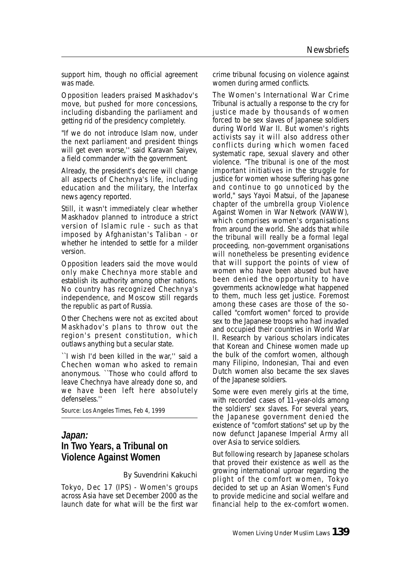support him, though no official agreement was made.

Opposition leaders praised Maskhadov's move, but pushed for more concessions, including disbanding the parliament and getting rid of the presidency completely.

"If we do not introduce Islam now, under the next parliament and president things will get even worse,'' said Karavan Saiyev, a field commander with the government.

Already, the president's decree will change all aspects of Chechnya's life, including education and the military, the Interfax news agency reported.

Still, it wasn't immediately clear whether Maskhadov planned to introduce a strict version of Islamic rule - such as that imposed by Afghanistan's Taliban - or whether he intended to settle for a milder version.

Opposition leaders said the move would only make Chechnya more stable and establish its authority among other nations. No country has recognized Chechnya's independence, and Moscow still regards the republic as part of Russia.

Other Chechens were not as excited about Maskhadov's plans to throw out the region's present constitution, which outlaws anything but a secular state.

``I wish I'd been killed in the war,'' said a Chechen woman who asked to remain anonymous. ``Those who could afford to leave Chechnya have already done so, and we have been left here absolutely defenseless.''

*Source: Los Angeles Times, Feb 4, 1999*

## **Japan: In Two Years, a Tribunal on Violence Against Women**

#### *By Suvendrini Kakuchi*

Tokyo, Dec 17 (IPS) - Women's groups across Asia have set December 2000 as the launch date for what will be the first war

crime tribunal focusing on violence against women during armed conflicts.

The Women's International War Crime Tribunal is actually a response to the cry for justice made by thousands of women forced to be sex slaves of Japanese soldiers during World War II. But women's rights activists say it will also address other conflicts during which women faced systematic rape, sexual slavery and other violence. "The tribunal is one of the most important initiatives in the struggle for justice for women whose suffering has gone and continue to go unnoticed by the world," says Yayoi Matsui, of the Japanese chapter of the umbrella group Violence Against Women in War Network (VAWW), which comprises women's organisations from around the world. She adds that while the tribunal will really be a formal legal proceeding, non-government organisations will nonetheless be presenting evidence that will support the points of view of women who have been abused but have been denied the opportunity to have governments acknowledge what happened to them, much less get justice. Foremost among these cases are those of the socalled "comfort women" forced to provide sex to the Japanese troops who had invaded and occupied their countries in World War II. Research by various scholars indicates that Korean and Chinese women made up the bulk of the comfort women, although many Filipino, Indonesian, Thai and even Dutch women also became the sex slaves of the Japanese soldiers.

Some were even merely girls at the time, with recorded cases of 11-year-olds among the soldiers' sex slaves. For several years, the Japanese government denied the existence of "comfort stations" set up by the now defunct Japanese Imperial Army all over Asia to service soldiers.

But following research by Japanese scholars that proved their existence as well as the growing international uproar regarding the plight of the comfort women, Tokyo decided to set up an Asian Women's Fund to provide medicine and social welfare and financial help to the ex-comfort women.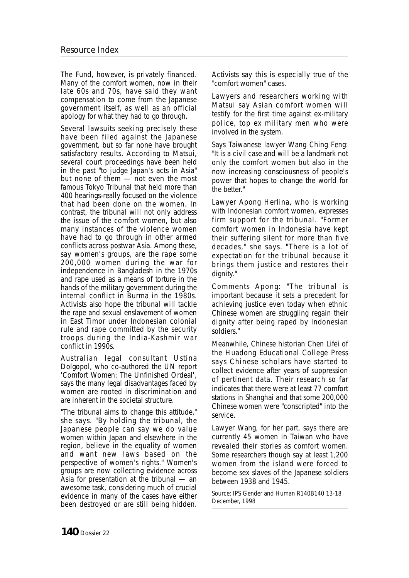The Fund, however, is privately financed. Many of the comfort women, now in their late 60s and 70s, have said they want compensation to come from the Japanese government itself, as well as an official apology for what they had to go through.

Several lawsuits seeking precisely these have been filed against the Japanese government, but so far none have brought satisfactory results. According to Matsui, several court proceedings have been held in the past "to judge Japan's acts in Asia" but none of them — not even the most famous Tokyo Tribunal that held more than 400 hearings-really focused on the violence that had been done on the women. In contrast, the tribunal will not only address the issue of the comfort women, but also many instances of the violence women have had to go through in other armed conflicts across postwar Asia. Among these, say women's groups, are the rape some 200,000 women during the war for independence in Bangladesh in the 1970s and rape used as a means of torture in the hands of the military government during the internal conflict in Burma in the 1980s. Activists also hope the tribunal will tackle the rape and sexual enslavement of women in East Timor under Indonesian colonial rule and rape committed by the security troops during the India-Kashmir war conflict in 1990s.

Australian legal consultant Ustina Dolgopol, who co-authored the UN report 'Comfort Women: The Unfinished Ordeal', says the many legal disadvantages faced by women are rooted in discrimination and are inherent in the societal structure.

"The tribunal aims to change this attitude," she says. "By holding the tribunal, the Japanese people can say we do value women within Japan and elsewhere in the region, believe in the equality of women and want new laws based on the perspective of women's rights." Women's groups are now collecting evidence across Asia for presentation at the tribunal — an awesome task, considering much of crucial evidence in many of the cases have either been destroyed or are still being hidden. Activists say this is especially true of the "comfort women" cases.

Lawyers and researchers working with Matsui say Asian comfort women will testify for the first time against ex-military police, top ex military men who were involved in the system.

Says Taiwanese lawyer Wang Ching Feng: "It is a civil case and will be a landmark not only the comfort women but also in the now increasing consciousness of people's power that hopes to change the world for the better."

Lawyer Apong Herlina, who is working with Indonesian comfort women, expresses firm support for the tribunal. "Former comfort women in Indonesia have kept their suffering silent for more than five decades," she says. "There is a lot of expectation for the tribunal because it brings them justice and restores their dignity."

Comments Apong: "The tribunal is important because it sets a precedent for achieving justice even today when ethnic Chinese women are struggling regain their dignity after being raped by Indonesian soldiers."

Meanwhile, Chinese historian Chen Lifei of the Huadong Educational College Press says Chinese scholars have started to collect evidence after years of suppression of pertinent data. Their research so far indicates that there were at least 77 comfort stations in Shanghai and that some 200,000 Chinese women were "conscripted" into the service.

Lawyer Wang, for her part, says there are currently 45 women in Taiwan who have revealed their stories as comfort women. Some researchers though say at least 1,200 women from the island were forced to become sex slaves of the Japanese soldiers between 1938 and 1945.

*Source: IPS Gender and Human R140B140 13-18 December, 1998*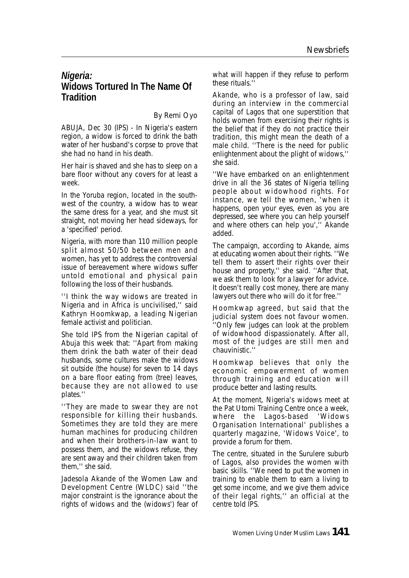## **Nigeria: Widows Tortured In The Name Of Tradition**

*By Remi Oyo*

ABUJA, Dec 30 (IPS) - In Nigeria's eastern region, a widow is forced to drink the bath water of her husband's corpse to prove that she had no hand in his death.

Her hair is shaved and she has to sleep on a bare floor without any covers for at least a week.

In the Yoruba region, located in the southwest of the country, a widow has to wear the same dress for a year, and she must sit straight, not moving her head sideways, for a 'specified' period.

Nigeria, with more than 110 million people split almost 50/50 between men and women, has yet to address the controversial issue of bereavement where widows suffer untold emotional and physical pain following the loss of their husbands.

''I think the way widows are treated in Nigeria and in Africa is uncivilised,'' said Kathryn Hoomkwap, a leading Nigerian female activist and politician.

She told IPS from the Nigerian capital of Abuja this week that: ''Apart from making them drink the bath water of their dead husbands, some cultures make the widows sit outside (the house) for seven to 14 days on a bare floor eating from (tree) leaves, because they are not allowed to use plates.''

''They are made to swear they are not responsible for killing their husbands. Sometimes they are told they are mere human machines for producing children and when their brothers-in-law want to possess them, and the widows refuse, they are sent away and their children taken from them,'' she said.

Jadesola Akande of the Women Law and Development Centre (WLDC) said ''the major constraint is the ignorance about the rights of widows and the (widows') fear of what will happen if they refuse to perform these rituals.''

Akande, who is a professor of law, said during an interview in the commercial capital of Lagos that one superstition that holds women from exercising their rights is the belief that if they do not practice their tradition, this might mean the death of a male child. ''There is the need for public enlightenment about the plight of widows,'' she said.

''We have embarked on an enlightenment drive in all the 36 states of Nigeria telling people about widowhood rights. For instance, we tell the women, 'when it happens, open your eyes, even as you are depressed, see where you can help yourself and where others can help you','' Akande added.

The campaign, according to Akande, aims at educating women about their rights. ''We tell them to assert their rights over their house and property,'' she said. ''After that, we ask them to look for a lawyer for advice. It doesn't really cost money, there are many lawyers out there who will do it for free.''

Hoomkwap agreed, but said that the judicial system does not favour women. ''Only few judges can look at the problem of widowhood dispassionately. After all, most of the judges are still men and chauvinistic.''

Hoomkwap believes that only the economic empowerment of women through training and education will produce better and lasting results.

At the moment, Nigeria's widows meet at the Pat Utomi Training Centre once a week, where the Lagos-based 'Widows Organisation International' publishes a quarterly magazine, 'Widows Voice', to provide a forum for them.

The centre, situated in the Surulere suburb of Lagos, also provides the women with basic skills. ''We need to put the women in training to enable them to earn a living to get some income, and we give them advice of their legal rights,'' an official at the centre told IPS.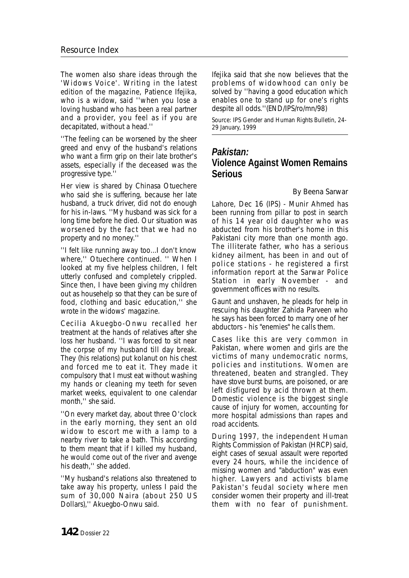The women also share ideas through the 'Widows Voice'. Writing in the latest edition of the magazine, Patience Ifejika, who is a widow, said ''when you lose a loving husband who has been a real partner and a provider, you feel as if you are decapitated, without a head.''

''The feeling can be worsened by the sheer greed and envy of the husband's relations who want a firm grip on their late brother's assets, especially if the deceased was the progressive type.''

Her view is shared by Chinasa Otuechere who said she is suffering, because her late husband, a truck driver, did not do enough for his in-laws. ''My husband was sick for a long time before he died. Our situation was worsened by the fact that we had no property and no money.''

''I felt like running away too...I don't know where,'' Otuechere continued. '' When I looked at my five helpless children, I felt utterly confused and completely crippled. Since then, I have been giving my children out as househelp so that they can be sure of food, clothing and basic education,'' she wrote in the widows' magazine.

Cecilia Akuegbo-Onwu recalled her treatment at the hands of relatives after she loss her husband. ''I was forced to sit near the corpse of my husband till day break. They (his relations) put kolanut on his chest and forced me to eat it. They made it compulsory that I must eat without washing my hands or cleaning my teeth for seven market weeks, equivalent to one calendar month,'' she said.

''On every market day, about three O'clock in the early morning, they sent an old widow to escort me with a lamp to a nearby river to take a bath. This according to them meant that if I killed my husband, he would come out of the river and avenge his death." she added.

''My husband's relations also threatened to take away his property, unless I paid the sum of 30,000 Naira (about 250 US Dollars),'' Akuegbo-Onwu said.

Ifejika said that she now believes that the problems of widowhood can only be solved by ''having a good education which enables one to stand up for one's rights despite all odds.''(END/IPS/ro/mn/98)

*Source: IPS Gender and Human Rights Bulletin, 24- 29 January, 1999*

# **Pakistan: Violence Against Women Remains Serious**

#### *By Beena Sarwar*

Lahore, Dec 16 (IPS) - Munir Ahmed has been running from pillar to post in search of his 14 year old daughter who was abducted from his brother's home in this Pakistani city more than one month ago. The illiterate father, who has a serious kidney ailment, has been in and out of police stations - he registered a first information report at the Sarwar Police Station in early November - and government offices with no results.

Gaunt and unshaven, he pleads for help in rescuing his daughter Zahida Parveen who he says has been forced to marry one of her abductors - his "enemies" he calls them.

Cases like this are very common in Pakistan, where women and girls are the victims of many undemocratic norms, policies and institutions. Women are threatened, beaten and strangled. They have stove burst burns, are poisoned, or are left disfigured by acid thrown at them. Domestic violence is the biggest single cause of injury for women, accounting for more hospital admissions than rapes and road accidents.

During 1997, the independent Human Rights Commission of Pakistan (HRCP) said, eight cases of sexual assault were reported every 24 hours, while the incidence of missing women and "abduction" was even higher. Lawyers and activists blame Pakistan's feudal society where men consider women their property and ill-treat them with no fear of punishment.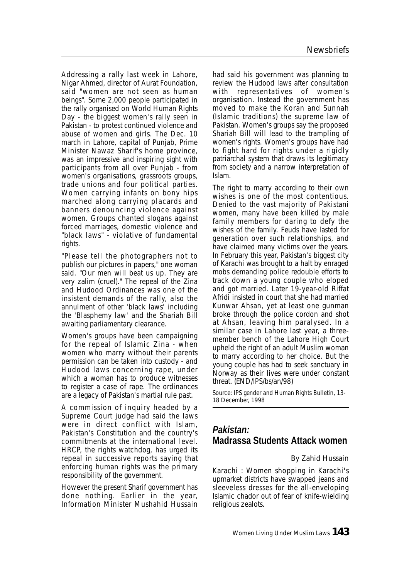Addressing a rally last week in Lahore, Nigar Ahmed, director of Aurat Foundation, said "women are not seen as human beings". Some 2,000 people participated in the rally organised on World Human Rights Day - the biggest women's rally seen in Pakistan - to protest continued violence and abuse of women and girls. The Dec. 10 march in Lahore, capital of Punjab, Prime Minister Nawaz Sharif's home province, was an impressive and inspiring sight with participants from all over Punjab - from women's organisations, grassroots groups, trade unions and four political parties. Women carrying infants on bony hips marched along carrying placards and banners denouncing violence against women. Groups chanted slogans against forced marriages, domestic violence and "black laws" - violative of fundamental rights.

"Please tell the photographers not to publish our pictures in papers," one woman said. "Our men will beat us up. They are very zalim (cruel)." The repeal of the Zina and Hudood Ordinances was one of the insistent demands of the rally, also the annulment of other 'black laws' including the 'Blasphemy law' and the Shariah Bill awaiting parliamentary clearance.

Women's groups have been campaigning for the repeal of Islamic Zina - when women who marry without their parents permission can be taken into custody - and Hudood laws concerning rape, under which a woman has to produce witnesses to register a case of rape. The ordinances are a legacy of Pakistan's martial rule past.

A commission of inquiry headed by a Supreme Court judge had said the laws were in direct conflict with Islam, Pakistan's Constitution and the country's commitments at the international level. HRCP, the rights watchdog, has urged its repeal in successive reports saying that enforcing human rights was the primary responsibility of the government.

However the present Sharif government has done nothing. Earlier in the year, Information Minister Mushahid Hussain had said his government was planning to review the Hudood laws after consultation with representatives of women's organisation. Instead the government has moved to make the Koran and Sunnah (Islamic traditions) the supreme law of Pakistan. Women's groups say the proposed Shariah Bill will lead to the trampling of women's rights. Women's groups have had to fight hard for rights under a rigidly patriarchal system that draws its legitimacy from society and a narrow interpretation of Islam.

The right to marry according to their own wishes is one of the most contentious. Denied to the vast majority of Pakistani women, many have been killed by male family members for daring to defy the wishes of the family. Feuds have lasted for generation over such relationships, and have claimed many victims over the years. In February this year, Pakistan's biggest city of Karachi was brought to a halt by enraged mobs demanding police redouble efforts to track down a young couple who eloped and got married. Later 19-year-old Riffat Afridi insisted in court that she had married Kunwar Ahsan, yet at least one gunman broke through the police cordon and shot at Ahsan, leaving him paralysed. In a similar case in Lahore last year, a threemember bench of the Lahore High Court upheld the right of an adult Muslim woman to marry according to her choice. But the young couple has had to seek sanctuary in Norway as their lives were under constant threat. (END/IPS/bs/an/98)

*Source: IPS gender and Human Rights Bulletin, 13- 18 December, 1998* 

# **Pakistan: Madrassa Students Attack women**

#### *By Zahid Hussain*

Karachi : Women shopping in Karachi's upmarket districts have swapped jeans and sleeveless dresses for the all-enveloping Islamic chador out of fear of knife-wielding religious zealots.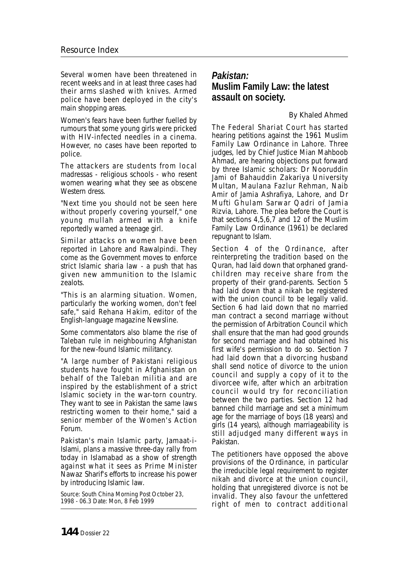Several women have been threatened in recent weeks and in at least three cases had their arms slashed with knives. Armed police have been deployed in the city's main shopping areas.

Women's fears have been further fuelled by rumours that some young girls were pricked with HIV-infected needles in a cinema. However, no cases have been reported to police.

The attackers are students from local madressas - religious schools - who resent women wearing what they see as obscene Western dress.

"Next time you should not be seen here without properly covering yourself," one young mullah armed with a knife reportedly warned a teenage girl.

Similar attacks on women have been reported in Lahore and Rawalpindi. They come as the Government moves to enforce strict Islamic sharia law - a push that has given new ammunition to the Islamic zealots.

"This is an alarming situation. Women, particularly the working women, don't feel safe," said Rehana Hakim, editor of the English-language magazine Newsline.

Some commentators also blame the rise of Taleban rule in neighbouring Afghanistan for the new-found Islamic militancy.

"A large number of Pakistani religious students have fought in Afghanistan on behalf of the Taleban militia and are inspired by the establishment of a strict Islamic society in the war-torn country. They want to see in Pakistan the same laws restricting women to their home," said a senior member of the Women's Action Forum.

Pakistan's main Islamic party, Jamaat-i-Islami, plans a massive three-day rally from today in Islamabad as a show of strength against what it sees as Prime Minister Nawaz Sharif's efforts to increase his power by introducing Islamic law.

*Source: South China Morning Post October 23, 1998 - 06.3 Date: Mon, 8 Feb 1999* 

# **Pakistan: Muslim Family Law: the latest assault on society.**

### *By Khaled Ahmed*

The Federal Shariat Court has started hearing petitions against the 1961 Muslim Family Law Ordinance in Lahore. Three judges, led by Chief Justice Mian Mahboob Ahmad, are hearing objections put forward by three Islamic scholars: Dr Nooruddin Jami of Bahauddin Zakariya University Multan, Maulana Fazlur Rehman, Naib Amir of Jamia Ashrafiya, Lahore, and Dr Mufti Ghulam Sarwar Qadri of Jamia Rizvia, Lahore. The plea before the Court is that sections 4,5,6,7 and 12 of the Muslim Family Law Ordinance (1961) be declared repugnant to Islam.

Section 4 of the Ordinance, after reinterpreting the tradition based on the Quran, had laid down that orphaned grandchildren may receive share from the property of their grand-parents. Section 5 had laid down that a nikah be registered with the union council to be legally valid. Section 6 had laid down that no married man contract a second marriage without the permission of Arbitration Council which shall ensure that the man had good grounds for second marriage and had obtained his first wife's permission to do so. Section 7 had laid down that a divorcing husband shall send notice of divorce to the union council and supply a copy of it to the divorcee wife, after which an arbitration council would try for reconciliation between the two parties. Section 12 had banned child marriage and set a minimum age for the marriage of boys (18 years) and girls (14 years), although marriageability is still adjudged many different ways in Pakistan.

The petitioners have opposed the above provisions of the Ordinance, in particular the irreducible legal requirement to register nikah and divorce at the union council, holding that unregistered divorce is not be invalid. They also favour the unfettered right of men to contract additional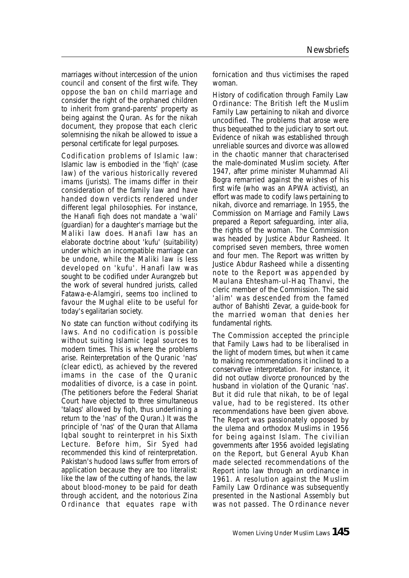marriages without intercession of the union council and consent of the first wife. They oppose the ban on child marriage and consider the right of the orphaned children to inherit from grand-parents' property as being against the Quran. As for the nikah document, they propose that each cleric solemnising the nikah be allowed to issue a personal certificate for legal purposes.

Codification problems of Islamic law: Islamic law is embodied in the 'fiqh' (case law) of the various historically revered imams (jurists). The imams differ in their consideration of the family law and have handed down verdicts rendered under different legal philosophies. For instance, the Hanafi fiqh does not mandate a 'wali' (guardian) for a daughter's marriage but the Maliki law does. Hanafi law has an elaborate doctrine about 'kufu' (suitability) under which an incompatible marriage can be undone, while the Maliki law is less developed on 'kufu'. Hanafi law was sought to be codified under Aurangzeb but the work of several hundred jurists, called Fatawa-e-Alamgiri, seems too inclined to favour the Mughal elite to be useful for today's egalitarian society.

No state can function without codifying its laws. And no codification is possible without suiting Islamic legal sources to modern times. This is where the problems arise. Reinterpretation of the Quranic 'nas' (clear edict), as achieved by the revered imams in the case of the Quranic modalities of divorce, is a case in point. (The petitioners before the Federal Shariat Court have objected to three simultaneous 'talaqs' allowed by fiqh, thus underlining a return to the 'nas' of the Quran.) It was the principle of 'nas' of the Quran that Allama Iqbal sought to reinterpret in his Sixth Lecture. Before him, Sir Syed had recommended this kind of reinterpretation. Pakistan's hudood laws suffer from errors of application because they are too literalist: like the law of the cutting of hands, the law about blood-money to be paid for death through accident, and the notorious Zina Ordinance that equates rape with fornication and thus victimises the raped woman.

History of codification through Family Law Ordinance: The British left the Muslim Family Law pertaining to nikah and divorce uncodified. The problems that arose were thus bequeathed to the judiciary to sort out. Evidence of nikah was established through unreliable sources and divorce was allowed in the chaotic manner that characterised the male-dominated Muslim society. After 1947, after prime minister Muhammad Ali Bogra remarried against the wishes of his first wife (who was an APWA activist), an effort was made to codify laws pertaining to nikah, divorce and remarriage. In 1955, the Commission on Marriage and Family Laws prepared a Report safeguarding, inter alia, the rights of the woman. The Commission was headed by Justice Abdur Rasheed. It comprised seven members, three women and four men. The Report was written by Justice Abdur Rasheed while a dissenting note to the Report was appended by Maulana Ehtesham-ul-Haq Thanvi, the cleric member of the Commission. The said 'alim' was descended from the famed author of Bahishti Zevar, a guide-book for the married woman that denies her fundamental rights.

The Commission accepted the principle that Family Laws had to be liberalised in the light of modern times, but when it came to making recommendations it inclined to a conservative interpretation. For instance, it did not outlaw divorce pronounced by the husband in violation of the Quranic 'nas'. But it did rule that nikah, to be of legal value, had to be registered. Its other recommendations have been given above. The Report was passionately opposed by the ulema and orthodox Muslims in 1956 for being against Islam. The civilian governments after 1956 avoided legislating on the Report, but General Ayub Khan made selected recommendations of the Report into law through an ordinance in 1961. A resolution against the Muslim Family Law Ordinance was subsequently presented in the Nastional Assembly but was not passed. The Ordinance never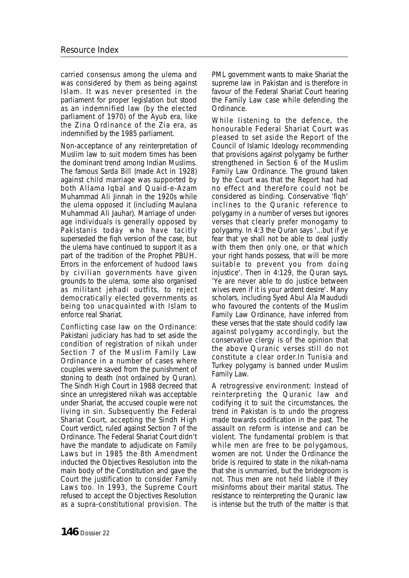carried consensus among the ulema and was considered by them as being against Islam. It was never presented in the parliament for proper legislation but stood as an indemnified law (by the elected parliament of 1970) of the Ayub era, like the Zina Ordinance of the Zia era, as indemnified by the 1985 parliament.

Non-acceptance of any reinterpretation of Muslim law to suit modern times has been the dominant trend among Indian Muslims. The famous Sarda Bill (made Act in 1928) against child marriage was supported by both Allama Iqbal and Quaid-e-Azam Muhammad Ali Jinnah in the 1920s while the ulema opposed it (including Maulana Muhammad Ali Jauhar). Marriage of underage individuals is generally opposed by Pakistanis today who have tacitly superseded the fiqh version of the case, but the ulema have continued to support it as a part of the tradition of the Prophet PBUH. Errors in the enforcement of hudood laws by civilian governments have given grounds to the ulema, some also organised as militant jehadi outfits, to reject democratically elected governments as being too unacquainted with Islam to enforce real Shariat.

Conflicting case law on the Ordinance: Pakistani judiciary has had to set aside the condition of registration of nikah under Section 7 of the Muslim Family Law Ordinance in a number of cases where couples were saved from the punishment of stoning to death (not ordained by Quran). The Sindh High Court in 1988 decreed that since an unregistered nikah was acceptable under Shariat, the accused couple were not living in sin. Subsequently the Federal Shariat Court, accepting the Sindh High Court verdict, ruled against Section 7 of the Ordinance. The Federal Shariat Court didn't have the mandate to adjudicate on Family Laws but in 1985 the 8th Amendment inducted the Objectives Resolution into the main body of the Constitution and gave the Court the justification to consider Family Laws too. In 1993, the Supreme Court refused to accept the Objectives Resolution as a supra-constitutional provision. The

PML government wants to make Shariat the supreme law in Pakistan and is therefore in favour of the Federal Shariat Court hearing the Family Law case while defending the Ordinance.

While listening to the defence, the honourable Federal Shariat Court was pleased to set aside the Report of the Council of Islamic Ideology recommending that provisions against polygamy be further strengthened in Section 6 of the Muslim Family Law Ordinance. The ground taken by the Court was that the Report had had no effect and therefore could not be considered as binding. Conservative 'fiqh' inclines to the Quranic reference to polygamy in a number of verses but ignores verses that clearly prefer monogamy to polygamy. In 4:3 the Quran says '...but if ye fear that ye shall not be able to deal justly with them then only one, or that which your right hands possess, that will be more suitable to prevent you from doing injustice'. Then in 4:129, the Quran says, 'Ye are never able to do justice between wives even if it is your ardent desire'. Many scholars, including Syed Abul Ala Maududi who favoured the contents of the Muslim Family Law Ordinance, have inferred from these verses that the state should codify law against polygamy accordingly, but the conservative clergy is of the opinion that the above Quranic verses still do not constitute a clear order.In Tunisia and Turkey polygamy is banned under Muslim Family Law.

A retrogressive environment: Instead of reinterpreting the Quranic law and codifying it to suit the circumstances, the trend in Pakistan is to undo the progress made towards codification in the past. The assault on reform is intense and can be violent. The fundamental problem is that while men are free to be polygamous, women are not. Under the Ordinance the bride is required to state in the *nikah-nama* that she is unmarried, but the bridegroom is not. Thus men are not held liable if they misinforms about their marital status. The resistance to reinterpreting the Quranic law is intense but the truth of the matter is that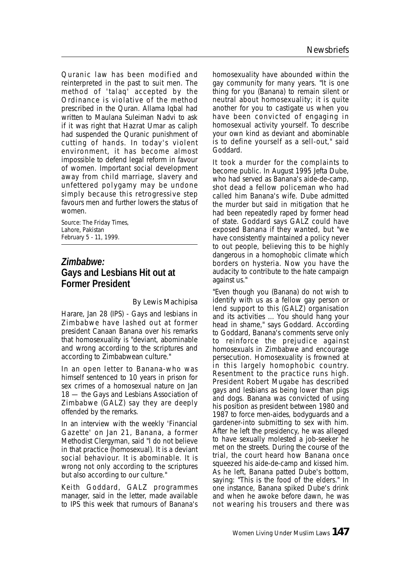Quranic law has been modified and reinterpreted in the past to suit men. The method of 'talaq' accepted by the Ordinance is violative of the method prescribed in the Quran. Allama Iqbal had written to Maulana Suleiman Nadvi to ask if it was right that Hazrat Umar as caliph had suspended the Quranic punishment of cutting of hands. In today's violent environment, it has become almost impossible to defend legal reform in favour of women. Important social development away from child marriage, slavery and unfettered polygamy may be undone simply because this retrogressive step favours men and further lowers the status of women.

*Source: The Friday Times, Lahore, Pakistan February 5 - 11, 1999.*

### **Zimbabwe: Gays and Lesbians Hit out at Former President**

#### *By Lewis Machipisa*

Harare, Jan 28 (IPS) - Gays and lesbians in Zimbabwe have lashed out at former president Canaan Banana over his remarks that homosexuality is "deviant, abominable and wrong according to the scriptures and according to Zimbabwean culture."

In an open letter to Banana-who was himself sentenced to 10 years in prison for sex crimes of a homosexual nature on Jan 18 — the Gays and Lesbians Association of Zimbabwe (GALZ) say they are deeply offended by the remarks.

In an interview with the weekly 'Financial Gazette' on Jan 21, Banana, a former Methodist Clergyman, said "I do not believe in that practice (homosexual). It is a deviant social behaviour. It is abominable. It is wrong not only according to the scriptures but also according to our culture."

Keith Goddard, GALZ programmes manager, said in the letter, made available to IPS this week that rumours of Banana's

homosexuality have abounded within the gay community for many years. "It is one thing for you (Banana) to remain silent or neutral about homosexuality; it is quite another for you to castigate us when you have been convicted of engaging in homosexual activity yourself. To describe your own kind as deviant and abominable is to define yourself as a sell-out," said Goddard.

It took a murder for the complaints to become public. In August 1995 Jefta Dube, who had served as Banana's aide-de-camp, shot dead a fellow policeman who had called him Banana's wife. Dube admitted the murder but said in mitigation that he had been repeatedly raped by former head of state. Goddard says GALZ could have exposed Banana if they wanted, but "we have consistently maintained a policy never to out people, believing this to be highly dangerous in a homophobic climate which borders on hysteria. Now you have the audacity to contribute to the hate campaign against us."

"Even though you (Banana) do not wish to identify with us as a fellow gay person or lend support to this (GALZ) organisation and its activities ... You should hang your head in shame," says Goddard. According to Goddard, Banana's comments serve only to reinforce the prejudice against homosexuals in Zimbabwe and encourage persecution. Homosexuality is frowned at in this largely homophobic country. Resentment to the practice runs high. President Robert Mugabe has described gays and lesbians as being lower than pigs and dogs. Banana was convicted of using his position as president between 1980 and 1987 to force men-aides, bodyguards and a gardener-into submitting to sex with him. After he left the presidency, he was alleged to have sexually molested a job-seeker he met on the streets. During the course of the trial, the court heard how Banana once squeezed his aide-de-camp and kissed him. As he left, Banana patted Dube's bottom, saying: "This is the food of the elders." In one instance, Banana spiked Dube's drink and when he awoke before dawn, he was not wearing his trousers and there was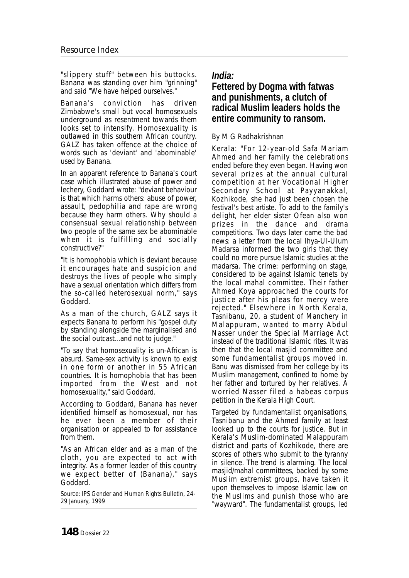"slippery stuff" between his buttocks. Banana was standing over him "grinning" and said "We have helped ourselves."

Banana's conviction has driven Zimbabwe's small but vocal homosexuals underground as resentment towards them looks set to intensify. Homosexuality is outlawed in this southern African country. GALZ has taken offence at the choice of words such as 'deviant' and 'abominable' used by Banana.

In an apparent reference to Banana's court case which illustrated abuse of power and lechery, Goddard wrote: "deviant behaviour is that which harms others: abuse of power, assault, pedophilia and rape are wrong because they harm others. Why should a consensual sexual relationship between two people of the same sex be abominable when it is fulfilling and socially constructive?"

"It is homophobia which is deviant because it encourages hate and suspicion and destroys the lives of people who simply have a sexual orientation which differs from the so-called heterosexual norm," says Goddard.

As a man of the church, GALZ says it expects Banana to perform his "gospel duty by standing alongside the marginalised and the social outcast...and not to judge."

"To say that homosexuality is un-African is absurd. Same-sex activity is known to exist in one form or another in 55 African countries. It is homophobia that has been imported from the West and not homosexuality," said Goddard.

According to Goddard, Banana has never identified himself as homosexual, nor has he ever been a member of their organisation or appealed to for assistance from them.

"As an African elder and as a man of the cloth, you are expected to act with integrity. As a former leader of this country we expect better of (Banana)," says Goddard.

*Source: IPS Gender and Human Rights Bulletin, 24- 29 January, 1999*

**India:**

### **Fettered by Dogma with fatwas and punishments, a clutch of radical Muslim leaders holds the entire community to ransom.**

### By M G Radhakrishnan

Kerala: "For 12-year-old Safa Mariam Ahmed and her family the celebrations ended before they even began. Having won several prizes at the annual cultural competition at her Vocational Higher Secondary School at Payyanakkal, Kozhikode, she had just been chosen the festival's best artiste. To add to the family's delight, her elder sister Ofean also won prizes in the dance and drama competitions. Two days later came the bad news: a letter from the local Ihya-Ul-Ulum Madarsa informed the two girls that they could no more pursue Islamic studies at the madarsa. The crime: performing on stage, considered to be against Islamic tenets by the local mahal committee. Their father Ahmed Koya approached the courts for justice after his pleas for mercy were rejected." Elsewhere in North Kerala, Tasnibanu, 20, a student of Manchery in Malappuram, wanted to marry Abdul Nasser under the Special Marriage Act instead of the traditional Islamic rites. It was then that the local masjid committee and some fundamentalist groups moved in. Banu was dismissed from her college by its Muslim management, confined to home by her father and tortured by her relatives. A worried Nasser filed a habeas corpus petition in the Kerala High Court.

Targeted by fundamentalist organisations, Tasnibanu and the Ahmed family at least looked up to the courts for justice. But in Kerala's Muslim-dominated Malappuram district and parts of Kozhikode, there are scores of others who submit to the tyranny in silence. The trend is alarming. The local masjid/mahal committees, backed by some Muslim extremist groups, have taken it upon themselves to impose Islamic law on the Muslims and punish those who are "wayward". The fundamentalist groups, led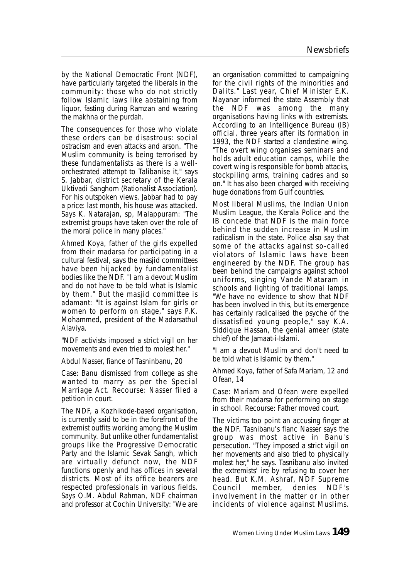by the National Democratic Front (NDF), have particularly targeted the liberals in the community: those who do not strictly follow Islamic laws like abstaining from liquor, fasting during Ramzan and wearing the makhna or the purdah.

The consequences for those who violate these orders can be disastrous: social ostracism and even attacks and arson. "The Muslim community is being terrorised by these fundamentalists as there is a wellorchestrated attempt to Talibanise it," says S. Jabbar, district secretary of the Kerala Uktivadi Sanghom (Rationalist Association). For his outspoken views, Jabbar had to pay a price: last month, his house was attacked. Says K. Natarajan, sp, Malappuram: "The extremist groups have taken over the role of the moral police in many places."

Ahmed Koya, father of the girls expelled from their madarsa for participating in a cultural festival, says the masjid committees have been hijacked by fundamentalist bodies like the NDF. "I am a devout Muslim and do not have to be told what is Islamic by them." But the masjid committee is adamant: "It is against Islam for girls or women to perform on stage," says P.K. Mohammed, president of the Madarsathul Alaviya.

"NDF activists imposed a strict vigil on her movements and even tried to molest her."

Abdul Nasser, fiance of Tasninbanu, 20

Case: Banu dismissed from college as she wanted to marry as per the Special Marriage Act. Recourse: Nasser filed a petition in court.

The NDF, a Kozhikode-based organisation, is currently said to be in the forefront of the extremist outfits working among the Muslim community. But unlike other fundamentalist groups like the Progressive Democratic Party and the Islamic Sevak Sangh, which are virtually defunct now, the NDF functions openly and has offices in several districts. Most of its office bearers are respected professionals in various fields. Says O.M. Abdul Rahman, NDF chairman and professor at Cochin University: "We are

an organisation committed to campaigning for the civil rights of the minorities and Dalits." Last year, Chief Minister E.K. Nayanar informed the state Assembly that the NDF was among the many organisations having links with extremists. According to an Intelligence Bureau (IB) official, three years after its formation in 1993, the NDF started a clandestine wing. "The overt wing organises seminars and holds adult education camps, while the covert wing is responsible for bomb attacks, stockpiling arms, training cadres and so on." It has also been charged with receiving huge donations from Gulf countries.

Most liberal Muslims, the Indian Union Muslim League, the Kerala Police and the IB concede that NDF is the main force behind the sudden increase in Muslim radicalism in the state. Police also say that some of the attacks against so-called violators of Islamic laws have been engineered by the NDF. The group has been behind the campaigns against school uniforms, singing Vande Mataram in schools and lighting of traditional lamps. "We have no evidence to show that NDF has been involved in this, but its emergence has certainly radicalised the psyche of the dissatisfied young people," say K.A. Siddique Hassan, the genial ameer (state chief) of the Jamaat-i-Islami.

"I am a devout Muslim and don't need to be told what is Islamic by them."

Ahmed Koya, father of Safa Mariam, 12 and Ofean, 14

Case: Mariam and Ofean were expelled from their madarsa for performing on stage in school. Recourse: Father moved court.

The victims too point an accusing finger at the NDF. Tasnibanu's fianc Nasser says the group was most active in Banu's persecution. "They imposed a strict vigil on her movements and also tried to physically molest her," he says. Tasnibanu also invited the extremists' ire by refusing to cover her head. But K.M. Ashraf, NDF Supreme Council member, denies NDF's involvement in the matter or in other incidents of violence against Muslims.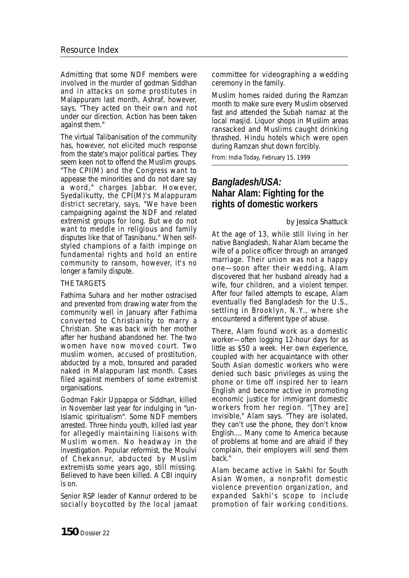Admitting that some NDF members were involved in the murder of godman Siddhan and in attacks on some prostitutes in Malappuram last month, Ashraf, however, says, "They acted on their own and not under our direction. Action has been taken against them."

The virtual Talibanisation of the community has, however, not elicited much response from the state's major political parties. They seem keen not to offend the Muslim groups. "The CPI(M) and the Congress want to appease the minorities and do not dare say a word," charges Jabbar. However, Syedalikutty, the CPI(M)'s Malappuram district secretary, says, "We have been campaigning against the NDF and related extremist groups for long. But we do not want to meddle in religious and family disputes like that of Tasnibanu." When selfstyled champions of a faith impinge on fundamental rights and hold an entire community to ransom, however, it's no longer a family dispute.

#### THE TARGETS

Fathima Suhara and her mother ostracised and prevented from drawing water from the community well in January after Fathima converted to Christianity to marry a Christian. She was back with her mother after her husband abandoned her. The two women have now moved court. Two muslim women, accused of prostitution, abducted by a mob, tonsured and paraded naked in Malappuram last month. Cases filed against members of some extremist organisations.

Godman Fakir Uppappa or Siddhan, killed in November last year for indulging in "un-Islamic spiritualism". Some NDF members arrested. Three hindu youth, killed last year for allegedly maintaining liaisons with Muslim women. No headway in the investigation. Popular reformist, the Moulvi of Chekannur, abducted by Muslim extremists some years ago, still missing. Believed to have been killed. A CBI inquiry is on.

Senior RSP leader of Kannur ordered to be socially boycotted by the local jamaat committee for videographing a wedding ceremony in the family.

Muslim homes raided during the Ramzan month to make sure every Muslim observed fast and attended the Subah namaz at the local masjid. Liquor shops in Muslim areas ransacked and Muslims caught drinking thrashed. Hindu hotels which were open during Ramzan shut down forcibly.

*From: India Today, February 15, 1999*

# **Bangladesh/USA: Nahar Alam: Fighting for the rights of domestic workers**

#### *by Jessica Shattuck*

At the age of 13, while still living in her native Bangladesh, Nahar Alam became the wife of a police officer through an arranged marriage. Their union was not a happy one—soon after their wedding, Alam discovered that her husband already had a wife, four children, and a violent temper. After four failed attempts to escape, Alam eventually fled Bangladesh for the U.S., settling in Brooklyn, N.Y., where she encountered a different type of abuse.

There, Alam found work as a domestic worker—often logging 12-hour days for as little as \$50 a week. Her own experience, coupled with her acquaintance with other South Asian domestic workers who were denied such basic privileges as using the phone or time off inspired her to learn English and become active in promoting economic justice for immigrant domestic workers from her region. "[They are] invisible," Alam says. "They are isolated, they can't use the phone, they don't know English.... Many come to America because of problems at home and are afraid if they complain, their employers will send them back."

Alam became active in Sakhi for South Asian Women, a nonprofit domestic violence prevention organization, and expanded Sakhi's scope to include promotion of fair working conditions.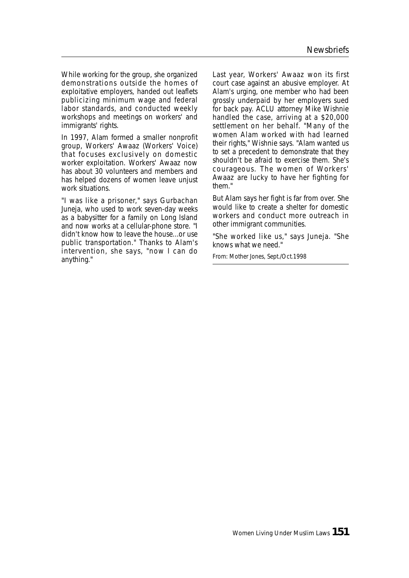While working for the group, she organized demonstrations outside the homes of exploitative employers, handed out leaflets publicizing minimum wage and federal labor standards, and conducted weekly workshops and meetings on workers' and immigrants' rights.

In 1997, Alam formed a smaller nonprofit group, Workers' Awaaz (Workers' Voice) that focuses exclusively on domestic worker exploitation. Workers' Awaaz now has about 30 volunteers and members and has helped dozens of women leave unjust work situations.

"I was like a prisoner," says Gurbachan Juneja, who used to work seven-day weeks as a babysitter for a family on Long Island and now works at a cellular-phone store. "I didn't know how to leave the house...or use public transportation." Thanks to Alam's intervention, she says, "now I can do anything."

Last year, Workers' Awaaz won its first court case against an abusive employer. At Alam's urging, one member who had been grossly underpaid by her employers sued for back pay. ACLU attorney Mike Wishnie handled the case, arriving at a \$20,000 settlement on her behalf. "Many of the women Alam worked with had learned their rights," Wishnie says. "Alam wanted us to set a precedent to demonstrate that they shouldn't be afraid to exercise them. She's courageous. The women of Workers' Awaaz are lucky to have her fighting for them."

But Alam says her fight is far from over. She would like to create a shelter for domestic workers and conduct more outreach in other immigrant communities.

"She worked like us," says Juneja. "She knows what we need."

*From: Mother Jones, Sept./Oct.1998*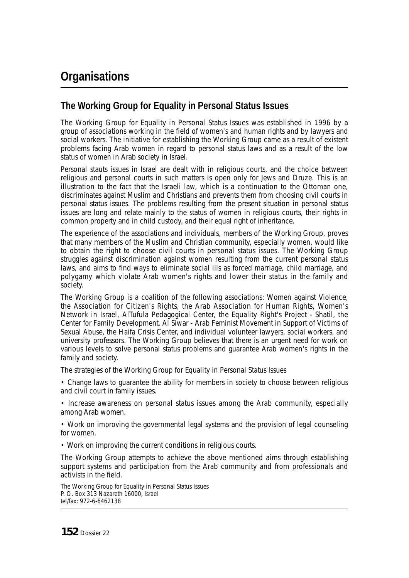# **Organisations**

# **The Working Group for Equality in Personal Status Issues**

The Working Group for Equality in Personal Status Issues was established in 1996 by a group of associations working in the field of women's and human rights and by lawyers and social workers. The initiative for establishing the Working Group came as a result of existent problems facing Arab women in regard to personal status laws and as a result of the low status of women in Arab society in Israel.

Personal stauts issues in Israel are dealt with in religious courts, and the choice between religious and personal courts in such matters is open only for Jews and Druze. This is an illustration to the fact that the Israeli law, which is a continuation to the Ottoman one, discriminates against Muslim and Christians and prevents them from choosing civil courts in personal status issues. The problems resulting from the present situation in personal status issues are long and relate mainly to the status of women in religious courts, their rights in common property and in child custody, and their equal right of inheritance.

The experience of the associations and individuals, members of the Working Group, proves that many members of the Muslim and Christian community, especially women, would like to obtain the right to choose civil courts in personal status issues. The Working Group struggles against discrimination against women resulting from the current personal status laws, and aims to find ways to eliminate social ills as forced marriage, child marriage, and polygamy which violate Arab women's rights and lower their status in the family and society.

The Working Group is a coalition of the following associations: Women against Violence, the Association for Citizen's Rights, the Arab Association for Human Rights, Women's Network in Israel, AlTufula Pedagogical Center, the Equality Right's Project - Shatil, the Center for Family Development, Al Siwar - Arab Feminist Movement in Support of Victims of Sexual Abuse, the Haifa Crisis Center, and individual volunteer lawyers, social workers, and university professors. The Working Group believes that there is an urgent need for work on various levels to solve personal status problems and guarantee Arab women's rights in the family and society.

The strategies of the Working Group for Equality in Personal Status Issues

• Change laws to guarantee the ability for members in society to choose between religious and civil court in family issues.

• Increase awareness on personal status issues among the Arab community, especially among Arab women.

• Work on improving the governmental legal systems and the provision of legal counseling for women.

• Work on improving the current conditions in religious courts.

The Working Group attempts to achieve the above mentioned aims through establishing support systems and participation from the Arab community and from professionals and activists in the field.

*The Working Group for Equality in Personal Status Issues P. O. Box 313 Nazareth 16000, Israel tel/fax: 972-6-6462138*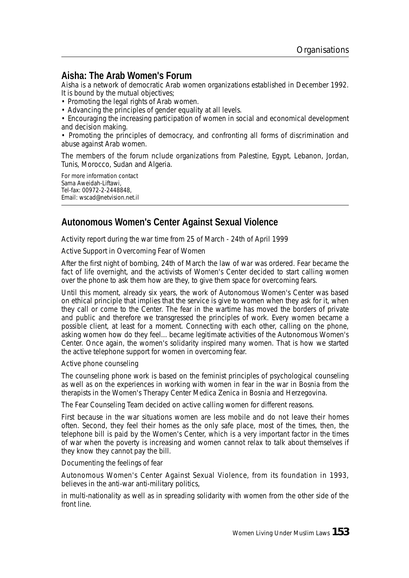# **Aisha: The Arab Women's Forum**

Aisha is a network of democratic Arab women organizations established in December 1992. It is bound by the mutual objectives;

• Promoting the legal rights of Arab women.

• Advancing the principles of gender equality at all levels.

• Encouraging the increasing participation of women in social and economical development and decision making.

• Promoting the principles of democracy, and confronting all forms of discrimination and abuse against Arab women.

The members of the forum nclude organizations from Palestine, Egypt, Lebanon, Jordan, Tunis, Morocco, Sudan and Algeria.

*For more information contact Sama Aweidah-Liftawi, Tel-fax: 00972-2-2448848, Email: wscad@netvision.net.il*

# **Autonomous Women's Center Against Sexual Violence**

Activity report during the war time from 25 of March - 24th of April 1999

Active Support in Overcoming Fear of Women

After the first night of bombing, 24th of March the law of war was ordered. Fear became the fact of life overnight, and the activists of Women's Center decided to start calling women over the phone to ask them how are they, to give them space for overcoming fears.

Until this moment, already six years, the work of Autonomous Women's Center was based on ethical principle that implies that the service is give to women when they ask for it, when they call or come to the Center. The fear in the wartime has moved the borders of private and public and therefore we transgressed the principles of work. Every women became a possible client, at least for a moment. Connecting with each other, calling on the phone, asking women how do they feel... became legitimate activities of the Autonomous Women's Center. Once again, the women's solidarity inspired many women. That is how we started the active telephone support for women in overcoming fear.

Active phone counseling

The counseling phone work is based on the feminist principles of psychological counseling as well as on the experiences in working with women in fear in the war in Bosnia from the therapists in the Women's Therapy Center Medica Zenica in Bosnia and Herzegovina.

The Fear Counseling Team decided on active calling women for different reasons.

First because in the war situations women are less mobile and do not leave their homes often. Second, they feel their homes as the only safe place, most of the times, then, the telephone bill is paid by the Women's Center, which is a very important factor in the times of war when the poverty is increasing and women cannot relax to talk about themselves if they know they cannot pay the bill.

#### Documenting the feelings of fear

Autonomous Women's Center Against Sexual Violence, from its foundation in 1993, believes in the anti-war anti-military politics,

in multi-nationality as well as in spreading solidarity with women from the other side of the front line.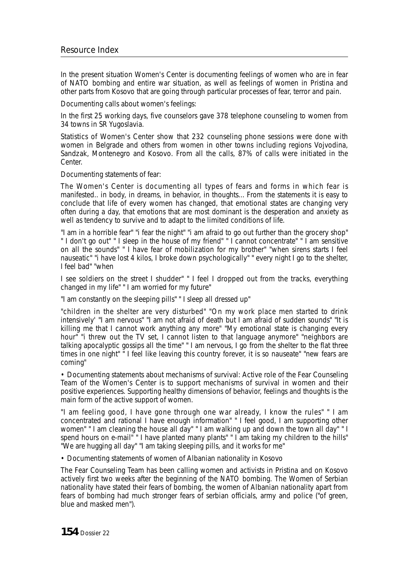In the present situation Women's Center is documenting feelings of women who are in fear of NATO bombing and entire war situation, as well as feelings of women in Pristina and other parts from Kosovo that are going through particular processes of fear, terror and pain.

Documenting calls about women's feelings:

In the first 25 working days, five counselors gave 378 telephone counseling to women from 34 towns in SR Yugoslavia.

Statistics of Women's Center show that 232 counseling phone sessions were done with women in Belgrade and others from women in other towns including regions Vojvodina, Sandzak, Montenegro and Kosovo. From all the calls, 87% of calls were initiated in the Center.

Documenting statements of fear:

The Women's Center is documenting all types of fears and forms in which fear is manifested.. in body, in dreams, in behavior, in thoughts... From the statements it is easy to conclude that life of every women has changed, that emotional states are changing very often during a day, that emotions that are most dominant is the desperation and anxiety as well as tendency to survive and to adapt to the limited conditions of life.

"I am in a horrible fear" "i fear the night" "i am afraid to go out further than the grocery shop" " I don't go out" " I sleep in the house of my friend" " I cannot concentrate" " I am sensitive on all the sounds" " I have fear of mobilization for my brother" "when sirens starts I feel nauseatic" "i have lost 4 kilos, I broke down psychologically" " every night I go to the shelter, I feel bad" "when

I see soldiers on the street I shudder" " I feel I dropped out from the tracks, everything changed in my life" " I am worried for my future"

"I am constantly on the sleeping pills" " I sleep all dressed up"

"children in the shelter are very disturbed" "On my work place men started to drink intensively' "I am nervous" "I am not afraid of death but I am afraid of sudden sounds" "It is killing me that I cannot work anything any more" "My emotional state is changing every hour" "i threw out the TV set, I cannot listen to that language anymore" "neighbors are talking apocalyptic gossips all the time" " I am nervous, I go from the shelter to the flat three times in one night" " I feel like leaving this country forever, it is so nauseate" "new fears are coming"

• Documenting statements about mechanisms of survival: Active role of the Fear Counseling Team of the Women's Center is to support mechanisms of survival in women and their positive experiences. Supporting healthy dimensions of behavior, feelings and thoughts is the main form of the active support of women.

"I am feeling good, I have gone through one war already, I know the rules" " I am concentrated and rational I have enough information" " I feel good, I am supporting other women" " I am cleaning the house all day" " I am walking up and down the town all day" " I spend hours on e-mail" " I have planted many plants" " I am taking my children to the hills" "We are hugging all day" "I am taking sleeping pills, and it works for me"

• Documenting statements of women of Albanian nationality in Kosovo

The Fear Counseling Team has been calling women and activists in Pristina and on Kosovo actively first two weeks after the beginning of the NATO bombing. The Women of Serbian nationality have stated their fears of bombing, the women of Albanian nationality apart from fears of bombing had much stronger fears of serbian officials, army and police ("of green, blue and masked men").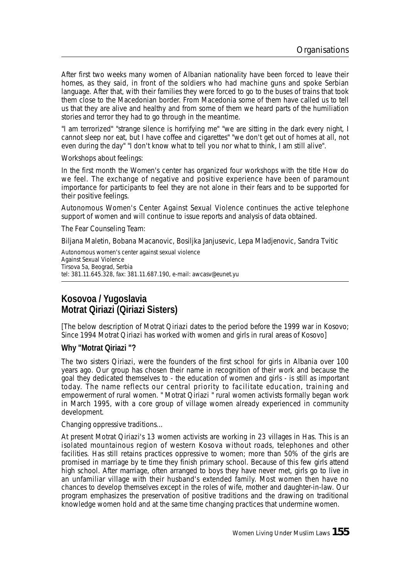After first two weeks many women of Albanian nationality have been forced to leave their homes, as they said, in front of the soldiers who had machine guns and spoke Serbian language. After that, with their families they were forced to go to the buses of trains that took them close to the Macedonian border. From Macedonia some of them have called us to tell us that they are alive and healthy and from some of them we heard parts of the humiliation stories and terror they had to go through in the meantime.

"I am terrorized" "strange silence is horrifying me" "we are sitting in the dark every night, I cannot sleep nor eat, but I have coffee and cigarettes" "we don't get out of homes at all, not even during the day" "I don't know what to tell you nor what to think, I am still alive".

Workshops about feelings:

In the first month the Women's center has organized four workshops with the title How do we feel. The exchange of negative and positive experience have been of paramount importance for participants to feel they are not alone in their fears and to be supported for their positive feelings.

Autonomous Women's Center Against Sexual Violence continues the active telephone support of women and will continue to issue reports and analysis of data obtained.

The Fear Counseling Team:

Biljana Maletin, Bobana Macanovic, Bosiljka Janjusevic, Lepa Mladjenovic, Sandra Tvitic

*Autonomous women's center against sexual violence Against Sexual Violence Tirsova 5a, Beograd, Serbia tel: 381.11.645.328, fax: 381.11.687.190, e-mail: awcasv@eunet.yu*

# **Kosovoa / Yugoslavia Motrat Qiriazi (Qiriazi Sisters)**

[The below description of Motrat Qiriazi dates to the period before the 1999 war in Kosovo; Since 1994 Motrat Qiriazi has worked with women and girls in rural areas of Kosovo]

#### **Why "Motrat Qiriazi "?**

The two sisters Qiriazi, were the founders of the first school for girls in Albania over 100 years ago. Our group has chosen their name in recognition of their work and because the goal they dedicated themselves to - the education of women and girls - is still as important today. The name reflects our central priority to facilitate education, training and empowerment of rural women. " Motrat Qiriazi " rural women activists formally began work in March 1995, with a core group of village women already experienced in community development.

Changing oppressive traditions...

At present Motrat Qiriazi's 13 women activists are working in 23 villages in Has. This is an isolated mountainous region of western Kosova without roads, telephones and other facilities. Has still retains practices oppressive to women; more than 50% of the girls are promised in marriage by te time they finish primary school. Because of this few girls attend high school. After marriage, often arranged to boys they have never met, girls go to live in an unfamiliar village with their husband's extended family. Most women then have no chances to develop themselves except in the roles of wife, mother and daughter-in-law. Our program emphasizes the preservation of positive traditions and the drawing on traditional knowledge women hold and at the same time changing practices that undermine women.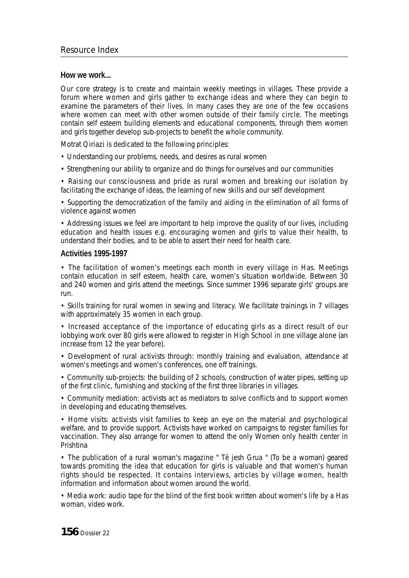#### **How we work...**

Our core strategy is to create and maintain weekly meetings in villages. These provide a forum where women and girls gather to exchange ideas and where they can begin to examine the parameters of their lives. In many cases they are one of the few occasions where women can meet with other women outside of their family circle. The meetings contain self esteem building elements and educational components, through them women and girls together develop sub-projects to benefit the whole community.

Motrat Qiriazi is dedicated to the following principles:

- Understanding our problems, needs, and desires as rural women
- Strengthening our ability to organize and do things for ourselves and our communities

• Raising our consciousness and pride as rural women and breaking our isolation by facilitating the exchange of ideas, the learning of new skills and our self development

• Supporting the democratization of the family and aiding in the elimination of all forms of violence against women

• Addressing issues we feel are important to help improve the quality of our lives, including education and health issues e.g. encouraging women and girls to value their health, to understand their bodies, and to be able to assert their need for health care.

#### **Activities 1995-1997**

• The facilitation of women's meetings each month in every village in Has. Meetings contain education in self esteem, health care, women's situation worldwide. Between 30 and 240 women and girls attend the meetings. Since summer 1996 separate girls' groups are run.

• Skills training for rural women in sewing and literacy. We facilitate trainings in 7 villages with approximately 35 women in each group.

• Increased acceptance of the importance of educating girls as a direct result of our lobbying work over 80 girls were allowed to register in High School in one village alone (an increase from 12 the year before).

• Development of rural activists through: monthly training and evaluation, attendance at women's meetings and women's conferences, one off trainings.

• Community sub-projects: the building of 2 schools, construction of water pipes, setting up of the first clinic, furnishing and stocking of the first three libraries in villages.

• Community mediation: activists act as mediators to solve conflicts and to support women in developing and educating themselves.

• Home visits: activists visit families to keep an eye on the material and psychological welfare, and to provide support. Activists have worked on campaigns to register families for vaccination. They also arrange for women to attend the only Women only health center in Prishtina

• The publication of a rural woman's magazine " Të jesh Grua " (To be a woman) geared towards promiting the idea that education for girls is valuable and that women's human rights should be respected. It contains interviews, articles by village women, health information and information about women around the world.

• Media work: audio tape for the blind of the first book written about women's life by a Has woman, video work.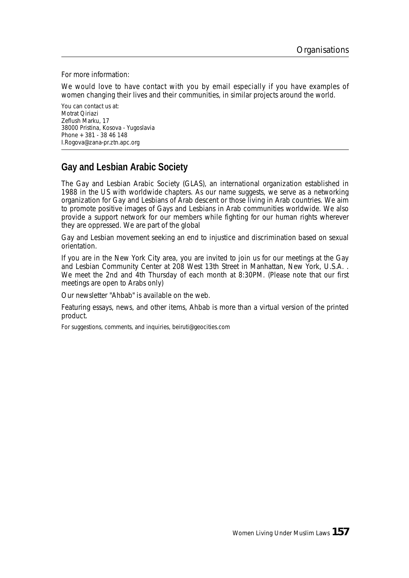For more information:

We would love to have contact with you by email especially if you have examples of women changing their lives and their communities, in similar projects around the world.

*You can contact us at: Motrat Qiriazi Zeflush Marku, 17 38000 Pristina, Kosova - Yugoslavia Phone + 381 - 38 46 148 I.Rogova@zana-pr.ztn.apc.org*

# **Gay and Lesbian Arabic Society**

The Gay and Lesbian Arabic Society (GLAS), an international organization established in 1988 in the US with worldwide chapters. As our name suggests, we serve as a networking organization for Gay and Lesbians of Arab descent or those living in Arab countries. We aim to promote positive images of Gays and Lesbians in Arab communities worldwide. We also provide a support network for our members while fighting for our human rights wherever they are oppressed. We are part of the global

Gay and Lesbian movement seeking an end to injustice and discrimination based on sexual orientation.

If you are in the New York City area, you are invited to join us for our meetings at the Gay and Lesbian Community Center at 208 West 13th Street in Manhattan, New York, U.S.A. . We meet the 2nd and 4th Thursday of each month at 8:30PM. (Please note that our first meetings are open to Arabs only)

Our newsletter "Ahbab" is available on the web.

Featuring essays, news, and other items, Ahbab is more than a virtual version of the printed product.

*For suggestions, comments, and inquiries, beiruti@geocities.com*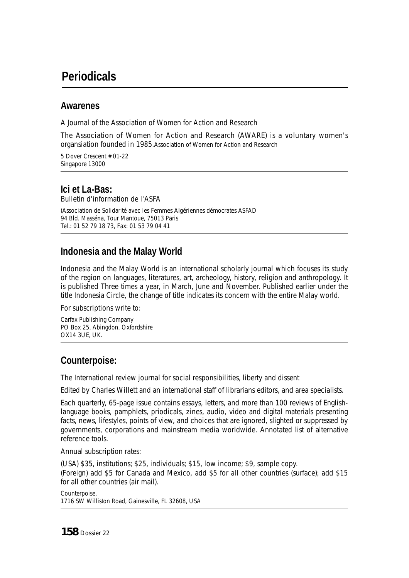# **Periodicals**

## **Awarenes**

A Journal of the Association of Women for Action and Research

The Association of Women for Action and Research (AWARE) is a voluntary women's organsiation founded in 1985.*Association of Women for Action and Research*

*5 Dover Crescent # 01-22 Singapore 13000*

# **Ici et La-Bas:**

Bulletin d'information de l'ASFA

*(Association de Solidarité avec les Femmes Algériennes démocrates ASFAD 94 Bld. Masséna, Tour Mantoue, 75013 Paris Tel.: 01 52 79 18 73, Fax: 01 53 79 04 41*

# **Indonesia and the Malay World**

Indonesia and the Malay World is an international scholarly journal which focuses its study of the region on languages, literatures, art, archeology, history, religion and anthropology. It is published Three times a year, in March, June and November. Published earlier under the title Indonesia Circle, the change of title indicates its concern with the entire Malay world.

For subscriptions write to:

*Carfax Publishing Company PO Box 25, Abingdon, Oxfordshire OX14 3UE, UK.*

# **Counterpoise:**

The International review journal for social responsibilities, liberty and dissent

Edited by Charles Willett and an international staff of librarians editors, and area specialists.

Each quarterly, 65-page issue contains essays, letters, and more than 100 reviews of Englishlanguage books, pamphlets, priodicals, zines, audio, video and digital materials presenting facts, news, lifestyles, points of view, and choices that are ignored, slighted or suppressed by governments, corporations and mainstream media worldwide. Annotated list of alternative reference tools.

Annual subscription rates:

(USA) \$35, institutions; \$25, individuals; \$15, low income; \$9, sample copy. (Foreign) add \$5 for Canada and Mexico, add \$5 for all other countries (surface); add \$15 for all other countries (air mail).

*Counterpoise, 1716 SW Williston Road, Gainesville, FL 32608, USA*

**158** Dossier 22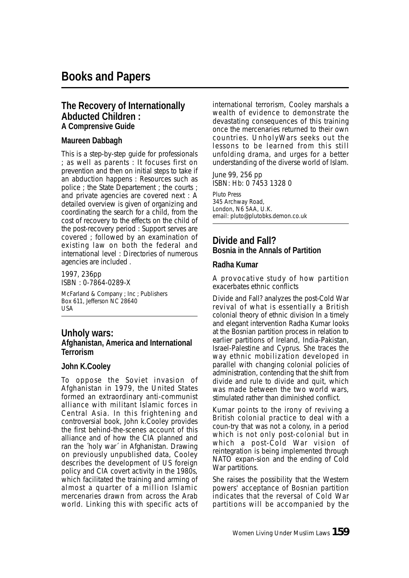# **Books and Papers**

### **The Recovery of Internationally Abducted Children : A Comprensive Guide**

#### **Maureen Dabbagh**

This is a step-by-step guide for professionals ; as well as parents : It focuses first on prevention and then on initial steps to take if an abduction happens : Resources such as police ; the State Departement ; the courts ; and private agencies are covered next : A detailed overview is given of organizing and coordinating the search for a child, from the cost of recovery to the effects on the child of the post-recovery period : Support serves are covered ; followed by an examination of existing law on both the federal and international level : Directories of numerous agencies are included .

1997, 236pp ISBN : 0-7864-0289-X

*McFarland & Company ; Inc ; Publishers Box 611, Jefferson NC 28640 USA*

#### **Unholy wars: Afghanistan, America and International Terrorism**

#### **John K.Cooley**

To oppose the Soviet invasion of Afghanistan in 1979, the United States formed an extraordinary anti-communist alliance with militant Islamic forces in Central Asia. In this frightening and controversial book, John k.Cooley provides the first behind-the-scenes account of this alliance and of how the CIA planned and ran the ´holy war´ in Afghanistan. Drawing on previously unpublished data, Cooley describes the development of US foreign policy and CIA covert activity in the 1980s, which facilitated the training and arming of almost a quarter of a million Islamic mercenaries drawn from across the Arab world. Linking this with specific acts of international terrorism, Cooley marshals a wealth of evidence to demonstrate the devastating consequences of this training once the mercenaries returned to their own countries. UnholyWars seeks out the lessons to be learned from this still unfolding drama, and urges for a better understanding of the diverse world of Islam.

June 99, 256 pp ISBN: Hb: 0 7453 1328 0

*Pluto Press 345 Archway Road, London, N6 5AA, U.K. email: pluto@plutobks.demon.co.uk*

### **Divide and Fall? Bosnia in the Annals of Partition**

### **Radha Kumar**

A provocative study of how partition exacerbates ethnic conflicts

Divide and Fall? analyzes the post-Cold War revival of what is essentially a British colonial theory of ethnic division In a timely and elegant intervention Radha Kumar looks at the Bosnian partition process in relation to earlier partitions of Ireland, India-Pakistan, Israel-Palestine and Cyprus. She traces the way ethnic mobilization developed in parallel with changing colonial policies of administration, contending that the shift from divide and rule to divide and quit, which was made between the two world wars, stimulated rather than diminished conflict.

Kumar points to the irony of reviving a British colonial practice to deal with a coun-try that was not a colony, in a period which is not only post-colonial but in which a post-Cold War vision of reintegration is being implemented through NATO expan-sion and the ending of Cold War partitions.

She raises the possibility that the Western powers' acceptance of Bosnian partition indicates that the reversal of Cold War partitions will be accompanied by the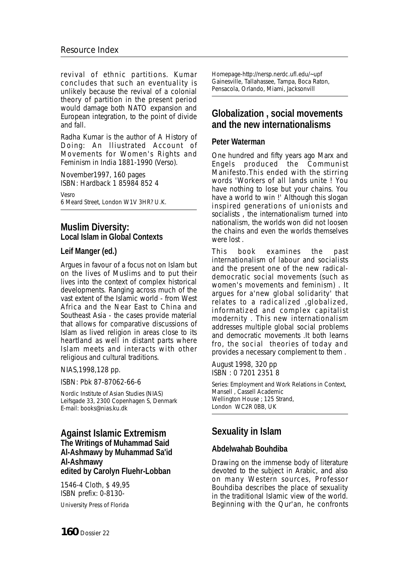revival of ethnic partitions. Kumar concludes that such an eventuality is unlikely because the revival of a colonial theory of partition in the present period would damage both NATO expansion and European integration, to the point of divide and fall.

Radha Kumar is the author of A History of Doing: An lliustrated Account of Movements for Women's Rights and Feminism in India 1881-1990 (Verso).

November1997, 160 pages ISBN: Hardback 1 85984 852 4

*Vesro 6 Meard Street, London W1V 3HR? U.K.*

### **Muslim Diversity: Local Islam in Global Contexts**

### **Leif Manger (ed.)**

Argues in favour of a focus not on Islam but on the lives of Muslims and to put their lives into the context of complex historical developments. Ranging across much of the vast extent of the Islamic world - from West Africa and the Near East to China and Southeast Asia - the cases provide material that allows for comparative discussions of Islam as lived religion in areas close to its heartland as well in distant parts where Islam meets and interacts with other religious and cultural traditions.

NIAS,1998,128 pp.

ISBN: Pbk 87-87062-66-6

*Nordic Institute of Asian Studies (NIAS) Leifsgade 33, 2300 Copenhagen S, Denmark E-mail: books@nias.ku.dk*

# **Against Islamic Extremism**

#### **The Writings of Muhammad Said Al-Ashmawy by Muhammad Sa'id Al-Ashmawy edited by Carolyn Fluehr-Lobban**

1546-4 Cloth, \$ 49,95 ISBN prefix: 0-8130-

*University Press of Florida*

*Homepage-http://nersp.nerdc.ufl.edu/~upf Gainesville, Tallahassee, Tampa, Boca Raton, Pensacola, Orlando, Miami, Jacksonvill*

## **Globalization , social movements and the new internationalisms**

### **Peter Waterman**

One hundred and fifty years ago Marx and Engels produced the Communist Manifesto.This ended with the stirring words 'Workers of all lands unite ! You have nothing to lose but your chains. You have a world to win !' Although this slogan inspired generations of unionists and socialists , the internationalism turned into nationalism, the worlds won did not loosen the chains and even the worlds themselves were lost .

This book examines the past internationalism of labour and socialists and the present one of the new radicaldemocratic social movements (such as women's movements and feminism) . It argues for a'new global solidarity' that relates to a radicalized ,globalized, informatized and complex capitalist modernity . This new internationalism addresses multiple global social problems and democratic movements .It both learns fro, the social theories of today and provides a necessary complement to them .

August 1998, 320 pp ISBN : 0 7201 2351 8

*Series: Employment and Work Relations in Context, Mansell , Cassell Academic Wellington House ; 125 Strand, London WC2R 0BB, UK*

# **Sexuality in Islam**

### **Abdelwahab Bouhdiba**

Drawing on the immense body of literature devoted to the subject in Arabic, and also on many Western sources, Professor Bouhdiba describes the place of sexuality in the traditional Islamic view of the world. Beginning with the Qur'an, he confronts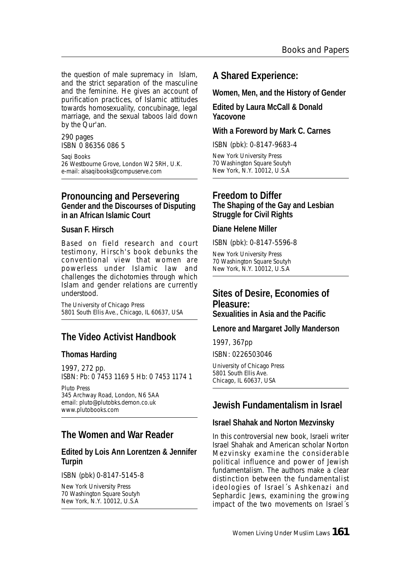the question of male supremacy in Islam, and the strict separation of the masculine and the feminine. He gives an account of purification practices, of Islamic attitudes towards homosexuality, concubinage, legal marriage, and the sexual taboos laid down by the Qur'an.

290 pages ISBN 0 86356 086 5

*Saqi Books 26 Westbourne Grove, London W2 5RH, U.K. e-mail: alsaqibooks@compuserve.com*

### **Pronouncing and Persevering Gender and the Discourses of Disputing in an African Islamic Court**

#### **Susan F. Hirsch**

Based on field research and court testimony, Hirsch's book debunks the conventional view that women are powerless under Islamic law and challenges the dichotomies through which Islam and gender relations are currently understood.

*The University of Chicago Press 5801 South Ellis Ave., Chicago, IL 60637, USA*

# **The Video Activist Handbook**

### **Thomas Harding**

1997, 272 pp. ISBN: Pb: 0 7453 1169 5 Hb: 0 7453 1174 1

*Pluto Press 345 Archway Road, London, N6 5AA email: pluto@plutobks.demon.co.uk www.plutobooks.com*

# **The Women and War Reader**

#### **Edited by Lois Ann Lorentzen & Jennifer Turpin**

ISBN (pbk) 0-8147-5145-8

*New York University Press 70 Washington Square Soutyh New York, N.Y. 10012, U.S.A*

# **A Shared Experience:**

#### **Women, Men, and the History of Gender**

#### **Edited by Laura McCall & Donald Yacovone**

#### **With a Foreword by Mark C. Carnes**

ISBN (pbk): 0-8147-9683-4

*New York University Press 70 Washington Square Soutyh New York, N.Y. 10012, U.S.A*

### **Freedom to Differ The Shaping of the Gay and Lesbian Struggle for Civil Rights**

#### **Diane Helene Miller**

ISBN (pbk): 0-8147-5596-8

*New York University Press 70 Washington Square Soutyh New York, N.Y. 10012, U.S.A*

### **Sites of Desire, Economies of Pleasure: Sexualities in Asia and the Pacific**

### **Lenore and Margaret Jolly Manderson**

1997, 367pp

ISBN: 0226503046

*University of Chicago Press 5801 South Ellis Ave. Chicago, IL 60637, USA*

# **Jewish Fundamentalism in Israel**

### **Israel Shahak and Norton Mezvinsky**

In this controversial new book, Israeli writer Israel Shahak and American scholar Norton Mezvinsky examine the considerable political influence and power of Jewish fundamentalism. The authors make a clear distinction between the fundamentalist ideologies of Israel´s Ashkenazi and Sephardic Jews, examining the growing impact of the two movements on Israel´s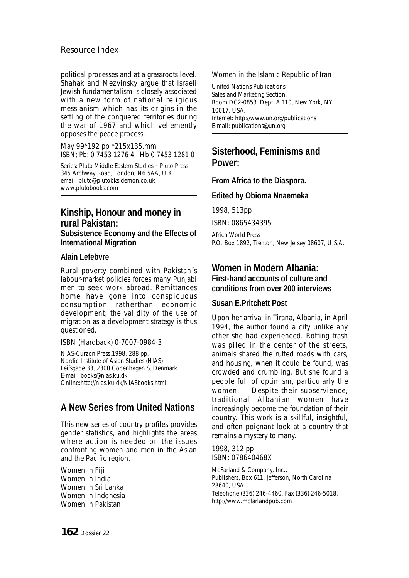political processes and at a grassroots level. Shahak and Mezvinsky argue that Israeli Jewish fundamentalism is closely associated with a new form of national religious messianism which has its origins in the settling of the conquered territories during the war of 1967 and which vehemently opposes the peace process.

May 99\*192 pp \*215x135.mm ISBN; Pb: 0 7453 1276 4 Hb:0 7453 1281 0

*Series: Pluto Middle Eastern Studies* - *Pluto Press 345 Archway Road, London, N6 5AA, U.K. email: pluto@plutobks.demon.co.uk www.plutobooks.com*

### **Kinship, Honour and money in rural Pakistan: Subsistence Economy and the Effects of**

**International Migration**

### **Alain Lefebvre**

Rural poverty combined with Pakistan´s labour-market policies forces many Punjabi men to seek work abroad. Remittances home have gone into conspicuous consumption ratherthan economic development; the validity of the use of migration as a development strategy is thus questioned.

ISBN (Hardback) 0-7007-0984-3

*NIAS-Curzon Press,1998, 288 pp. Nordic Institute of Asian Studies (NIAS) Leifsgade 33, 2300 Copenhagen S, Denmark E-mail: books@nias.ku.dk Online:http://nias.ku.dk/NIASbooks.html*

# **A New Series from United Nations**

This new series of country profiles provides gender statistics, and highlights the areas where action is needed on the issues confronting women and men in the Asian and the Pacific region.

Women in Fiii Women in India Women in Sri Lanka Women in Indonesia Women in Pakistan

Women in the Islamic Republic of Iran

*United Nations Publications Sales and Marketing Section, Room.DC2-0853 Dept. A 110, New York, NY 10017, USA. Internet: http://www.un.org/publications E-mail: publications@un.org*

# **Sisterhood, Feminisms and Power:**

**From Africa to the Diaspora.**

### **Edited by Obioma Nnaemeka**

1998, 513pp

ISBN: 0865434395

*Africa World Press P.O. Box 1892, Trenton, New Jersey 08607, U.S.A.*

### **Women in Modern Albania: First-hand accounts of culture and conditions from over 200 interviews**

### **Susan E.Pritchett Post**

Upon her arrival in Tirana, Albania, in April 1994, the author found a city unlike any other she had experienced. Rotting trash was piled in the center of the streets, animals shared the rutted roads with cars, and housing, when it could be found, was crowded and crumbling. But she found a people full of optimism, particularly the women. Despite their subservience, traditional Albanian women have increasingly become the foundation of their country. This work is a skillful, insightful, and often poignant look at a country that remains a mystery to many.

1998, 312 pp ISBN: 078640468X

*McFarland & Company, Inc., Publishers, Box 611, Jefferson, North Carolina 28640, USA. Telephone (336) 246-4460. Fax (336) 246-5018. http://www.mcfarlandpub.com*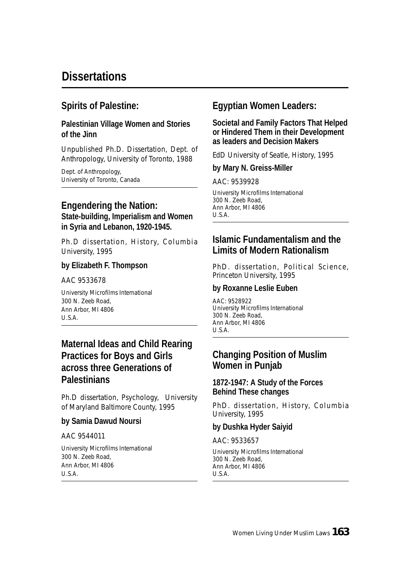# **Dissertations**

## **Spirits of Palestine:**

### **Palestinian Village Women and Stories of the Jinn**

Unpublished Ph.D. Dissertation, Dept. of Anthropology, University of Toronto, 1988

*Dept. of Anthropology, University of Toronto, Canada*

### **Engendering the Nation:**

### **State-building, Imperialism and Women in Syria and Lebanon, 1920-1945.**

Ph.D dissertation, History, Columbia University, 1995

#### **by Elizabeth F. Thompson**

AAC 9533678

*University Microfilms International 300 N. Zeeb Road, Ann Arbor, MI 4806 U.S.A.*

# **Maternal Ideas and Child Rearing Practices for Boys and Girls across three Generations of Palestinians**

Ph.D dissertation, Psychology, University of Maryland Baltimore County, 1995

#### **by Samia Dawud Noursi**

#### AAC 9544011

*University Microfilms International 300 N. Zeeb Road, Ann Arbor, MI 4806 U.S.A.*

### **Egyptian Women Leaders:**

#### **Societal and Family Factors That Helped or Hindered Them in their Development as leaders and Decision Makers**

EdD University of Seatle, History, 1995

#### **by Mary N. Greiss-Miller**

AAC: 9539928

*University Microfilms International 300 N. Zeeb Road, Ann Arbor, MI 4806 U.S.A.*

### **Islamic Fundamentalism and the Limits of Modern Rationalism**

PhD. dissertation, Political Science, Princeton University, 1995

#### **by Roxanne Leslie Euben**

*AAC: 9528922 University Microfilms International 300 N. Zeeb Road, Ann Arbor, MI 4806 U.S.A.*

### **Changing Position of Muslim Women in Punjab**

#### **1872-1947: A Study of the Forces Behind These changes**

PhD. dissertation, History, Columbia University, 1995

### **by Dushka Hyder Saiyid**

AAC: 9533657 *University Microfilms International 300 N. Zeeb Road, Ann Arbor, MI 4806 U.S.A.*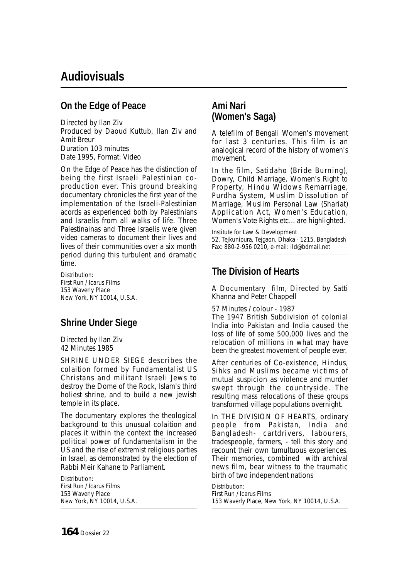# **Audiovisuals**

# **On the Edge of Peace**

Directed by Ilan Ziv Produced by Daoud Kuttub, Ilan Ziv and Amit Breur Duration 103 minutes Date 1995, Format: Video

On the Edge of Peace has the distinction of being the first Israeli Palestinian coproduction ever. This ground breaking documentary chronicles the first year of the implementation of the Israeli-Palestinian acords as experienced both by Palestinians and Israelis from all walks of life. Three Palestinainas and Three Israelis were given video cameras to document their lives and lives of their communities over a six month period during this turbulent and dramatic time.

*Distribution: First Run / Icarus Films 153 Waverly Place New York, NY 10014, U.S.A.*

# **Shrine Under Siege**

Directed by Ilan Ziv 42 Minutes 1985

SHRINE UNDER SIEGE describes the colaition formed by Fundamentalist US Christans and militant Israeli Jews to destroy the Dome of the Rock, Islam's third holiest shrine, and to build a new jewish temple in its place.

The documentary explores the theological background to this unusual colaition and places it within the context the increased political power of fundamentalism in the US and the rise of extremist religious parties in Israel, as demonstrated by the election of Rabbi Meir Kahane to Parliament.

*Distribution: First Run / Icarus Films 153 Waverly Place New York, NY 10014, U.S.A.*

### **Ami Nari (Women's Saga)**

A telefilm of Bengali Women's movement for last 3 centuries. This film is an analogical record of the history of women's movement.

In the film, Satidaho (Bride Burning), Dowry, Child Marriage, Women's Right to Property, Hindu Widows Remarriage, Purdha System, Muslim Dissolution of Marriage, Muslim Personal Law (Shariat) Application Act, Women's Education, Women's Vote Rights etc... are highlighted.

*Institute for Law & Development 52, Tejkunipura, Tejgaon, Dhaka - 1215, Bangladesh Fax: 880-2-956 0210, e-mail: ild@bdmail.net*

# **The Division of Hearts**

A Documentary film, Directed by Satti Khanna and Peter Chappell

#### 57 Minutes / colour - 1987

The 1947 British Subdivision of colonial India into Pakistan and India caused the loss of life of some 500,000 lives and the relocation of millions in what may have been the greatest movement of people ever.

After centuries of Co-existence, Hindus, Sihks and Muslims became victims of mutual suspicion as violence and murder swept through the countryside. The resulting mass relocations of these groups transformed village populations overnight.

In THE DIVISION OF HEARTS, ordinary people from Pakistan, India and Bangladesh- cartdrivers, labourers, tradespeople, farmers, - tell this story and recount their own tumultuous experiences. Their memories, combined with archival news film, bear witness to the traumatic birth of two independent nations

*Distribution: First Run / Icarus Films 153 Waverly Place, New York, NY 10014, U.S.A.*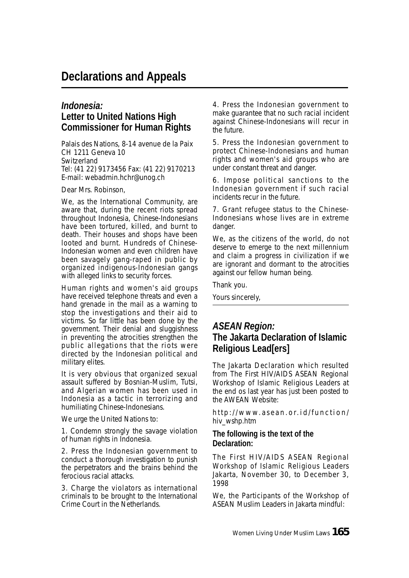## **Indonesia: Letter to United Nations High Commissioner for Human Rights**

Palais des Nations, 8-14 avenue de la Paix CH 1211 Geneva 10 Switzerland Tel: (41 22) 9173456 Fax: (41 22) 9170213 E-mail: webadmin.hchr@unog.ch

Dear Mrs. Robinson,

We, as the International Community, are aware that, during the recent riots spread throughout Indonesia, Chinese-Indonesians have been tortured, killed, and burnt to death. Their houses and shops have been looted and burnt. Hundreds of Chinese-Indonesian women and even children have been savagely gang-raped in public by organized indigenous-Indonesian gangs with alleged links to security forces.

Human rights and women's aid groups have received telephone threats and even a hand grenade in the mail as a warning to stop the investigations and their aid to victims. So far little has been done by the government. Their denial and sluggishness in preventing the atrocities strengthen the public allegations that the riots were directed by the Indonesian political and military elites.

It is very obvious that organized sexual assault suffered by Bosnian-Muslim, Tutsi, and Algerian women has been used in Indonesia as a tactic in terrorizing and humiliating Chinese-Indonesians.

We urge the United Nations to:

1. Condemn strongly the savage violation of human rights in Indonesia.

2. Press the Indonesian government to conduct a thorough investigation to punish the perpetrators and the brains behind the ferocious racial attacks.

3. Charge the violators as international criminals to be brought to the International Crime Court in the Netherlands.

4. Press the Indonesian government to make guarantee that no such racial incident against Chinese-Indonesians will recur in the future.

5. Press the Indonesian government to protect Chinese-Indonesians and human rights and women's aid groups who are under constant threat and danger.

6. Impose political sanctions to the Indonesian government if such racial incidents recur in the future.

7. Grant refugee status to the Chinese-Indonesians whose lives are in extreme danger.

We, as the citizens of the world, do not deserve to emerge to the next millennium and claim a progress in civilization if we are ignorant and dormant to the atrocities against our fellow human being.

Thank you.

Yours sincerely,

# **ASEAN Region: The Jakarta Declaration of Islamic Religious Lead[ers]**

The Jakarta Declaration which resulted from The First HIV/AIDS ASEAN Regional Workshop of Islamic Religious Leaders at the end os last year has just been posted to the AWEAN Website:

http://www.asean.or.id/function/ hiv\_wshp.htm

#### **The following is the text of the Declaration:**

The First HIV/AIDS ASEAN Regional Workshop of Islamic Religious Leaders Jakarta, November 30, to December 3, 1998

We, the Participants of the Workshop of ASEAN Muslim Leaders in Jakarta mindful: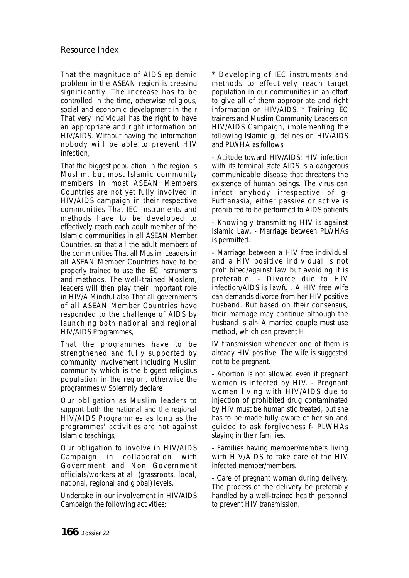That the magnitude of AIDS epidemic problem in the ASEAN region is creasing significantly. The increase has to be controlled in the time, otherwise religious, social and economic development in the r That very individual has the right to have an appropriate and right information on HIV/AIDS. Without having the information nobody will be able to prevent HIV infection,

That the biggest population in the region is Muslim, but most Islamic community members in most ASEAN Members Countries are not yet fully involved in HIV/AIDS campaign in their respective communities That IEC instruments and methods have to be developed to effectively reach each adult member of the Islamic communities in all ASEAN Member Countries, so that all the adult members of the communities That all Muslim Leaders in all ASEAN Member Countries have to be properly trained to use the IEC instruments and methods. The well-trained Moslem, leaders will then play their important role in HIV/A Mindful also That all governments of all ASEAN Member Countries have responded to the challenge of AIDS by launching both national and regional HIV/AIDS Programmes,

That the programmes have to be strengthened and fully supported by community involvement including Muslim community which is the biggest religious population in the region, otherwise the programmes w Solemnly declare

Our obligation as Muslim leaders to support both the national and the regional HIV/AIDS Programmes as long as the programmes' activities are not against Islamic teachings,

Our obligation to involve in HIV/AIDS Campaign in collaboration with Government and Non Government officials/workers at all (grassroots, local, national, regional and global) levels,

Undertake in our involvement in HIV/AIDS Campaign the following activities:

\* Developing of IEC instruments and methods to effectively reach target population in our communities in an effort to give all of them appropriate and right information on HIV/AIDS, \* Training IEC trainers and Muslim Community Leaders on HIV/AIDS Campaign, implementing the following Islamic guidelines on HIV/AIDS and PLWHA as follows:

- Attitude toward HIV/AIDS: HIV infection with its terminal state AIDS is a dangerous communicable disease that threatens the existence of human beings. The virus can infect anybody irrespective of g-Euthanasia, either passive or active is prohibited to be performed to AIDS patients

- Knowingly transmitting HIV is against Islamic Law. - Marriage between PLWHAs is permitted.

- Marriage between a HIV free individual and a HIV positive individual is not prohibited/against law but avoiding it is preferable. - Divorce due to HIV infection/AIDS is lawful. A HIV free wife can demands divorce from her HIV positive husband. But based on their consensus, their marriage may continue although the husband is alr- A married couple must use method, which can prevent H

IV transmission whenever one of them is already HIV positive. The wife is suggested not to be pregnant.

- Abortion is not allowed even if pregnant women is infected by HIV. - Pregnant women living with HIV/AIDS due to injection of prohibited drug contaminated by HIV must be humanistic treated, but she has to be made fully aware of her sin and guided to ask forgiveness f- PLWHAs staying in their families.

- Families having member/members living with HIV/AIDS to take care of the HIV infected member/members.

- Care of pregnant woman during delivery. The process of the delivery be preferably handled by a well-trained health personnel to prevent HIV transmission.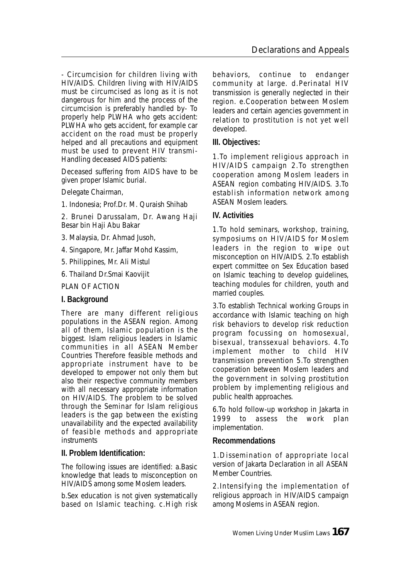- Circumcision for children living with HIV/AIDS. Children living with HIV/AIDS must be circumcised as long as it is not dangerous for him and the process of the circumcision is preferably handled by- To properly help PLWHA who gets accident: PLWHA who gets accident, for example car accident on the road must be properly helped and all precautions and equipment must be used to prevent HIV transmi-Handling deceased AIDS patients:

Deceased suffering from AIDS have to be given proper Islamic burial.

Delegate Chairman,

1. Indonesia; Prof.Dr. M. Quraish Shihab

2. Brunei Darussalam, Dr. Awang Haji Besar bin Haji Abu Bakar

- 3. Malaysia, Dr. Ahmad Jusoh,
- 4. Singapore, Mr. Jaffar Mohd Kassim,
- 5. Philippines, Mr. Ali Mistul
- 6. Thailand Dr.Smai Kaovijit

PLAN OF ACTION

### **I. Background**

There are many different religious populations in the ASEAN region. Among all of them, Islamic population is the biggest. Islam religious leaders in Islamic communities in all ASEAN Member Countries Therefore feasible methods and appropriate instrument have to be developed to empower not only them but also their respective community members with all necessary appropriate information on HIV/AIDS. The problem to be solved through the Seminar for Islam religious leaders is the gap between the existing unavailability and the expected availability of feasible methods and appropriate instruments

### **II. Problem Identification:**

The following issues are identified: a.Basic knowledge that leads to misconception on HIV/AIDS among some Moslem leaders.

b.Sex education is not given systematically based on Islamic teaching. c.High risk behaviors, continue to endanger community at large. d.Perinatal HIV transmission is generally neglected in their region. e.Cooperation between Moslem leaders and certain agencies government in relation to prostitution is not yet well developed.

### **III. Objectives:**

1.To implement religious approach in HIV/AIDS campaign 2.To strengthen cooperation among Moslem leaders in ASEAN region combating HIV/AIDS. 3.To establish information network among ASEAN Moslem leaders.

### **IV. Activities**

1.To hold seminars, workshop, training, symposiums on HIV/AIDS for Moslem leaders in the region to wipe out misconception on HIV/AIDS. 2.To establish expert committee on Sex Education based on Islamic teaching to develop guidelines, teaching modules for children, youth and married couples.

3.To establish Technical working Groups in accordance with Islamic teaching on high risk behaviors to develop risk reduction program focussing on homosexual, bisexual, transsexual behaviors. 4.To implement mother to child HIV transmission prevention 5.To strengthen cooperation between Moslem leaders and the government in solving prostitution problem by implementing religious and public health approaches.

6.To hold follow-up workshop in Jakarta in 1999 to assess the work plan implementation.

### **Recommendations**

1.Dissemination of appropriate local version of Jakarta Declaration in all ASEAN Member Countries.

2.Intensifying the implementation of religious approach in HIV/AIDS campaign among Moslems in ASEAN region.